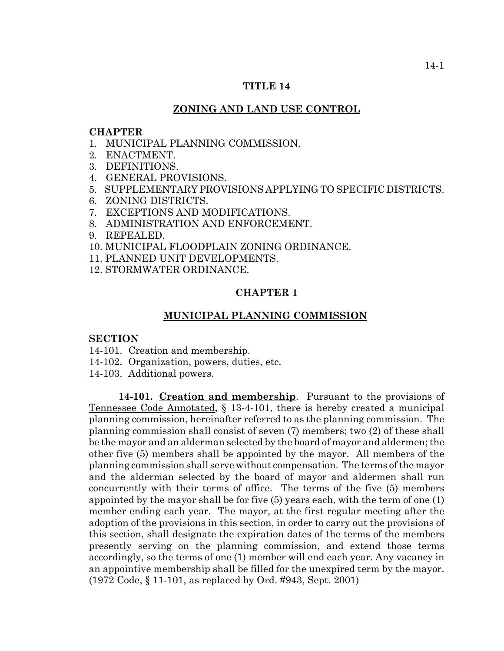### **TITLE 14**

# **ZONING AND LAND USE CONTROL**

### **CHAPTER**

- 1. MUNICIPAL PLANNING COMMISSION.
- 2. ENACTMENT.
- 3. DEFINITIONS.
- 4. GENERAL PROVISIONS.
- 5. SUPPLEMENTARY PROVISIONS APPLYING TO SPECIFIC DISTRICTS.
- 6. ZONING DISTRICTS.
- 7. EXCEPTIONS AND MODIFICATIONS.
- 8. ADMINISTRATION AND ENFORCEMENT.
- 9. REPEALED.
- 10. MUNICIPAL FLOODPLAIN ZONING ORDINANCE.
- 11. PLANNED UNIT DEVELOPMENTS.
- 12. STORMWATER ORDINANCE.

#### **CHAPTER 1**

#### **MUNICIPAL PLANNING COMMISSION**

# **SECTION**

- 14-101. Creation and membership.
- 14-102. Organization, powers, duties, etc.
- 14-103. Additional powers.

14-101. Creation and membership. Pursuant to the provisions of Tennessee Code Annotated, § 13-4-101, there is hereby created a municipal planning commission, hereinafter referred to as the planning commission. The planning commission shall consist of seven (7) members; two (2) of these shall be the mayor and an alderman selected by the board of mayor and aldermen; the other five (5) members shall be appointed by the mayor. All members of the planning commission shall serve without compensation. The terms of the mayor and the alderman selected by the board of mayor and aldermen shall run concurrently with their terms of office. The terms of the five (5) members appointed by the mayor shall be for five (5) years each, with the term of one (1) member ending each year. The mayor, at the first regular meeting after the adoption of the provisions in this section, in order to carry out the provisions of this section, shall designate the expiration dates of the terms of the members presently serving on the planning commission, and extend those terms accordingly, so the terms of one (1) member will end each year. Any vacancy in an appointive membership shall be filled for the unexpired term by the mayor. (1972 Code, § 11-101, as replaced by Ord. #943, Sept. 2001)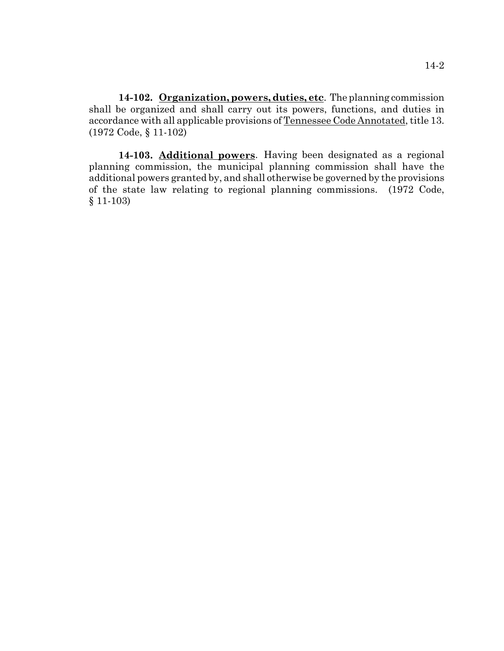**14-102. Organization, powers, duties, etc**. The planning commission shall be organized and shall carry out its powers, functions, and duties in accordance with all applicable provisions of Tennessee Code Annotated, title 13. (1972 Code, § 11-102)

**14-103. Additional powers**. Having been designated as a regional planning commission, the municipal planning commission shall have the additional powers granted by, and shall otherwise be governed by the provisions of the state law relating to regional planning commissions. (1972 Code, § 11-103)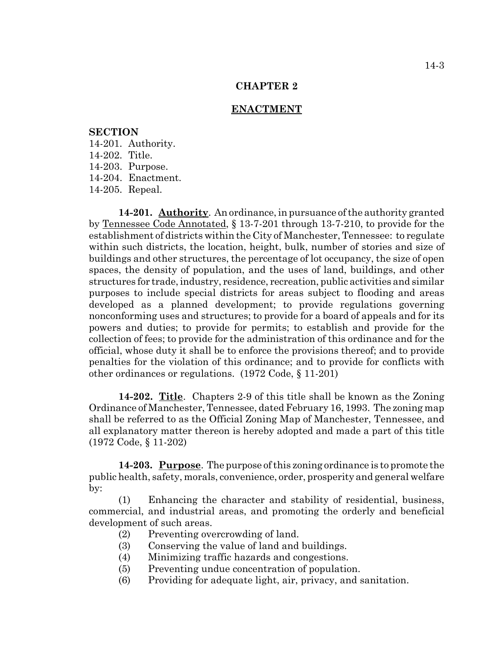# **CHAPTER 2**

#### **ENACTMENT**

# **SECTION**

14-201. Authority. 14-202. Title. 14-203. Purpose. 14-204. Enactment. 14-205. Repeal.

**14-201. Authority**. An ordinance, in pursuance of the authority granted by Tennessee Code Annotated, § 13-7-201 through 13-7-210, to provide for the establishment of districts within the City of Manchester, Tennessee: to regulate within such districts, the location, height, bulk, number of stories and size of buildings and other structures, the percentage of lot occupancy, the size of open spaces, the density of population, and the uses of land, buildings, and other structures for trade, industry, residence, recreation, public activities and similar purposes to include special districts for areas subject to flooding and areas developed as a planned development; to provide regulations governing nonconforming uses and structures; to provide for a board of appeals and for its powers and duties; to provide for permits; to establish and provide for the collection of fees; to provide for the administration of this ordinance and for the official, whose duty it shall be to enforce the provisions thereof; and to provide penalties for the violation of this ordinance; and to provide for conflicts with other ordinances or regulations. (1972 Code, § 11-201)

**14-202. Title**. Chapters 2-9 of this title shall be known as the Zoning Ordinance of Manchester, Tennessee, dated February 16, 1993. The zoning map shall be referred to as the Official Zoning Map of Manchester, Tennessee, and all explanatory matter thereon is hereby adopted and made a part of this title (1972 Code, § 11-202)

**14-203. Purpose**. The purpose of this zoning ordinance is to promote the public health, safety, morals, convenience, order, prosperity and general welfare by:

(1) Enhancing the character and stability of residential, business, commercial, and industrial areas, and promoting the orderly and beneficial development of such areas.

- (2) Preventing overcrowding of land.
- (3) Conserving the value of land and buildings.
- (4) Minimizing traffic hazards and congestions.
- (5) Preventing undue concentration of population.
- (6) Providing for adequate light, air, privacy, and sanitation.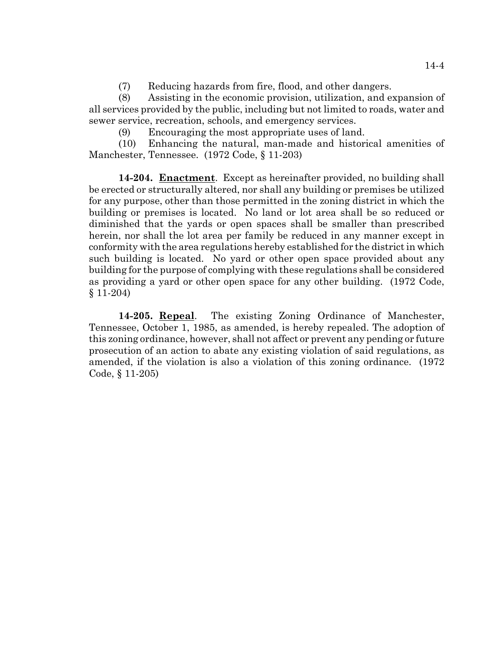(7) Reducing hazards from fire, flood, and other dangers.

(8) Assisting in the economic provision, utilization, and expansion of all services provided by the public, including but not limited to roads, water and sewer service, recreation, schools, and emergency services.

(9) Encouraging the most appropriate uses of land.

(10) Enhancing the natural, man-made and historical amenities of Manchester, Tennessee. (1972 Code, § 11-203)

**14-204. Enactment**. Except as hereinafter provided, no building shall be erected or structurally altered, nor shall any building or premises be utilized for any purpose, other than those permitted in the zoning district in which the building or premises is located. No land or lot area shall be so reduced or diminished that the yards or open spaces shall be smaller than prescribed herein, nor shall the lot area per family be reduced in any manner except in conformity with the area regulations hereby established for the district in which such building is located. No yard or other open space provided about any building for the purpose of complying with these regulations shall be considered as providing a yard or other open space for any other building. (1972 Code, § 11-204)

**14-205. Repeal**. The existing Zoning Ordinance of Manchester, Tennessee, October 1, 1985, as amended, is hereby repealed. The adoption of this zoning ordinance, however, shall not affect or prevent any pending or future prosecution of an action to abate any existing violation of said regulations, as amended, if the violation is also a violation of this zoning ordinance. (1972 Code, § 11-205)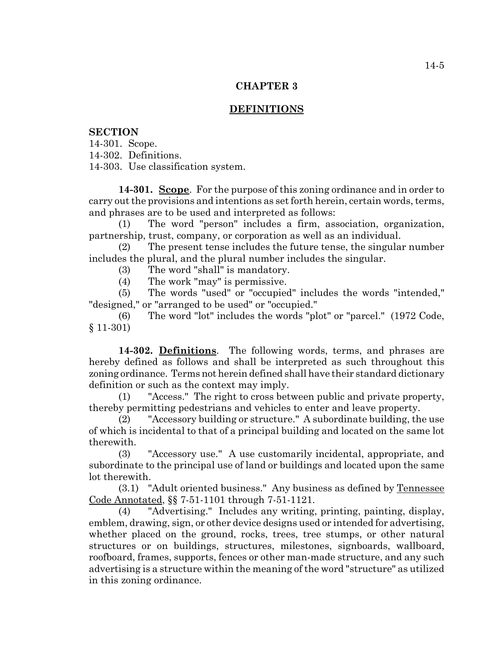# **CHAPTER 3**

# **DEFINITIONS**

# **SECTION**

14-301. Scope.

14-302. Definitions.

14-303. Use classification system.

**14-301. Scope**. For the purpose of this zoning ordinance and in order to carry out the provisions and intentions as set forth herein, certain words, terms, and phrases are to be used and interpreted as follows:

(1) The word "person" includes a firm, association, organization, partnership, trust, company, or corporation as well as an individual.

(2) The present tense includes the future tense, the singular number includes the plural, and the plural number includes the singular.

(3) The word "shall" is mandatory.

(4) The work "may" is permissive.

(5) The words "used" or "occupied" includes the words "intended," "designed," or "arranged to be used" or "occupied."

(6) The word "lot" includes the words "plot" or "parcel." (1972 Code, § 11-301)

**14-302. Definitions**. The following words, terms, and phrases are hereby defined as follows and shall be interpreted as such throughout this zoning ordinance. Terms not herein defined shall have their standard dictionary definition or such as the context may imply.

(1) "Access." The right to cross between public and private property, thereby permitting pedestrians and vehicles to enter and leave property.

(2) "Accessory building or structure." A subordinate building, the use of which is incidental to that of a principal building and located on the same lot therewith.

(3) "Accessory use." A use customarily incidental, appropriate, and subordinate to the principal use of land or buildings and located upon the same lot therewith.

(3.1) "Adult oriented business." Any business as defined by Tennessee Code Annotated, §§ 7-51-1101 through 7-51-1121.

(4) "Advertising." Includes any writing, printing, painting, display, emblem, drawing, sign, or other device designs used or intended for advertising, whether placed on the ground, rocks, trees, tree stumps, or other natural structures or on buildings, structures, milestones, signboards, wallboard, roofboard, frames, supports, fences or other man-made structure, and any such advertising is a structure within the meaning of the word "structure" as utilized in this zoning ordinance.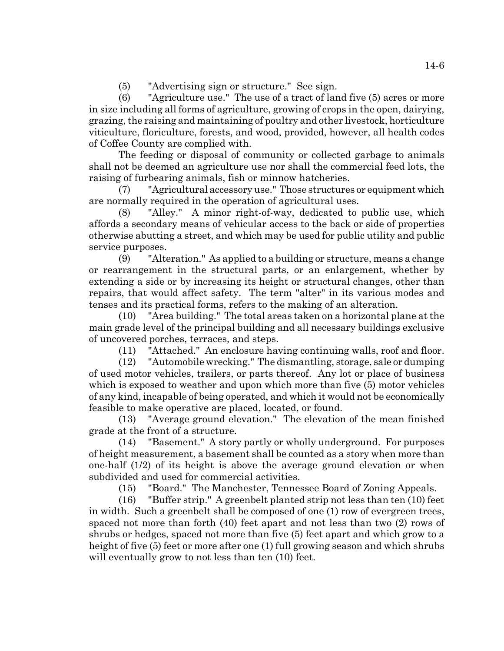(5) "Advertising sign or structure." See sign.

(6) "Agriculture use." The use of a tract of land five (5) acres or more in size including all forms of agriculture, growing of crops in the open, dairying, grazing, the raising and maintaining of poultry and other livestock, horticulture viticulture, floriculture, forests, and wood, provided, however, all health codes of Coffee County are complied with.

The feeding or disposal of community or collected garbage to animals shall not be deemed an agriculture use nor shall the commercial feed lots, the raising of furbearing animals, fish or minnow hatcheries.

(7) "Agricultural accessory use." Those structures or equipment which are normally required in the operation of agricultural uses.

(8) "Alley." A minor right-of-way, dedicated to public use, which affords a secondary means of vehicular access to the back or side of properties otherwise abutting a street, and which may be used for public utility and public service purposes.

(9) "Alteration." As applied to a building or structure, means a change or rearrangement in the structural parts, or an enlargement, whether by extending a side or by increasing its height or structural changes, other than repairs, that would affect safety. The term "alter" in its various modes and tenses and its practical forms, refers to the making of an alteration.

(10) "Area building." The total areas taken on a horizontal plane at the main grade level of the principal building and all necessary buildings exclusive of uncovered porches, terraces, and steps.

(11) "Attached." An enclosure having continuing walls, roof and floor.

(12) "Automobile wrecking." The dismantling, storage, sale or dumping of used motor vehicles, trailers, or parts thereof. Any lot or place of business which is exposed to weather and upon which more than five (5) motor vehicles of any kind, incapable of being operated, and which it would not be economically feasible to make operative are placed, located, or found.

(13) "Average ground elevation." The elevation of the mean finished grade at the front of a structure.

(14) "Basement." A story partly or wholly underground. For purposes of height measurement, a basement shall be counted as a story when more than one-half (1/2) of its height is above the average ground elevation or when subdivided and used for commercial activities.

(15) "Board." The Manchester, Tennessee Board of Zoning Appeals.

(16) "Buffer strip." A greenbelt planted strip not less than ten (10) feet in width. Such a greenbelt shall be composed of one (1) row of evergreen trees, spaced not more than forth (40) feet apart and not less than two (2) rows of shrubs or hedges, spaced not more than five (5) feet apart and which grow to a height of five (5) feet or more after one (1) full growing season and which shrubs will eventually grow to not less than ten (10) feet.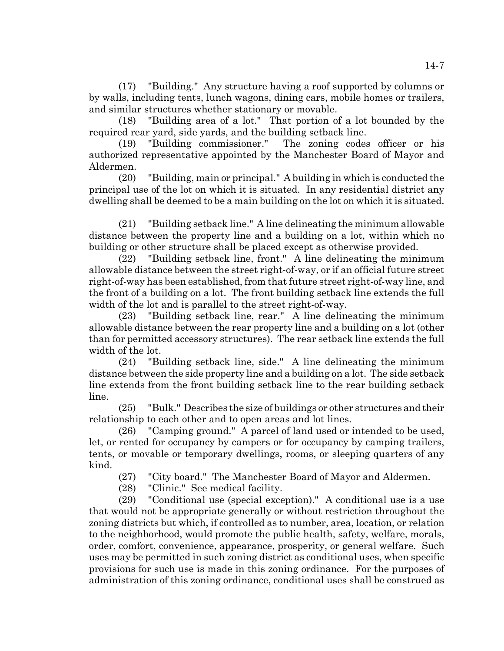(17) "Building." Any structure having a roof supported by columns or by walls, including tents, lunch wagons, dining cars, mobile homes or trailers, and similar structures whether stationary or movable.

(18) "Building area of a lot." That portion of a lot bounded by the required rear yard, side yards, and the building setback line.

(19) "Building commissioner." The zoning codes officer or his authorized representative appointed by the Manchester Board of Mayor and Aldermen.

(20) "Building, main or principal." A building in which is conducted the principal use of the lot on which it is situated. In any residential district any dwelling shall be deemed to be a main building on the lot on which it is situated.

(21) "Building setback line." A line delineating the minimum allowable distance between the property line and a building on a lot, within which no building or other structure shall be placed except as otherwise provided.

(22) "Building setback line, front." A line delineating the minimum allowable distance between the street right-of-way, or if an official future street right-of-way has been established, from that future street right-of-way line, and the front of a building on a lot. The front building setback line extends the full width of the lot and is parallel to the street right-of-way.

(23) "Building setback line, rear." A line delineating the minimum allowable distance between the rear property line and a building on a lot (other than for permitted accessory structures). The rear setback line extends the full width of the lot.

(24) "Building setback line, side." A line delineating the minimum distance between the side property line and a building on a lot. The side setback line extends from the front building setback line to the rear building setback line.

(25) "Bulk." Describes the size of buildings or other structures and their relationship to each other and to open areas and lot lines.

(26) "Camping ground." A parcel of land used or intended to be used, let, or rented for occupancy by campers or for occupancy by camping trailers, tents, or movable or temporary dwellings, rooms, or sleeping quarters of any kind.

(27) "City board." The Manchester Board of Mayor and Aldermen.

(28) "Clinic." See medical facility.

(29) "Conditional use (special exception)." A conditional use is a use that would not be appropriate generally or without restriction throughout the zoning districts but which, if controlled as to number, area, location, or relation to the neighborhood, would promote the public health, safety, welfare, morals, order, comfort, convenience, appearance, prosperity, or general welfare. Such uses may be permitted in such zoning district as conditional uses, when specific provisions for such use is made in this zoning ordinance. For the purposes of administration of this zoning ordinance, conditional uses shall be construed as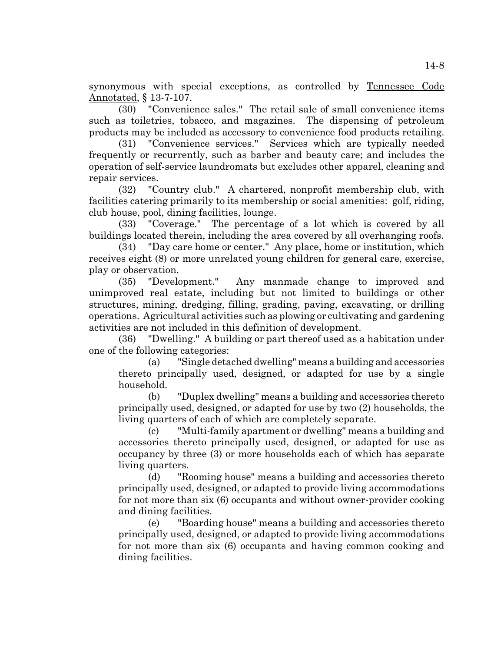synonymous with special exceptions, as controlled by Tennessee Code Annotated, § 13-7-107.

(30) "Convenience sales." The retail sale of small convenience items such as toiletries, tobacco, and magazines. The dispensing of petroleum products may be included as accessory to convenience food products retailing.

(31) "Convenience services." Services which are typically needed frequently or recurrently, such as barber and beauty care; and includes the operation of self-service laundromats but excludes other apparel, cleaning and repair services.

(32) "Country club." A chartered, nonprofit membership club, with facilities catering primarily to its membership or social amenities: golf, riding, club house, pool, dining facilities, lounge.

(33) "Coverage." The percentage of a lot which is covered by all buildings located therein, including the area covered by all overhanging roofs.

(34) "Day care home or center." Any place, home or institution, which receives eight (8) or more unrelated young children for general care, exercise, play or observation.

(35) "Development." Any manmade change to improved and unimproved real estate, including but not limited to buildings or other structures, mining, dredging, filling, grading, paving, excavating, or drilling operations. Agricultural activities such as plowing or cultivating and gardening activities are not included in this definition of development.

(36) "Dwelling." A building or part thereof used as a habitation under one of the following categories:

(a) "Single detached dwelling" means a building and accessories thereto principally used, designed, or adapted for use by a single household.

(b) "Duplex dwelling" means a building and accessories thereto principally used, designed, or adapted for use by two (2) households, the living quarters of each of which are completely separate.

(c) "Multi-family apartment or dwelling" means a building and accessories thereto principally used, designed, or adapted for use as occupancy by three (3) or more households each of which has separate living quarters.

(d) "Rooming house" means a building and accessories thereto principally used, designed, or adapted to provide living accommodations for not more than six (6) occupants and without owner-provider cooking and dining facilities.

(e) "Boarding house" means a building and accessories thereto principally used, designed, or adapted to provide living accommodations for not more than six (6) occupants and having common cooking and dining facilities.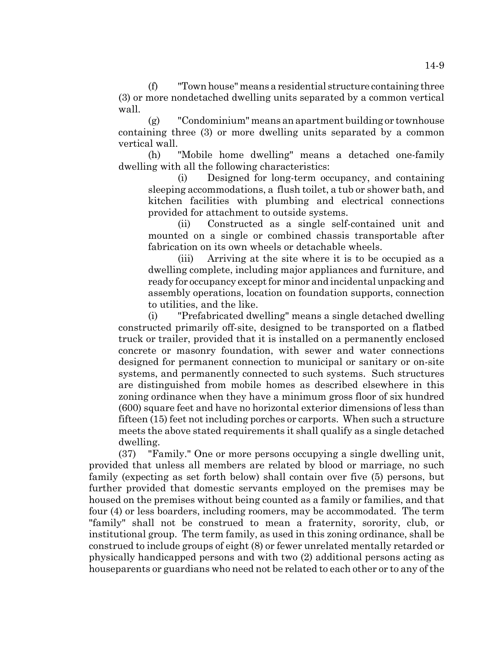(f) "Town house" means a residential structure containing three (3) or more nondetached dwelling units separated by a common vertical wall.

(g) "Condominium" means an apartment building or townhouse containing three (3) or more dwelling units separated by a common vertical wall.

(h) "Mobile home dwelling" means a detached one-family dwelling with all the following characteristics:

(i) Designed for long-term occupancy, and containing sleeping accommodations, a flush toilet, a tub or shower bath, and kitchen facilities with plumbing and electrical connections provided for attachment to outside systems.

(ii) Constructed as a single self-contained unit and mounted on a single or combined chassis transportable after fabrication on its own wheels or detachable wheels.

(iii) Arriving at the site where it is to be occupied as a dwelling complete, including major appliances and furniture, and ready for occupancy except for minor and incidental unpacking and assembly operations, location on foundation supports, connection to utilities, and the like.

(i) "Prefabricated dwelling" means a single detached dwelling constructed primarily off-site, designed to be transported on a flatbed truck or trailer, provided that it is installed on a permanently enclosed concrete or masonry foundation, with sewer and water connections designed for permanent connection to municipal or sanitary or on-site systems, and permanently connected to such systems. Such structures are distinguished from mobile homes as described elsewhere in this zoning ordinance when they have a minimum gross floor of six hundred (600) square feet and have no horizontal exterior dimensions of less than fifteen (15) feet not including porches or carports. When such a structure meets the above stated requirements it shall qualify as a single detached dwelling.

(37) "Family." One or more persons occupying a single dwelling unit, provided that unless all members are related by blood or marriage, no such family (expecting as set forth below) shall contain over five (5) persons, but further provided that domestic servants employed on the premises may be housed on the premises without being counted as a family or families, and that four (4) or less boarders, including roomers, may be accommodated. The term "family" shall not be construed to mean a fraternity, sorority, club, or institutional group. The term family, as used in this zoning ordinance, shall be construed to include groups of eight (8) or fewer unrelated mentally retarded or physically handicapped persons and with two (2) additional persons acting as houseparents or guardians who need not be related to each other or to any of the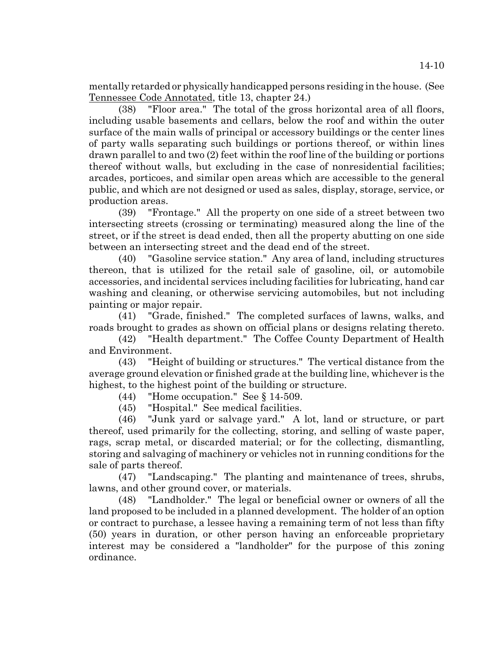mentally retarded or physically handicapped persons residing in the house. (See Tennessee Code Annotated, title 13, chapter 24.)

(38) "Floor area." The total of the gross horizontal area of all floors, including usable basements and cellars, below the roof and within the outer surface of the main walls of principal or accessory buildings or the center lines of party walls separating such buildings or portions thereof, or within lines drawn parallel to and two (2) feet within the roof line of the building or portions thereof without walls, but excluding in the case of nonresidential facilities; arcades, porticoes, and similar open areas which are accessible to the general public, and which are not designed or used as sales, display, storage, service, or production areas.

(39) "Frontage." All the property on one side of a street between two intersecting streets (crossing or terminating) measured along the line of the street, or if the street is dead ended, then all the property abutting on one side between an intersecting street and the dead end of the street.

(40) "Gasoline service station." Any area of land, including structures thereon, that is utilized for the retail sale of gasoline, oil, or automobile accessories, and incidental services including facilities for lubricating, hand car washing and cleaning, or otherwise servicing automobiles, but not including painting or major repair.

(41) "Grade, finished." The completed surfaces of lawns, walks, and roads brought to grades as shown on official plans or designs relating thereto.

(42) "Health department." The Coffee County Department of Health and Environment.

(43) "Height of building or structures." The vertical distance from the average ground elevation or finished grade at the building line, whichever is the highest, to the highest point of the building or structure.

(44) "Home occupation." See § 14-509.

(45) "Hospital." See medical facilities.

(46) "Junk yard or salvage yard." A lot, land or structure, or part thereof, used primarily for the collecting, storing, and selling of waste paper, rags, scrap metal, or discarded material; or for the collecting, dismantling, storing and salvaging of machinery or vehicles not in running conditions for the sale of parts thereof.

(47) "Landscaping." The planting and maintenance of trees, shrubs, lawns, and other ground cover, or materials.

(48) "Landholder." The legal or beneficial owner or owners of all the land proposed to be included in a planned development. The holder of an option or contract to purchase, a lessee having a remaining term of not less than fifty (50) years in duration, or other person having an enforceable proprietary interest may be considered a "landholder" for the purpose of this zoning ordinance.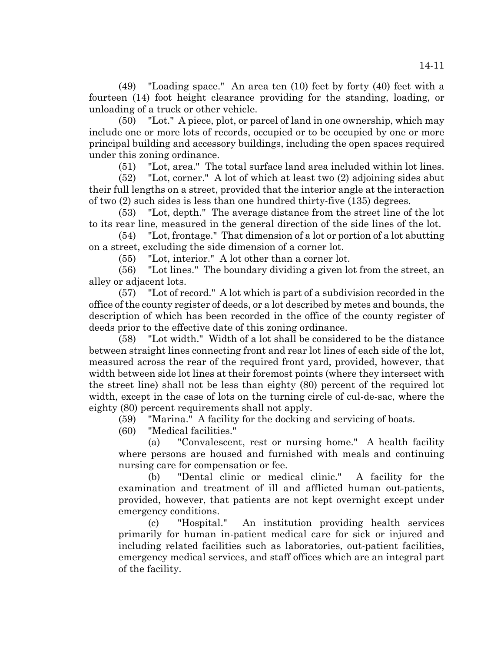(49) "Loading space." An area ten (10) feet by forty (40) feet with a fourteen (14) foot height clearance providing for the standing, loading, or unloading of a truck or other vehicle.

(50) "Lot." A piece, plot, or parcel of land in one ownership, which may include one or more lots of records, occupied or to be occupied by one or more principal building and accessory buildings, including the open spaces required under this zoning ordinance.

(51) "Lot, area." The total surface land area included within lot lines.

(52) "Lot, corner." A lot of which at least two (2) adjoining sides abut their full lengths on a street, provided that the interior angle at the interaction of two (2) such sides is less than one hundred thirty-five (135) degrees.

(53) "Lot, depth." The average distance from the street line of the lot to its rear line, measured in the general direction of the side lines of the lot.

(54) "Lot, frontage." That dimension of a lot or portion of a lot abutting on a street, excluding the side dimension of a corner lot.

(55) "Lot, interior." A lot other than a corner lot.

(56) "Lot lines." The boundary dividing a given lot from the street, an alley or adjacent lots.

(57) "Lot of record." A lot which is part of a subdivision recorded in the office of the county register of deeds, or a lot described by metes and bounds, the description of which has been recorded in the office of the county register of deeds prior to the effective date of this zoning ordinance.

(58) "Lot width." Width of a lot shall be considered to be the distance between straight lines connecting front and rear lot lines of each side of the lot, measured across the rear of the required front yard, provided, however, that width between side lot lines at their foremost points (where they intersect with the street line) shall not be less than eighty (80) percent of the required lot width, except in the case of lots on the turning circle of cul-de-sac, where the eighty (80) percent requirements shall not apply.

(59) "Marina." A facility for the docking and servicing of boats.

(60) "Medical facilities."

(a) "Convalescent, rest or nursing home." A health facility where persons are housed and furnished with meals and continuing nursing care for compensation or fee.

(b) "Dental clinic or medical clinic." A facility for the examination and treatment of ill and afflicted human out-patients, provided, however, that patients are not kept overnight except under emergency conditions.

(c) "Hospital." An institution providing health services primarily for human in-patient medical care for sick or injured and including related facilities such as laboratories, out-patient facilities, emergency medical services, and staff offices which are an integral part of the facility.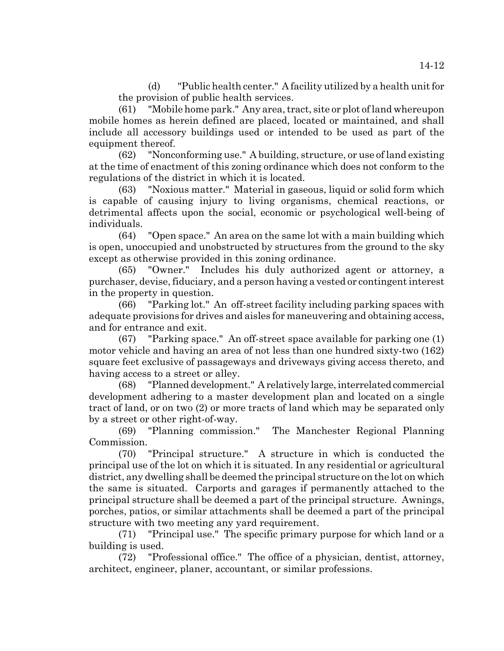(d) "Public health center." A facility utilized by a health unit for the provision of public health services.

(61) "Mobile home park." Any area, tract, site or plot of land whereupon mobile homes as herein defined are placed, located or maintained, and shall include all accessory buildings used or intended to be used as part of the equipment thereof.

(62) "Nonconforming use." A building, structure, or use of land existing at the time of enactment of this zoning ordinance which does not conform to the regulations of the district in which it is located.

(63) "Noxious matter." Material in gaseous, liquid or solid form which is capable of causing injury to living organisms, chemical reactions, or detrimental affects upon the social, economic or psychological well-being of individuals.

(64) "Open space." An area on the same lot with a main building which is open, unoccupied and unobstructed by structures from the ground to the sky except as otherwise provided in this zoning ordinance.

(65) "Owner." Includes his duly authorized agent or attorney, a purchaser, devise, fiduciary, and a person having a vested or contingent interest in the property in question.

(66) "Parking lot." An off-street facility including parking spaces with adequate provisions for drives and aisles for maneuvering and obtaining access, and for entrance and exit.

(67) "Parking space." An off-street space available for parking one (1) motor vehicle and having an area of not less than one hundred sixty-two (162) square feet exclusive of passageways and driveways giving access thereto, and having access to a street or alley.

(68) "Planned development." A relatively large, interrelated commercial development adhering to a master development plan and located on a single tract of land, or on two (2) or more tracts of land which may be separated only by a street or other right-of-way.

(69) "Planning commission." The Manchester Regional Planning Commission.

(70) "Principal structure." A structure in which is conducted the principal use of the lot on which it is situated. In any residential or agricultural district, any dwelling shall be deemed the principal structure on the lot on which the same is situated. Carports and garages if permanently attached to the principal structure shall be deemed a part of the principal structure. Awnings, porches, patios, or similar attachments shall be deemed a part of the principal structure with two meeting any yard requirement.

(71) "Principal use." The specific primary purpose for which land or a building is used.

(72) "Professional office." The office of a physician, dentist, attorney, architect, engineer, planer, accountant, or similar professions.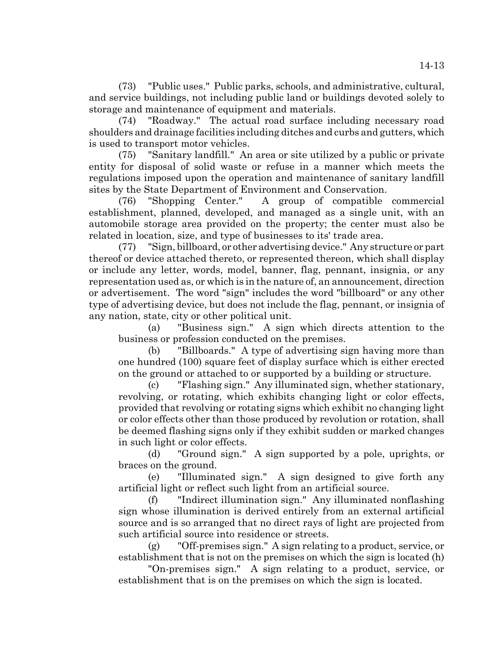(73) "Public uses." Public parks, schools, and administrative, cultural, and service buildings, not including public land or buildings devoted solely to storage and maintenance of equipment and materials.

(74) "Roadway." The actual road surface including necessary road shoulders and drainage facilities including ditches and curbs and gutters, which is used to transport motor vehicles.

(75) "Sanitary landfill." An area or site utilized by a public or private entity for disposal of solid waste or refuse in a manner which meets the regulations imposed upon the operation and maintenance of sanitary landfill sites by the State Department of Environment and Conservation.

(76) "Shopping Center." A group of compatible commercial establishment, planned, developed, and managed as a single unit, with an automobile storage area provided on the property; the center must also be related in location, size, and type of businesses to its' trade area.

(77) "Sign, billboard, or other advertising device." Any structure or part thereof or device attached thereto, or represented thereon, which shall display or include any letter, words, model, banner, flag, pennant, insignia, or any representation used as, or which is in the nature of, an announcement, direction or advertisement. The word "sign" includes the word "billboard" or any other type of advertising device, but does not include the flag, pennant, or insignia of any nation, state, city or other political unit.

(a) "Business sign." A sign which directs attention to the business or profession conducted on the premises.

(b) "Billboards." A type of advertising sign having more than one hundred (100) square feet of display surface which is either erected on the ground or attached to or supported by a building or structure.

(c) "Flashing sign." Any illuminated sign, whether stationary, revolving, or rotating, which exhibits changing light or color effects, provided that revolving or rotating signs which exhibit no changing light or color effects other than those produced by revolution or rotation, shall be deemed flashing signs only if they exhibit sudden or marked changes in such light or color effects.

(d) "Ground sign." A sign supported by a pole, uprights, or braces on the ground.

(e) "Illuminated sign." A sign designed to give forth any artificial light or reflect such light from an artificial source.

(f) "Indirect illumination sign." Any illuminated nonflashing sign whose illumination is derived entirely from an external artificial source and is so arranged that no direct rays of light are projected from such artificial source into residence or streets.

(g) "Off-premises sign." A sign relating to a product, service, or establishment that is not on the premises on which the sign is located (h)

"On-premises sign." A sign relating to a product, service, or establishment that is on the premises on which the sign is located.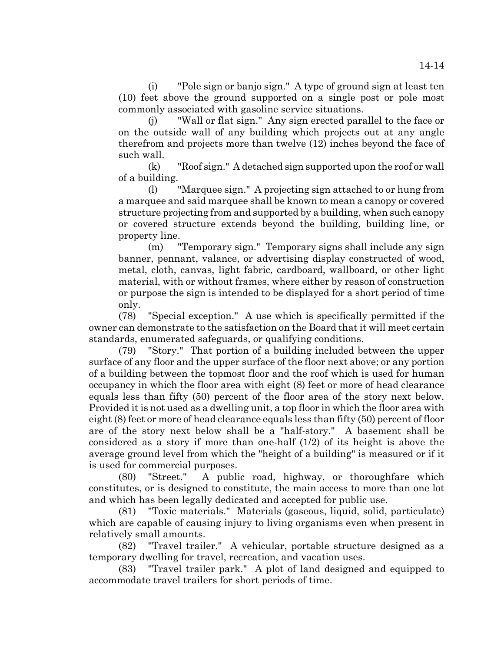(i) "Pole sign or banjo sign." A type of ground sign at least ten (10) feet above the ground supported on a single post or pole most commonly associated with gasoline service situations.

(j) "Wall or flat sign." Any sign erected parallel to the face or on the outside wall of any building which projects out at any angle therefrom and projects more than twelve (12) inches beyond the face of such wall.

(k) "Roof sign." A detached sign supported upon the roof or wall of a building.

(l) "Marquee sign." A projecting sign attached to or hung from a marquee and said marquee shall be known to mean a canopy or covered structure projecting from and supported by a building, when such canopy or covered structure extends beyond the building, building line, or property line.

(m) "Temporary sign." Temporary signs shall include any sign banner, pennant, valance, or advertising display constructed of wood, metal, cloth, canvas, light fabric, cardboard, wallboard, or other light material, with or without frames, where either by reason of construction or purpose the sign is intended to be displayed for a short period of time only.

(78) "Special exception." A use which is specifically permitted if the owner can demonstrate to the satisfaction on the Board that it will meet certain standards, enumerated safeguards, or qualifying conditions.

(79) "Story." That portion of a building included between the upper surface of any floor and the upper surface of the floor next above; or any portion of a building between the topmost floor and the roof which is used for human occupancy in which the floor area with eight (8) feet or more of head clearance equals less than fifty (50) percent of the floor area of the story next below. Provided it is not used as a dwelling unit, a top floor in which the floor area with eight (8) feet or more of head clearance equals less than fifty (50) percent of floor are of the story next below shall be a "half-story." A basement shall be considered as a story if more than one-half (1/2) of its height is above the average ground level from which the "height of a building" is measured or if it is used for commercial purposes.

(80) "Street." A public road, highway, or thoroughfare which constitutes, or is designed to constitute, the main access to more than one lot and which has been legally dedicated and accepted for public use.

(81) "Toxic materials." Materials (gaseous, liquid, solid, particulate) which are capable of causing injury to living organisms even when present in relatively small amounts.

(82) "Travel trailer." A vehicular, portable structure designed as a temporary dwelling for travel, recreation, and vacation uses.

(83) "Travel trailer park." A plot of land designed and equipped to accommodate travel trailers for short periods of time.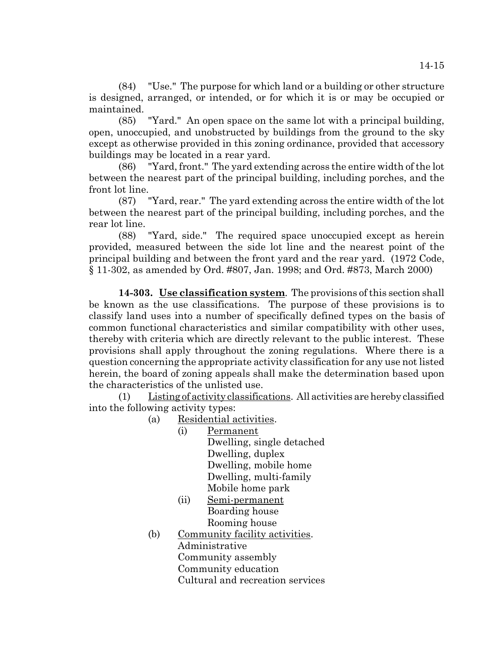(84) "Use." The purpose for which land or a building or other structure is designed, arranged, or intended, or for which it is or may be occupied or maintained.

(85) "Yard." An open space on the same lot with a principal building, open, unoccupied, and unobstructed by buildings from the ground to the sky except as otherwise provided in this zoning ordinance, provided that accessory buildings may be located in a rear yard.

(86) "Yard, front." The yard extending across the entire width of the lot between the nearest part of the principal building, including porches, and the front lot line.

(87) "Yard, rear." The yard extending across the entire width of the lot between the nearest part of the principal building, including porches, and the rear lot line.

(88) "Yard, side." The required space unoccupied except as herein provided, measured between the side lot line and the nearest point of the principal building and between the front yard and the rear yard. (1972 Code, § 11-302, as amended by Ord. #807, Jan. 1998; and Ord. #873, March 2000)

**14-303. Use classification system**. The provisions of this section shall be known as the use classifications. The purpose of these provisions is to classify land uses into a number of specifically defined types on the basis of common functional characteristics and similar compatibility with other uses, thereby with criteria which are directly relevant to the public interest. These provisions shall apply throughout the zoning regulations. Where there is a question concerning the appropriate activity classification for any use not listed herein, the board of zoning appeals shall make the determination based upon the characteristics of the unlisted use.

(1) Listing of activity classifications. All activities are hereby classified into the following activity types:

(a) Residential activities.

- (i) Permanent Dwelling, single detached Dwelling, duplex Dwelling, mobile home Dwelling, multi-family Mobile home park
- (ii) Semi-permanent Boarding house Rooming house
- (b) Community facility activities. Administrative Community assembly Community education Cultural and recreation services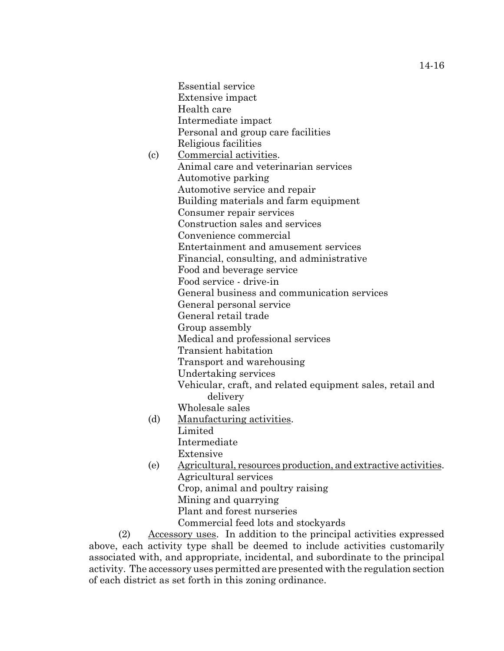Essential service Extensive impact Health care Intermediate impact Personal and group care facilities Religious facilities

- (c) Commercial activities. Animal care and veterinarian services Automotive parking Automotive service and repair Building materials and farm equipment Consumer repair services Construction sales and services Convenience commercial Entertainment and amusement services Financial, consulting, and administrative Food and beverage service Food service - drive-in General business and communication services General personal service General retail trade Group assembly Medical and professional services Transient habitation Transport and warehousing Undertaking services Vehicular, craft, and related equipment sales, retail and delivery Wholesale sales (d) Manufacturing activities.
	- Limited

Intermediate

- Extensive
- (e) Agricultural, resources production, and extractive activities. Agricultural services Crop, animal and poultry raising Mining and quarrying Plant and forest nurseries

Commercial feed lots and stockyards

(2) Accessory uses. In addition to the principal activities expressed above, each activity type shall be deemed to include activities customarily associated with, and appropriate, incidental, and subordinate to the principal activity. The accessory uses permitted are presented with the regulation section of each district as set forth in this zoning ordinance.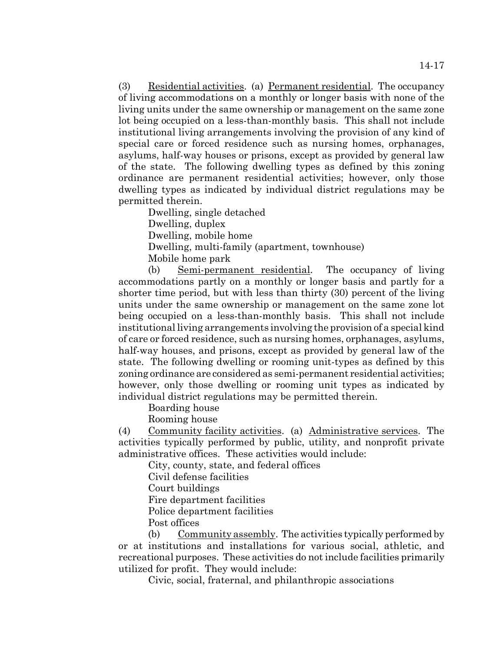(3) Residential activities. (a) Permanent residential. The occupancy of living accommodations on a monthly or longer basis with none of the living units under the same ownership or management on the same zone lot being occupied on a less-than-monthly basis. This shall not include institutional living arrangements involving the provision of any kind of special care or forced residence such as nursing homes, orphanages, asylums, half-way houses or prisons, except as provided by general law of the state. The following dwelling types as defined by this zoning ordinance are permanent residential activities; however, only those dwelling types as indicated by individual district regulations may be permitted therein.

Dwelling, single detached

Dwelling, duplex

Dwelling, mobile home

Dwelling, multi-family (apartment, townhouse)

Mobile home park

(b) Semi-permanent residential. The occupancy of living accommodations partly on a monthly or longer basis and partly for a shorter time period, but with less than thirty (30) percent of the living units under the same ownership or management on the same zone lot being occupied on a less-than-monthly basis. This shall not include institutional living arrangements involving the provision of a special kind of care or forced residence, such as nursing homes, orphanages, asylums, half-way houses, and prisons, except as provided by general law of the state. The following dwelling or rooming unit-types as defined by this zoning ordinance are considered as semi-permanent residential activities; however, only those dwelling or rooming unit types as indicated by individual district regulations may be permitted therein.

Boarding house

Rooming house

(4) Community facility activities. (a) Administrative services. The activities typically performed by public, utility, and nonprofit private administrative offices. These activities would include:

City, county, state, and federal offices

Civil defense facilities

Court buildings

Fire department facilities

Police department facilities

Post offices

(b) Community assembly. The activities typically performed by or at institutions and installations for various social, athletic, and recreational purposes. These activities do not include facilities primarily utilized for profit. They would include:

Civic, social, fraternal, and philanthropic associations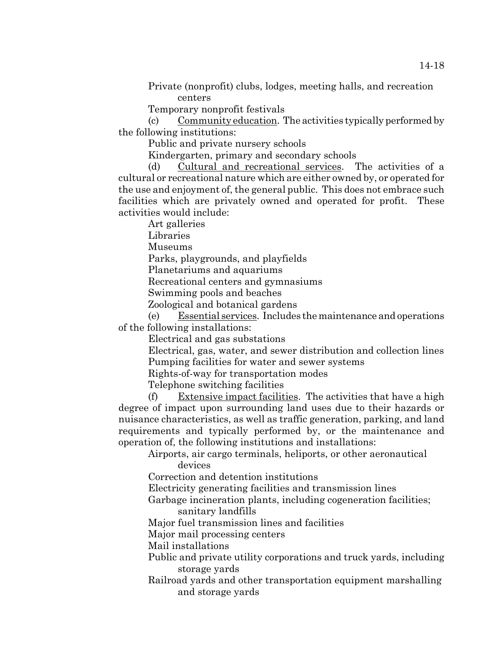Private (nonprofit) clubs, lodges, meeting halls, and recreation centers

Temporary nonprofit festivals

(c) Community education. The activities typically performed by the following institutions:

Public and private nursery schools

Kindergarten, primary and secondary schools

(d) Cultural and recreational services. The activities of a cultural or recreational nature which are either owned by, or operated for the use and enjoyment of, the general public. This does not embrace such facilities which are privately owned and operated for profit. These activities would include:

Art galleries

Libraries

Museums

Parks, playgrounds, and playfields

Planetariums and aquariums

Recreational centers and gymnasiums

Swimming pools and beaches

Zoological and botanical gardens

(e) Essential services. Includes the maintenance and operations of the following installations:

Electrical and gas substations

Electrical, gas, water, and sewer distribution and collection lines Pumping facilities for water and sewer systems

Rights-of-way for transportation modes

Telephone switching facilities

(f) Extensive impact facilities. The activities that have a high degree of impact upon surrounding land uses due to their hazards or nuisance characteristics, as well as traffic generation, parking, and land requirements and typically performed by, or the maintenance and operation of, the following institutions and installations:

#### Airports, air cargo terminals, heliports, or other aeronautical devices

Correction and detention institutions

Electricity generating facilities and transmission lines

Garbage incineration plants, including cogeneration facilities; sanitary landfills

Major fuel transmission lines and facilities

Major mail processing centers

Mail installations

Public and private utility corporations and truck yards, including storage yards

Railroad yards and other transportation equipment marshalling and storage yards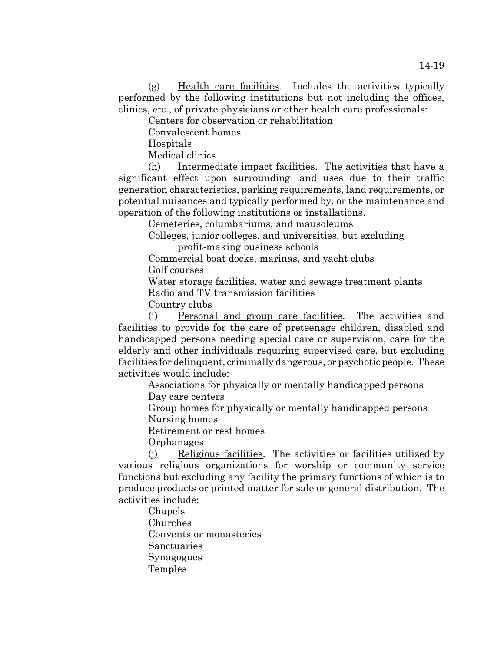(g) Health care facilities. Includes the activities typically performed by the following institutions but not including the offices, clinics, etc., of private physicians or other health care professionals:

Centers for observation or rehabilitation

Convalescent homes

Hospitals

Medical clinics

(h) Intermediate impact facilities. The activities that have a significant effect upon surrounding land uses due to their traffic generation characteristics, parking requirements, land requirements, or potential nuisances and typically performed by, or the maintenance and operation of the following institutions or installations.

Cemeteries, columbariums, and mausoleums

Colleges, junior colleges, and universities, but excluding

profit-making business schools

Commercial boat docks, marinas, and yacht clubs Golf courses

Water storage facilities, water and sewage treatment plants Radio and TV transmission facilities

Country clubs

(i) Personal and group care facilities. The activities and facilities to provide for the care of preteenage children, disabled and handicapped persons needing special care or supervision, care for the elderly and other individuals requiring supervised care, but excluding facilities for delinquent, criminally dangerous, or psychotic people. These activities would include:

Associations for physically or mentally handicapped persons

Day care centers

Group homes for physically or mentally handicapped persons Nursing homes

Retirement or rest homes

**Orphanages** 

(j) Religious facilities. The activities or facilities utilized by various religious organizations for worship or community service functions but excluding any facility the primary functions of which is to produce products or printed matter for sale or general distribution. The activities include:

Chapels Churches Convents or monasteries Sanctuaries Synagogues Temples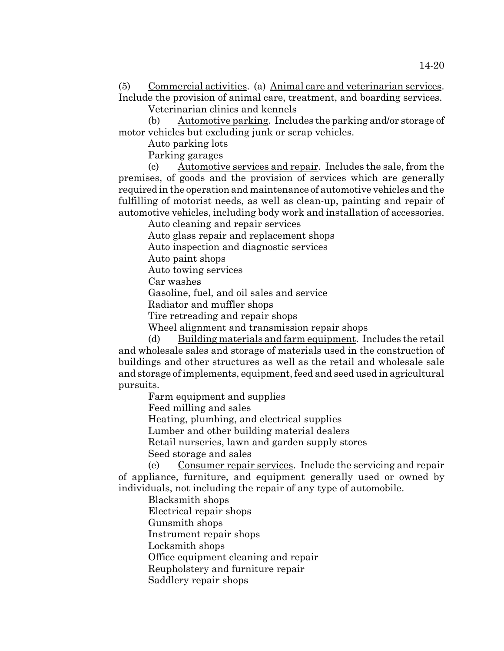Veterinarian clinics and kennels

(b) Automotive parking. Includes the parking and/or storage of motor vehicles but excluding junk or scrap vehicles.

Auto parking lots

Parking garages

(c) Automotive services and repair. Includes the sale, from the premises, of goods and the provision of services which are generally required in the operation and maintenance of automotive vehicles and the fulfilling of motorist needs, as well as clean-up, painting and repair of automotive vehicles, including body work and installation of accessories.

Auto cleaning and repair services

Auto glass repair and replacement shops

Auto inspection and diagnostic services

Auto paint shops

Auto towing services

Car washes

Gasoline, fuel, and oil sales and service

Radiator and muffler shops

Tire retreading and repair shops

Wheel alignment and transmission repair shops

(d) Building materials and farm equipment. Includes the retail and wholesale sales and storage of materials used in the construction of buildings and other structures as well as the retail and wholesale sale and storage of implements, equipment, feed and seed used in agricultural pursuits.

Farm equipment and supplies

Feed milling and sales

Heating, plumbing, and electrical supplies

Lumber and other building material dealers

Retail nurseries, lawn and garden supply stores

Seed storage and sales

(e) Consumer repair services. Include the servicing and repair of appliance, furniture, and equipment generally used or owned by individuals, not including the repair of any type of automobile.

Blacksmith shops

Electrical repair shops

Gunsmith shops

Instrument repair shops

Locksmith shops

Office equipment cleaning and repair

Reupholstery and furniture repair

Saddlery repair shops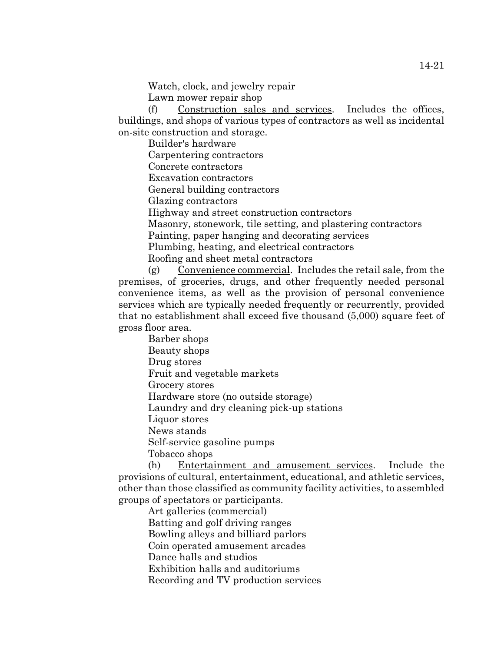Watch, clock, and jewelry repair

Lawn mower repair shop

(f) Construction sales and services. Includes the offices, buildings, and shops of various types of contractors as well as incidental on-site construction and storage.

Builder's hardware

Carpentering contractors

Concrete contractors

Excavation contractors

General building contractors

Glazing contractors

Highway and street construction contractors

Masonry, stonework, tile setting, and plastering contractors

Painting, paper hanging and decorating services

Plumbing, heating, and electrical contractors

Roofing and sheet metal contractors

(g) Convenience commercial. Includes the retail sale, from the premises, of groceries, drugs, and other frequently needed personal convenience items, as well as the provision of personal convenience services which are typically needed frequently or recurrently, provided that no establishment shall exceed five thousand (5,000) square feet of gross floor area.

Barber shops Beauty shops Drug stores Fruit and vegetable markets Grocery stores Hardware store (no outside storage) Laundry and dry cleaning pick-up stations Liquor stores News stands Self-service gasoline pumps Tobacco shops

(h) Entertainment and amusement services. Include the provisions of cultural, entertainment, educational, and athletic services, other than those classified as community facility activities, to assembled groups of spectators or participants.

Art galleries (commercial) Batting and golf driving ranges Bowling alleys and billiard parlors Coin operated amusement arcades Dance halls and studios Exhibition halls and auditoriums Recording and TV production services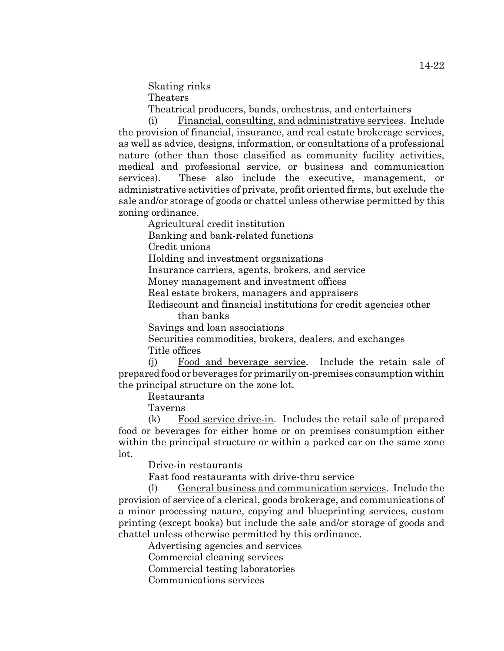Skating rinks Theaters

Theatrical producers, bands, orchestras, and entertainers

(i) Financial, consulting, and administrative services. Include the provision of financial, insurance, and real estate brokerage services, as well as advice, designs, information, or consultations of a professional nature (other than those classified as community facility activities, medical and professional service, or business and communication services). These also include the executive, management, or administrative activities of private, profit oriented firms, but exclude the sale and/or storage of goods or chattel unless otherwise permitted by this zoning ordinance.

Agricultural credit institution

Banking and bank-related functions

Credit unions

Holding and investment organizations

Insurance carriers, agents, brokers, and service

Money management and investment offices

Real estate brokers, managers and appraisers

Rediscount and financial institutions for credit agencies other than banks

Savings and loan associations

Securities commodities, brokers, dealers, and exchanges Title offices

(j) Food and beverage service. Include the retain sale of prepared food or beverages for primarily on-premises consumption within the principal structure on the zone lot.

Restaurants

Taverns

 $(k)$  Food service drive-in. Includes the retail sale of prepared food or beverages for either home or on premises consumption either within the principal structure or within a parked car on the same zone lot.

Drive-in restaurants

Fast food restaurants with drive-thru service

(l) General business and communication services. Include the provision of service of a clerical, goods brokerage, and communications of a minor processing nature, copying and blueprinting services, custom printing (except books) but include the sale and/or storage of goods and chattel unless otherwise permitted by this ordinance.

Advertising agencies and services

Commercial cleaning services

Commercial testing laboratories

Communications services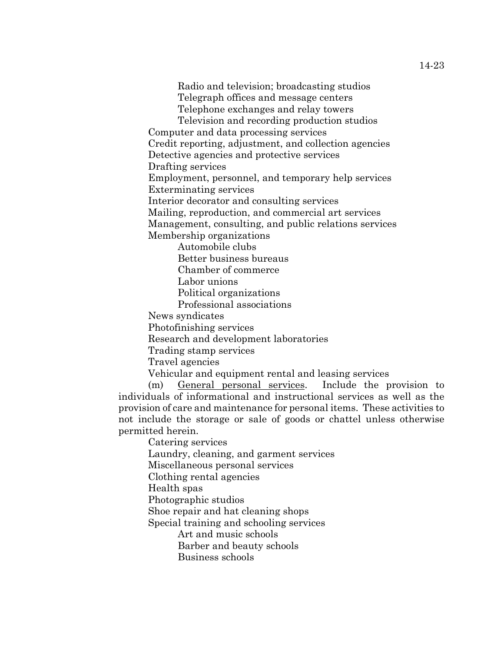Radio and television; broadcasting studios Telegraph offices and message centers Telephone exchanges and relay towers

Television and recording production studios

Computer and data processing services

Credit reporting, adjustment, and collection agencies

Detective agencies and protective services

Drafting services

Employment, personnel, and temporary help services

Exterminating services

Interior decorator and consulting services

Mailing, reproduction, and commercial art services

Management, consulting, and public relations services

Membership organizations

Automobile clubs

Better business bureaus

Chamber of commerce

Labor unions

Political organizations

Professional associations

News syndicates

Photofinishing services

Research and development laboratories

Trading stamp services

Travel agencies

Vehicular and equipment rental and leasing services

(m) General personal services. Include the provision to individuals of informational and instructional services as well as the provision of care and maintenance for personal items. These activities to not include the storage or sale of goods or chattel unless otherwise permitted herein.

Catering services Laundry, cleaning, and garment services Miscellaneous personal services Clothing rental agencies Health spas Photographic studios Shoe repair and hat cleaning shops Special training and schooling services Art and music schools Barber and beauty schools Business schools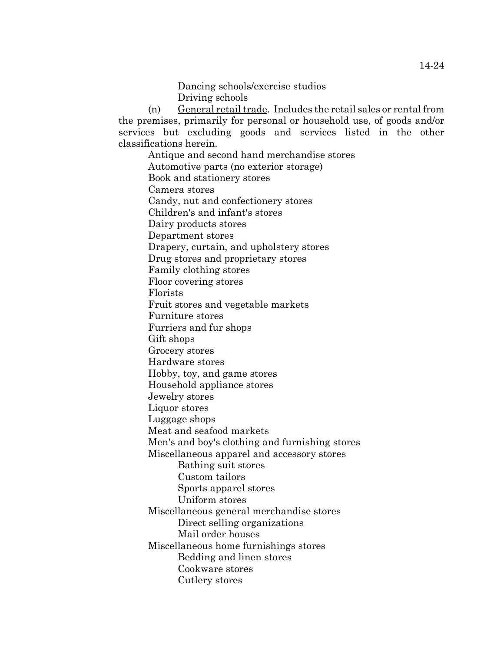Dancing schools/exercise studios Driving schools

(n) General retail trade. Includes the retail sales or rental from the premises, primarily for personal or household use, of goods and/or services but excluding goods and services listed in the other classifications herein.

Antique and second hand merchandise stores Automotive parts (no exterior storage) Book and stationery stores Camera stores Candy, nut and confectionery stores Children's and infant's stores Dairy products stores Department stores Drapery, curtain, and upholstery stores Drug stores and proprietary stores Family clothing stores Floor covering stores Florists Fruit stores and vegetable markets Furniture stores Furriers and fur shops Gift shops Grocery stores Hardware stores Hobby, toy, and game stores Household appliance stores Jewelry stores Liquor stores Luggage shops Meat and seafood markets Men's and boy's clothing and furnishing stores Miscellaneous apparel and accessory stores Bathing suit stores Custom tailors Sports apparel stores Uniform stores Miscellaneous general merchandise stores Direct selling organizations Mail order houses Miscellaneous home furnishings stores Bedding and linen stores Cookware stores Cutlery stores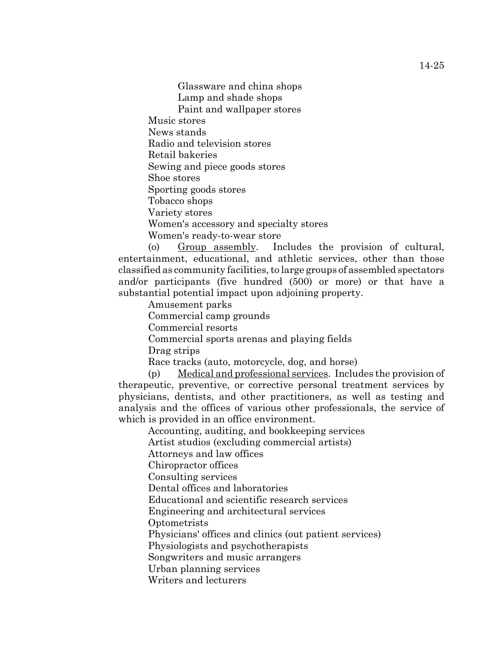Glassware and china shops Lamp and shade shops Paint and wallpaper stores Music stores News stands Radio and television stores Retail bakeries Sewing and piece goods stores Shoe stores Sporting goods stores Tobacco shops Variety stores Women's accessory and specialty stores Women's ready-to-wear store

(o) Group assembly. Includes the provision of cultural, entertainment, educational, and athletic services, other than those classified as community facilities, to large groups of assembled spectators and/or participants (five hundred (500) or more) or that have a substantial potential impact upon adjoining property.

Amusement parks

Commercial camp grounds

Commercial resorts

Commercial sports arenas and playing fields

Drag strips

Race tracks (auto, motorcycle, dog, and horse)

(p) Medical and professional services. Includes the provision of therapeutic, preventive, or corrective personal treatment services by physicians, dentists, and other practitioners, as well as testing and analysis and the offices of various other professionals, the service of which is provided in an office environment.

Accounting, auditing, and bookkeeping services

Artist studios (excluding commercial artists)

Attorneys and law offices

Chiropractor offices

Consulting services

Dental offices and laboratories

Educational and scientific research services

Engineering and architectural services

**Optometrists** 

Physicians' offices and clinics (out patient services)

Physiologists and psychotherapists

Songwriters and music arrangers

Urban planning services

Writers and lecturers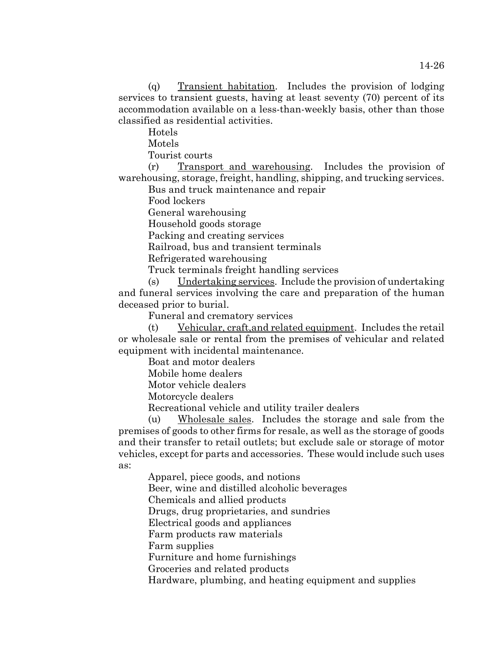(q) Transient habitation. Includes the provision of lodging services to transient guests, having at least seventy (70) percent of its accommodation available on a less-than-weekly basis, other than those classified as residential activities.

Hotels

Motels

Tourist courts

(r) Transport and warehousing. Includes the provision of warehousing, storage, freight, handling, shipping, and trucking services.

Bus and truck maintenance and repair

Food lockers

General warehousing

Household goods storage

Packing and creating services

Railroad, bus and transient terminals

Refrigerated warehousing

Truck terminals freight handling services

(s) Undertaking services. Include the provision of undertaking and funeral services involving the care and preparation of the human deceased prior to burial.

Funeral and crematory services

(t) Vehicular, craft,and related equipment. Includes the retail or wholesale sale or rental from the premises of vehicular and related equipment with incidental maintenance.

Boat and motor dealers

Mobile home dealers

Motor vehicle dealers

Motorcycle dealers

Recreational vehicle and utility trailer dealers

(u) Wholesale sales. Includes the storage and sale from the premises of goods to other firms for resale, as well as the storage of goods and their transfer to retail outlets; but exclude sale or storage of motor vehicles, except for parts and accessories. These would include such uses as:

Apparel, piece goods, and notions

Beer, wine and distilled alcoholic beverages

Chemicals and allied products

Drugs, drug proprietaries, and sundries

Electrical goods and appliances

Farm products raw materials

Farm supplies

Furniture and home furnishings

Groceries and related products

Hardware, plumbing, and heating equipment and supplies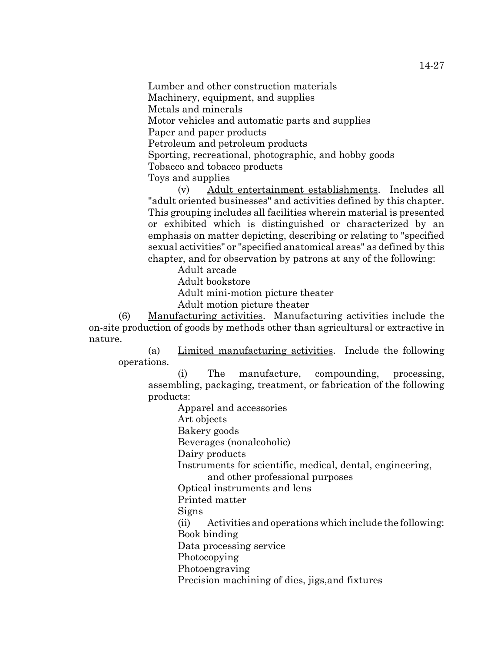Lumber and other construction materials Machinery, equipment, and supplies Metals and minerals Motor vehicles and automatic parts and supplies Paper and paper products Petroleum and petroleum products Sporting, recreational, photographic, and hobby goods Tobacco and tobacco products Toys and supplies

(v) Adult entertainment establishments. Includes all "adult oriented businesses" and activities defined by this chapter. This grouping includes all facilities wherein material is presented or exhibited which is distinguished or characterized by an emphasis on matter depicting, describing or relating to "specified sexual activities" or "specified anatomical areas" as defined by this chapter, and for observation by patrons at any of the following:

Adult arcade

Adult bookstore

Adult mini-motion picture theater

Adult motion picture theater

(6) Manufacturing activities. Manufacturing activities include the on-site production of goods by methods other than agricultural or extractive in nature.

(a) Limited manufacturing activities. Include the following operations.

(i) The manufacture, compounding, processing, assembling, packaging, treatment, or fabrication of the following products:

Apparel and accessories

Art objects

Bakery goods

Beverages (nonalcoholic)

Dairy products

Instruments for scientific, medical, dental, engineering,

and other professional purposes

Optical instruments and lens

Printed matter

Signs

(ii) Activities and operations which include the following: Book binding

Data processing service

Photocopying

Photoengraving

Precision machining of dies, jigs,and fixtures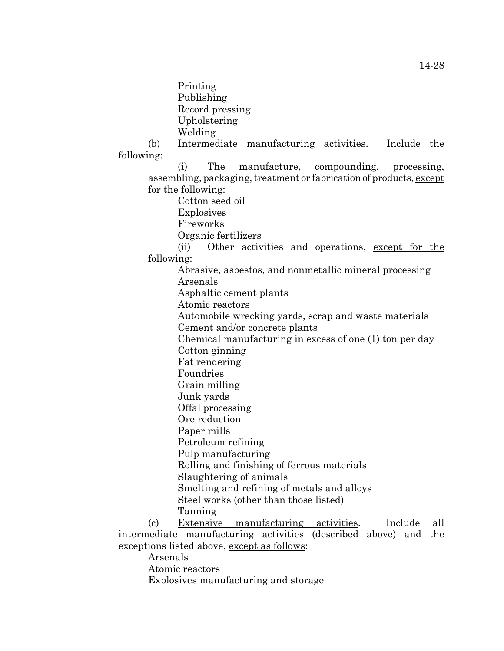Printing Publishing Record pressing Upholstering Welding

(b) Intermediate manufacturing activities. Include the following:

(i) The manufacture, compounding, processing, assembling, packaging, treatment or fabrication of products, except for the following:

Cotton seed oil

Explosives

Fireworks

Organic fertilizers

(ii) Other activities and operations, except for the following:

Abrasive, asbestos, and nonmetallic mineral processing Arsenals

Asphaltic cement plants

Atomic reactors

Automobile wrecking yards, scrap and waste materials Cement and/or concrete plants

Chemical manufacturing in excess of one (1) ton per day Cotton ginning

Fat rendering

Foundries

Grain milling

Junk yards

Offal processing

Ore reduction

Paper mills

Petroleum refining

Pulp manufacturing

Rolling and finishing of ferrous materials

Slaughtering of animals

Smelting and refining of metals and alloys

Steel works (other than those listed)

Tanning

(c) Extensive manufacturing activities. Include all intermediate manufacturing activities (described above) and the exceptions listed above, except as follows:

Arsenals

Atomic reactors

Explosives manufacturing and storage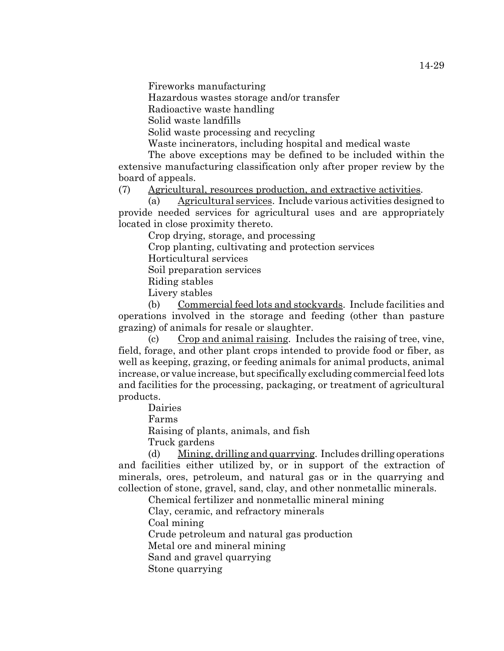Fireworks manufacturing

Hazardous wastes storage and/or transfer

Radioactive waste handling

Solid waste landfills

Solid waste processing and recycling

Waste incinerators, including hospital and medical waste

The above exceptions may be defined to be included within the extensive manufacturing classification only after proper review by the board of appeals.

(7) Agricultural, resources production, and extractive activities.

(a) Agricultural services. Include various activities designed to provide needed services for agricultural uses and are appropriately located in close proximity thereto.

Crop drying, storage, and processing

Crop planting, cultivating and protection services

Horticultural services

Soil preparation services

Riding stables

Livery stables

(b) Commercial feed lots and stockyards. Include facilities and operations involved in the storage and feeding (other than pasture grazing) of animals for resale or slaughter.

(c) Crop and animal raising. Includes the raising of tree, vine, field, forage, and other plant crops intended to provide food or fiber, as well as keeping, grazing, or feeding animals for animal products, animal increase, or value increase, but specifically excluding commercial feed lots and facilities for the processing, packaging, or treatment of agricultural products.

Dairies

Farms

Raising of plants, animals, and fish

Truck gardens

(d) Mining, drilling and quarrying. Includes drilling operations and facilities either utilized by, or in support of the extraction of minerals, ores, petroleum, and natural gas or in the quarrying and collection of stone, gravel, sand, clay, and other nonmetallic minerals.

Chemical fertilizer and nonmetallic mineral mining

Clay, ceramic, and refractory minerals

Coal mining

Crude petroleum and natural gas production

Metal ore and mineral mining

Sand and gravel quarrying

Stone quarrying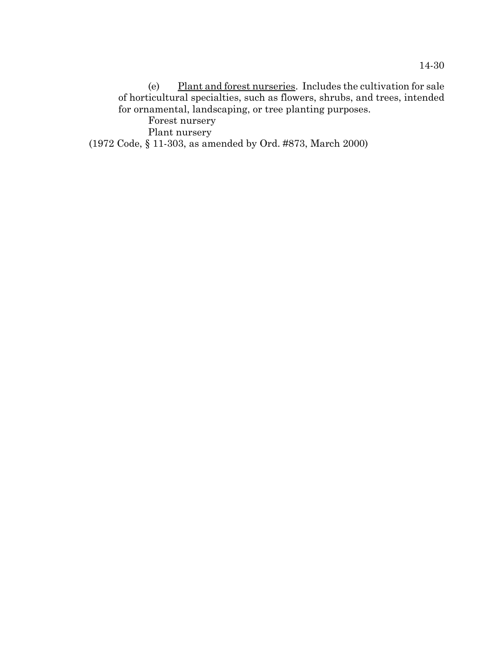(e)  $\frac{Plant \text{ and forest numeries.}}{Phi}$ . Includes the cultivation for sale of horticultural specialties, such as flowers, shrubs, and trees, intended for ornamental, landscaping, or tree planting purposes.

Forest nursery

Plant nursery

(1972 Code, § 11-303, as amended by Ord. #873, March 2000)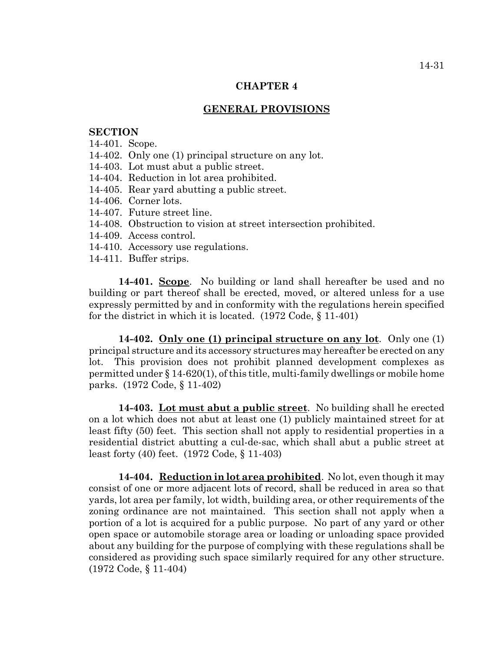#### **CHAPTER 4**

#### **GENERAL PROVISIONS**

#### **SECTION**

- 14-401. Scope.
- 14-402. Only one (1) principal structure on any lot.
- 14-403. Lot must abut a public street.
- 14-404. Reduction in lot area prohibited.
- 14-405. Rear yard abutting a public street.
- 14-406. Corner lots.
- 14-407. Future street line.
- 14-408. Obstruction to vision at street intersection prohibited.
- 14-409. Access control.
- 14-410. Accessory use regulations.
- 14-411. Buffer strips.

**14-401. Scope**. No building or land shall hereafter be used and no building or part thereof shall be erected, moved, or altered unless for a use expressly permitted by and in conformity with the regulations herein specified for the district in which it is located. (1972 Code, § 11-401)

**14-402. Only one (1) principal structure on any lot**. Only one (1) principal structure and its accessory structures may hereafter be erected on any lot. This provision does not prohibit planned development complexes as permitted under § 14-620(1), of this title, multi-family dwellings or mobile home parks. (1972 Code, § 11-402)

**14-403. Lot must abut a public street**. No building shall he erected on a lot which does not abut at least one (1) publicly maintained street for at least fifty (50) feet. This section shall not apply to residential properties in a residential district abutting a cul-de-sac, which shall abut a public street at least forty (40) feet. (1972 Code, § 11-403)

**14-404. Reduction in lot area prohibited**. No lot, even though it may consist of one or more adjacent lots of record, shall be reduced in area so that yards, lot area per family, lot width, building area, or other requirements of the zoning ordinance are not maintained. This section shall not apply when a portion of a lot is acquired for a public purpose. No part of any yard or other open space or automobile storage area or loading or unloading space provided about any building for the purpose of complying with these regulations shall be considered as providing such space similarly required for any other structure. (1972 Code, § 11-404)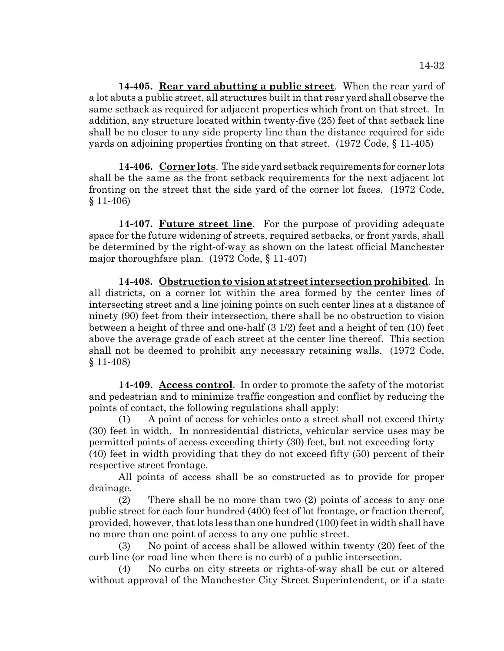**14-405. Rear yard abutting a public street**. When the rear yard of a lot abuts a public street, all structures built in that rear yard shall observe the same setback as required for adjacent properties which front on that street. In addition, any structure located within twenty-five (25) feet of that setback line shall be no closer to any side property line than the distance required for side yards on adjoining properties fronting on that street. (1972 Code, § 11-405)

**14-406. Corner lots**. The side yard setback requirements for corner lots shall be the same as the front setback requirements for the next adjacent lot fronting on the street that the side yard of the corner lot faces. (1972 Code, § 11-406)

**14-407. Future street line**. For the purpose of providing adequate space for the future widening of streets, required setbacks, or front yards, shall be determined by the right-of-way as shown on the latest official Manchester major thoroughfare plan. (1972 Code, § 11-407)

**14-408. Obstruction to vision at street intersection prohibited**. In all districts, on a corner lot within the area formed by the center lines of intersecting street and a line joining points on such center lines at a distance of ninety (90) feet from their intersection, there shall be no obstruction to vision between a height of three and one-half (3 1/2) feet and a height of ten (10) feet above the average grade of each street at the center line thereof. This section shall not be deemed to prohibit any necessary retaining walls. (1972 Code, § 11-408)

**14-409. Access control**. In order to promote the safety of the motorist and pedestrian and to minimize traffic congestion and conflict by reducing the points of contact, the following regulations shall apply:

(1) A point of access for vehicles onto a street shall not exceed thirty (30) feet in width. In nonresidential districts, vehicular service uses may be permitted points of access exceeding thirty (30) feet, but not exceeding forty (40) feet in width providing that they do not exceed fifty (50) percent of their respective street frontage.

All points of access shall be so constructed as to provide for proper drainage.

(2) There shall be no more than two (2) points of access to any one public street for each four hundred (400) feet of lot frontage, or fraction thereof, provided, however, that lots less than one hundred (100) feet in width shall have no more than one point of access to any one public street.

(3) No point of access shall be allowed within twenty (20) feet of the curb line (or road line when there is no curb) of a public intersection.

(4) No curbs on city streets or rights-of-way shall be cut or altered without approval of the Manchester City Street Superintendent, or if a state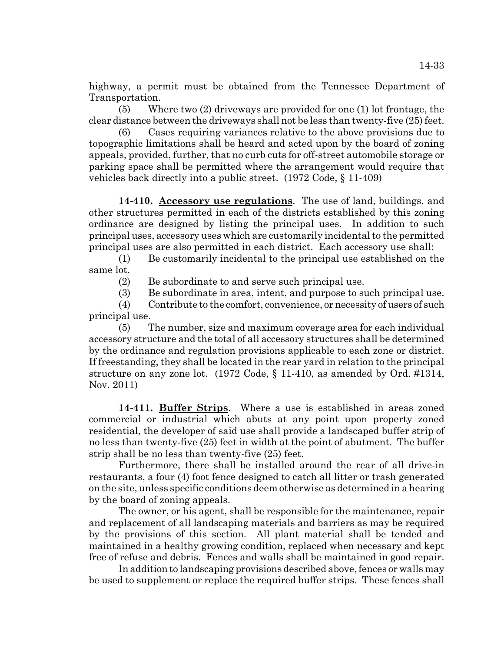highway, a permit must be obtained from the Tennessee Department of Transportation.

(5) Where two (2) driveways are provided for one (1) lot frontage, the clear distance between the driveways shall not be less than twenty-five (25) feet.

Cases requiring variances relative to the above provisions due to topographic limitations shall be heard and acted upon by the board of zoning appeals, provided, further, that no curb cuts for off-street automobile storage or parking space shall be permitted where the arrangement would require that vehicles back directly into a public street. (1972 Code, § 11-409)

**14-410. Accessory use regulations**. The use of land, buildings, and other structures permitted in each of the districts established by this zoning ordinance are designed by listing the principal uses. In addition to such principal uses, accessory uses which are customarily incidental to the permitted principal uses are also permitted in each district. Each accessory use shall:

(1) Be customarily incidental to the principal use established on the same lot.

(2) Be subordinate to and serve such principal use.

(3) Be subordinate in area, intent, and purpose to such principal use.

(4) Contribute to the comfort, convenience, or necessity of users of such principal use.

(5) The number, size and maximum coverage area for each individual accessory structure and the total of all accessory structures shall be determined by the ordinance and regulation provisions applicable to each zone or district. If freestanding, they shall be located in the rear yard in relation to the principal structure on any zone lot. (1972 Code, § 11-410, as amended by Ord. #1314, Nov. 2011)

**14-411. Buffer Strips**. Where a use is established in areas zoned commercial or industrial which abuts at any point upon property zoned residential, the developer of said use shall provide a landscaped buffer strip of no less than twenty-five (25) feet in width at the point of abutment. The buffer strip shall be no less than twenty-five (25) feet.

Furthermore, there shall be installed around the rear of all drive-in restaurants, a four (4) foot fence designed to catch all litter or trash generated on the site, unless specific conditions deem otherwise as determined in a hearing by the board of zoning appeals.

The owner, or his agent, shall be responsible for the maintenance, repair and replacement of all landscaping materials and barriers as may be required by the provisions of this section. All plant material shall be tended and maintained in a healthy growing condition, replaced when necessary and kept free of refuse and debris. Fences and walls shall be maintained in good repair.

In addition to landscaping provisions described above, fences or walls may be used to supplement or replace the required buffer strips. These fences shall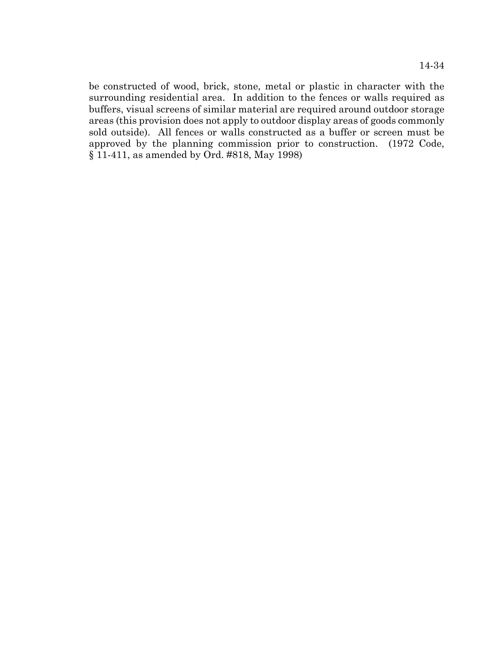be constructed of wood, brick, stone, metal or plastic in character with the surrounding residential area. In addition to the fences or walls required as buffers, visual screens of similar material are required around outdoor storage areas (this provision does not apply to outdoor display areas of goods commonly sold outside). All fences or walls constructed as a buffer or screen must be approved by the planning commission prior to construction. (1972 Code, § 11-411, as amended by Ord. #818, May 1998)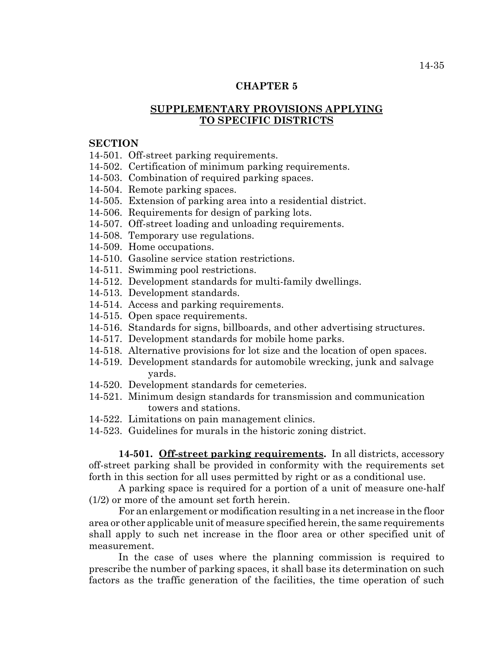# **CHAPTER 5**

# **SUPPLEMENTARY PROVISIONS APPLYING TO SPECIFIC DISTRICTS**

#### **SECTION**

- 14-501. Off-street parking requirements.
- 14-502. Certification of minimum parking requirements.
- 14-503. Combination of required parking spaces.
- 14-504. Remote parking spaces.
- 14-505. Extension of parking area into a residential district.
- 14-506. Requirements for design of parking lots.
- 14-507. Off-street loading and unloading requirements.
- 14-508. Temporary use regulations.
- 14-509. Home occupations.
- 14-510. Gasoline service station restrictions.
- 14-511. Swimming pool restrictions.
- 14-512. Development standards for multi-family dwellings.
- 14-513. Development standards.
- 14-514. Access and parking requirements.
- 14-515. Open space requirements.
- 14-516. Standards for signs, billboards, and other advertising structures.
- 14-517. Development standards for mobile home parks.
- 14-518. Alternative provisions for lot size and the location of open spaces.
- 14-519. Development standards for automobile wrecking, junk and salvage yards.
- 14-520. Development standards for cemeteries.
- 14-521. Minimum design standards for transmission and communication towers and stations.
- 14-522. Limitations on pain management clinics.
- 14-523. Guidelines for murals in the historic zoning district.

**14-501. Off-street parking requirements.** In all districts, accessory off-street parking shall be provided in conformity with the requirements set forth in this section for all uses permitted by right or as a conditional use.

A parking space is required for a portion of a unit of measure one-half (1/2) or more of the amount set forth herein.

For an enlargement or modification resulting in a net increase in the floor area or other applicable unit of measure specified herein, the same requirements shall apply to such net increase in the floor area or other specified unit of measurement.

In the case of uses where the planning commission is required to prescribe the number of parking spaces, it shall base its determination on such factors as the traffic generation of the facilities, the time operation of such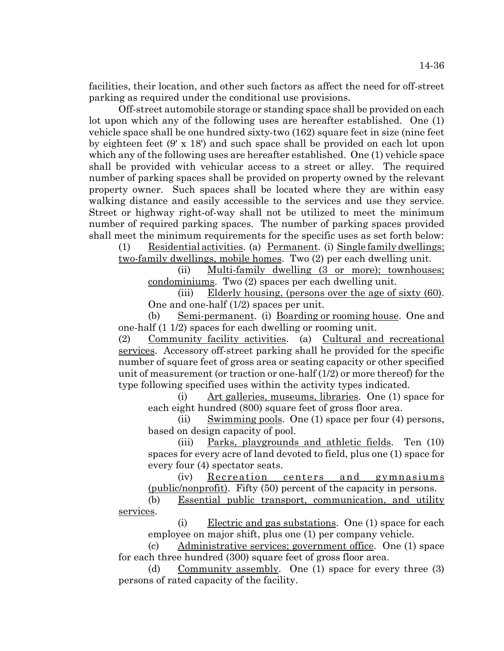facilities, their location, and other such factors as affect the need for off-street parking as required under the conditional use provisions.

Off-street automobile storage or standing space shall be provided on each lot upon which any of the following uses are hereafter established. One (1) vehicle space shall be one hundred sixty-two (162) square feet in size (nine feet by eighteen feet (9' x 18') and such space shall be provided on each lot upon which any of the following uses are hereafter established. One (1) vehicle space shall be provided with vehicular access to a street or alley. The required number of parking spaces shall be provided on property owned by the relevant property owner. Such spaces shall be located where they are within easy walking distance and easily accessible to the services and use they service. Street or highway right-of-way shall not be utilized to meet the minimum number of required parking spaces. The number of parking spaces provided shall meet the minimum requirements for the specific uses as set forth below:

(1) Residential activities. (a) Permanent. (i) Single family dwellings; two-family dwellings, mobile homes. Two (2) per each dwelling unit.

(ii) Multi-family dwelling (3 or more); townhouses; condominiums. Two (2) spaces per each dwelling unit.

(iii) Elderly housing, (persons over the age of sixty (60). One and one-half (1/2) spaces per unit.

(b) Semi-permanent. (i) Boarding or rooming house. One and one-half (1 1/2) spaces for each dwelling or rooming unit.

(2) Community facility activities. (a) Cultural and recreational services. Accessory off-street parking shall he provided for the specific number of square feet of gross area or seating capacity or other specified unit of measurement (or traction or one-half (1/2) or more thereof) for the type following specified uses within the activity types indicated.

(i) Art galleries, museums, libraries. One (1) space for each eight hundred (800) square feet of gross floor area.

(ii) Swimming pools. One  $(1)$  space per four  $(4)$  persons, based on design capacity of pool.

(iii) Parks, playgrounds and athletic fields. Ten (10) spaces for every acre of land devoted to field, plus one (1) space for every four (4) spectator seats.

(iv) Recreation centers and gymnasiums (public/nonprofit). Fifty (50) percent of the capacity in persons.

(b) Essential public transport, communication, and utility services.

(i) Electric and gas substations. One (1) space for each employee on major shift, plus one (1) per company vehicle.

(c) Administrative services; government office. One (1) space for each three hundred (300) square feet of gross floor area.

(d) Community assembly. One (1) space for every three (3) persons of rated capacity of the facility.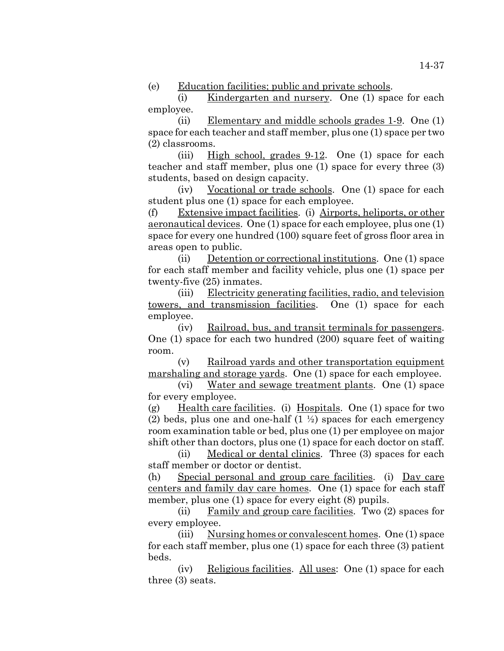(e) Education facilities; public and private schools.

(i) Kindergarten and nursery. One (1) space for each employee.

(ii) Elementary and middle schools grades 1-9. One (1) space for each teacher and staff member, plus one (1) space per two (2) classrooms.

(iii) High school, grades 9-12. One (1) space for each teacher and staff member, plus one (1) space for every three (3) students, based on design capacity.

(iv) Vocational or trade schools. One (1) space for each student plus one (1) space for each employee.

(f) Extensive impact facilities. (i) Airports, heliports, or other aeronautical devices. One (1) space for each employee, plus one (1) space for every one hundred (100) square feet of gross floor area in areas open to public.

(ii) Detention or correctional institutions. One (1) space for each staff member and facility vehicle, plus one (1) space per twenty-five (25) inmates.

(iii) Electricity generating facilities, radio, and television towers, and transmission facilities. One (1) space for each employee.

(iv) Railroad, bus, and transit terminals for passengers. One (1) space for each two hundred (200) square feet of waiting room.

(v) Railroad yards and other transportation equipment marshaling and storage yards. One (1) space for each employee.

(vi) Water and sewage treatment plants. One (1) space for every employee.

(g) Health care facilities. (i) Hospitals. One (1) space for two (2) beds, plus one and one-half  $(1 \frac{1}{2})$  spaces for each emergency room examination table or bed, plus one (1) per employee on major shift other than doctors, plus one (1) space for each doctor on staff.

(ii) Medical or dental clinics. Three (3) spaces for each staff member or doctor or dentist.

(h) Special personal and group care facilities. (i) Day care centers and family day care homes. One (1) space for each staff member, plus one (1) space for every eight (8) pupils.

(ii) Family and group care facilities. Two (2) spaces for every employee.

(iii) Nursing homes or convalescent homes. One (1) space for each staff member, plus one (1) space for each three (3) patient beds.

(iv) Religious facilities. All uses: One (1) space for each three (3) seats.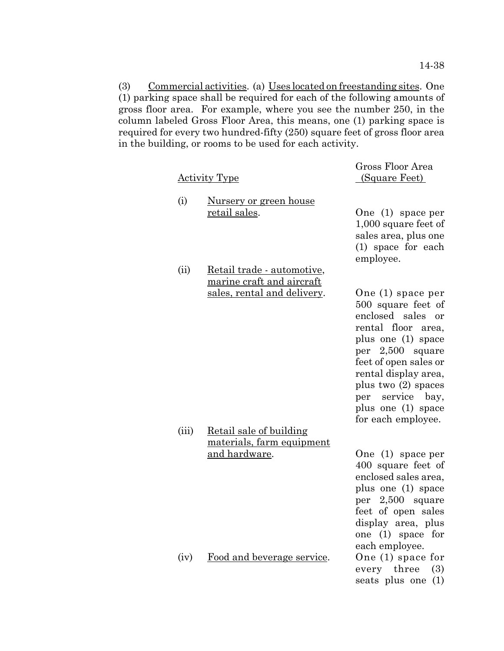(3) Commercial activities. (a) Uses located on freestanding sites. One (1) parking space shall be required for each of the following amounts of gross floor area. For example, where you see the number 250, in the column labeled Gross Floor Area, this means, one (1) parking space is required for every two hundred-fifty (250) square feet of gross floor area in the building, or rooms to be used for each activity.

|       | <u>Activity Type</u>                                                                   | Gross Floor Area<br>(Square Feet)                                                                                                                                                                                                                                         |
|-------|----------------------------------------------------------------------------------------|---------------------------------------------------------------------------------------------------------------------------------------------------------------------------------------------------------------------------------------------------------------------------|
| (i)   | <u>Nursery or green house</u><br>retail sales.                                         | One (1) space per<br>1,000 square feet of<br>sales area, plus one<br>(1) space for each<br>employee.                                                                                                                                                                      |
| (ii)  | Retail trade - automotive,<br>marine craft and aircraft<br>sales, rental and delivery. | One (1) space per<br>500 square feet of<br>enclosed sales<br>or<br>rental floor area,<br>plus one (1) space<br>per 2,500 square<br>feet of open sales or<br>rental display area,<br>plus two $(2)$ spaces<br>per service bay,<br>plus one (1) space<br>for each employee. |
| (iii) | Retail sale of building<br>materials, farm equipment<br>and hardware.                  | One $(1)$ space per<br>400 square feet of<br>enclosed sales area,<br>plus one (1) space<br>per 2,500 square<br>feet of open sales<br>display area, plus<br>one (1) space for<br>each employee.                                                                            |
| (iv)  | Food and beverage service.                                                             | One (1) space for<br>every three<br>(3)<br>seats plus one (1)                                                                                                                                                                                                             |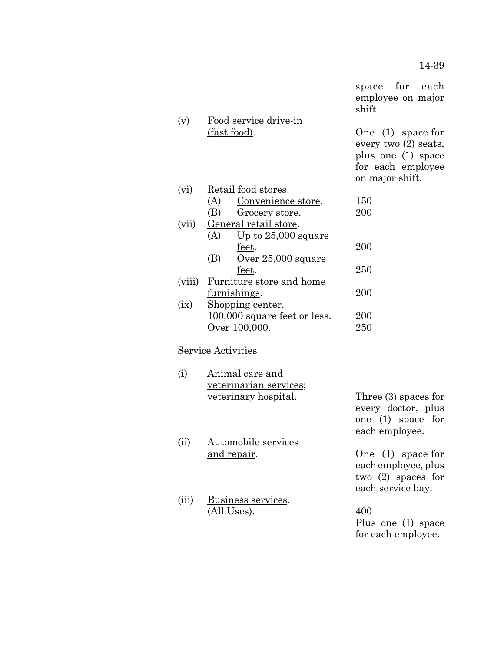for each employee.

|        |                                                                         | space for each<br>employee on major<br>shift.                                                               |
|--------|-------------------------------------------------------------------------|-------------------------------------------------------------------------------------------------------------|
| (v)    | Food service drive-in<br>(fast food).                                   | One $(1)$ space for<br>every two $(2)$ seats,<br>plus one (1) space<br>for each employee<br>on major shift. |
| (vi)   | Retail food stores.                                                     |                                                                                                             |
|        | (A)<br>Convenience store.                                               | 150                                                                                                         |
|        | Grocery store.<br>(B)                                                   | 200                                                                                                         |
| (vii)  | General retail store.<br>(A)<br><u>Up to <math>25,000</math> square</u> |                                                                                                             |
|        | feet.                                                                   | 200                                                                                                         |
|        | (B)<br>$Over 25,000 square$                                             |                                                                                                             |
|        | feet.                                                                   | 250                                                                                                         |
| (viii) | Furniture store and home                                                |                                                                                                             |
|        | furnishings.                                                            | 200                                                                                                         |
| (ix)   | Shopping center.                                                        |                                                                                                             |
|        | 100,000 square feet or less.                                            | 200                                                                                                         |
|        | Over 100,000.                                                           | 250                                                                                                         |
|        | Service Activities                                                      |                                                                                                             |
| (i)    | Animal care and                                                         |                                                                                                             |
|        | veterinarian services;                                                  |                                                                                                             |
|        | <u>veterinary hospital</u> .                                            | Three $(3)$ spaces for<br>every doctor, plus<br>one $(1)$ space for                                         |
|        |                                                                         | each employee.                                                                                              |
| (ii)   | <u>Automobile services</u>                                              |                                                                                                             |
|        | <u>and repair</u> .                                                     | One $(1)$ space for                                                                                         |
|        |                                                                         | each employee, plus                                                                                         |
|        |                                                                         | two $(2)$ spaces for<br>each service bay.                                                                   |
| (iii)  | Business services.                                                      |                                                                                                             |
|        | (All Uses).                                                             | 400                                                                                                         |
|        |                                                                         | Plus one (1) space                                                                                          |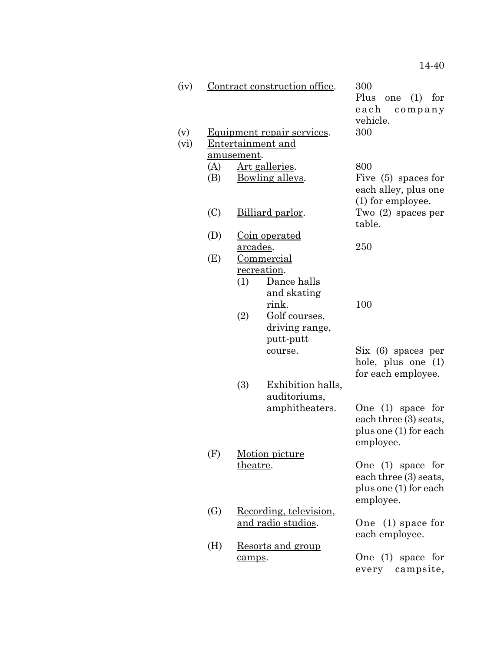| (iv)        |                   |                    | Contract construction office.                                                            | 300<br>Plus<br>(1)<br>for<br>one<br>each<br>company<br>vehicle.                    |
|-------------|-------------------|--------------------|------------------------------------------------------------------------------------------|------------------------------------------------------------------------------------|
| (v)<br>(vi) |                   | <u>amusement</u> . | <u>Equipment repair services</u> .<br><b>Entertainment and</b>                           | 300                                                                                |
|             | (A)<br>(B)        |                    | Art galleries.<br>Bowling alleys.                                                        | 800<br>Five $(5)$ spaces for<br>each alley, plus one                               |
|             | (C)               |                    | Billiard parlor.                                                                         | (1) for employee.<br>Two $(2)$ spaces per<br>table.                                |
|             | (D)               | <u>arcades</u> .   | <u>Coin operated</u>                                                                     | 250                                                                                |
|             | (E)               | (1)<br>(2)         | <b>Commercial</b><br>recreation.<br>Dance halls<br>and skating<br>rink.<br>Golf courses, | 100                                                                                |
|             |                   |                    | driving range,<br>putt-putt<br>course.                                                   | Six (6) spaces per<br>hole, plus one (1)<br>for each employee.                     |
|             |                   | (3)                | Exhibition halls,<br>auditoriums,<br>amphitheaters.                                      | One $(1)$ space for<br>each three (3) seats,<br>plus one (1) for each<br>employee. |
|             | (F)               | <u>theatre</u> .   | Motion picture                                                                           | One (1) space for<br>each three (3) seats,<br>plus one (1) for each<br>employee.   |
|             | $\left( G\right)$ |                    | Recording, television,<br>and radio studios.                                             | One $(1)$ space for<br>each employee.                                              |
|             | (H)               | camps.             | <u>Resorts and group</u>                                                                 | One $(1)$ space for<br>campsite,<br>every                                          |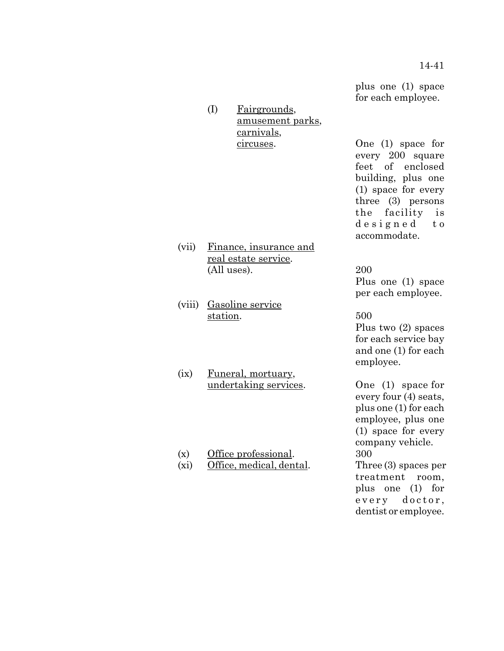(I) Fairgrounds, amusement parks, carnivals,

(vii) Finance, insurance and real estate service. (All uses). 200

(viii) Gasoline service station. 500

(ix) Funeral, mortuary, undertaking services. One (1) space for

(x) Office professional. 300

(xi) Office, medical, dental. Three (3) spaces per

plus one (1) space for each employee.

circuses. One (1) space for every 200 square feet of enclosed building, plus one (1) space for every three (3) persons the facility is designed to accommodate.

> Plus one (1) space per each employee.

> Plus two (2) spaces for each service bay and one (1) for each employee.

> every four (4) seats, plus one (1) for each employee, plus one (1) space for every company vehicle. treatment room, plus one (1) for every doctor, dentist or employee.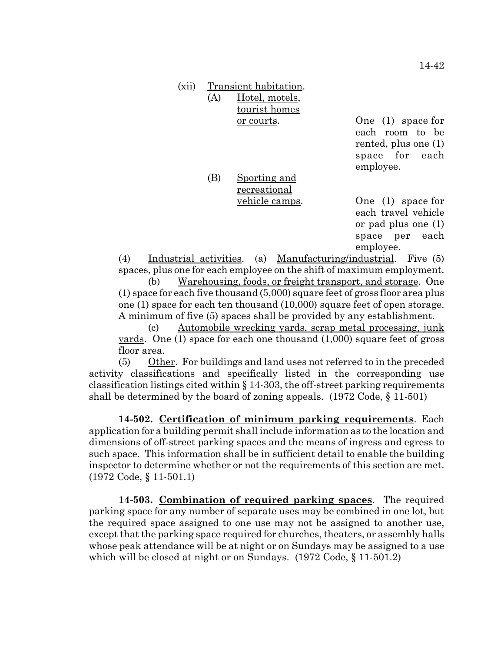| (xii) |     | Transient habitation.                                                             |                                                                                                 |
|-------|-----|-----------------------------------------------------------------------------------|-------------------------------------------------------------------------------------------------|
|       | (A) | Hotel, motels,                                                                    |                                                                                                 |
|       |     | tourist homes                                                                     |                                                                                                 |
|       |     | <u>or courts</u> .                                                                | One $(1)$ space for<br>each room to be<br>rented, plus one $(1)$<br>space for each<br>employee. |
|       | (B) | Sporting and                                                                      |                                                                                                 |
|       |     | recreational                                                                      |                                                                                                 |
|       |     | vehicle camps.                                                                    | One $(1)$ space for                                                                             |
|       |     |                                                                                   | each travel vehicle                                                                             |
|       |     |                                                                                   | or pad plus one $(1)$                                                                           |
|       |     |                                                                                   | space per each                                                                                  |
|       |     |                                                                                   | employee.                                                                                       |
| (4)   |     | Industrial activities. (a) Manufacturing/industrial. Five (5)                     |                                                                                                 |
|       |     | spaces, plus one for each employee on the shift of maximum employment.            |                                                                                                 |
| (b)   |     | Warehousing, foods, or freight transport, and storage. One                        |                                                                                                 |
|       |     | $(1)$ space for each five thousand $(5,000)$ square feet of gross floor area plus |                                                                                                 |

 $(1)$  space for one (1) space for each ten thousand (10,000) square feet of open storage. A minimum of five (5) spaces shall be provided by any establishment.

(c) Automobile wrecking yards, scrap metal processing, junk yards. One (1) space for each one thousand (1,000) square feet of gross floor area.

(5) Other. For buildings and land uses not referred to in the preceded activity classifications and specifically listed in the corresponding use classification listings cited within  $\S 14-303$ , the off-street parking requirements shall be determined by the board of zoning appeals. (1972 Code, § 11-501)

**14-502. Certification of minimum parking requirements**. Each application for a building permit shall include information as to the location and dimensions of off-street parking spaces and the means of ingress and egress to such space. This information shall be in sufficient detail to enable the building inspector to determine whether or not the requirements of this section are met. (1972 Code, § 11-501.1)

**14-503. Combination of required parking spaces**. The required parking space for any number of separate uses may be combined in one lot, but the required space assigned to one use may not be assigned to another use, except that the parking space required for churches, theaters, or assembly halls whose peak attendance will be at night or on Sundays may be assigned to a use which will be closed at night or on Sundays. (1972 Code,  $\S 11-501.2$ )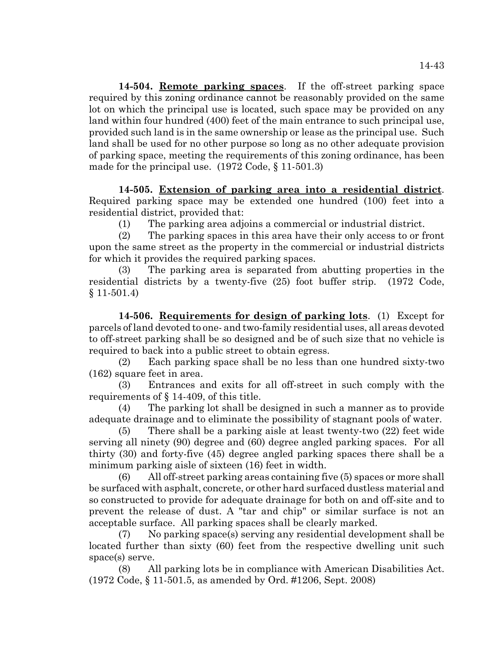**14-504. Remote parking spaces**. If the off-street parking space required by this zoning ordinance cannot be reasonably provided on the same lot on which the principal use is located, such space may be provided on any land within four hundred (400) feet of the main entrance to such principal use, provided such land is in the same ownership or lease as the principal use. Such land shall be used for no other purpose so long as no other adequate provision of parking space, meeting the requirements of this zoning ordinance, has been made for the principal use. (1972 Code, § 11-501.3)

**14-505. Extension of parking area into a residential district**. Required parking space may be extended one hundred (100) feet into a residential district, provided that:

(1) The parking area adjoins a commercial or industrial district.

(2) The parking spaces in this area have their only access to or front upon the same street as the property in the commercial or industrial districts for which it provides the required parking spaces.

(3) The parking area is separated from abutting properties in the residential districts by a twenty-five (25) foot buffer strip. (1972 Code, § 11-501.4)

**14-506. Requirements for design of parking lots**. (1) Except for parcels of land devoted to one- and two-family residential uses, all areas devoted to off-street parking shall be so designed and be of such size that no vehicle is required to back into a public street to obtain egress.

(2) Each parking space shall be no less than one hundred sixty-two (162) square feet in area.

(3) Entrances and exits for all off-street in such comply with the requirements of § 14-409, of this title.

(4) The parking lot shall be designed in such a manner as to provide adequate drainage and to eliminate the possibility of stagnant pools of water.

(5) There shall be a parking aisle at least twenty-two (22) feet wide serving all ninety (90) degree and (60) degree angled parking spaces. For all thirty (30) and forty-five (45) degree angled parking spaces there shall be a minimum parking aisle of sixteen (16) feet in width.

(6) All off-street parking areas containing five (5) spaces or more shall be surfaced with asphalt, concrete, or other hard surfaced dustless material and so constructed to provide for adequate drainage for both on and off-site and to prevent the release of dust. A "tar and chip" or similar surface is not an acceptable surface. All parking spaces shall be clearly marked.

(7) No parking space(s) serving any residential development shall be located further than sixty (60) feet from the respective dwelling unit such space(s) serve.

(8) All parking lots be in compliance with American Disabilities Act. (1972 Code, § 11-501.5, as amended by Ord. #1206, Sept. 2008)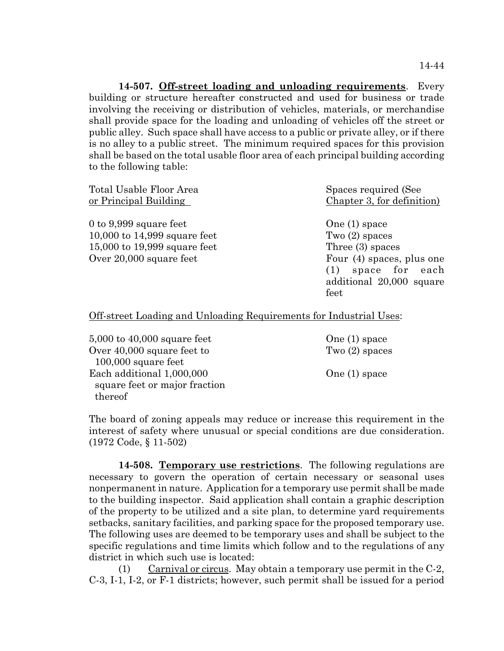**14-507. Off-street loading and unloading requirements**. Every building or structure hereafter constructed and used for business or trade involving the receiving or distribution of vehicles, materials, or merchandise shall provide space for the loading and unloading of vehicles off the street or public alley. Such space shall have access to a public or private alley, or if there is no alley to a public street. The minimum required spaces for this provision shall be based on the total usable floor area of each principal building according to the following table:

| Total Usable Floor Area                                                                                             | Spaces required (See                                                                                                                                |
|---------------------------------------------------------------------------------------------------------------------|-----------------------------------------------------------------------------------------------------------------------------------------------------|
| or Principal Building                                                                                               | Chapter 3, for definition)                                                                                                                          |
| 0 to 9,999 square feet<br>10,000 to $14,999$ square feet<br>15,000 to 19,999 square feet<br>Over 20,000 square feet | One $(1)$ space<br>Two $(2)$ spaces<br>Three $(3)$ spaces<br>Four (4) spaces, plus one<br>space for each<br>(1)<br>additional 20,000 square<br>feet |

Off-street Loading and Unloading Requirements for Industrial Uses:

 $5,000$  to  $40,000$  square feet  $\qquad \qquad \text{One (1) space}$ Over 40,000 square feet to Two (2) spaces 100,000 square feet Each additional 1,000,000 One (1) space square feet or major fraction thereof

The board of zoning appeals may reduce or increase this requirement in the interest of safety where unusual or special conditions are due consideration. (1972 Code, § 11-502)

**14-508. Temporary use restrictions**. The following regulations are necessary to govern the operation of certain necessary or seasonal uses nonpermanent in nature. Application for a temporary use permit shall be made to the building inspector. Said application shall contain a graphic description of the property to be utilized and a site plan, to determine yard requirements setbacks, sanitary facilities, and parking space for the proposed temporary use. The following uses are deemed to be temporary uses and shall be subject to the specific regulations and time limits which follow and to the regulations of any district in which such use is located:

(1) Carnival or circus. May obtain a temporary use permit in the  $C-2$ , C-3, I-1, I-2, or F-1 districts; however, such permit shall be issued for a period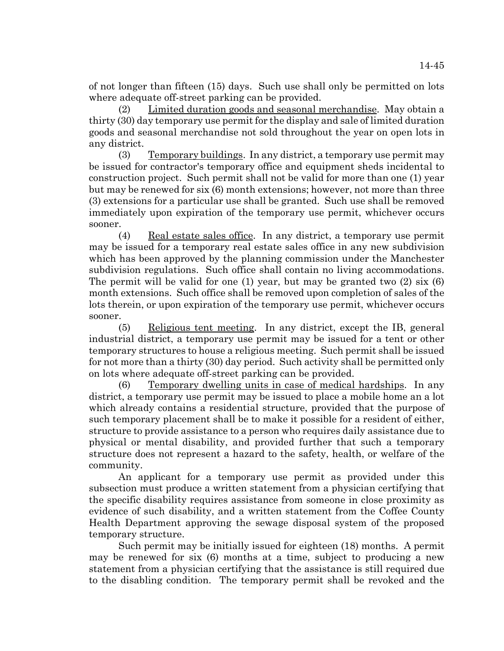of not longer than fifteen (15) days. Such use shall only be permitted on lots where adequate off-street parking can be provided.

(2) Limited duration goods and seasonal merchandise. May obtain a thirty (30) day temporary use permit for the display and sale of limited duration goods and seasonal merchandise not sold throughout the year on open lots in any district.

(3) Temporary buildings. In any district, a temporary use permit may be issued for contractor's temporary office and equipment sheds incidental to construction project. Such permit shall not be valid for more than one (1) year but may be renewed for six (6) month extensions; however, not more than three (3) extensions for a particular use shall be granted. Such use shall be removed immediately upon expiration of the temporary use permit, whichever occurs sooner.

(4) Real estate sales office. In any district, a temporary use permit may be issued for a temporary real estate sales office in any new subdivision which has been approved by the planning commission under the Manchester subdivision regulations. Such office shall contain no living accommodations. The permit will be valid for one (1) year, but may be granted two  $(2)$  six  $(6)$ month extensions. Such office shall be removed upon completion of sales of the lots therein, or upon expiration of the temporary use permit, whichever occurs sooner.

(5) Religious tent meeting. In any district, except the IB, general industrial district, a temporary use permit may be issued for a tent or other temporary structures to house a religious meeting. Such permit shall be issued for not more than a thirty (30) day period. Such activity shall be permitted only on lots where adequate off-street parking can be provided.

(6) Temporary dwelling units in case of medical hardships. In any district, a temporary use permit may be issued to place a mobile home an a lot which already contains a residential structure, provided that the purpose of such temporary placement shall be to make it possible for a resident of either, structure to provide assistance to a person who requires daily assistance due to physical or mental disability, and provided further that such a temporary structure does not represent a hazard to the safety, health, or welfare of the community.

An applicant for a temporary use permit as provided under this subsection must produce a written statement from a physician certifying that the specific disability requires assistance from someone in close proximity as evidence of such disability, and a written statement from the Coffee County Health Department approving the sewage disposal system of the proposed temporary structure.

Such permit may be initially issued for eighteen (18) months. A permit may be renewed for six (6) months at a time, subject to producing a new statement from a physician certifying that the assistance is still required due to the disabling condition. The temporary permit shall be revoked and the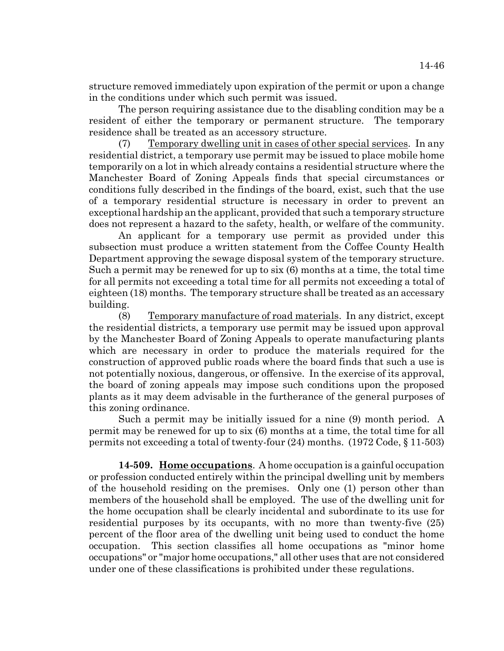structure removed immediately upon expiration of the permit or upon a change in the conditions under which such permit was issued.

The person requiring assistance due to the disabling condition may be a resident of either the temporary or permanent structure. The temporary residence shall be treated as an accessory structure.

(7) Temporary dwelling unit in cases of other special services. In any residential district, a temporary use permit may be issued to place mobile home temporarily on a lot in which already contains a residential structure where the Manchester Board of Zoning Appeals finds that special circumstances or conditions fully described in the findings of the board, exist, such that the use of a temporary residential structure is necessary in order to prevent an exceptional hardship an the applicant, provided that such a temporary structure does not represent a hazard to the safety, health, or welfare of the community.

An applicant for a temporary use permit as provided under this subsection must produce a written statement from the Coffee County Health Department approving the sewage disposal system of the temporary structure. Such a permit may be renewed for up to six (6) months at a time, the total time for all permits not exceeding a total time for all permits not exceeding a total of eighteen (18) months. The temporary structure shall be treated as an accessary building.

(8) Temporary manufacture of road materials. In any district, except the residential districts, a temporary use permit may be issued upon approval by the Manchester Board of Zoning Appeals to operate manufacturing plants which are necessary in order to produce the materials required for the construction of approved public roads where the board finds that such a use is not potentially noxious, dangerous, or offensive. In the exercise of its approval, the board of zoning appeals may impose such conditions upon the proposed plants as it may deem advisable in the furtherance of the general purposes of this zoning ordinance.

Such a permit may be initially issued for a nine (9) month period. A permit may be renewed for up to six (6) months at a time, the total time for all permits not exceeding a total of twenty-four (24) months. (1972 Code, § 11-503)

**14-509. Home occupations**. A home occupation is a gainful occupation or profession conducted entirely within the principal dwelling unit by members of the household residing on the premises. Only one (1) person other than members of the household shall be employed. The use of the dwelling unit for the home occupation shall be clearly incidental and subordinate to its use for residential purposes by its occupants, with no more than twenty-five (25) percent of the floor area of the dwelling unit being used to conduct the home occupation. This section classifies all home occupations as "minor home occupations" or "major home occupations," all other uses that are not considered under one of these classifications is prohibited under these regulations.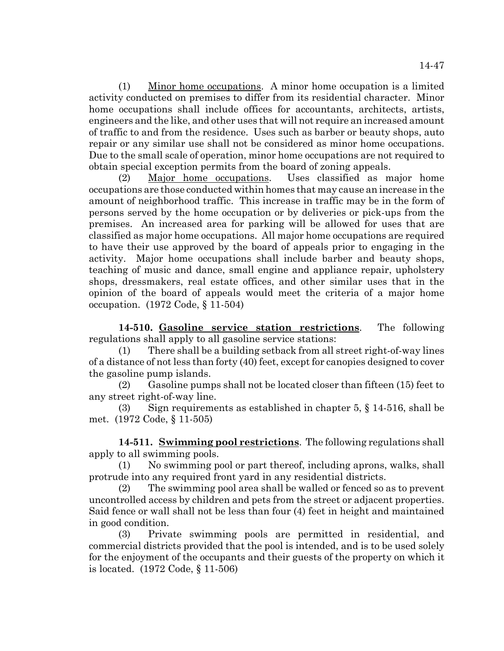(1) Minor home occupations. A minor home occupation is a limited activity conducted on premises to differ from its residential character. Minor home occupations shall include offices for accountants, architects, artists, engineers and the like, and other uses that will not require an increased amount of traffic to and from the residence. Uses such as barber or beauty shops, auto repair or any similar use shall not be considered as minor home occupations. Due to the small scale of operation, minor home occupations are not required to obtain special exception permits from the board of zoning appeals.

(2) Major home occupations. Uses classified as major home occupations are those conducted within homes that may cause an increase in the amount of neighborhood traffic. This increase in traffic may be in the form of persons served by the home occupation or by deliveries or pick-ups from the premises. An increased area for parking will be allowed for uses that are classified as major home occupations. All major home occupations are required to have their use approved by the board of appeals prior to engaging in the activity. Major home occupations shall include barber and beauty shops, teaching of music and dance, small engine and appliance repair, upholstery shops, dressmakers, real estate offices, and other similar uses that in the opinion of the board of appeals would meet the criteria of a major home occupation. (1972 Code, § 11-504)

**14-510. Gasoline service station restrictions**. The following regulations shall apply to all gasoline service stations:

(1) There shall be a building setback from all street right-of-way lines of a distance of not less than forty (40) feet, except for canopies designed to cover the gasoline pump islands.

(2) Gasoline pumps shall not be located closer than fifteen (15) feet to any street right-of-way line.

(3) Sign requirements as established in chapter 5,  $\S$  14-516, shall be met. (1972 Code, § 11-505)

**14-511. Swimming pool restrictions**. The following regulations shall apply to all swimming pools.

(1) No swimming pool or part thereof, including aprons, walks, shall protrude into any required front yard in any residential districts.

(2) The swimming pool area shall be walled or fenced so as to prevent uncontrolled access by children and pets from the street or adjacent properties. Said fence or wall shall not be less than four (4) feet in height and maintained in good condition.

(3) Private swimming pools are permitted in residential, and commercial districts provided that the pool is intended, and is to be used solely for the enjoyment of the occupants and their guests of the property on which it is located. (1972 Code, § 11-506)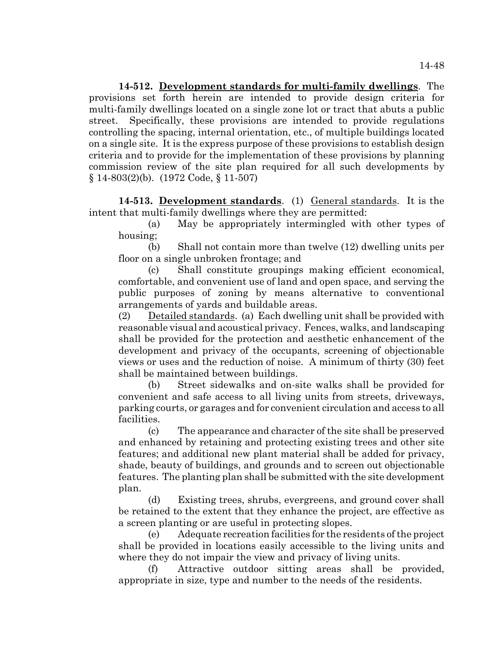**14-512. Development standards for multi-family dwellings**. The provisions set forth herein are intended to provide design criteria for multi-family dwellings located on a single zone lot or tract that abuts a public street. Specifically, these provisions are intended to provide regulations controlling the spacing, internal orientation, etc., of multiple buildings located on a single site. It is the express purpose of these provisions to establish design criteria and to provide for the implementation of these provisions by planning commission review of the site plan required for all such developments by § 14-803(2)(b). (1972 Code, § 11-507)

**14-513. Development standards**. (1) General standards. It is the intent that multi-family dwellings where they are permitted:

(a) May be appropriately intermingled with other types of housing;

(b) Shall not contain more than twelve (12) dwelling units per floor on a single unbroken frontage; and

(c) Shall constitute groupings making efficient economical, comfortable, and convenient use of land and open space, and serving the public purposes of zoning by means alternative to conventional arrangements of yards and buildable areas.

(2) Detailed standards. (a) Each dwelling unit shall be provided with reasonable visual and acoustical privacy. Fences, walks, and landscaping shall be provided for the protection and aesthetic enhancement of the development and privacy of the occupants, screening of objectionable views or uses and the reduction of noise. A minimum of thirty (30) feet shall be maintained between buildings.

(b) Street sidewalks and on-site walks shall be provided for convenient and safe access to all living units from streets, driveways, parking courts, or garages and for convenient circulation and access to all facilities.

(c) The appearance and character of the site shall be preserved and enhanced by retaining and protecting existing trees and other site features; and additional new plant material shall be added for privacy, shade, beauty of buildings, and grounds and to screen out objectionable features. The planting plan shall be submitted with the site development plan.

(d) Existing trees, shrubs, evergreens, and ground cover shall be retained to the extent that they enhance the project, are effective as a screen planting or are useful in protecting slopes.

(e) Adequate recreation facilities for the residents of the project shall be provided in locations easily accessible to the living units and where they do not impair the view and privacy of living units.

(f) Attractive outdoor sitting areas shall be provided, appropriate in size, type and number to the needs of the residents.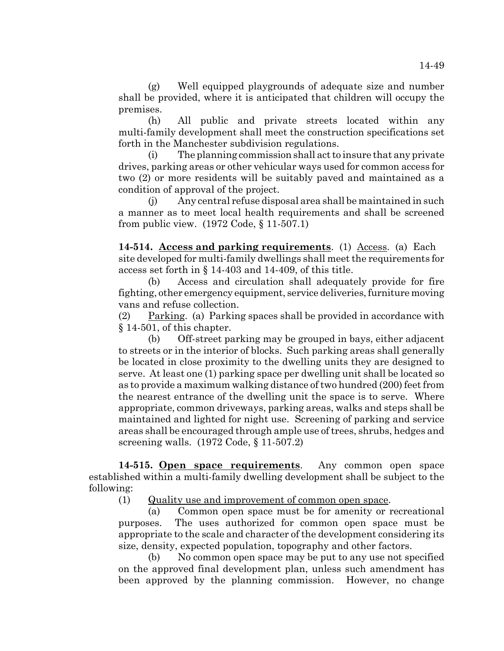(g) Well equipped playgrounds of adequate size and number shall be provided, where it is anticipated that children will occupy the premises.

(h) All public and private streets located within any multi-family development shall meet the construction specifications set forth in the Manchester subdivision regulations.

(i) The planning commission shall act to insure that any private drives, parking areas or other vehicular ways used for common access for two (2) or more residents will be suitably paved and maintained as a condition of approval of the project.

(j) Any central refuse disposal area shall be maintained in such a manner as to meet local health requirements and shall be screened from public view. (1972 Code, § 11-507.1)

**14-514. Access and parking requirements**. (1) Access. (a) Each site developed for multi-family dwellings shall meet the requirements for access set forth in § 14-403 and 14-409, of this title.

(b) Access and circulation shall adequately provide for fire fighting, other emergency equipment, service deliveries, furniture moving vans and refuse collection.

(2) Parking. (a) Parking spaces shall be provided in accordance with § 14-501, of this chapter.

(b) Off-street parking may be grouped in bays, either adjacent to streets or in the interior of blocks. Such parking areas shall generally be located in close proximity to the dwelling units they are designed to serve. At least one (1) parking space per dwelling unit shall be located so as to provide a maximum walking distance of two hundred (200) feet from the nearest entrance of the dwelling unit the space is to serve. Where appropriate, common driveways, parking areas, walks and steps shall be maintained and lighted for night use. Screening of parking and service areas shall be encouraged through ample use of trees, shrubs, hedges and screening walls. (1972 Code, § 11-507.2)

**14-515. Open space requirements**. Any common open space established within a multi-family dwelling development shall be subject to the following:

(1) Quality use and improvement of common open space.

(a) Common open space must be for amenity or recreational purposes. The uses authorized for common open space must be appropriate to the scale and character of the development considering its size, density, expected population, topography and other factors.

(b) No common open space may be put to any use not specified on the approved final development plan, unless such amendment has been approved by the planning commission. However, no change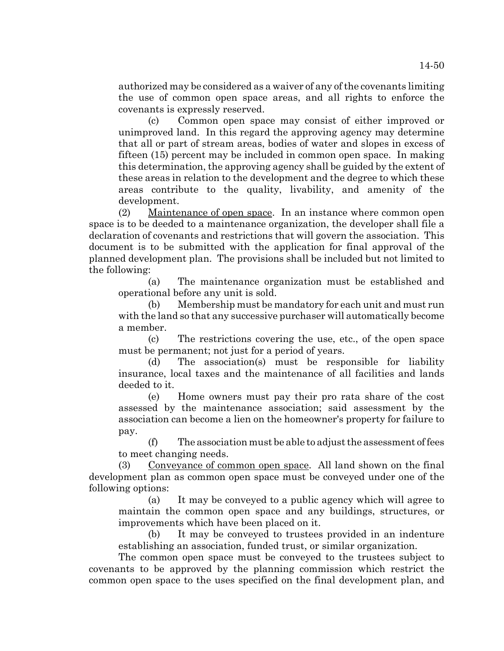authorized may be considered as a waiver of any of the covenants limiting the use of common open space areas, and all rights to enforce the covenants is expressly reserved.

(c) Common open space may consist of either improved or unimproved land. In this regard the approving agency may determine that all or part of stream areas, bodies of water and slopes in excess of fifteen (15) percent may be included in common open space. In making this determination, the approving agency shall be guided by the extent of these areas in relation to the development and the degree to which these areas contribute to the quality, livability, and amenity of the development.

(2) Maintenance of open space. In an instance where common open space is to be deeded to a maintenance organization, the developer shall file a declaration of covenants and restrictions that will govern the association. This document is to be submitted with the application for final approval of the planned development plan. The provisions shall be included but not limited to the following:

(a) The maintenance organization must be established and operational before any unit is sold.

(b) Membership must be mandatory for each unit and must run with the land so that any successive purchaser will automatically become a member.

(c) The restrictions covering the use, etc., of the open space must be permanent; not just for a period of years.

(d) The association(s) must be responsible for liability insurance, local taxes and the maintenance of all facilities and lands deeded to it.

(e) Home owners must pay their pro rata share of the cost assessed by the maintenance association; said assessment by the association can become a lien on the homeowner's property for failure to pay.

(f) The association must be able to adjust the assessment of fees to meet changing needs.

(3) Conveyance of common open space. All land shown on the final development plan as common open space must be conveyed under one of the following options:

(a) It may be conveyed to a public agency which will agree to maintain the common open space and any buildings, structures, or improvements which have been placed on it.

(b) It may be conveyed to trustees provided in an indenture establishing an association, funded trust, or similar organization.

The common open space must be conveyed to the trustees subject to covenants to be approved by the planning commission which restrict the common open space to the uses specified on the final development plan, and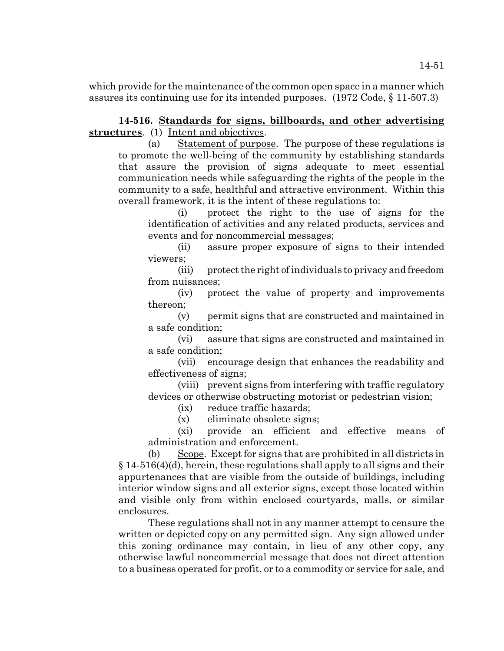which provide for the maintenance of the common open space in a manner which assures its continuing use for its intended purposes. (1972 Code, § 11-507.3)

# **14-516. Standards for signs, billboards, and other advertising structures**. (1) Intent and objectives.

(a) Statement of purpose. The purpose of these regulations is to promote the well-being of the community by establishing standards that assure the provision of signs adequate to meet essential communication needs while safeguarding the rights of the people in the community to a safe, healthful and attractive environment. Within this overall framework, it is the intent of these regulations to:

(i) protect the right to the use of signs for the identification of activities and any related products, services and events and for noncommercial messages;

(ii) assure proper exposure of signs to their intended viewers;

(iii) protect the right of individuals to privacy and freedom from nuisances;

(iv) protect the value of property and improvements thereon;

(v) permit signs that are constructed and maintained in a safe condition;

(vi) assure that signs are constructed and maintained in a safe condition;

(vii) encourage design that enhances the readability and effectiveness of signs;

(viii) prevent signs from interfering with traffic regulatory devices or otherwise obstructing motorist or pedestrian vision;

(ix) reduce traffic hazards;

(x) eliminate obsolete signs;

(xi) provide an efficient and effective means of administration and enforcement.

(b) Scope. Except for signs that are prohibited in all districts in  $§$  14-516(4)(d), herein, these regulations shall apply to all signs and their appurtenances that are visible from the outside of buildings, including interior window signs and all exterior signs, except those located within and visible only from within enclosed courtyards, malls, or similar enclosures.

These regulations shall not in any manner attempt to censure the written or depicted copy on any permitted sign. Any sign allowed under this zoning ordinance may contain, in lieu of any other copy, any otherwise lawful noncommercial message that does not direct attention to a business operated for profit, or to a commodity or service for sale, and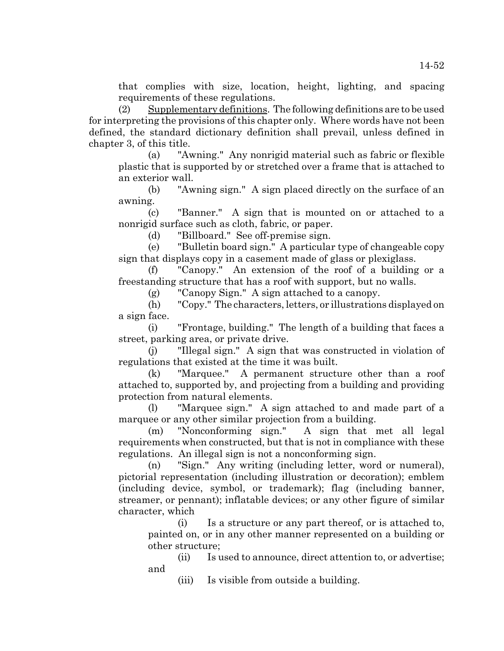that complies with size, location, height, lighting, and spacing requirements of these regulations.

(2) Supplementary definitions. The following definitions are to be used for interpreting the provisions of this chapter only. Where words have not been defined, the standard dictionary definition shall prevail, unless defined in chapter 3, of this title.

(a) "Awning." Any nonrigid material such as fabric or flexible plastic that is supported by or stretched over a frame that is attached to an exterior wall.

(b) "Awning sign." A sign placed directly on the surface of an awning.

(c) "Banner." A sign that is mounted on or attached to a nonrigid surface such as cloth, fabric, or paper.

(d) "Billboard." See off-premise sign.

(e) "Bulletin board sign." A particular type of changeable copy sign that displays copy in a casement made of glass or plexiglass.

(f) "Canopy." An extension of the roof of a building or a freestanding structure that has a roof with support, but no walls.

(g) "Canopy Sign." A sign attached to a canopy.

(h) "Copy." The characters, letters, or illustrations displayed on a sign face.

(i) "Frontage, building." The length of a building that faces a street, parking area, or private drive.

(j) "Illegal sign." A sign that was constructed in violation of regulations that existed at the time it was built.

(k) "Marquee." A permanent structure other than a roof attached to, supported by, and projecting from a building and providing protection from natural elements.

(l) "Marquee sign." A sign attached to and made part of a marquee or any other similar projection from a building.

(m) "Nonconforming sign." A sign that met all legal requirements when constructed, but that is not in compliance with these regulations. An illegal sign is not a nonconforming sign.

(n) "Sign." Any writing (including letter, word or numeral), pictorial representation (including illustration or decoration); emblem (including device, symbol, or trademark); flag (including banner, streamer, or pennant); inflatable devices; or any other figure of similar character, which

(i) Is a structure or any part thereof, or is attached to, painted on, or in any other manner represented on a building or other structure;

(ii) Is used to announce, direct attention to, or advertise; and

(iii) Is visible from outside a building.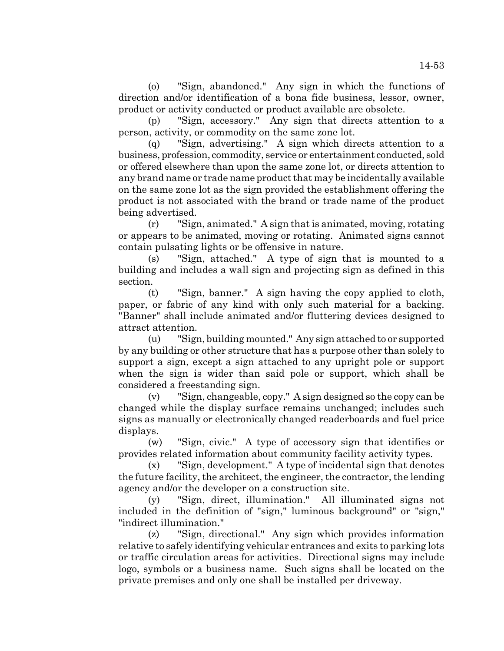(o) "Sign, abandoned." Any sign in which the functions of direction and/or identification of a bona fide business, lessor, owner, product or activity conducted or product available are obsolete.

(p) "Sign, accessory." Any sign that directs attention to a person, activity, or commodity on the same zone lot.

(q) "Sign, advertising." A sign which directs attention to a business, profession, commodity, service or entertainment conducted, sold or offered elsewhere than upon the same zone lot, or directs attention to any brand name or trade name product that may be incidentally available on the same zone lot as the sign provided the establishment offering the product is not associated with the brand or trade name of the product being advertised.

(r) "Sign, animated." A sign that is animated, moving, rotating or appears to be animated, moving or rotating. Animated signs cannot contain pulsating lights or be offensive in nature.

(s) "Sign, attached." A type of sign that is mounted to a building and includes a wall sign and projecting sign as defined in this section.

(t) "Sign, banner." A sign having the copy applied to cloth, paper, or fabric of any kind with only such material for a backing. "Banner" shall include animated and/or fluttering devices designed to attract attention.

(u) "Sign, building mounted." Any sign attached to or supported by any building or other structure that has a purpose other than solely to support a sign, except a sign attached to any upright pole or support when the sign is wider than said pole or support, which shall be considered a freestanding sign.

(v) "Sign, changeable, copy." A sign designed so the copy can be changed while the display surface remains unchanged; includes such signs as manually or electronically changed readerboards and fuel price displays.

(w) "Sign, civic." A type of accessory sign that identifies or provides related information about community facility activity types.

(x) "Sign, development." A type of incidental sign that denotes the future facility, the architect, the engineer, the contractor, the lending agency and/or the developer on a construction site.

(y) "Sign, direct, illumination." All illuminated signs not included in the definition of "sign," luminous background" or "sign," "indirect illumination."

(z) "Sign, directional." Any sign which provides information relative to safely identifying vehicular entrances and exits to parking lots or traffic circulation areas for activities. Directional signs may include logo, symbols or a business name. Such signs shall be located on the private premises and only one shall be installed per driveway.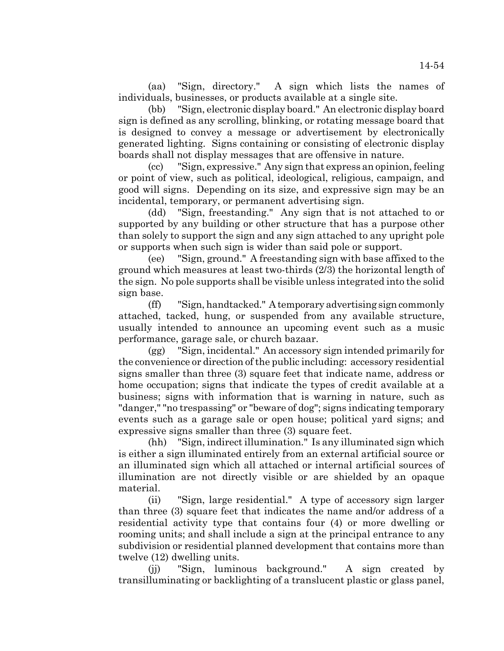(aa) "Sign, directory." A sign which lists the names of individuals, businesses, or products available at a single site.

(bb) "Sign, electronic display board." An electronic display board sign is defined as any scrolling, blinking, or rotating message board that is designed to convey a message or advertisement by electronically generated lighting. Signs containing or consisting of electronic display boards shall not display messages that are offensive in nature.

(cc) "Sign, expressive." Any sign that express an opinion, feeling or point of view, such as political, ideological, religious, campaign, and good will signs. Depending on its size, and expressive sign may be an incidental, temporary, or permanent advertising sign.

(dd) "Sign, freestanding." Any sign that is not attached to or supported by any building or other structure that has a purpose other than solely to support the sign and any sign attached to any upright pole or supports when such sign is wider than said pole or support.

(ee) "Sign, ground." A freestanding sign with base affixed to the ground which measures at least two-thirds (2/3) the horizontal length of the sign. No pole supports shall be visible unless integrated into the solid sign base.

(ff) "Sign, handtacked." A temporary advertising sign commonly attached, tacked, hung, or suspended from any available structure, usually intended to announce an upcoming event such as a music performance, garage sale, or church bazaar.

(gg) "Sign, incidental." An accessory sign intended primarily for the convenience or direction of the public including: accessory residential signs smaller than three (3) square feet that indicate name, address or home occupation; signs that indicate the types of credit available at a business; signs with information that is warning in nature, such as "danger," "no trespassing" or "beware of dog"; signs indicating temporary events such as a garage sale or open house; political yard signs; and expressive signs smaller than three (3) square feet.

(hh) "Sign, indirect illumination." Is any illuminated sign which is either a sign illuminated entirely from an external artificial source or an illuminated sign which all attached or internal artificial sources of illumination are not directly visible or are shielded by an opaque material.

(ii) "Sign, large residential." A type of accessory sign larger than three (3) square feet that indicates the name and/or address of a residential activity type that contains four (4) or more dwelling or rooming units; and shall include a sign at the principal entrance to any subdivision or residential planned development that contains more than twelve (12) dwelling units.

(jj) "Sign, luminous background." A sign created by transilluminating or backlighting of a translucent plastic or glass panel,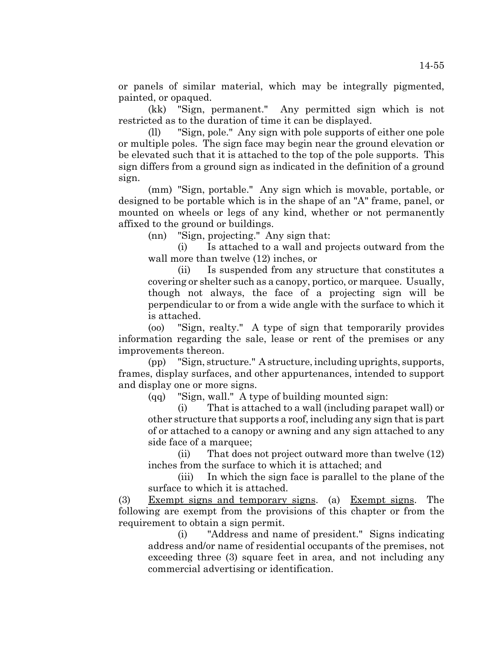or panels of similar material, which may be integrally pigmented, painted, or opaqued.

(kk) "Sign, permanent." Any permitted sign which is not restricted as to the duration of time it can be displayed.

(ll) "Sign, pole." Any sign with pole supports of either one pole or multiple poles. The sign face may begin near the ground elevation or be elevated such that it is attached to the top of the pole supports. This sign differs from a ground sign as indicated in the definition of a ground sign.

(mm) "Sign, portable." Any sign which is movable, portable, or designed to be portable which is in the shape of an "A" frame, panel, or mounted on wheels or legs of any kind, whether or not permanently affixed to the ground or buildings.

(nn) "Sign, projecting." Any sign that:

(i) Is attached to a wall and projects outward from the wall more than twelve (12) inches, or

(ii) Is suspended from any structure that constitutes a covering or shelter such as a canopy, portico, or marquee. Usually, though not always, the face of a projecting sign will be perpendicular to or from a wide angle with the surface to which it is attached.

(oo) "Sign, realty." A type of sign that temporarily provides information regarding the sale, lease or rent of the premises or any improvements thereon.

(pp) "Sign, structure." A structure, including uprights, supports, frames, display surfaces, and other appurtenances, intended to support and display one or more signs.

(qq) "Sign, wall." A type of building mounted sign:

(i) That is attached to a wall (including parapet wall) or other structure that supports a roof, including any sign that is part of or attached to a canopy or awning and any sign attached to any side face of a marquee;

(ii) That does not project outward more than twelve (12) inches from the surface to which it is attached; and

(iii) In which the sign face is parallel to the plane of the surface to which it is attached.

(3) Exempt signs and temporary signs. (a) Exempt signs. The following are exempt from the provisions of this chapter or from the requirement to obtain a sign permit.

(i) "Address and name of president." Signs indicating address and/or name of residential occupants of the premises, not exceeding three (3) square feet in area, and not including any commercial advertising or identification.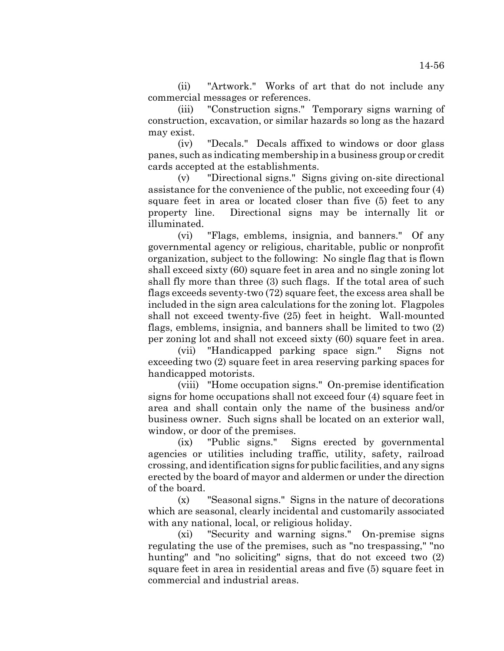(ii) "Artwork." Works of art that do not include any commercial messages or references.

(iii) "Construction signs." Temporary signs warning of construction, excavation, or similar hazards so long as the hazard may exist.

(iv) "Decals." Decals affixed to windows or door glass panes, such as indicating membership in a business group or credit cards accepted at the establishments.

(v) "Directional signs." Signs giving on-site directional assistance for the convenience of the public, not exceeding four (4) square feet in area or located closer than five (5) feet to any property line. Directional signs may be internally lit or illuminated.

(vi) "Flags, emblems, insignia, and banners." Of any governmental agency or religious, charitable, public or nonprofit organization, subject to the following: No single flag that is flown shall exceed sixty (60) square feet in area and no single zoning lot shall fly more than three (3) such flags. If the total area of such flags exceeds seventy-two (72) square feet, the excess area shall be included in the sign area calculations for the zoning lot. Flagpoles shall not exceed twenty-five (25) feet in height. Wall-mounted flags, emblems, insignia, and banners shall be limited to two (2) per zoning lot and shall not exceed sixty (60) square feet in area.

(vii) "Handicapped parking space sign." Signs not exceeding two (2) square feet in area reserving parking spaces for handicapped motorists.

(viii) "Home occupation signs." On-premise identification signs for home occupations shall not exceed four (4) square feet in area and shall contain only the name of the business and/or business owner. Such signs shall be located on an exterior wall, window, or door of the premises.

(ix) "Public signs." Signs erected by governmental agencies or utilities including traffic, utility, safety, railroad crossing, and identification signs for public facilities, and any signs erected by the board of mayor and aldermen or under the direction of the board.

(x) "Seasonal signs." Signs in the nature of decorations which are seasonal, clearly incidental and customarily associated with any national, local, or religious holiday.

(xi) "Security and warning signs." On-premise signs regulating the use of the premises, such as "no trespassing," "no hunting" and "no soliciting" signs, that do not exceed two  $(2)$ square feet in area in residential areas and five (5) square feet in commercial and industrial areas.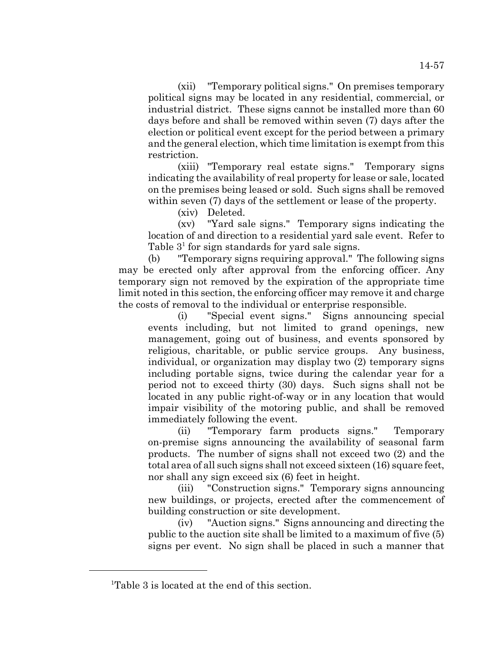(xii) "Temporary political signs." On premises temporary political signs may be located in any residential, commercial, or industrial district. These signs cannot be installed more than 60 days before and shall be removed within seven (7) days after the election or political event except for the period between a primary and the general election, which time limitation is exempt from this restriction.

(xiii) "Temporary real estate signs." Temporary signs indicating the availability of real property for lease or sale, located on the premises being leased or sold. Such signs shall be removed within seven (7) days of the settlement or lease of the property.

(xiv) Deleted.

(xv) "Yard sale signs." Temporary signs indicating the location of and direction to a residential yard sale event. Refer to Table  $3<sup>1</sup>$  for sign standards for yard sale signs.

(b) "Temporary signs requiring approval." The following signs may be erected only after approval from the enforcing officer. Any temporary sign not removed by the expiration of the appropriate time limit noted in this section, the enforcing officer may remove it and charge the costs of removal to the individual or enterprise responsible.

(i) "Special event signs." Signs announcing special events including, but not limited to grand openings, new management, going out of business, and events sponsored by religious, charitable, or public service groups. Any business, individual, or organization may display two (2) temporary signs including portable signs, twice during the calendar year for a period not to exceed thirty (30) days. Such signs shall not be located in any public right-of-way or in any location that would impair visibility of the motoring public, and shall be removed immediately following the event.

(ii) "Temporary farm products signs." Temporary on-premise signs announcing the availability of seasonal farm products. The number of signs shall not exceed two (2) and the total area of all such signs shall not exceed sixteen (16) square feet, nor shall any sign exceed six (6) feet in height.

(iii) "Construction signs." Temporary signs announcing new buildings, or projects, erected after the commencement of building construction or site development.

(iv) "Auction signs." Signs announcing and directing the public to the auction site shall be limited to a maximum of five (5) signs per event. No sign shall be placed in such a manner that

<sup>&</sup>lt;sup>1</sup>Table 3 is located at the end of this section.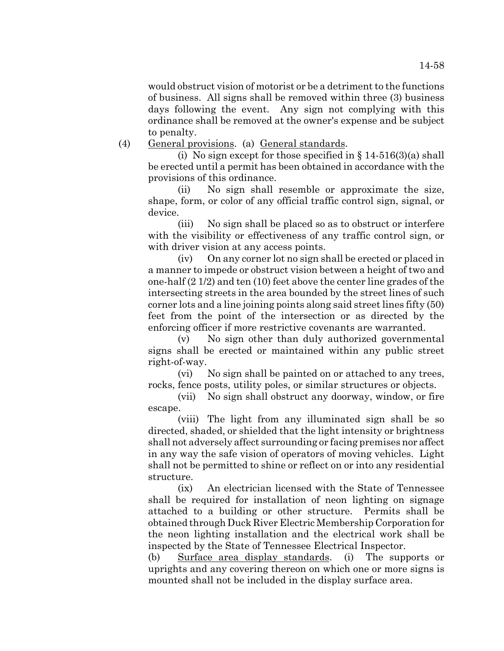would obstruct vision of motorist or be a detriment to the functions of business. All signs shall be removed within three (3) business days following the event. Any sign not complying with this ordinance shall be removed at the owner's expense and be subject to penalty.

### (4) General provisions. (a) General standards.

(i) No sign except for those specified in  $\S 14-516(3)(a)$  shall be erected until a permit has been obtained in accordance with the provisions of this ordinance.

(ii) No sign shall resemble or approximate the size, shape, form, or color of any official traffic control sign, signal, or device.

(iii) No sign shall be placed so as to obstruct or interfere with the visibility or effectiveness of any traffic control sign, or with driver vision at any access points.

(iv) On any corner lot no sign shall be erected or placed in a manner to impede or obstruct vision between a height of two and one-half (2 1/2) and ten (10) feet above the center line grades of the intersecting streets in the area bounded by the street lines of such corner lots and a line joining points along said street lines fifty (50) feet from the point of the intersection or as directed by the enforcing officer if more restrictive covenants are warranted.

(v) No sign other than duly authorized governmental signs shall be erected or maintained within any public street right-of-way.

(vi) No sign shall be painted on or attached to any trees, rocks, fence posts, utility poles, or similar structures or objects.

(vii) No sign shall obstruct any doorway, window, or fire escape.

(viii) The light from any illuminated sign shall be so directed, shaded, or shielded that the light intensity or brightness shall not adversely affect surrounding or facing premises nor affect in any way the safe vision of operators of moving vehicles. Light shall not be permitted to shine or reflect on or into any residential structure.

(ix) An electrician licensed with the State of Tennessee shall be required for installation of neon lighting on signage attached to a building or other structure. Permits shall be obtained through Duck River Electric Membership Corporation for the neon lighting installation and the electrical work shall be inspected by the State of Tennessee Electrical Inspector.

(b) Surface area display standards. (i) The supports or uprights and any covering thereon on which one or more signs is mounted shall not be included in the display surface area.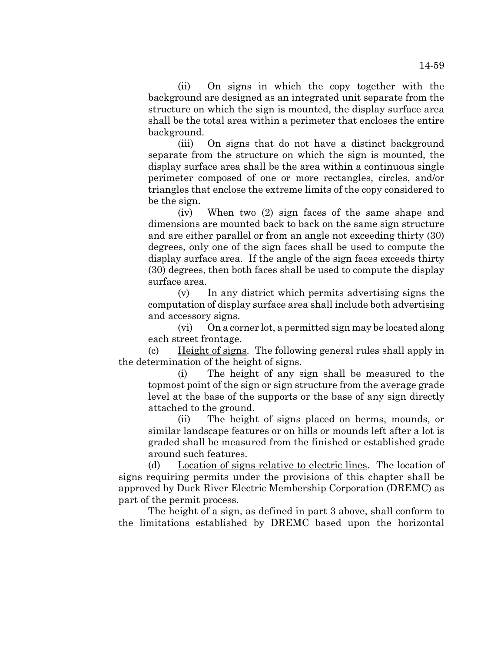14-59

(ii) On signs in which the copy together with the background are designed as an integrated unit separate from the structure on which the sign is mounted, the display surface area shall be the total area within a perimeter that encloses the entire background.

(iii) On signs that do not have a distinct background separate from the structure on which the sign is mounted, the display surface area shall be the area within a continuous single perimeter composed of one or more rectangles, circles, and/or triangles that enclose the extreme limits of the copy considered to be the sign.

(iv) When two (2) sign faces of the same shape and dimensions are mounted back to back on the same sign structure and are either parallel or from an angle not exceeding thirty (30) degrees, only one of the sign faces shall be used to compute the display surface area. If the angle of the sign faces exceeds thirty (30) degrees, then both faces shall be used to compute the display surface area.

(v) In any district which permits advertising signs the computation of display surface area shall include both advertising and accessory signs.

(vi) On a corner lot, a permitted sign may be located along each street frontage.

(c) Height of signs. The following general rules shall apply in the determination of the height of signs.

(i) The height of any sign shall be measured to the topmost point of the sign or sign structure from the average grade level at the base of the supports or the base of any sign directly attached to the ground.

(ii) The height of signs placed on berms, mounds, or similar landscape features or on hills or mounds left after a lot is graded shall be measured from the finished or established grade around such features.

(d) Location of signs relative to electric lines. The location of signs requiring permits under the provisions of this chapter shall be approved by Duck River Electric Membership Corporation (DREMC) as part of the permit process.

The height of a sign, as defined in part 3 above, shall conform to the limitations established by DREMC based upon the horizontal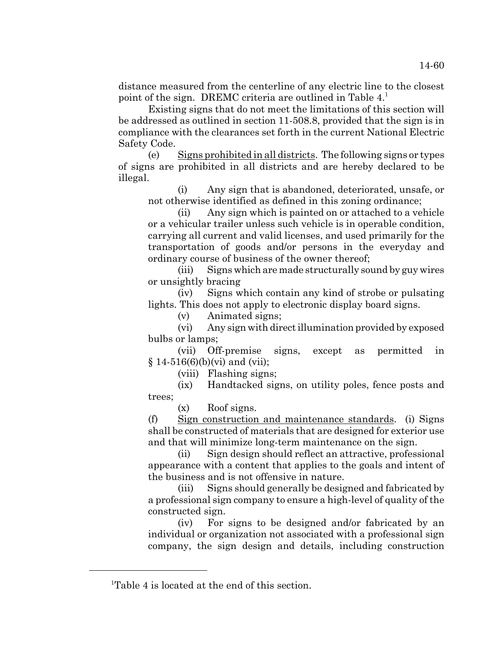distance measured from the centerline of any electric line to the closest point of the sign. DREMC criteria are outlined in Table 4.

Existing signs that do not meet the limitations of this section will be addressed as outlined in section 11-508.8, provided that the sign is in compliance with the clearances set forth in the current National Electric Safety Code.

(e) Signs prohibited in all districts. The following signs or types of signs are prohibited in all districts and are hereby declared to be illegal.

(i) Any sign that is abandoned, deteriorated, unsafe, or not otherwise identified as defined in this zoning ordinance;

(ii) Any sign which is painted on or attached to a vehicle or a vehicular trailer unless such vehicle is in operable condition, carrying all current and valid licenses, and used primarily for the transportation of goods and/or persons in the everyday and ordinary course of business of the owner thereof;

(iii) Signs which are made structurally sound by guy wires or unsightly bracing

(iv) Signs which contain any kind of strobe or pulsating lights. This does not apply to electronic display board signs.

(v) Animated signs;

(vi) Any sign with direct illumination provided by exposed bulbs or lamps;

(vii) Off-premise signs, except as permitted in  $§ 14-516(6)(b)(vi)$  and (vii);

(viii) Flashing signs;

(ix) Handtacked signs, on utility poles, fence posts and trees;

(x) Roof signs.

(f) Sign construction and maintenance standards. (i) Signs shall be constructed of materials that are designed for exterior use and that will minimize long-term maintenance on the sign.

(ii) Sign design should reflect an attractive, professional appearance with a content that applies to the goals and intent of the business and is not offensive in nature.

(iii) Signs should generally be designed and fabricated by a professional sign company to ensure a high-level of quality of the constructed sign.

(iv) For signs to be designed and/or fabricated by an individual or organization not associated with a professional sign company, the sign design and details, including construction

<sup>&</sup>lt;sup>1</sup>Table 4 is located at the end of this section.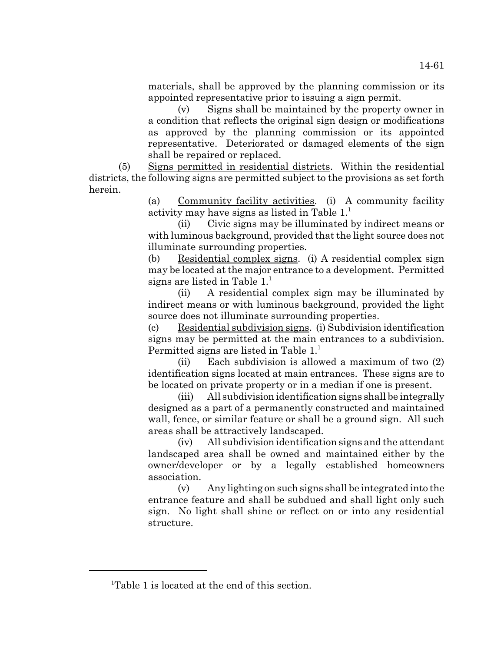materials, shall be approved by the planning commission or its appointed representative prior to issuing a sign permit.

(v) Signs shall be maintained by the property owner in a condition that reflects the original sign design or modifications as approved by the planning commission or its appointed representative. Deteriorated or damaged elements of the sign shall be repaired or replaced.

(5) Signs permitted in residential districts. Within the residential districts, the following signs are permitted subject to the provisions as set forth herein.

> (a) Community facility activities. (i) A community facility activity may have signs as listed in Table 1.1

> (ii) Civic signs may be illuminated by indirect means or with luminous background, provided that the light source does not illuminate surrounding properties.

> (b) Residential complex signs. (i) A residential complex sign may be located at the major entrance to a development. Permitted signs are listed in Table  $1<sup>1</sup>$ .

> (ii) A residential complex sign may be illuminated by indirect means or with luminous background, provided the light source does not illuminate surrounding properties.

> (c) Residential subdivision signs. (i) Subdivision identification signs may be permitted at the main entrances to a subdivision. Permitted signs are listed in Table 1.<sup>1</sup>

> (ii) Each subdivision is allowed a maximum of two (2) identification signs located at main entrances. These signs are to be located on private property or in a median if one is present.

> (iii) All subdivision identification signs shall be integrally designed as a part of a permanently constructed and maintained wall, fence, or similar feature or shall be a ground sign. All such areas shall be attractively landscaped.

> (iv) All subdivision identification signs and the attendant landscaped area shall be owned and maintained either by the owner/developer or by a legally established homeowners association.

> (v) Any lighting on such signs shall be integrated into the entrance feature and shall be subdued and shall light only such sign. No light shall shine or reflect on or into any residential structure.

<sup>&</sup>lt;sup>1</sup>Table 1 is located at the end of this section.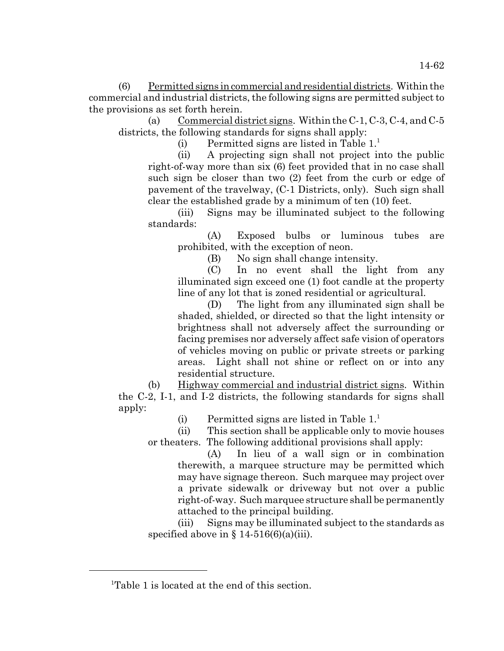(6) Permitted signs in commercial and residential districts. Within the commercial and industrial districts, the following signs are permitted subject to the provisions as set forth herein.

(a) Commercial district signs. Within the C-1, C-3, C-4, and C-5 districts, the following standards for signs shall apply:

(i) Permitted signs are listed in Table  $1<sup>1</sup>$ .

(ii) A projecting sign shall not project into the public right-of-way more than six (6) feet provided that in no case shall such sign be closer than two (2) feet from the curb or edge of pavement of the travelway, (C-1 Districts, only). Such sign shall clear the established grade by a minimum of ten (10) feet.

(iii) Signs may be illuminated subject to the following standards:

(A) Exposed bulbs or luminous tubes are prohibited, with the exception of neon.

(B) No sign shall change intensity.

(C) In no event shall the light from any illuminated sign exceed one (1) foot candle at the property line of any lot that is zoned residential or agricultural.

(D) The light from any illuminated sign shall be shaded, shielded, or directed so that the light intensity or brightness shall not adversely affect the surrounding or facing premises nor adversely affect safe vision of operators of vehicles moving on public or private streets or parking areas. Light shall not shine or reflect on or into any residential structure.

(b) Highway commercial and industrial district signs. Within the C-2, I-1, and I-2 districts, the following standards for signs shall apply:

(i) Permitted signs are listed in Table  $1<sup>1</sup>$ .

(ii) This section shall be applicable only to movie houses or theaters. The following additional provisions shall apply:

(A) In lieu of a wall sign or in combination therewith, a marquee structure may be permitted which may have signage thereon. Such marquee may project over a private sidewalk or driveway but not over a public right-of-way. Such marquee structure shall be permanently attached to the principal building.

(iii) Signs may be illuminated subject to the standards as specified above in  $\S$  14-516(6)(a)(iii).

<sup>&</sup>lt;sup>1</sup>Table 1 is located at the end of this section.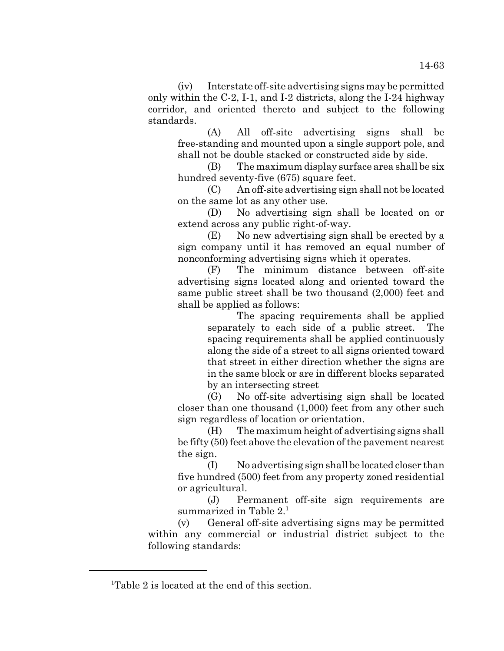14-63

(iv) Interstate off-site advertising signs may be permitted only within the C-2, I-1, and I-2 districts, along the I-24 highway corridor, and oriented thereto and subject to the following standards.

(A) All off-site advertising signs shall be free-standing and mounted upon a single support pole, and shall not be double stacked or constructed side by side.

(B) The maximum display surface area shall be six hundred seventy-five (675) square feet.

(C) An off-site advertising sign shall not be located on the same lot as any other use.

(D) No advertising sign shall be located on or extend across any public right-of-way.

(E) No new advertising sign shall be erected by a sign company until it has removed an equal number of nonconforming advertising signs which it operates.

(F) The minimum distance between off-site advertising signs located along and oriented toward the same public street shall be two thousand (2,000) feet and shall be applied as follows:

The spacing requirements shall be applied separately to each side of a public street. The spacing requirements shall be applied continuously along the side of a street to all signs oriented toward that street in either direction whether the signs are in the same block or are in different blocks separated by an intersecting street

(G) No off-site advertising sign shall be located closer than one thousand (1,000) feet from any other such sign regardless of location or orientation.

(H) The maximum height of advertising signs shall be fifty (50) feet above the elevation of the pavement nearest the sign.

(I) No advertising sign shall be located closer than five hundred (500) feet from any property zoned residential or agricultural.

(J) Permanent off-site sign requirements are summarized in Table 2.<sup>1</sup>

(v) General off-site advertising signs may be permitted within any commercial or industrial district subject to the following standards:

<sup>&</sup>lt;sup>1</sup>Table 2 is located at the end of this section.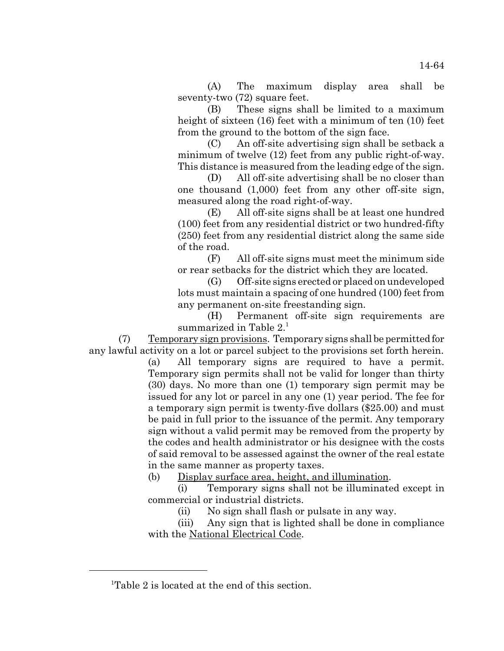(A) The maximum display area shall be seventy-two (72) square feet.

(B) These signs shall be limited to a maximum height of sixteen (16) feet with a minimum of ten (10) feet from the ground to the bottom of the sign face.

(C) An off-site advertising sign shall be setback a minimum of twelve (12) feet from any public right-of-way. This distance is measured from the leading edge of the sign.

(D) All off-site advertising shall be no closer than one thousand (1,000) feet from any other off-site sign, measured along the road right-of-way.

(E) All off-site signs shall be at least one hundred (100) feet from any residential district or two hundred-fifty (250) feet from any residential district along the same side of the road.

(F) All off-site signs must meet the minimum side or rear setbacks for the district which they are located.

(G) Off-site signs erected or placed on undeveloped lots must maintain a spacing of one hundred (100) feet from any permanent on-site freestanding sign.

(H) Permanent off-site sign requirements are summarized in Table  $2<sup>1</sup>$ 

(7) Temporary sign provisions. Temporary signs shall be permitted for any lawful activity on a lot or parcel subject to the provisions set forth herein.

(a) All temporary signs are required to have a permit. Temporary sign permits shall not be valid for longer than thirty (30) days. No more than one (1) temporary sign permit may be issued for any lot or parcel in any one (1) year period. The fee for a temporary sign permit is twenty-five dollars (\$25.00) and must be paid in full prior to the issuance of the permit. Any temporary sign without a valid permit may be removed from the property by the codes and health administrator or his designee with the costs of said removal to be assessed against the owner of the real estate in the same manner as property taxes.

(b) Display surface area, height, and illumination.

(i) Temporary signs shall not be illuminated except in commercial or industrial districts.

(ii) No sign shall flash or pulsate in any way.

(iii) Any sign that is lighted shall be done in compliance with the National Electrical Code.

<sup>&</sup>lt;sup>1</sup>Table 2 is located at the end of this section.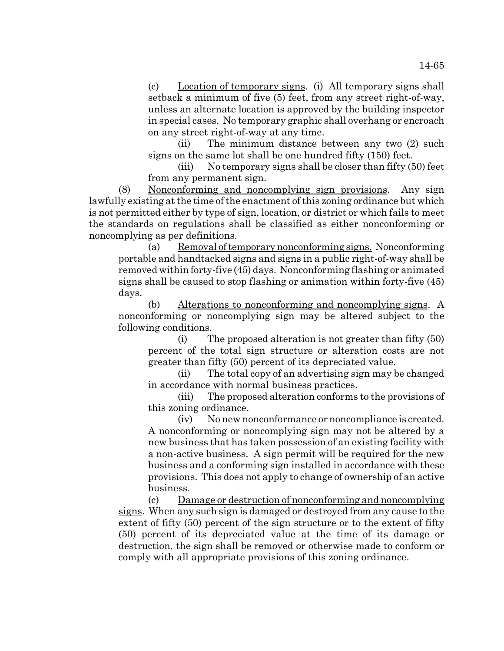(c) Location of temporary signs. (i) All temporary signs shall setback a minimum of five (5) feet, from any street right-of-way, unless an alternate location is approved by the building inspector in special cases. No temporary graphic shall overhang or encroach on any street right-of-way at any time.

(ii) The minimum distance between any two (2) such signs on the same lot shall be one hundred fifty (150) feet.

(iii) No temporary signs shall be closer than fifty (50) feet from any permanent sign.

(8) Nonconforming and noncomplying sign provisions. Any sign lawfully existing at the time of the enactment of this zoning ordinance but which is not permitted either by type of sign, location, or district or which fails to meet the standards on regulations shall be classified as either nonconforming or noncomplying as per definitions.

(a) Removal of temporary nonconforming signs. Nonconforming portable and handtacked signs and signs in a public right-of-way shall be removed within forty-five (45) days. Nonconforming flashing or animated signs shall be caused to stop flashing or animation within forty-five (45) days.

(b) Alterations to nonconforming and noncomplying signs. A nonconforming or noncomplying sign may be altered subject to the following conditions.

(i) The proposed alteration is not greater than fifty (50) percent of the total sign structure or alteration costs are not greater than fifty (50) percent of its depreciated value.

(ii) The total copy of an advertising sign may be changed in accordance with normal business practices.

(iii) The proposed alteration conforms to the provisions of this zoning ordinance.

(iv) No new nonconformance or noncompliance is created. A nonconforming or noncomplying sign may not be altered by a new business that has taken possession of an existing facility with a non-active business. A sign permit will be required for the new business and a conforming sign installed in accordance with these provisions. This does not apply to change of ownership of an active business.

(c) Damage or destruction of nonconforming and noncomplying signs. When any such sign is damaged or destroyed from any cause to the extent of fifty (50) percent of the sign structure or to the extent of fifty (50) percent of its depreciated value at the time of its damage or destruction, the sign shall be removed or otherwise made to conform or comply with all appropriate provisions of this zoning ordinance.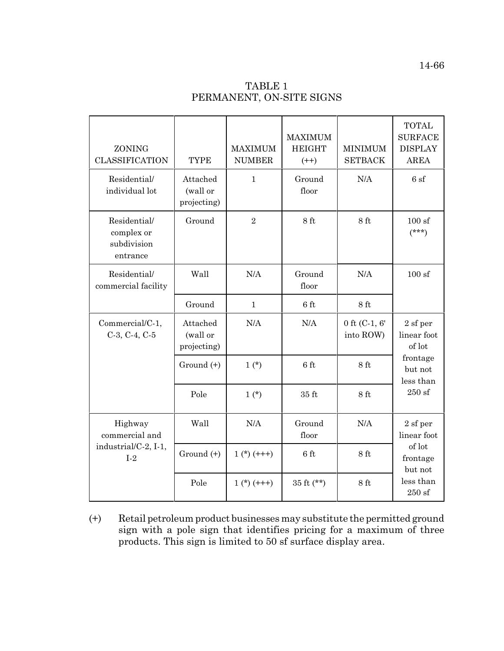| ZONING<br><b>CLASSIFICATION</b>                       | <b>TYPE</b>                         | <b>MAXIMUM</b><br><b>NUMBER</b> | <b>MAXIMUM</b><br><b>HEIGHT</b><br>$(++)$ | <b>MINIMUM</b><br><b>SETBACK</b> | <b>TOTAL</b><br><b>SURFACE</b><br><b>DISPLAY</b><br><b>AREA</b> |  |
|-------------------------------------------------------|-------------------------------------|---------------------------------|-------------------------------------------|----------------------------------|-----------------------------------------------------------------|--|
| Residential/<br>individual lot                        | Attached<br>(wall or<br>projecting) | $\mathbf{1}$                    | Ground<br>floor                           | N/A                              | 6 sf                                                            |  |
| Residential/<br>complex or<br>subdivision<br>entrance | Ground                              | $\overline{2}$                  | 8 ft                                      | 8 ft                             | 100sf<br>$(***)$                                                |  |
| Residential/<br>commercial facility                   | Wall                                | N/A                             | Ground<br>floor                           | N/A                              | 100sf                                                           |  |
|                                                       | Ground                              | $\mathbf{1}$                    | 6 ft                                      | 8 ft                             |                                                                 |  |
| Commercial/C-1,<br>$C-3, C-4, C-5$                    | Attached<br>(wall or<br>projecting) | N/A                             | N/A                                       | 0 ft $(C-1, 6)$<br>into ROW)     | 2 sf per<br>linear foot<br>of lot                               |  |
|                                                       | Ground (+)                          | $1(*)$                          | 6 ft                                      | 8 ft                             | frontage<br>but not<br>less than                                |  |
|                                                       | Pole                                | $1(*)$                          | $35 \text{ ft}$                           | 8 ft                             | $250$ sf                                                        |  |
| Highway<br>commercial and                             | Wall                                | N/A                             | Ground<br>floor                           | N/A                              | 2 sf per<br>linear foot                                         |  |
| industrial/C-2, I-1,<br>$I-2$                         | Ground (+)                          | $1(*) (+++)$                    | $6$ ft                                    | 8 ft                             | of lot<br>frontage<br>but not                                   |  |
|                                                       | Pole                                | $1(*) (+++)$                    | $35 \text{ ft}$ (**)                      | 8 <sub>ft</sub>                  | less than<br>$250$ sf                                           |  |

(+) Retail petroleum product businesses may substitute the permitted ground sign with a pole sign that identifies pricing for a maximum of three products. This sign is limited to 50 sf surface display area.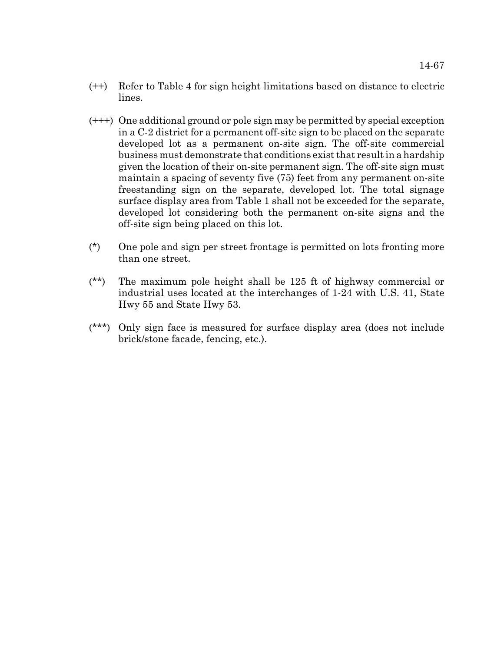- (++) Refer to Table 4 for sign height limitations based on distance to electric lines.
- (+++) One additional ground or pole sign may be permitted by special exception in a C-2 district for a permanent off-site sign to be placed on the separate developed lot as a permanent on-site sign. The off-site commercial business must demonstrate that conditions exist that result in a hardship given the location of their on-site permanent sign. The off-site sign must maintain a spacing of seventy five (75) feet from any permanent on-site freestanding sign on the separate, developed lot. The total signage surface display area from Table 1 shall not be exceeded for the separate, developed lot considering both the permanent on-site signs and the off-site sign being placed on this lot.
- (\*) One pole and sign per street frontage is permitted on lots fronting more than one street.
- (\*\*) The maximum pole height shall be 125 ft of highway commercial or industrial uses located at the interchanges of 1-24 with U.S. 41, State Hwy 55 and State Hwy 53.
- (\*\*\*) Only sign face is measured for surface display area (does not include brick/stone facade, fencing, etc.).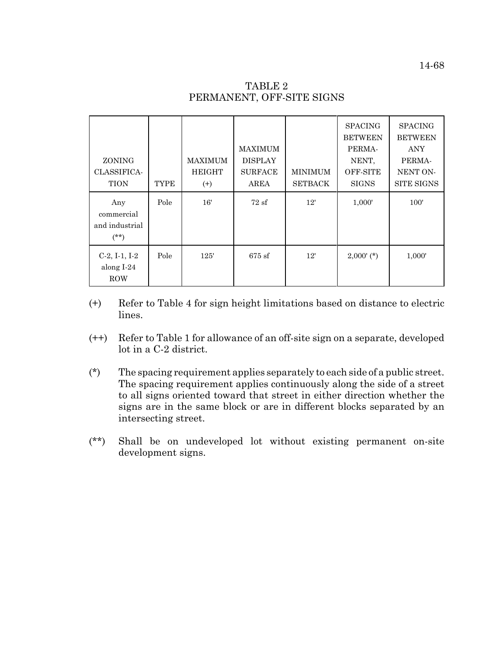| ZONING<br>CLASSIFICA-<br><b>TION</b>          | <b>TYPE</b> | <b>MAXIMUM</b><br><b>HEIGHT</b><br>$^{(+)}$ | <b>MAXIMUM</b><br><b>DISPLAY</b><br><b>SURFACE</b><br>AREA | <b>MINIMUM</b><br><b>SETBACK</b> | <b>SPACING</b><br><b>BETWEEN</b><br>PERMA-<br>NENT,<br>OFF-SITE<br><b>SIGNS</b> | <b>SPACING</b><br><b>BETWEEN</b><br><b>ANY</b><br>PERMA-<br>NENT ON-<br><b>SITE SIGNS</b> |
|-----------------------------------------------|-------------|---------------------------------------------|------------------------------------------------------------|----------------------------------|---------------------------------------------------------------------------------|-------------------------------------------------------------------------------------------|
| Any<br>commercial<br>and industrial<br>$(**)$ | Pole        | 16'                                         | 72sf                                                       | 12'                              | 1,000'                                                                          | 100'                                                                                      |
| $C-2, I-1, I-2$<br>along I-24<br><b>ROW</b>   | Pole        | 125'                                        | $675$ sf                                                   | 12'                              | $2,000'$ (*)                                                                    | 1,000'                                                                                    |

# TABLE 2 PERMANENT, OFF-SITE SIGNS

- (+) Refer to Table 4 for sign height limitations based on distance to electric lines.
- (++) Refer to Table 1 for allowance of an off-site sign on a separate, developed lot in a C-2 district.
- (\*) The spacing requirement applies separately to each side of a public street. The spacing requirement applies continuously along the side of a street to all signs oriented toward that street in either direction whether the signs are in the same block or are in different blocks separated by an intersecting street.
- (\*\*) Shall be on undeveloped lot without existing permanent on-site development signs.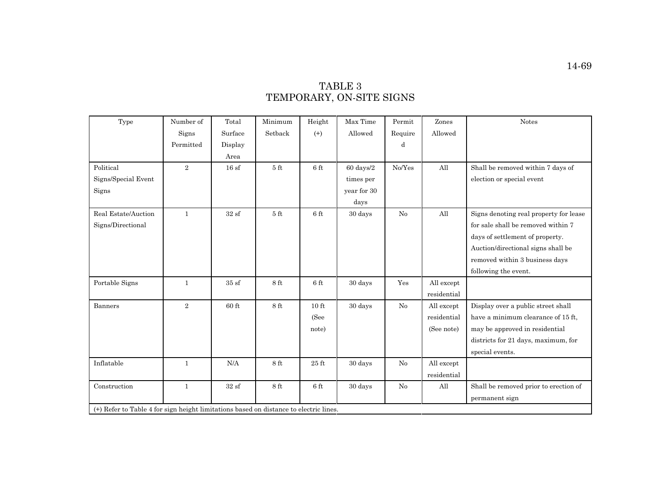# TABLE 3 TEMPORARY, ON-SITE SIGNS

| Type                | Number of                                                                             | Total             | Minimum         | Height          | Max Time            | Permit   | Zones       | <b>Notes</b>                           |  |
|---------------------|---------------------------------------------------------------------------------------|-------------------|-----------------|-----------------|---------------------|----------|-------------|----------------------------------------|--|
|                     | Signs                                                                                 | Surface           | Setback         | $^{(+)}$        | Allowed             | Require  | Allowed     |                                        |  |
|                     | Permitted                                                                             | Display           |                 |                 |                     | d        |             |                                        |  |
|                     |                                                                                       | Area              |                 |                 |                     |          |             |                                        |  |
| Political           | $\overline{2}$                                                                        | 16sf              | 5 <sub>ft</sub> | 6 ft            | $60 \text{ days}/2$ | No/Yes   | All         | Shall be removed within 7 days of      |  |
| Signs/Special Event |                                                                                       |                   |                 |                 | times per           |          |             | election or special event              |  |
| Signs               |                                                                                       |                   |                 |                 | year for 30         |          |             |                                        |  |
|                     |                                                                                       |                   |                 |                 | days                |          |             |                                        |  |
| Real Estate/Auction | $\mathbf{1}$                                                                          | 32sf              | 5 <sub>ft</sub> | 6 ft            | 30 days             | No       | All         | Signs denoting real property for lease |  |
| Signs/Directional   |                                                                                       |                   |                 |                 |                     |          |             | for sale shall be removed within 7     |  |
|                     |                                                                                       |                   |                 |                 |                     |          |             | days of settlement of property.        |  |
|                     |                                                                                       |                   |                 |                 |                     |          |             | Auction/directional signs shall be     |  |
|                     |                                                                                       |                   |                 |                 |                     |          |             | removed within 3 business days         |  |
|                     |                                                                                       |                   |                 |                 |                     |          |             | following the event.                   |  |
| Portable Signs      | $\mathbf{1}$                                                                          | $35\;\mathrm{sf}$ | $8$ ft          | $6$ ft          | 30 days             | Yes      | All except  |                                        |  |
|                     |                                                                                       |                   |                 |                 |                     |          | residential |                                        |  |
| <b>Banners</b>      | $\overline{2}$                                                                        | $60$ ft           | 8 ft            | $10 \text{ ft}$ | 30 days             | No       | All except  | Display over a public street shall     |  |
|                     |                                                                                       |                   |                 | (See            |                     |          | residential | have a minimum clearance of 15 ft,     |  |
|                     |                                                                                       |                   |                 | note)           |                     |          | (See note)  | may be approved in residential         |  |
|                     |                                                                                       |                   |                 |                 |                     |          |             | districts for 21 days, maximum, for    |  |
|                     |                                                                                       |                   |                 |                 |                     |          |             | special events.                        |  |
| Inflatable          | $\mathbf{1}$                                                                          | N/A               | 8 ft            | $25 \text{ ft}$ | 30 days             | No       | All except  |                                        |  |
|                     |                                                                                       |                   |                 |                 |                     |          | residential |                                        |  |
| Construction        | $\mathbf{1}$                                                                          | 32sf              | $8\ {\rm ft}$   | $6$ ft          | 30 days             | $\rm No$ | All         | Shall be removed prior to erection of  |  |
|                     |                                                                                       |                   |                 |                 |                     |          |             | permanent sign                         |  |
|                     | (+) Refer to Table 4 for sign height limitations based on distance to electric lines. |                   |                 |                 |                     |          |             |                                        |  |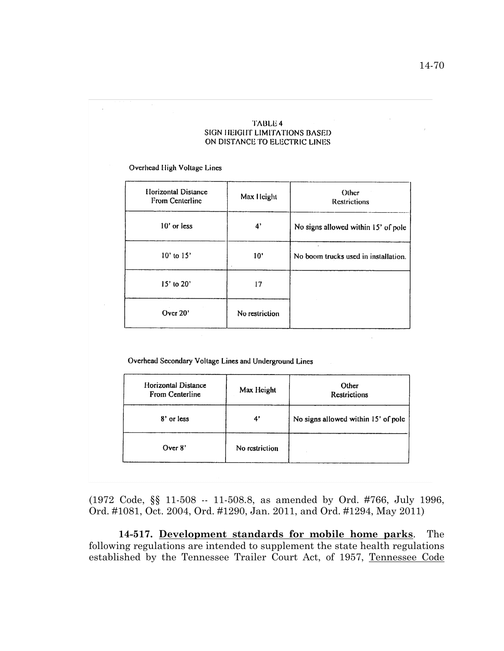#### **TABLE 4** SIGN HEIGHT LIMITATIONS BASED ON DISTANCE TO ELECTRIC LINES

Overhead High Voltage Lines

| Horizontal Distance<br>From Centerline | Max Height     | Other<br><b>Restrictions</b>         |
|----------------------------------------|----------------|--------------------------------------|
| 10' or less                            | 4'             | No signs allowed within 15' of pole  |
| $10'$ to $15'$                         | 10'            | No boom trucks used in installation. |
| $15'$ to $20'$                         | 17             |                                      |
| Over $20'$                             | No restriction |                                      |

Overhead Secondary Voltage Lines and Underground Lines

| Horizontal Distance<br>From Centerline | Max Height     | Other<br><b>Restrictions</b>        |
|----------------------------------------|----------------|-------------------------------------|
| 8' or less                             | 4'             | No signs allowed within 15' of pole |
| Over 8'                                | No restriction |                                     |

(1972 Code, §§ 11-508 -- 11-508.8, as amended by Ord. #766, July 1996, Ord. #1081, Oct. 2004, Ord. #1290, Jan. 2011, and Ord. #1294, May 2011)

**14-517. Development standards for mobile home parks**. The following regulations are intended to supplement the state health regulations established by the Tennessee Trailer Court Act, of 1957, Tennessee Code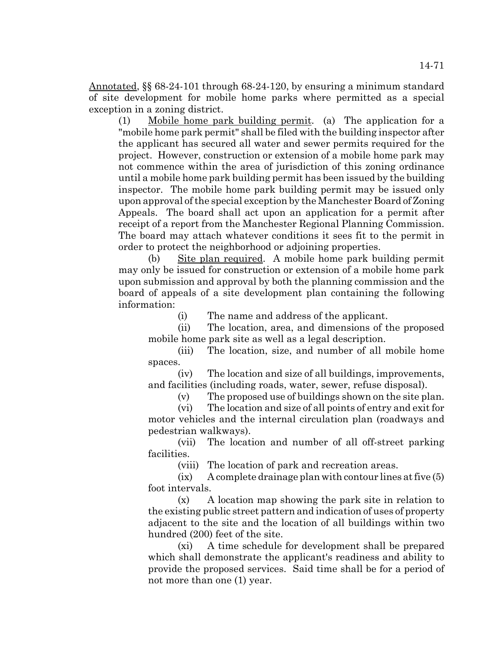Annotated, §§ 68-24-101 through 68-24-120, by ensuring a minimum standard of site development for mobile home parks where permitted as a special exception in a zoning district.

(1) Mobile home park building permit. (a) The application for a "mobile home park permit" shall be filed with the building inspector after the applicant has secured all water and sewer permits required for the project. However, construction or extension of a mobile home park may not commence within the area of jurisdiction of this zoning ordinance until a mobile home park building permit has been issued by the building inspector. The mobile home park building permit may be issued only upon approval of the special exception by the Manchester Board of Zoning Appeals. The board shall act upon an application for a permit after receipt of a report from the Manchester Regional Planning Commission. The board may attach whatever conditions it sees fit to the permit in order to protect the neighborhood or adjoining properties.

(b) Site plan required. A mobile home park building permit may only be issued for construction or extension of a mobile home park upon submission and approval by both the planning commission and the board of appeals of a site development plan containing the following information:

(i) The name and address of the applicant.

(ii) The location, area, and dimensions of the proposed mobile home park site as well as a legal description.

(iii) The location, size, and number of all mobile home spaces.

(iv) The location and size of all buildings, improvements, and facilities (including roads, water, sewer, refuse disposal).

(v) The proposed use of buildings shown on the site plan.

(vi) The location and size of all points of entry and exit for motor vehicles and the internal circulation plan (roadways and pedestrian walkways).

(vii) The location and number of all off-street parking facilities.

(viii) The location of park and recreation areas.

 $(ix)$  A complete drainage plan with contour lines at five  $(5)$ foot intervals.

(x) A location map showing the park site in relation to the existing public street pattern and indication of uses of property adjacent to the site and the location of all buildings within two hundred (200) feet of the site.

(xi) A time schedule for development shall be prepared which shall demonstrate the applicant's readiness and ability to provide the proposed services. Said time shall be for a period of not more than one (1) year.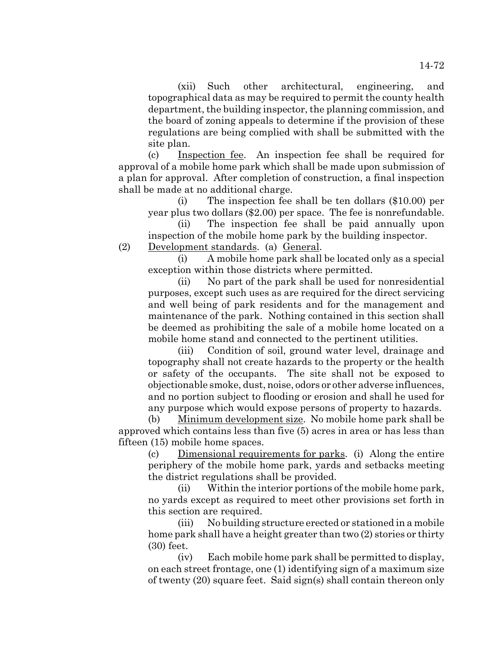(xii) Such other architectural, engineering, and topographical data as may be required to permit the county health department, the building inspector, the planning commission, and the board of zoning appeals to determine if the provision of these regulations are being complied with shall be submitted with the site plan.

(c) Inspection fee. An inspection fee shall be required for approval of a mobile home park which shall be made upon submission of a plan for approval. After completion of construction, a final inspection shall be made at no additional charge.

(i) The inspection fee shall be ten dollars (\$10.00) per year plus two dollars (\$2.00) per space. The fee is nonrefundable.

(ii) The inspection fee shall be paid annually upon inspection of the mobile home park by the building inspector.

(2) Development standards. (a) General.

(i) A mobile home park shall be located only as a special exception within those districts where permitted.

(ii) No part of the park shall be used for nonresidential purposes, except such uses as are required for the direct servicing and well being of park residents and for the management and maintenance of the park. Nothing contained in this section shall be deemed as prohibiting the sale of a mobile home located on a mobile home stand and connected to the pertinent utilities.

(iii) Condition of soil, ground water level, drainage and topography shall not create hazards to the property or the health or safety of the occupants. The site shall not be exposed to objectionable smoke, dust, noise, odors or other adverse influences, and no portion subject to flooding or erosion and shall he used for any purpose which would expose persons of property to hazards.

(b) Minimum development size. No mobile home park shall be approved which contains less than five (5) acres in area or has less than fifteen (15) mobile home spaces.

(c) Dimensional requirements for parks. (i) Along the entire periphery of the mobile home park, yards and setbacks meeting the district regulations shall be provided.

(ii) Within the interior portions of the mobile home park, no yards except as required to meet other provisions set forth in this section are required.

(iii) No building structure erected or stationed in a mobile home park shall have a height greater than two (2) stories or thirty (30) feet.

(iv) Each mobile home park shall be permitted to display, on each street frontage, one (1) identifying sign of a maximum size of twenty (20) square feet. Said sign(s) shall contain thereon only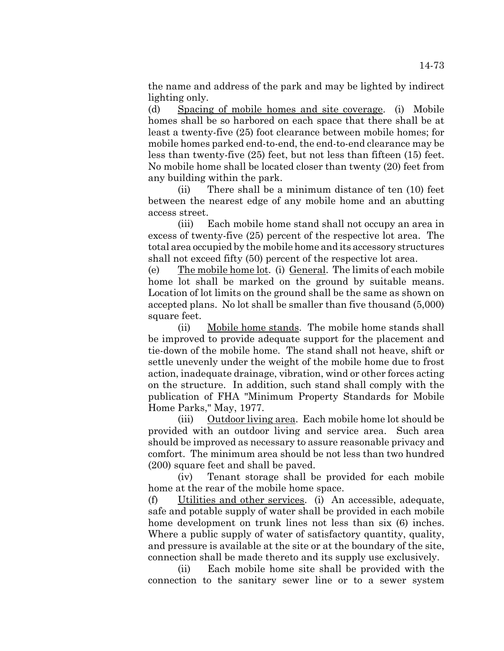the name and address of the park and may be lighted by indirect lighting only.

(d) Spacing of mobile homes and site coverage. (i) Mobile homes shall be so harbored on each space that there shall be at least a twenty-five (25) foot clearance between mobile homes; for mobile homes parked end-to-end, the end-to-end clearance may be less than twenty-five (25) feet, but not less than fifteen (15) feet. No mobile home shall be located closer than twenty (20) feet from any building within the park.

(ii) There shall be a minimum distance of ten (10) feet between the nearest edge of any mobile home and an abutting access street.

(iii) Each mobile home stand shall not occupy an area in excess of twenty-five (25) percent of the respective lot area. The total area occupied by the mobile home and its accessory structures shall not exceed fifty (50) percent of the respective lot area.

(e) The mobile home lot. (i) General. The limits of each mobile home lot shall be marked on the ground by suitable means. Location of lot limits on the ground shall be the same as shown on accepted plans. No lot shall be smaller than five thousand (5,000) square feet.

(ii) Mobile home stands. The mobile home stands shall be improved to provide adequate support for the placement and tie-down of the mobile home. The stand shall not heave, shift or settle unevenly under the weight of the mobile home due to frost action, inadequate drainage, vibration, wind or other forces acting on the structure. In addition, such stand shall comply with the publication of FHA "Minimum Property Standards for Mobile Home Parks," May, 1977.

(iii) Outdoor living area. Each mobile home lot should be provided with an outdoor living and service area. Such area should be improved as necessary to assure reasonable privacy and comfort. The minimum area should be not less than two hundred (200) square feet and shall be paved.

(iv) Tenant storage shall be provided for each mobile home at the rear of the mobile home space.

(f) Utilities and other services. (i) An accessible, adequate, safe and potable supply of water shall be provided in each mobile home development on trunk lines not less than six (6) inches. Where a public supply of water of satisfactory quantity, quality, and pressure is available at the site or at the boundary of the site, connection shall be made thereto and its supply use exclusively.

(ii) Each mobile home site shall be provided with the connection to the sanitary sewer line or to a sewer system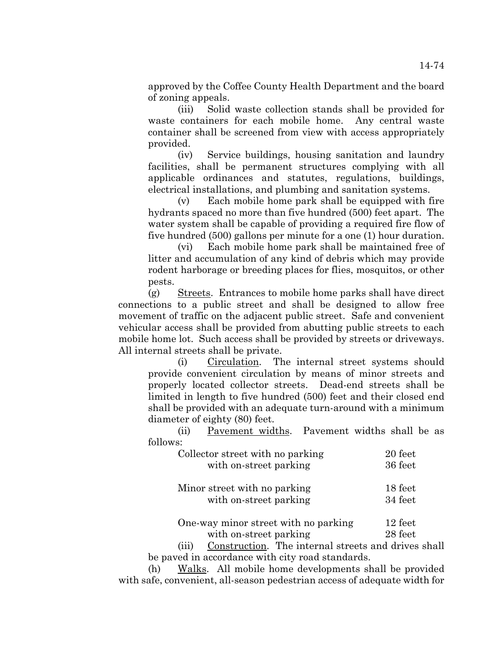approved by the Coffee County Health Department and the board of zoning appeals.

(iii) Solid waste collection stands shall be provided for waste containers for each mobile home. Any central waste container shall be screened from view with access appropriately provided.

(iv) Service buildings, housing sanitation and laundry facilities, shall be permanent structures complying with all applicable ordinances and statutes, regulations, buildings, electrical installations, and plumbing and sanitation systems.

(v) Each mobile home park shall be equipped with fire hydrants spaced no more than five hundred (500) feet apart. The water system shall be capable of providing a required fire flow of five hundred (500) gallons per minute for a one (1) hour duration.

(vi) Each mobile home park shall be maintained free of litter and accumulation of any kind of debris which may provide rodent harborage or breeding places for flies, mosquitos, or other pests.

(g) Streets. Entrances to mobile home parks shall have direct connections to a public street and shall be designed to allow free movement of traffic on the adjacent public street. Safe and convenient vehicular access shall be provided from abutting public streets to each mobile home lot. Such access shall be provided by streets or driveways. All internal streets shall be private.

(i) Circulation. The internal street systems should provide convenient circulation by means of minor streets and properly located collector streets. Dead-end streets shall be limited in length to five hundred (500) feet and their closed end shall be provided with an adequate turn-around with a minimum diameter of eighty (80) feet.

(ii) Pavement widths. Pavement widths shall be as follows:

| Collector street with no parking                                                                                                                                                                                                | 20 feet              |
|---------------------------------------------------------------------------------------------------------------------------------------------------------------------------------------------------------------------------------|----------------------|
| with on-street parking                                                                                                                                                                                                          | 36 feet              |
| Minor street with no parking                                                                                                                                                                                                    | 18 feet              |
| with on-street parking                                                                                                                                                                                                          | 34 feet              |
| One-way minor street with no parking                                                                                                                                                                                            | 12 feet              |
| $\sim$ . The set of the set of the set of the set of the set of the set of the set of the set of the set of the set of the set of the set of the set of the set of the set of the set of the set of the set of the set of the s | $\sim$ $\sim$ $\sim$ |

with on-street parking 28 feet

(iii) Construction. The internal streets and drives shall be paved in accordance with city road standards.

(h) Walks. All mobile home developments shall be provided with safe, convenient, all-season pedestrian access of adequate width for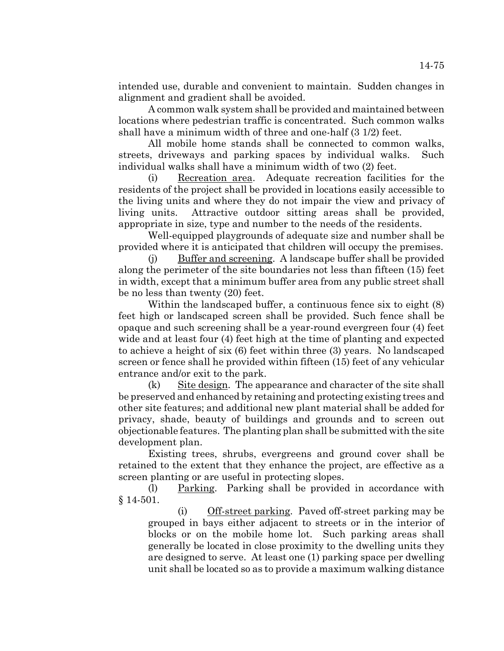intended use, durable and convenient to maintain. Sudden changes in alignment and gradient shall be avoided.

A common walk system shall be provided and maintained between locations where pedestrian traffic is concentrated. Such common walks shall have a minimum width of three and one-half (3 1/2) feet.

All mobile home stands shall be connected to common walks, streets, driveways and parking spaces by individual walks. Such individual walks shall have a minimum width of two (2) feet.

(i) Recreation area. Adequate recreation facilities for the residents of the project shall be provided in locations easily accessible to the living units and where they do not impair the view and privacy of living units. Attractive outdoor sitting areas shall be provided, appropriate in size, type and number to the needs of the residents.

Well-equipped playgrounds of adequate size and number shall be provided where it is anticipated that children will occupy the premises.

(j) Buffer and screening. A landscape buffer shall be provided along the perimeter of the site boundaries not less than fifteen (15) feet in width, except that a minimum buffer area from any public street shall be no less than twenty (20) feet.

Within the landscaped buffer, a continuous fence six to eight  $(8)$ feet high or landscaped screen shall be provided. Such fence shall be opaque and such screening shall be a year-round evergreen four (4) feet wide and at least four (4) feet high at the time of planting and expected to achieve a height of six (6) feet within three (3) years. No landscaped screen or fence shall he provided within fifteen (15) feet of any vehicular entrance and/or exit to the park.

(k) Site design. The appearance and character of the site shall be preserved and enhanced by retaining and protecting existing trees and other site features; and additional new plant material shall be added for privacy, shade, beauty of buildings and grounds and to screen out objectionable features. The planting plan shall be submitted with the site development plan.

Existing trees, shrubs, evergreens and ground cover shall be retained to the extent that they enhance the project, are effective as a screen planting or are useful in protecting slopes.

(l) Parking. Parking shall be provided in accordance with § 14-501.

(i) Off-street parking. Paved off-street parking may be grouped in bays either adjacent to streets or in the interior of blocks or on the mobile home lot. Such parking areas shall generally be located in close proximity to the dwelling units they are designed to serve. At least one (1) parking space per dwelling unit shall be located so as to provide a maximum walking distance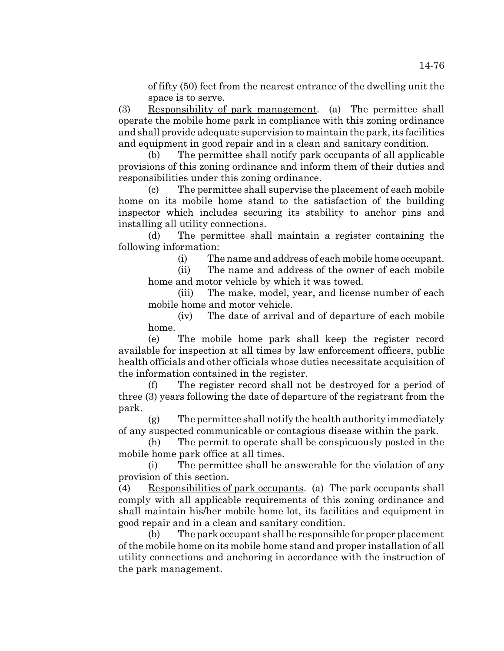of fifty (50) feet from the nearest entrance of the dwelling unit the space is to serve.

(3) Responsibility of park management. (a) The permittee shall operate the mobile home park in compliance with this zoning ordinance and shall provide adequate supervision to maintain the park, its facilities and equipment in good repair and in a clean and sanitary condition.

(b) The permittee shall notify park occupants of all applicable provisions of this zoning ordinance and inform them of their duties and responsibilities under this zoning ordinance.

(c) The permittee shall supervise the placement of each mobile home on its mobile home stand to the satisfaction of the building inspector which includes securing its stability to anchor pins and installing all utility connections.

(d) The permittee shall maintain a register containing the following information:

(i) The name and address of each mobile home occupant.

(ii) The name and address of the owner of each mobile home and motor vehicle by which it was towed.

(iii) The make, model, year, and license number of each mobile home and motor vehicle.

(iv) The date of arrival and of departure of each mobile home.

(e) The mobile home park shall keep the register record available for inspection at all times by law enforcement officers, public health officials and other officials whose duties necessitate acquisition of the information contained in the register.

(f) The register record shall not be destroyed for a period of three (3) years following the date of departure of the registrant from the park.

(g) The permittee shall notify the health authority immediately of any suspected communicable or contagious disease within the park.

(h) The permit to operate shall be conspicuously posted in the mobile home park office at all times.

(i) The permittee shall be answerable for the violation of any provision of this section.

(4) Responsibilities of park occupants. (a) The park occupants shall comply with all applicable requirements of this zoning ordinance and shall maintain his/her mobile home lot, its facilities and equipment in good repair and in a clean and sanitary condition.

(b) The park occupant shall be responsible for proper placement of the mobile home on its mobile home stand and proper installation of all utility connections and anchoring in accordance with the instruction of the park management.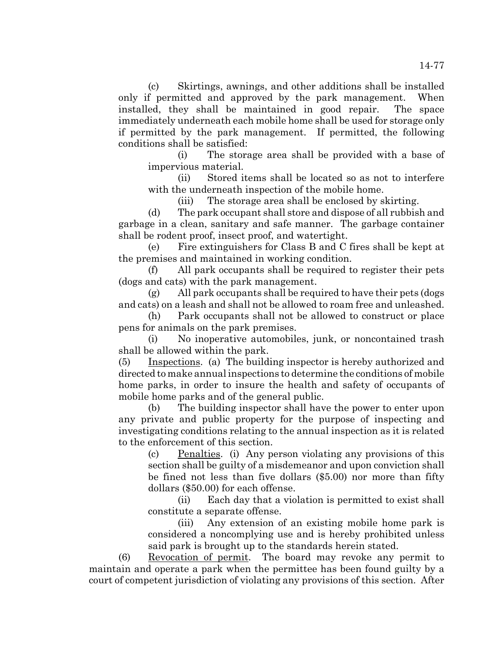(c) Skirtings, awnings, and other additions shall be installed only if permitted and approved by the park management. When installed, they shall be maintained in good repair. The space immediately underneath each mobile home shall be used for storage only if permitted by the park management. If permitted, the following conditions shall be satisfied:

(i) The storage area shall be provided with a base of impervious material.

(ii) Stored items shall be located so as not to interfere with the underneath inspection of the mobile home.

(iii) The storage area shall be enclosed by skirting.

(d) The park occupant shall store and dispose of all rubbish and garbage in a clean, sanitary and safe manner. The garbage container shall be rodent proof, insect proof, and watertight.

(e) Fire extinguishers for Class B and C fires shall be kept at the premises and maintained in working condition.

(f) All park occupants shall be required to register their pets (dogs and cats) with the park management.

(g) All park occupants shall be required to have their pets (dogs and cats) on a leash and shall not be allowed to roam free and unleashed.

(h) Park occupants shall not be allowed to construct or place pens for animals on the park premises.

(i) No inoperative automobiles, junk, or noncontained trash shall be allowed within the park.

(5) Inspections. (a) The building inspector is hereby authorized and directed to make annual inspections to determine the conditions of mobile home parks, in order to insure the health and safety of occupants of mobile home parks and of the general public.

(b) The building inspector shall have the power to enter upon any private and public property for the purpose of inspecting and investigating conditions relating to the annual inspection as it is related to the enforcement of this section.

(c) Penalties. (i) Any person violating any provisions of this section shall be guilty of a misdemeanor and upon conviction shall be fined not less than five dollars (\$5.00) nor more than fifty dollars (\$50.00) for each offense.

(ii) Each day that a violation is permitted to exist shall constitute a separate offense.

(iii) Any extension of an existing mobile home park is considered a noncomplying use and is hereby prohibited unless said park is brought up to the standards herein stated.

(6) Revocation of permit. The board may revoke any permit to maintain and operate a park when the permittee has been found guilty by a court of competent jurisdiction of violating any provisions of this section. After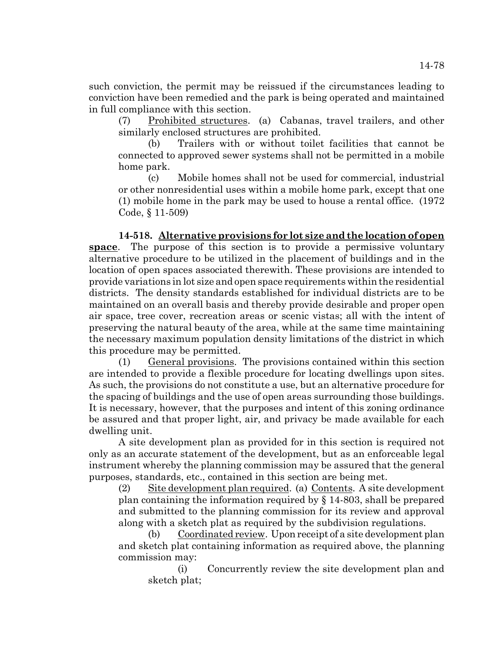such conviction, the permit may be reissued if the circumstances leading to conviction have been remedied and the park is being operated and maintained in full compliance with this section.

(7) Prohibited structures. (a) Cabanas, travel trailers, and other similarly enclosed structures are prohibited.

(b) Trailers with or without toilet facilities that cannot be connected to approved sewer systems shall not be permitted in a mobile home park.

(c) Mobile homes shall not be used for commercial, industrial or other nonresidential uses within a mobile home park, except that one (1) mobile home in the park may be used to house a rental office. (1972 Code, § 11-509)

**14-518. Alternative provisions for lot size and the location of open space**. The purpose of this section is to provide a permissive voluntary alternative procedure to be utilized in the placement of buildings and in the location of open spaces associated therewith. These provisions are intended to provide variations in lot size and open space requirements within the residential districts. The density standards established for individual districts are to be maintained on an overall basis and thereby provide desirable and proper open air space, tree cover, recreation areas or scenic vistas; all with the intent of preserving the natural beauty of the area, while at the same time maintaining the necessary maximum population density limitations of the district in which this procedure may be permitted.

(1) General provisions. The provisions contained within this section are intended to provide a flexible procedure for locating dwellings upon sites. As such, the provisions do not constitute a use, but an alternative procedure for the spacing of buildings and the use of open areas surrounding those buildings. It is necessary, however, that the purposes and intent of this zoning ordinance be assured and that proper light, air, and privacy be made available for each dwelling unit.

A site development plan as provided for in this section is required not only as an accurate statement of the development, but as an enforceable legal instrument whereby the planning commission may be assured that the general purposes, standards, etc., contained in this section are being met.

(2) Site development plan required. (a) Contents. A site development plan containing the information required by § 14-803, shall be prepared and submitted to the planning commission for its review and approval along with a sketch plat as required by the subdivision regulations.

(b) Coordinated review. Upon receipt of a site development plan and sketch plat containing information as required above, the planning commission may:

(i) Concurrently review the site development plan and sketch plat;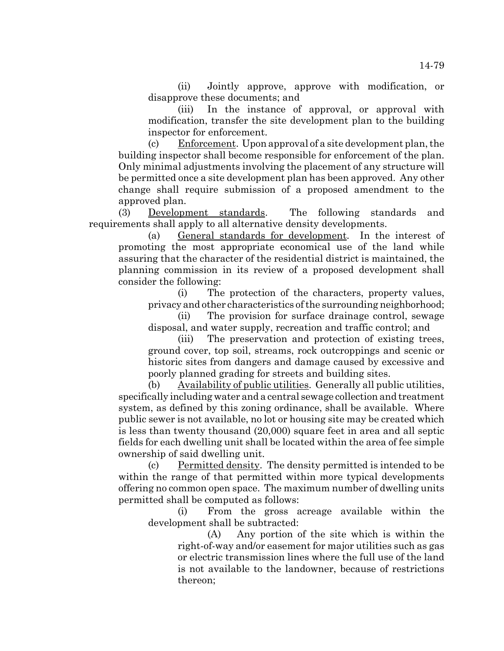(ii) Jointly approve, approve with modification, or disapprove these documents; and

(iii) In the instance of approval, or approval with modification, transfer the site development plan to the building inspector for enforcement.

(c) Enforcement. Upon approval of a site development plan, the building inspector shall become responsible for enforcement of the plan. Only minimal adjustments involving the placement of any structure will be permitted once a site development plan has been approved. Any other change shall require submission of a proposed amendment to the approved plan.

(3) Development standards. The following standards and requirements shall apply to all alternative density developments.

(a) General standards for development. In the interest of promoting the most appropriate economical use of the land while assuring that the character of the residential district is maintained, the planning commission in its review of a proposed development shall consider the following:

(i) The protection of the characters, property values, privacy and other characteristics of the surrounding neighborhood;

(ii) The provision for surface drainage control, sewage disposal, and water supply, recreation and traffic control; and

(iii) The preservation and protection of existing trees, ground cover, top soil, streams, rock outcroppings and scenic or historic sites from dangers and damage caused by excessive and poorly planned grading for streets and building sites.

(b) Availability of public utilities. Generally all public utilities, specifically including water and a central sewage collection and treatment system, as defined by this zoning ordinance, shall be available. Where public sewer is not available, no lot or housing site may be created which is less than twenty thousand (20,000) square feet in area and all septic fields for each dwelling unit shall be located within the area of fee simple ownership of said dwelling unit.

(c) Permitted density. The density permitted is intended to be within the range of that permitted within more typical developments offering no common open space. The maximum number of dwelling units permitted shall be computed as follows:

(i) From the gross acreage available within the development shall be subtracted:

> (A) Any portion of the site which is within the right-of-way and/or easement for major utilities such as gas or electric transmission lines where the full use of the land is not available to the landowner, because of restrictions thereon;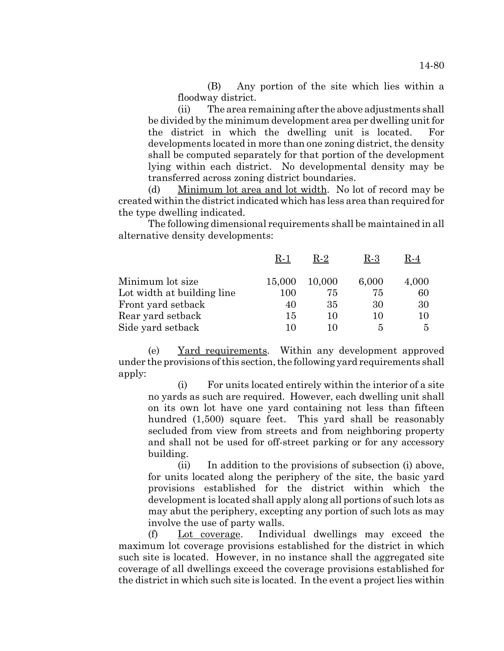(B) Any portion of the site which lies within a floodway district.

(ii) The area remaining after the above adjustments shall be divided by the minimum development area per dwelling unit for the district in which the dwelling unit is located. developments located in more than one zoning district, the density shall be computed separately for that portion of the development lying within each district. No developmental density may be transferred across zoning district boundaries.

(d) Minimum lot area and lot width. No lot of record may be created within the district indicated which has less area than required for the type dwelling indicated.

The following dimensional requirements shall be maintained in all alternative density developments:

|                            | R-1     | R-2    | R-3   | R-4   |
|----------------------------|---------|--------|-------|-------|
| Minimum lot size           | 15,000  | 10,000 | 6,000 | 4,000 |
| Lot width at building line | $100\,$ | 75     | 75    | 60    |
| Front yard setback         | 40      | 35     | 30    | 30    |
| Rear yard setback          | 15      | 10     | 10    | 10    |
| Side yard setback          |         |        | 5     | 5     |

(e) Yard requirements. Within any development approved under the provisions of this section, the following yard requirements shall apply:

(i) For units located entirely within the interior of a site no yards as such are required. However, each dwelling unit shall on its own lot have one yard containing not less than fifteen hundred (1,500) square feet. This yard shall be reasonably secluded from view from streets and from neighboring property and shall not be used for off-street parking or for any accessory building.

(ii) In addition to the provisions of subsection (i) above, for units located along the periphery of the site, the basic yard provisions established for the district within which the development is located shall apply along all portions of such lots as may abut the periphery, excepting any portion of such lots as may involve the use of party walls.

(f) Lot coverage. Individual dwellings may exceed the maximum lot coverage provisions established for the district in which such site is located. However, in no instance shall the aggregated site coverage of all dwellings exceed the coverage provisions established for the district in which such site is located. In the event a project lies within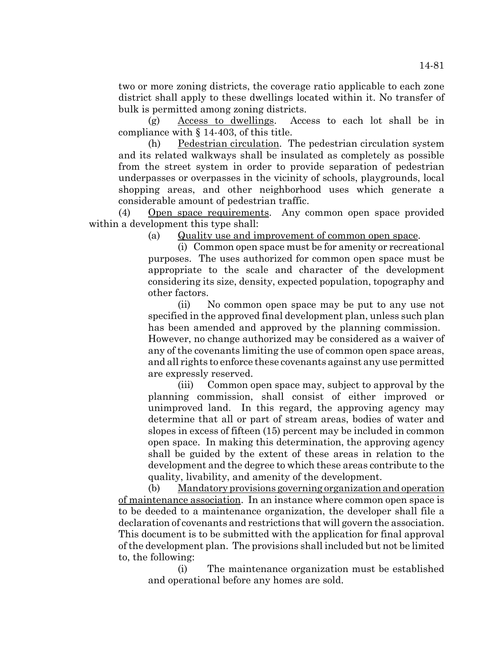two or more zoning districts, the coverage ratio applicable to each zone district shall apply to these dwellings located within it. No transfer of bulk is permitted among zoning districts.

(g) Access to dwellings. Access to each lot shall be in compliance with § 14-403, of this title.

(h) Pedestrian circulation. The pedestrian circulation system and its related walkways shall be insulated as completely as possible from the street system in order to provide separation of pedestrian underpasses or overpasses in the vicinity of schools, playgrounds, local shopping areas, and other neighborhood uses which generate a considerable amount of pedestrian traffic.

(4) Open space requirements. Any common open space provided within a development this type shall:

(a) Quality use and improvement of common open space.

(i) Common open space must be for amenity or recreational purposes. The uses authorized for common open space must be appropriate to the scale and character of the development considering its size, density, expected population, topography and other factors.

(ii) No common open space may be put to any use not specified in the approved final development plan, unless such plan has been amended and approved by the planning commission. However, no change authorized may be considered as a waiver of any of the covenants limiting the use of common open space areas, and all rights to enforce these covenants against any use permitted are expressly reserved.

(iii) Common open space may, subject to approval by the planning commission, shall consist of either improved or unimproved land. In this regard, the approving agency may determine that all or part of stream areas, bodies of water and slopes in excess of fifteen (15) percent may be included in common open space. In making this determination, the approving agency shall be guided by the extent of these areas in relation to the development and the degree to which these areas contribute to the quality, livability, and amenity of the development.

(b) Mandatory provisions governing organization and operation of maintenance association. In an instance where common open space is to be deeded to a maintenance organization, the developer shall file a declaration of covenants and restrictions that will govern the association. This document is to be submitted with the application for final approval of the development plan. The provisions shall included but not be limited to, the following:

(i) The maintenance organization must be established and operational before any homes are sold.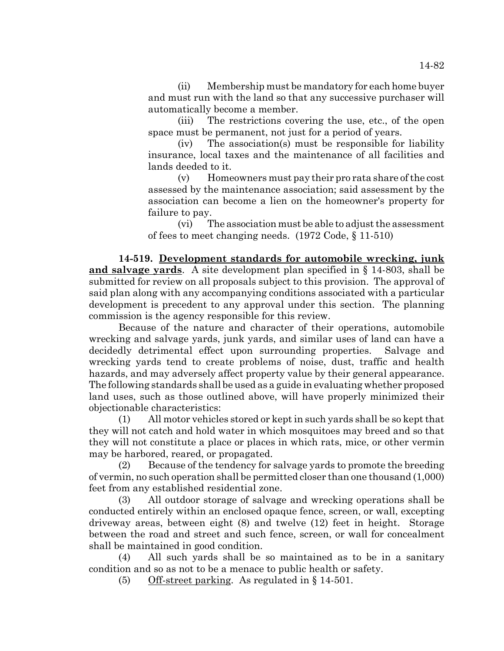(ii) Membership must be mandatory for each home buyer and must run with the land so that any successive purchaser will automatically become a member.

(iii) The restrictions covering the use, etc., of the open space must be permanent, not just for a period of years.

(iv) The association(s) must be responsible for liability insurance, local taxes and the maintenance of all facilities and lands deeded to it.

(v) Homeowners must pay their pro rata share of the cost assessed by the maintenance association; said assessment by the association can become a lien on the homeowner's property for failure to pay.

(vi) The association must be able to adjust the assessment of fees to meet changing needs. (1972 Code, § 11-510)

**14-519. Development standards for automobile wrecking, junk and salvage yards**. A site development plan specified in § 14-803, shall be submitted for review on all proposals subject to this provision. The approval of said plan along with any accompanying conditions associated with a particular development is precedent to any approval under this section. The planning commission is the agency responsible for this review.

Because of the nature and character of their operations, automobile wrecking and salvage yards, junk yards, and similar uses of land can have a decidedly detrimental effect upon surrounding properties. Salvage and wrecking yards tend to create problems of noise, dust, traffic and health hazards, and may adversely affect property value by their general appearance. The following standards shall be used as a guide in evaluating whether proposed land uses, such as those outlined above, will have properly minimized their objectionable characteristics:

(1) All motor vehicles stored or kept in such yards shall be so kept that they will not catch and hold water in which mosquitoes may breed and so that they will not constitute a place or places in which rats, mice, or other vermin may be harbored, reared, or propagated.

(2) Because of the tendency for salvage yards to promote the breeding of vermin, no such operation shall be permitted closer than one thousand (1,000) feet from any established residential zone.

(3) All outdoor storage of salvage and wrecking operations shall be conducted entirely within an enclosed opaque fence, screen, or wall, excepting driveway areas, between eight (8) and twelve (12) feet in height. Storage between the road and street and such fence, screen, or wall for concealment shall be maintained in good condition.

(4) All such yards shall be so maintained as to be in a sanitary condition and so as not to be a menace to public health or safety.

(5) Off-street parking. As regulated in § 14-501.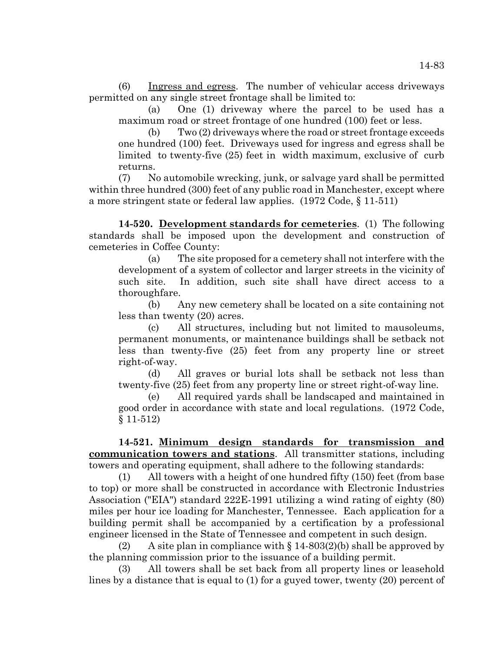(6) Ingress and egress. The number of vehicular access driveways permitted on any single street frontage shall be limited to:

(a) One (1) driveway where the parcel to be used has a maximum road or street frontage of one hundred (100) feet or less.

(b) Two (2) driveways where the road or street frontage exceeds one hundred (100) feet. Driveways used for ingress and egress shall be limited to twenty-five (25) feet in width maximum, exclusive of curb returns.

(7) No automobile wrecking, junk, or salvage yard shall be permitted within three hundred (300) feet of any public road in Manchester, except where a more stringent state or federal law applies. (1972 Code, § 11-511)

**14-520. Development standards for cemeteries**. (1) The following standards shall be imposed upon the development and construction of cemeteries in Coffee County:

(a) The site proposed for a cemetery shall not interfere with the development of a system of collector and larger streets in the vicinity of such site. In addition, such site shall have direct access to a thoroughfare.

(b) Any new cemetery shall be located on a site containing not less than twenty (20) acres.

(c) All structures, including but not limited to mausoleums, permanent monuments, or maintenance buildings shall be setback not less than twenty-five (25) feet from any property line or street right-of-way.

(d) All graves or burial lots shall be setback not less than twenty-five (25) feet from any property line or street right-of-way line.

(e) All required yards shall be landscaped and maintained in good order in accordance with state and local regulations. (1972 Code, § 11-512)

**14-521. Minimum design standards for transmission and communication towers and stations**. All transmitter stations, including towers and operating equipment, shall adhere to the following standards:

(1) All towers with a height of one hundred fifty (150) feet (from base to top) or more shall be constructed in accordance with Electronic Industries Association ("EIA") standard 222E-1991 utilizing a wind rating of eighty (80) miles per hour ice loading for Manchester, Tennessee. Each application for a building permit shall be accompanied by a certification by a professional engineer licensed in the State of Tennessee and competent in such design.

(2) A site plan in compliance with  $\S 14-803(2)$  (b) shall be approved by the planning commission prior to the issuance of a building permit.

(3) All towers shall be set back from all property lines or leasehold lines by a distance that is equal to (1) for a guyed tower, twenty (20) percent of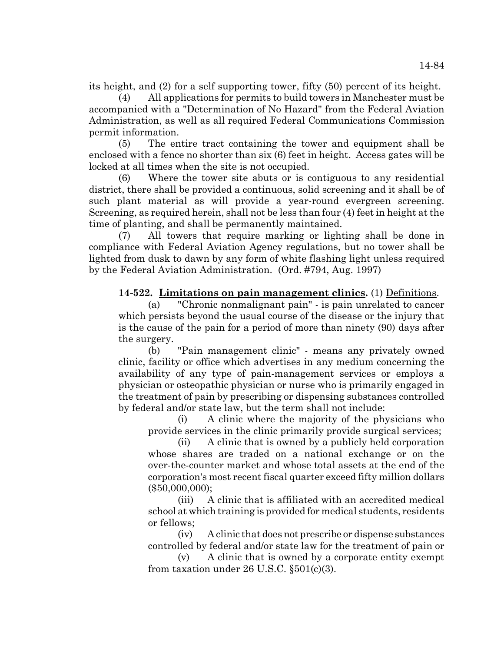its height, and (2) for a self supporting tower, fifty (50) percent of its height.

(4) All applications for permits to build towers in Manchester must be accompanied with a "Determination of No Hazard" from the Federal Aviation Administration, as well as all required Federal Communications Commission permit information.

(5) The entire tract containing the tower and equipment shall be enclosed with a fence no shorter than six (6) feet in height. Access gates will be locked at all times when the site is not occupied.

(6) Where the tower site abuts or is contiguous to any residential district, there shall be provided a continuous, solid screening and it shall be of such plant material as will provide a year-round evergreen screening. Screening, as required herein, shall not be less than four (4) feet in height at the time of planting, and shall be permanently maintained.

(7) All towers that require marking or lighting shall be done in compliance with Federal Aviation Agency regulations, but no tower shall be lighted from dusk to dawn by any form of white flashing light unless required by the Federal Aviation Administration. (Ord. #794, Aug. 1997)

**14-522. Limitations on pain management clinics.** (1) Definitions.

(a) "Chronic nonmalignant pain" - is pain unrelated to cancer which persists beyond the usual course of the disease or the injury that is the cause of the pain for a period of more than ninety (90) days after the surgery.

(b) "Pain management clinic" - means any privately owned clinic, facility or office which advertises in any medium concerning the availability of any type of pain-management services or employs a physician or osteopathic physician or nurse who is primarily engaged in the treatment of pain by prescribing or dispensing substances controlled by federal and/or state law, but the term shall not include:

(i) A clinic where the majority of the physicians who provide services in the clinic primarily provide surgical services;

(ii) A clinic that is owned by a publicly held corporation whose shares are traded on a national exchange or on the over-the-counter market and whose total assets at the end of the corporation's most recent fiscal quarter exceed fifty million dollars (\$50,000,000);

(iii) A clinic that is affiliated with an accredited medical school at which training is provided for medical students, residents or fellows;

(iv) A clinic that does not prescribe or dispense substances controlled by federal and/or state law for the treatment of pain or

(v) A clinic that is owned by a corporate entity exempt from taxation under  $26$  U.S.C.  $\S501(c)(3)$ .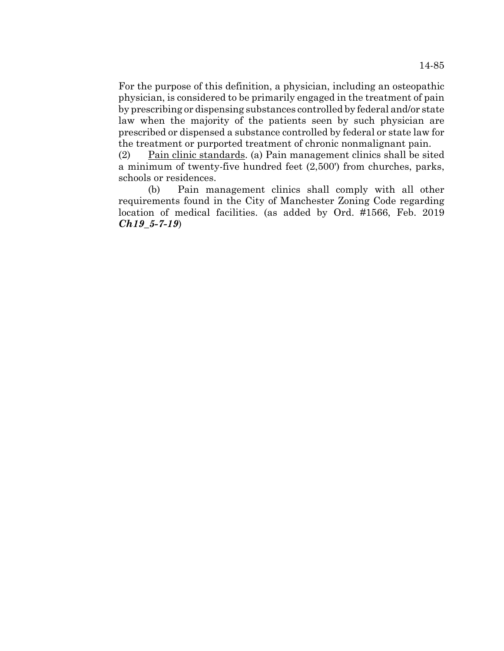For the purpose of this definition, a physician, including an osteopathic physician, is considered to be primarily engaged in the treatment of pain by prescribing or dispensing substances controlled by federal and/or state law when the majority of the patients seen by such physician are prescribed or dispensed a substance controlled by federal or state law for the treatment or purported treatment of chronic nonmalignant pain.

(2) Pain clinic standards. (a) Pain management clinics shall be sited a minimum of twenty-five hundred feet (2,500') from churches, parks, schools or residences.

(b) Pain management clinics shall comply with all other requirements found in the City of Manchester Zoning Code regarding location of medical facilities. (as added by Ord. #1566, Feb. 2019 *Ch19\_5-7-19*)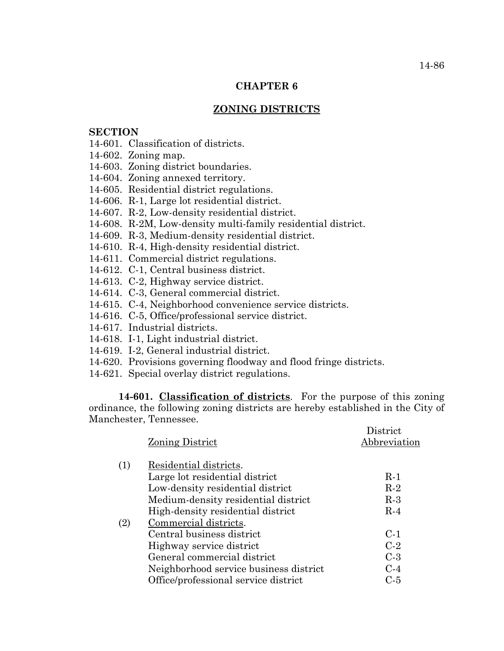### **CHAPTER 6**

## **ZONING DISTRICTS**

#### **SECTION**

- 14-601. Classification of districts.
- 14-602. Zoning map.
- 14-603. Zoning district boundaries.
- 14-604. Zoning annexed territory.
- 14-605. Residential district regulations.
- 14-606. R-1, Large lot residential district.
- 14-607. R-2, Low-density residential district.
- 14-608. R-2M, Low-density multi-family residential district.
- 14-609. R-3, Medium-density residential district.
- 14-610. R-4, High-density residential district.
- 14-611. Commercial district regulations.
- 14-612. C-1, Central business district.
- 14-613. C-2, Highway service district.
- 14-614. C-3, General commercial district.
- 14-615. C-4, Neighborhood convenience service districts.
- 14-616. C-5, Office/professional service district.
- 14-617. Industrial districts.
- 14-618. I-1, Light industrial district.
- 14-619. I-2, General industrial district.
- 14-620. Provisions governing floodway and flood fringe districts.
- 14-621. Special overlay district regulations.

**14-601. Classification of districts**. For the purpose of this zoning ordinance, the following zoning districts are hereby established in the City of Manchester, Tennessee.  $D^*$  is the state

|     |                                        | District     |
|-----|----------------------------------------|--------------|
|     | Zoning District                        | Abbreviation |
|     |                                        |              |
| (1) | Residential districts.                 |              |
|     | Large lot residential district         | $R-1$        |
|     | Low-density residential district       | $R-2$        |
|     | Medium-density residential district    | $R-3$        |
|     | High-density residential district      | $R-4$        |
| (2) | Commercial districts.                  |              |
|     | Central business district              | $C-1$        |
|     | Highway service district               | $C-2$        |
|     | General commercial district            | $C-3$        |
|     | Neighborhood service business district | $C-4$        |
|     | Office/professional service district   | C-5          |
|     |                                        |              |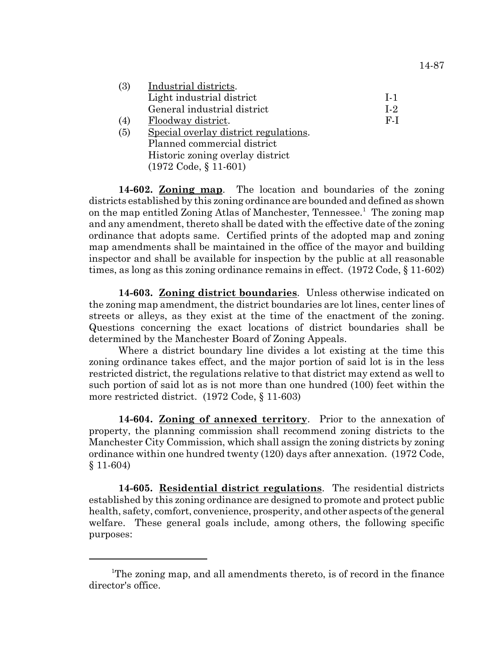| (3) | Industrial districts.                 |                |
|-----|---------------------------------------|----------------|
|     | Light industrial district             | $1-1$          |
|     | General industrial district           | L <sub>2</sub> |
| (4) | Floodway district.                    | F-I            |
| (5) | Special overlay district regulations. |                |
|     | Planned commercial district           |                |
|     | Historic zoning overlay district      |                |

**14-602. Zoning map**. The location and boundaries of the zoning districts established by this zoning ordinance are bounded and defined as shown on the map entitled Zoning Atlas of Manchester, Tennessee.<sup>1</sup> The zoning map and any amendment, thereto shall be dated with the effective date of the zoning ordinance that adopts same. Certified prints of the adopted map and zoning map amendments shall be maintained in the office of the mayor and building inspector and shall be available for inspection by the public at all reasonable times, as long as this zoning ordinance remains in effect. (1972 Code, § 11-602)

(1972 Code, § 11-601)

**14-603. Zoning district boundaries**. Unless otherwise indicated on the zoning map amendment, the district boundaries are lot lines, center lines of streets or alleys, as they exist at the time of the enactment of the zoning. Questions concerning the exact locations of district boundaries shall be determined by the Manchester Board of Zoning Appeals.

Where a district boundary line divides a lot existing at the time this zoning ordinance takes effect, and the major portion of said lot is in the less restricted district, the regulations relative to that district may extend as well to such portion of said lot as is not more than one hundred (100) feet within the more restricted district. (1972 Code, § 11-603)

**14-604. Zoning of annexed territory**. Prior to the annexation of property, the planning commission shall recommend zoning districts to the Manchester City Commission, which shall assign the zoning districts by zoning ordinance within one hundred twenty (120) days after annexation. (1972 Code, § 11-604)

**14-605. Residential district regulations**. The residential districts established by this zoning ordinance are designed to promote and protect public health, safety, comfort, convenience, prosperity, and other aspects of the general welfare. These general goals include, among others, the following specific purposes:

<sup>&</sup>lt;sup>1</sup>The zoning map, and all amendments thereto, is of record in the finance director's office.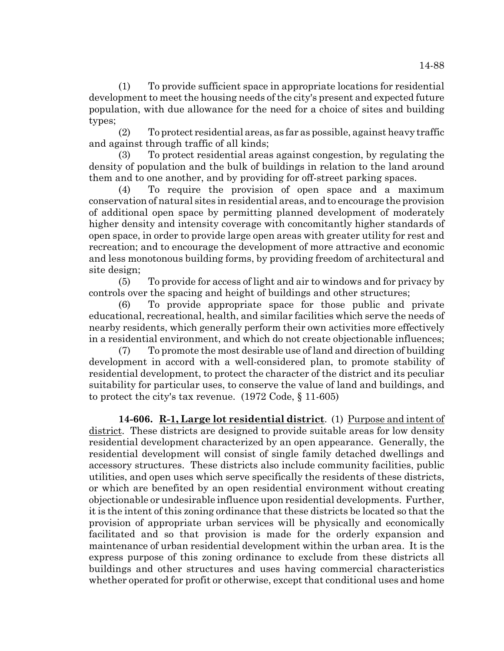(1) To provide sufficient space in appropriate locations for residential development to meet the housing needs of the city's present and expected future population, with due allowance for the need for a choice of sites and building types;

(2) To protect residential areas, as far as possible, against heavy traffic and against through traffic of all kinds;

(3) To protect residential areas against congestion, by regulating the density of population and the bulk of buildings in relation to the land around them and to one another, and by providing for off-street parking spaces.

(4) To require the provision of open space and a maximum conservation of natural sites in residential areas, and to encourage the provision of additional open space by permitting planned development of moderately higher density and intensity coverage with concomitantly higher standards of open space, in order to provide large open areas with greater utility for rest and recreation; and to encourage the development of more attractive and economic and less monotonous building forms, by providing freedom of architectural and site design;

(5) To provide for access of light and air to windows and for privacy by controls over the spacing and height of buildings and other structures;

(6) To provide appropriate space for those public and private educational, recreational, health, and similar facilities which serve the needs of nearby residents, which generally perform their own activities more effectively in a residential environment, and which do not create objectionable influences;

(7) To promote the most desirable use of land and direction of building development in accord with a well-considered plan, to promote stability of residential development, to protect the character of the district and its peculiar suitability for particular uses, to conserve the value of land and buildings, and to protect the city's tax revenue. (1972 Code, § 11-605)

**14-606. R-1, Large lot residential district**. (1) Purpose and intent of district. These districts are designed to provide suitable areas for low density residential development characterized by an open appearance. Generally, the residential development will consist of single family detached dwellings and accessory structures. These districts also include community facilities, public utilities, and open uses which serve specifically the residents of these districts, or which are benefited by an open residential environment without creating objectionable or undesirable influence upon residential developments. Further, it is the intent of this zoning ordinance that these districts be located so that the provision of appropriate urban services will be physically and economically facilitated and so that provision is made for the orderly expansion and maintenance of urban residential development within the urban area. It is the express purpose of this zoning ordinance to exclude from these districts all buildings and other structures and uses having commercial characteristics whether operated for profit or otherwise, except that conditional uses and home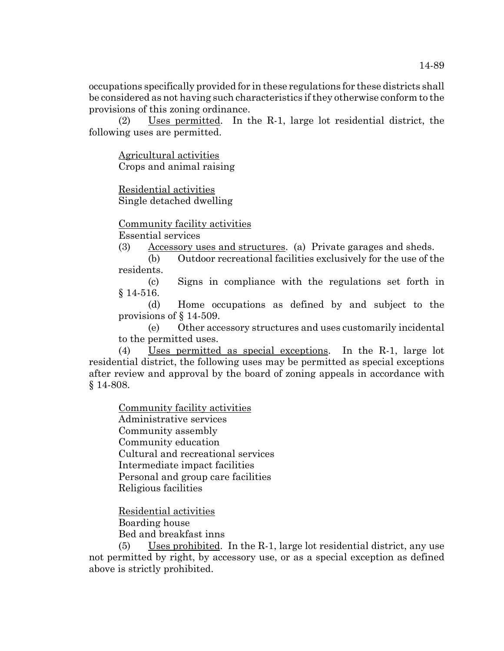occupations specifically provided for in these regulations for these districts shall be considered as not having such characteristics if they otherwise conform to the provisions of this zoning ordinance.

(2) Uses permitted. In the R-1, large lot residential district, the following uses are permitted.

Agricultural activities Crops and animal raising

Residential activities Single detached dwelling

Community facility activities

Essential services

(3) Accessory uses and structures. (a) Private garages and sheds.

(b) Outdoor recreational facilities exclusively for the use of the residents.

(c) Signs in compliance with the regulations set forth in § 14-516.

(d) Home occupations as defined by and subject to the provisions of § 14-509.

(e) Other accessory structures and uses customarily incidental to the permitted uses.

(4) Uses permitted as special exceptions. In the R-1, large lot residential district, the following uses may be permitted as special exceptions after review and approval by the board of zoning appeals in accordance with § 14-808.

Community facility activities

Administrative services Community assembly Community education Cultural and recreational services Intermediate impact facilities Personal and group care facilities Religious facilities

Residential activities Boarding house Bed and breakfast inns

(5) Uses prohibited. In the R-1, large lot residential district, any use not permitted by right, by accessory use, or as a special exception as defined above is strictly prohibited.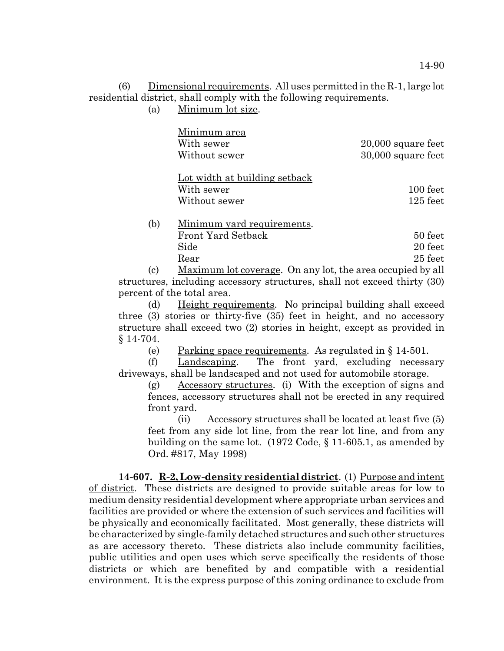(6) Dimensional requirements. All uses permitted in the R-1, large lot residential district, shall comply with the following requirements.

(a) Minimum lot size.

|     | Minimum area<br>With sewer<br>Without sewer                  | $20,000$ square feet<br>30,000 square feet             |
|-----|--------------------------------------------------------------|--------------------------------------------------------|
|     | Lot width at building setback<br>With sewer<br>Without sewer | 100 feet<br>$125$ feet                                 |
| (b) | Minimum yard requirements.<br>$\mathbf{X}$<br>т.             | $\blacktriangleright$ $\land$ $\land$<br>$\sim$ $\sim$ |

|      | <b>Front Yard Setback</b> |  |  | 50 feet   |  |
|------|---------------------------|--|--|-----------|--|
| Side |                           |  |  | 20 feet   |  |
| Rear |                           |  |  | $25$ feet |  |
|      |                           |  |  |           |  |

(c) Maximum lot coverage. On any lot, the area occupied by all structures, including accessory structures, shall not exceed thirty (30) percent of the total area.

(d) Height requirements. No principal building shall exceed three (3) stories or thirty-five (35) feet in height, and no accessory structure shall exceed two (2) stories in height, except as provided in § 14-704.

(e) Parking space requirements. As regulated in § 14-501.

(f) Landscaping. The front yard, excluding necessary driveways, shall be landscaped and not used for automobile storage.

(g) Accessory structures. (i) With the exception of signs and fences, accessory structures shall not be erected in any required front yard.

(ii) Accessory structures shall be located at least five (5) feet from any side lot line, from the rear lot line, and from any building on the same lot. (1972 Code, § 11-605.1, as amended by Ord. #817, May 1998)

**14-607. R-2, Low-density residential district**. (1) Purpose and intent of district. These districts are designed to provide suitable areas for low to medium density residential development where appropriate urban services and facilities are provided or where the extension of such services and facilities will be physically and economically facilitated. Most generally, these districts will be characterized by single-family detached structures and such other structures as are accessory thereto. These districts also include community facilities, public utilities and open uses which serve specifically the residents of those districts or which are benefited by and compatible with a residential environment. It is the express purpose of this zoning ordinance to exclude from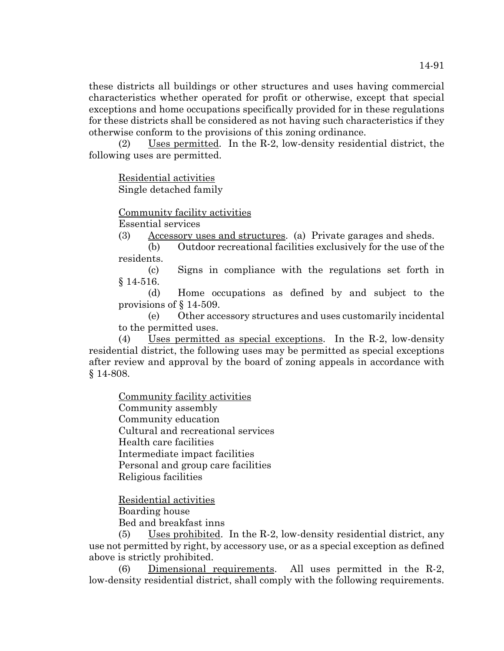these districts all buildings or other structures and uses having commercial characteristics whether operated for profit or otherwise, except that special exceptions and home occupations specifically provided for in these regulations for these districts shall be considered as not having such characteristics if they otherwise conform to the provisions of this zoning ordinance.

(2) Uses permitted. In the R-2, low-density residential district, the following uses are permitted.

Residential activities Single detached family

Community facility activities

Essential services

(3) Accessory uses and structures. (a) Private garages and sheds.

(b) Outdoor recreational facilities exclusively for the use of the residents.

(c) Signs in compliance with the regulations set forth in § 14-516.

(d) Home occupations as defined by and subject to the provisions of § 14-509.

(e) Other accessory structures and uses customarily incidental to the permitted uses.

(4) Uses permitted as special exceptions. In the R-2, low-density residential district, the following uses may be permitted as special exceptions after review and approval by the board of zoning appeals in accordance with § 14-808.

Community facility activities Community assembly Community education Cultural and recreational services Health care facilities Intermediate impact facilities Personal and group care facilities Religious facilities

Residential activities Boarding house Bed and breakfast inns

(5) Uses prohibited. In the R-2, low-density residential district, any use not permitted by right, by accessory use, or as a special exception as defined above is strictly prohibited.

(6) Dimensional requirements. All uses permitted in the R-2, low-density residential district, shall comply with the following requirements.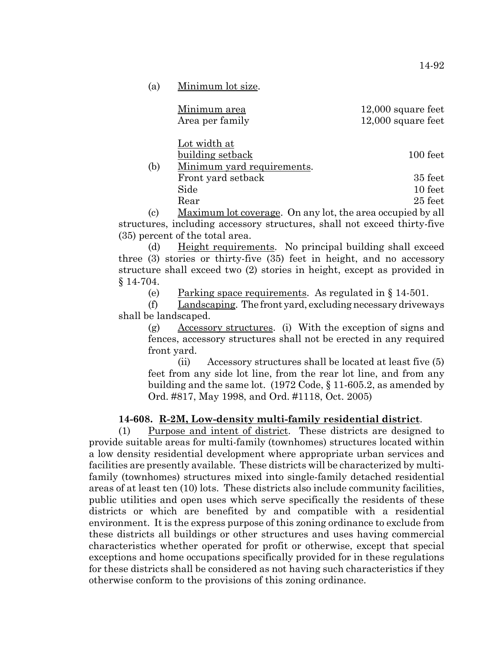| (a)        | Minimum lot size.                                                     |                                              |
|------------|-----------------------------------------------------------------------|----------------------------------------------|
|            | Minimum area<br>Area per family                                       | $12,000$ square feet<br>$12,000$ square feet |
| (b)        | <u>Lot width at</u><br>building setback<br>Minimum yard requirements. | 100 feet                                     |
|            | Front yard setback                                                    | 35 feet                                      |
|            | Side                                                                  | 10 feet                                      |
|            | Rear                                                                  | $25$ feet                                    |
| $\sqrt{2}$ | п г<br>$\mathbf{1}$ $\mathbf{1}$                                      | 11 11                                        |

(c) Maximum lot coverage. On any lot, the area occupied by all structures, including accessory structures, shall not exceed thirty-five (35) percent of the total area.

(d) Height requirements. No principal building shall exceed three (3) stories or thirty-five (35) feet in height, and no accessory structure shall exceed two (2) stories in height, except as provided in § 14-704.

(e) Parking space requirements. As regulated in  $\S 14-501$ .

(f) Landscaping. The front yard, excluding necessary driveways shall be landscaped.

(g) Accessory structures. (i) With the exception of signs and fences, accessory structures shall not be erected in any required front yard.

(ii) Accessory structures shall be located at least five (5) feet from any side lot line, from the rear lot line, and from any building and the same lot. (1972 Code, § 11-605.2, as amended by Ord. #817, May 1998, and Ord. #1118, Oct. 2005)

#### **14-608. R-2M, Low-density multi-family residential district**.

(1) Purpose and intent of district. These districts are designed to provide suitable areas for multi-family (townhomes) structures located within a low density residential development where appropriate urban services and facilities are presently available. These districts will be characterized by multifamily (townhomes) structures mixed into single-family detached residential areas of at least ten (10) lots. These districts also include community facilities, public utilities and open uses which serve specifically the residents of these districts or which are benefited by and compatible with a residential environment. It is the express purpose of this zoning ordinance to exclude from these districts all buildings or other structures and uses having commercial characteristics whether operated for profit or otherwise, except that special exceptions and home occupations specifically provided for in these regulations for these districts shall be considered as not having such characteristics if they otherwise conform to the provisions of this zoning ordinance.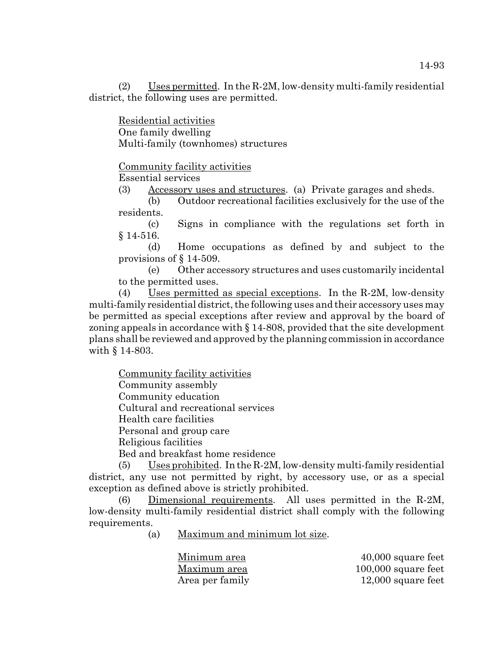(2) Uses permitted. In the R-2M, low-density multi-family residential district, the following uses are permitted.

Residential activities One family dwelling Multi-family (townhomes) structures

Community facility activities

Essential services

(3) Accessory uses and structures. (a) Private garages and sheds.

(b) Outdoor recreational facilities exclusively for the use of the residents.

(c) Signs in compliance with the regulations set forth in § 14-516.

(d) Home occupations as defined by and subject to the provisions of § 14-509.

(e) Other accessory structures and uses customarily incidental to the permitted uses.

(4) Uses permitted as special exceptions. In the R-2M, low-density multi-family residential district, the following uses and their accessory uses may be permitted as special exceptions after review and approval by the board of zoning appeals in accordance with § 14-808, provided that the site development plans shall be reviewed and approved by the planning commission in accordance with § 14-803.

Community facility activities

Community assembly

Community education

Cultural and recreational services

Health care facilities

Personal and group care

Religious facilities

Bed and breakfast home residence

(5) Uses prohibited. In the R-2M, low-density multi-family residential district, any use not permitted by right, by accessory use, or as a special exception as defined above is strictly prohibited.

Dimensional requirements. All uses permitted in the R-2M, low-density multi-family residential district shall comply with the following requirements.

(a) Maximum and minimum lot size.

Minimum area  $40,000$  square feet Maximum area  $100,000$  square feet Area per family 12,000 square feet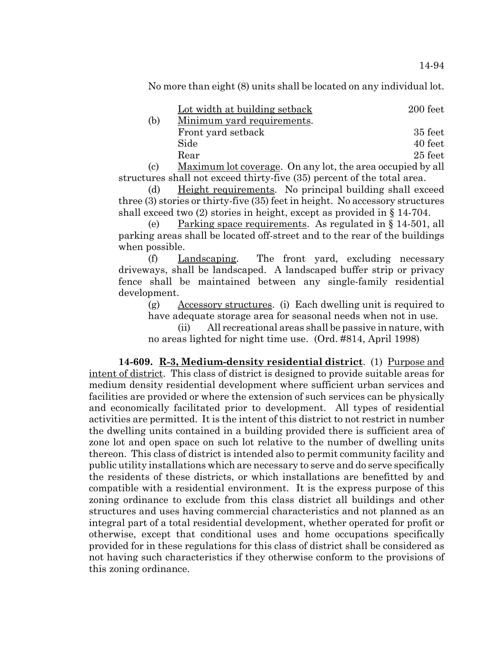No more than eight (8) units shall be located on any individual lot.

|     | Lot width at building setback                                                                                                                                                                                                                                                                                                      | 200 feet |
|-----|------------------------------------------------------------------------------------------------------------------------------------------------------------------------------------------------------------------------------------------------------------------------------------------------------------------------------------|----------|
| (b) | Minimum yard requirements.                                                                                                                                                                                                                                                                                                         |          |
|     | Front yard setback                                                                                                                                                                                                                                                                                                                 | 35 feet  |
|     | Side                                                                                                                                                                                                                                                                                                                               | 40 feet  |
|     | Rear                                                                                                                                                                                                                                                                                                                               | 25 feet  |
|     | $\mathbf{M}$ $\mathbf{M}$ $\mathbf{M}$ $\mathbf{M}$ $\mathbf{M}$ $\mathbf{M}$ $\mathbf{M}$ $\mathbf{M}$ $\mathbf{M}$ $\mathbf{M}$ $\mathbf{M}$ $\mathbf{M}$ $\mathbf{M}$ $\mathbf{M}$ $\mathbf{M}$ $\mathbf{M}$ $\mathbf{M}$ $\mathbf{M}$ $\mathbf{M}$ $\mathbf{M}$ $\mathbf{M}$ $\mathbf{M}$ $\mathbf{M}$ $\mathbf{M}$ $\mathbf{$ |          |

(c) Maximum lot coverage. On any lot, the area occupied by all structures shall not exceed thirty-five (35) percent of the total area.

(d) Height requirements. No principal building shall exceed three (3) stories or thirty-five (35) feet in height. No accessory structures shall exceed two (2) stories in height, except as provided in § 14-704.

(e) Parking space requirements. As regulated in § 14-501, all parking areas shall be located off-street and to the rear of the buildings when possible.

(f) Landscaping. The front yard, excluding necessary driveways, shall be landscaped. A landscaped buffer strip or privacy fence shall be maintained between any single-family residential development.

(g) Accessory structures. (i) Each dwelling unit is required to have adequate storage area for seasonal needs when not in use.

(ii) All recreational areas shall be passive in nature, with no areas lighted for night time use. (Ord. #814, April 1998)

**14-609. R-3, Medium-density residential district**. (1) Purpose and intent of district. This class of district is designed to provide suitable areas for medium density residential development where sufficient urban services and facilities are provided or where the extension of such services can be physically and economically facilitated prior to development. All types of residential activities are permitted. It is the intent of this district to not restrict in number the dwelling units contained in a building provided there is sufficient area of zone lot and open space on such lot relative to the number of dwelling units thereon. This class of district is intended also to permit community facility and public utility installations which are necessary to serve and do serve specifically the residents of these districts, or which installations are benefitted by and compatible with a residential environment. It is the express purpose of this zoning ordinance to exclude from this class district all buildings and other structures and uses having commercial characteristics and not planned as an integral part of a total residential development, whether operated for profit or otherwise, except that conditional uses and home occupations specifically provided for in these regulations for this class of district shall be considered as not having such characteristics if they otherwise conform to the provisions of this zoning ordinance.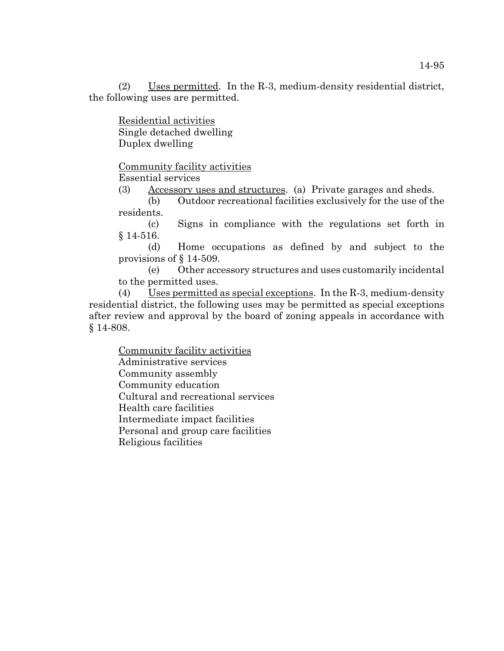(2) Uses permitted. In the R-3, medium-density residential district, the following uses are permitted.

Residential activities Single detached dwelling Duplex dwelling

Community facility activities

Essential services

(3) Accessory uses and structures. (a) Private garages and sheds.

(b) Outdoor recreational facilities exclusively for the use of the residents.

(c) Signs in compliance with the regulations set forth in § 14-516.

(d) Home occupations as defined by and subject to the provisions of § 14-509.

(e) Other accessory structures and uses customarily incidental to the permitted uses.

(4) Uses permitted as special exceptions. In the R-3, medium-density residential district, the following uses may be permitted as special exceptions after review and approval by the board of zoning appeals in accordance with § 14-808.

Community facility activities Administrative services Community assembly Community education Cultural and recreational services Health care facilities Intermediate impact facilities Personal and group care facilities Religious facilities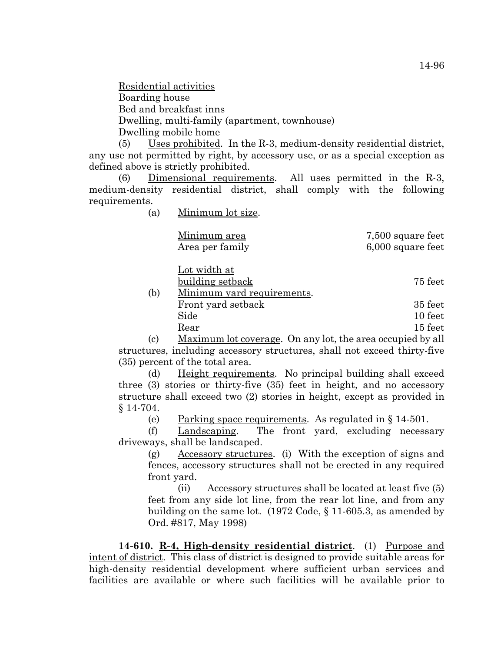Residential activities Boarding house Bed and breakfast inns Dwelling, multi-family (apartment, townhouse) Dwelling mobile home

(5) Uses prohibited. In the R-3, medium-density residential district, any use not permitted by right, by accessory use, or as a special exception as defined above is strictly prohibited.

(6) Dimensional requirements. All uses permitted in the R-3, medium-density residential district, shall comply with the following requirements.

(a) Minimum lot size.

| Minimum area    | 7,500 square feet |
|-----------------|-------------------|
| Area per family | 6,000 square feet |

Lot width at building setback 75 feet

(b) Minimum yard requirements. Front yard setback 35 feet Side 10 feet Rear 15 feet

(c) Maximum lot coverage. On any lot, the area occupied by all structures, including accessory structures, shall not exceed thirty-five (35) percent of the total area.

(d) Height requirements. No principal building shall exceed three (3) stories or thirty-five (35) feet in height, and no accessory structure shall exceed two (2) stories in height, except as provided in § 14-704.

(e) Parking space requirements. As regulated in  $\S 14-501$ .

(f) Landscaping. The front yard, excluding necessary driveways, shall be landscaped.

(g) Accessory structures. (i) With the exception of signs and fences, accessory structures shall not be erected in any required front yard.

(ii) Accessory structures shall be located at least five (5) feet from any side lot line, from the rear lot line, and from any building on the same lot. (1972 Code, § 11-605.3, as amended by Ord. #817, May 1998)

**14-610. R-4, High-density residential district**. (1) Purpose and intent of district. This class of district is designed to provide suitable areas for high-density residential development where sufficient urban services and facilities are available or where such facilities will be available prior to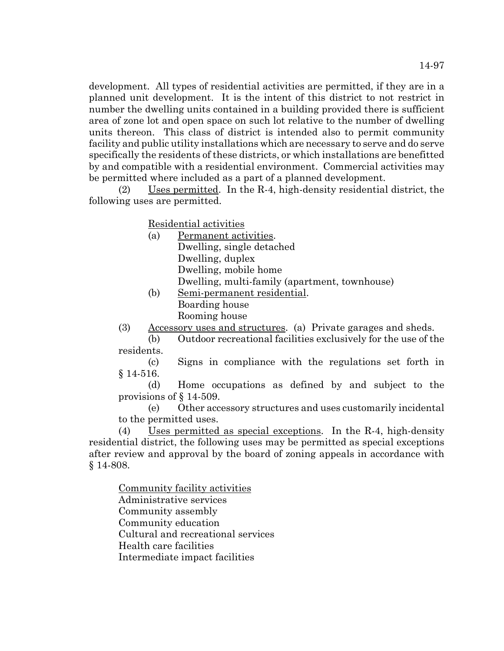development. All types of residential activities are permitted, if they are in a planned unit development. It is the intent of this district to not restrict in number the dwelling units contained in a building provided there is sufficient area of zone lot and open space on such lot relative to the number of dwelling units thereon. This class of district is intended also to permit community facility and public utility installations which are necessary to serve and do serve specifically the residents of these districts, or which installations are benefitted by and compatible with a residential environment. Commercial activities may be permitted where included as a part of a planned development.

(2) Uses permitted. In the R-4, high-density residential district, the following uses are permitted.

Residential activities

- (a) Permanent activities. Dwelling, single detached Dwelling, duplex Dwelling, mobile home Dwelling, multi-family (apartment, townhouse)
- (b) Semi-permanent residential. Boarding house Rooming house
- (3) Accessory uses and structures. (a) Private garages and sheds.

(b) Outdoor recreational facilities exclusively for the use of the residents.

(c) Signs in compliance with the regulations set forth in § 14-516.

(d) Home occupations as defined by and subject to the provisions of § 14-509.

(e) Other accessory structures and uses customarily incidental to the permitted uses.

(4) Uses permitted as special exceptions. In the R-4, high-density residential district, the following uses may be permitted as special exceptions after review and approval by the board of zoning appeals in accordance with § 14-808.

Community facility activities Administrative services Community assembly Community education Cultural and recreational services Health care facilities Intermediate impact facilities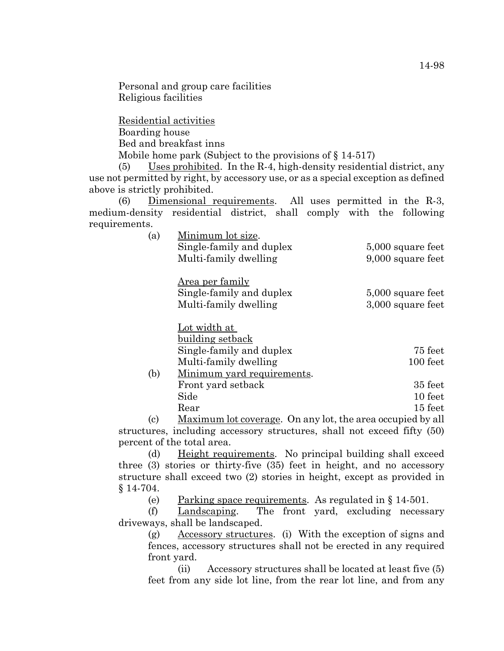Personal and group care facilities Religious facilities

Residential activities Boarding house Bed and breakfast inns Mobile home park (Subject to the provisions of  $\S 14-517$ )

(5) Uses prohibited. In the R-4, high-density residential district, any use not permitted by right, by accessory use, or as a special exception as defined above is strictly prohibited.

(6) Dimensional requirements. All uses permitted in the R-3, medium-density residential district, shall comply with the following requirements.

| (a) | Minimum lot size.          |                   |
|-----|----------------------------|-------------------|
|     | Single-family and duplex   | 5,000 square feet |
|     | Multi-family dwelling      | 9,000 square feet |
|     | Area per family            |                   |
|     | Single-family and duplex   | 5,000 square feet |
|     | Multi-family dwelling      | 3,000 square feet |
|     | Lot width at               |                   |
|     | building setback           |                   |
|     | Single-family and duplex   | 75 feet           |
|     | Multi-family dwelling      | 100 feet          |
| (b) | Minimum yard requirements. |                   |
|     | Front yard setback         | 35 feet           |
|     | Side                       | 10 feet           |

Rear 15 feet (c) Maximum lot coverage. On any lot, the area occupied by all structures, including accessory structures, shall not exceed fifty (50) percent of the total area.

(d) Height requirements. No principal building shall exceed three (3) stories or thirty-five (35) feet in height, and no accessory structure shall exceed two (2) stories in height, except as provided in § 14-704.

(e) Parking space requirements. As regulated in § 14-501.

(f) Landscaping. The front yard, excluding necessary driveways, shall be landscaped.

(g) Accessory structures. (i) With the exception of signs and fences, accessory structures shall not be erected in any required front yard.

(ii) Accessory structures shall be located at least five (5) feet from any side lot line, from the rear lot line, and from any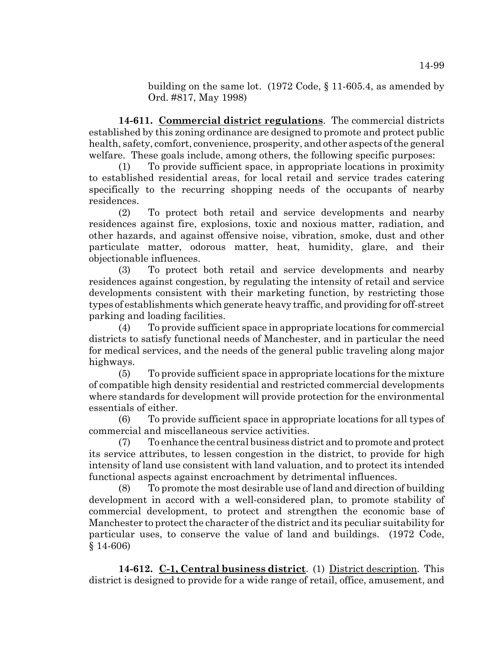building on the same lot. (1972 Code, § 11-605.4, as amended by Ord. #817, May 1998)

**14-611. Commercial district regulations**. The commercial districts established by this zoning ordinance are designed to promote and protect public health, safety, comfort, convenience, prosperity, and other aspects of the general welfare. These goals include, among others, the following specific purposes:

(1) To provide sufficient space, in appropriate locations in proximity to established residential areas, for local retail and service trades catering specifically to the recurring shopping needs of the occupants of nearby residences.

(2) To protect both retail and service developments and nearby residences against fire, explosions, toxic and noxious matter, radiation, and other hazards, and against offensive noise, vibration, smoke, dust and other particulate matter, odorous matter, heat, humidity, glare, and their objectionable influences.

(3) To protect both retail and service developments and nearby residences against congestion, by regulating the intensity of retail and service developments consistent with their marketing function, by restricting those types of establishments which generate heavy traffic, and providing for off-street parking and loading facilities.

(4) To provide sufficient space in appropriate locations for commercial districts to satisfy functional needs of Manchester, and in particular the need for medical services, and the needs of the general public traveling along major highways.

(5) To provide sufficient space in appropriate locations for the mixture of compatible high density residential and restricted commercial developments where standards for development will provide protection for the environmental essentials of either.

(6) To provide sufficient space in appropriate locations for all types of commercial and miscellaneous service activities.

(7) To enhance the central business district and to promote and protect its service attributes, to lessen congestion in the district, to provide for high intensity of land use consistent with land valuation, and to protect its intended functional aspects against encroachment by detrimental influences.

(8) To promote the most desirable use of land and direction of building development in accord with a well-considered plan, to promote stability of commercial development, to protect and strengthen the economic base of Manchester to protect the character of the district and its peculiar suitability for particular uses, to conserve the value of land and buildings. (1972 Code, § 14-606)

**14-612. C-1, Central business district**. (1) District description. This district is designed to provide for a wide range of retail, office, amusement, and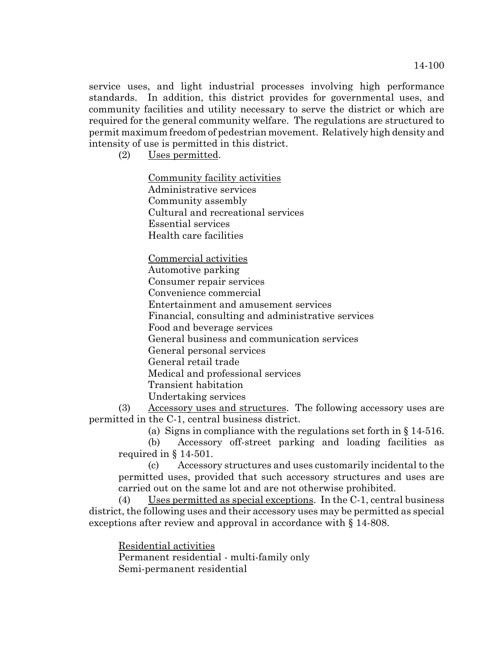service uses, and light industrial processes involving high performance standards. In addition, this district provides for governmental uses, and community facilities and utility necessary to serve the district or which are required for the general community welfare. The regulations are structured to permit maximum freedom of pedestrian movement. Relatively high density and intensity of use is permitted in this district.

(2) Uses permitted.

Community facility activities Administrative services Community assembly Cultural and recreational services Essential services Health care facilities

Commercial activities Automotive parking Consumer repair services Convenience commercial Entertainment and amusement services Financial, consulting and administrative services Food and beverage services General business and communication services General personal services General retail trade Medical and professional services Transient habitation Undertaking services

(3) Accessory uses and structures. The following accessory uses are permitted in the C-1, central business district.

(a) Signs in compliance with the regulations set forth in § 14-516.

(b) Accessory off-street parking and loading facilities as required in § 14-501.

(c) Accessory structures and uses customarily incidental to the permitted uses, provided that such accessory structures and uses are carried out on the same lot and are not otherwise prohibited.

(4) Uses permitted as special exceptions. In the C-1, central business district, the following uses and their accessory uses may be permitted as special exceptions after review and approval in accordance with § 14-808.

Residential activities Permanent residential - multi-family only Semi-permanent residential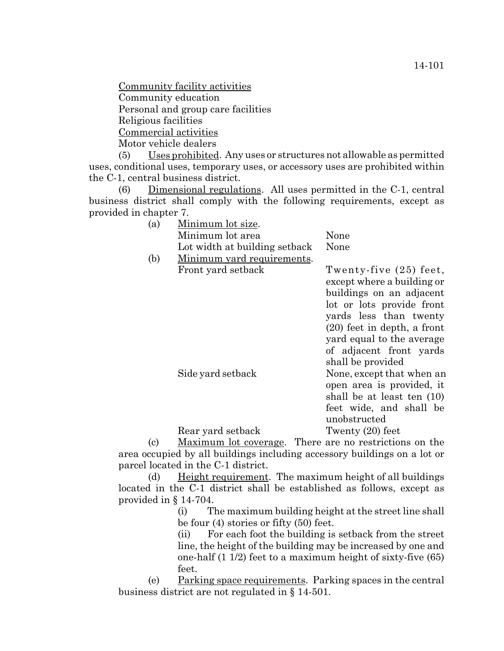Community facility activities Community education Personal and group care facilities Religious facilities

Commercial activities

Motor vehicle dealers

(5) Uses prohibited. Any uses or structures not allowable as permitted uses, conditional uses, temporary uses, or accessory uses are prohibited within the C-1, central business district.

(6) Dimensional regulations. All uses permitted in the C-1, central business district shall comply with the following requirements, except as provided in chapter 7.

| Minimum lot area<br>None<br>Lot width at building setback<br>None<br>(b)<br>Minimum yard requirements.<br>Front yard setback | (a) | Minimum lot size. |                                                                                                                                                                                                                                  |
|------------------------------------------------------------------------------------------------------------------------------|-----|-------------------|----------------------------------------------------------------------------------------------------------------------------------------------------------------------------------------------------------------------------------|
|                                                                                                                              |     |                   |                                                                                                                                                                                                                                  |
|                                                                                                                              |     |                   |                                                                                                                                                                                                                                  |
|                                                                                                                              |     |                   |                                                                                                                                                                                                                                  |
|                                                                                                                              |     |                   | Twenty-five (25) feet,<br>except where a building or<br>buildings on an adjacent<br>lot or lots provide front<br>yards less than twenty<br>$(20)$ feet in depth, a front<br>yard equal to the average<br>of adjacent front yards |
| shall be provided<br>Side yard setback                                                                                       |     |                   | None, except that when an                                                                                                                                                                                                        |
| unobstructed                                                                                                                 |     |                   | open area is provided, it<br>shall be at least ten (10)<br>feet wide, and shall be                                                                                                                                               |
| Twenty $(20)$ feet<br>Rear yard setback                                                                                      |     |                   |                                                                                                                                                                                                                                  |

(c) Maximum lot coverage. There are no restrictions on the area occupied by all buildings including accessory buildings on a lot or parcel located in the C-1 district.

(d) Height requirement. The maximum height of all buildings located in the C-1 district shall be established as follows, except as provided in § 14-704.

> (i) The maximum building height at the street line shall be four (4) stories or fifty (50) feet.

> (ii) For each foot the building is setback from the street line, the height of the building may be increased by one and one-half (1 1/2) feet to a maximum height of sixty-five (65) feet.

(e) Parking space requirements. Parking spaces in the central business district are not regulated in § 14-501.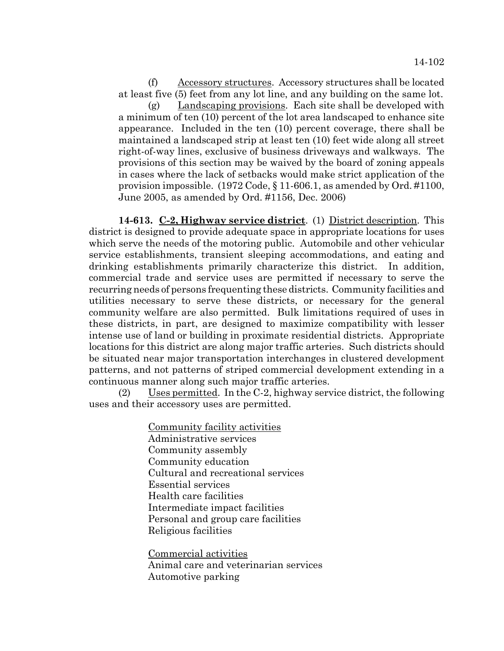(f) Accessory structures. Accessory structures shall be located at least five (5) feet from any lot line, and any building on the same lot.

(g) Landscaping provisions. Each site shall be developed with a minimum of ten (10) percent of the lot area landscaped to enhance site appearance. Included in the ten (10) percent coverage, there shall be maintained a landscaped strip at least ten (10) feet wide along all street right-of-way lines, exclusive of business driveways and walkways. The provisions of this section may be waived by the board of zoning appeals in cases where the lack of setbacks would make strict application of the provision impossible. (1972 Code, § 11-606.1, as amended by Ord. #1100, June 2005, as amended by Ord. #1156, Dec. 2006)

**14-613. C-2, Highway service district**. (1) District description. This district is designed to provide adequate space in appropriate locations for uses which serve the needs of the motoring public. Automobile and other vehicular service establishments, transient sleeping accommodations, and eating and drinking establishments primarily characterize this district. In addition, commercial trade and service uses are permitted if necessary to serve the recurring needs of persons frequenting these districts. Community facilities and utilities necessary to serve these districts, or necessary for the general community welfare are also permitted. Bulk limitations required of uses in these districts, in part, are designed to maximize compatibility with lesser intense use of land or building in proximate residential districts. Appropriate locations for this district are along major traffic arteries. Such districts should be situated near major transportation interchanges in clustered development patterns, and not patterns of striped commercial development extending in a continuous manner along such major traffic arteries.

(2) Uses permitted. In the C-2, highway service district, the following uses and their accessory uses are permitted.

> Community facility activities Administrative services Community assembly Community education Cultural and recreational services Essential services Health care facilities Intermediate impact facilities Personal and group care facilities Religious facilities

Commercial activities Animal care and veterinarian services Automotive parking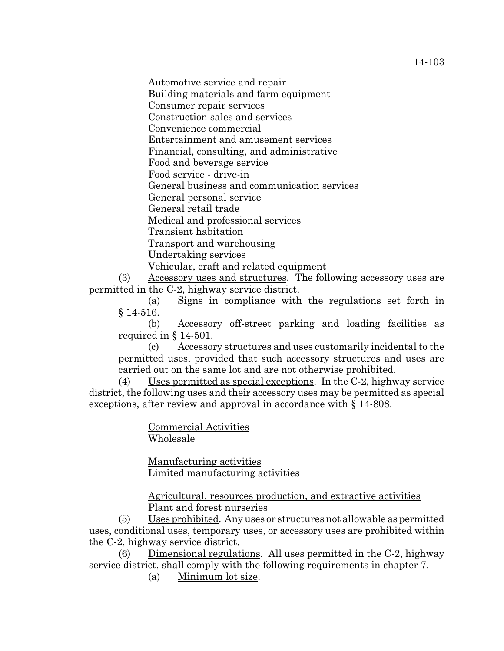14-103

Automotive service and repair

Building materials and farm equipment

Consumer repair services

Construction sales and services

Convenience commercial

Entertainment and amusement services

Financial, consulting, and administrative

Food and beverage service

Food service - drive-in

General business and communication services

General personal service

General retail trade

Medical and professional services

Transient habitation

Transport and warehousing

Undertaking services

Vehicular, craft and related equipment

(3) Accessory uses and structures. The following accessory uses are permitted in the C-2, highway service district.

(a) Signs in compliance with the regulations set forth in § 14-516.

(b) Accessory off-street parking and loading facilities as required in § 14-501.

(c) Accessory structures and uses customarily incidental to the permitted uses, provided that such accessory structures and uses are carried out on the same lot and are not otherwise prohibited.

(4) Uses permitted as special exceptions. In the C-2, highway service district, the following uses and their accessory uses may be permitted as special exceptions, after review and approval in accordance with § 14-808.

> Commercial Activities Wholesale

Manufacturing activities Limited manufacturing activities

Agricultural, resources production, and extractive activities Plant and forest nurseries

(5) Uses prohibited. Any uses or structures not allowable as permitted uses, conditional uses, temporary uses, or accessory uses are prohibited within the C-2, highway service district.

(6) Dimensional regulations. All uses permitted in the C-2, highway service district, shall comply with the following requirements in chapter 7.

(a) Minimum lot size.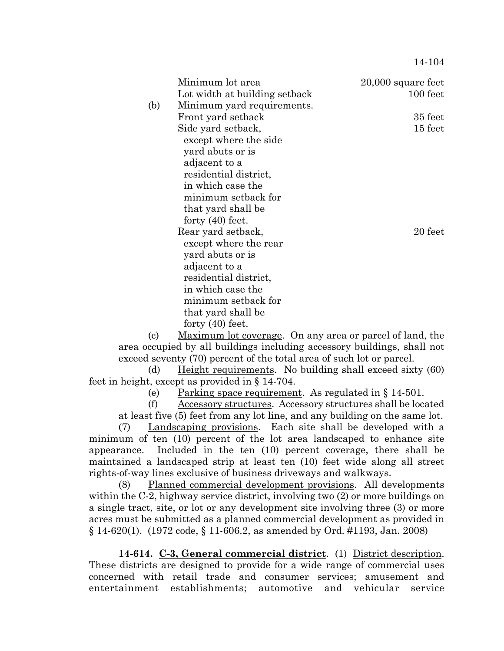14-104

|     | Minimum lot area                   | $20,000$ square feet |
|-----|------------------------------------|----------------------|
|     | Lot width at building setback      | 100 feet             |
| (b) | <u>Minimum yard requirements</u> . |                      |
|     | Front yard setback                 | 35 feet              |
|     | Side yard setback,                 | $15$ feet            |
|     | except where the side              |                      |
|     | yard abuts or is                   |                      |
|     | adjacent to a                      |                      |
|     | residential district,              |                      |
|     | in which case the                  |                      |
|     | minimum setback for                |                      |
|     | that yard shall be                 |                      |
|     | forty $(40)$ feet.                 |                      |
|     | Rear yard setback,                 | 20 feet              |
|     | except where the rear              |                      |
|     | yard abuts or is                   |                      |
|     | adjacent to a                      |                      |
|     | residential district,              |                      |
|     | in which case the                  |                      |
|     | minimum setback for                |                      |
|     | that yard shall be                 |                      |
|     | forty $(40)$ feet.                 |                      |

(c) Maximum lot coverage. On any area or parcel of land, the area occupied by all buildings including accessory buildings, shall not exceed seventy (70) percent of the total area of such lot or parcel.

(d) Height requirements. No building shall exceed sixty (60) feet in height, except as provided in § 14-704.

(e) Parking space requirement. As regulated in § 14-501.

(f) Accessory structures. Accessory structures shall be located at least five (5) feet from any lot line, and any building on the same lot.

(7) Landscaping provisions. Each site shall be developed with a minimum of ten (10) percent of the lot area landscaped to enhance site appearance. Included in the ten (10) percent coverage, there shall be maintained a landscaped strip at least ten (10) feet wide along all street rights-of-way lines exclusive of business driveways and walkways.

(8) Planned commercial development provisions. All developments within the C-2, highway service district, involving two (2) or more buildings on a single tract, site, or lot or any development site involving three (3) or more acres must be submitted as a planned commercial development as provided in § 14-620(1). (1972 code, § 11-606.2, as amended by Ord. #1193, Jan. 2008)

**14-614. C-3, General commercial district**. (1) District description. These districts are designed to provide for a wide range of commercial uses concerned with retail trade and consumer services; amusement and entertainment establishments; automotive and vehicular service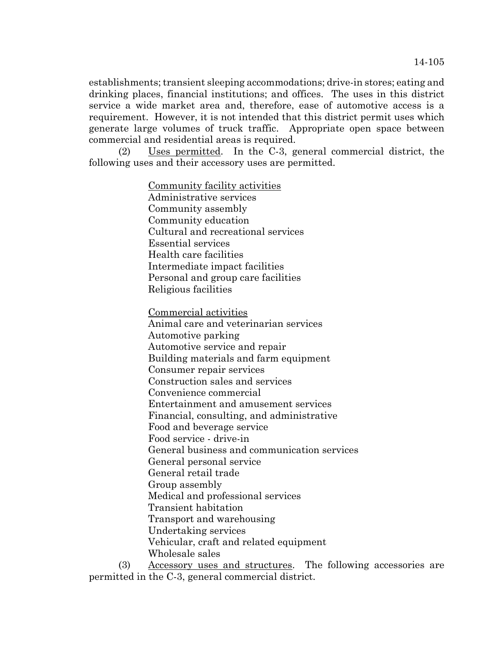establishments; transient sleeping accommodations; drive-in stores; eating and drinking places, financial institutions; and offices. The uses in this district service a wide market area and, therefore, ease of automotive access is a requirement. However, it is not intended that this district permit uses which generate large volumes of truck traffic. Appropriate open space between commercial and residential areas is required.

(2) Uses permitted. In the C-3, general commercial district, the following uses and their accessory uses are permitted.

> Community facility activities Administrative services Community assembly Community education Cultural and recreational services Essential services Health care facilities Intermediate impact facilities Personal and group care facilities Religious facilities

Commercial activities Animal care and veterinarian services Automotive parking Automotive service and repair Building materials and farm equipment Consumer repair services Construction sales and services Convenience commercial Entertainment and amusement services Financial, consulting, and administrative Food and beverage service Food service - drive-in General business and communication services General personal service General retail trade Group assembly Medical and professional services Transient habitation Transport and warehousing Undertaking services Vehicular, craft and related equipment Wholesale sales

(3) Accessory uses and structures. The following accessories are permitted in the C-3, general commercial district.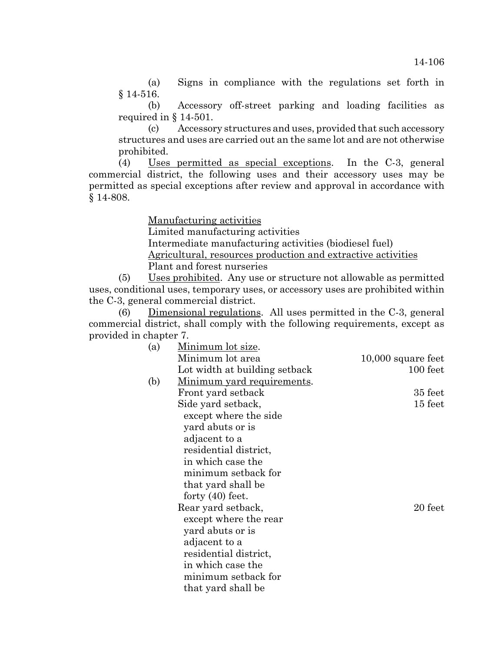(a) Signs in compliance with the regulations set forth in § 14-516.

(b) Accessory off-street parking and loading facilities as required in § 14-501.

(c) Accessory structures and uses, provided that such accessory structures and uses are carried out an the same lot and are not otherwise prohibited.

(4) Uses permitted as special exceptions. In the C-3, general commercial district, the following uses and their accessory uses may be permitted as special exceptions after review and approval in accordance with § 14-808.

Manufacturing activities

Limited manufacturing activities

Intermediate manufacturing activities (biodiesel fuel)

Agricultural, resources production and extractive activities Plant and forest nurseries

(5) Uses prohibited. Any use or structure not allowable as permitted uses, conditional uses, temporary uses, or accessory uses are prohibited within the C-3, general commercial district.

(6) Dimensional regulations. All uses permitted in the C-3, general commercial district, shall comply with the following requirements, except as provided in chapter 7.

| (a) | Minimum lot size.             |                    |
|-----|-------------------------------|--------------------|
|     | Minimum lot area              | 10,000 square feet |
|     | Lot width at building setback | 100 feet           |
| (b) | Minimum yard requirements.    |                    |
|     | Front yard setback            | 35 feet            |
|     | Side yard setback,            | 15 feet            |
|     | except where the side         |                    |
|     | yard abuts or is              |                    |
|     | adjacent to a                 |                    |
|     | residential district,         |                    |
|     | in which case the             |                    |
|     | minimum setback for           |                    |
|     | that yard shall be            |                    |
|     | forty $(40)$ feet.            |                    |
|     | Rear yard setback,            | 20 feet            |
|     | except where the rear         |                    |
|     | yard abuts or is              |                    |
|     | adjacent to a                 |                    |
|     | residential district,         |                    |
|     | in which case the             |                    |
|     | minimum setback for           |                    |
|     | that yard shall be            |                    |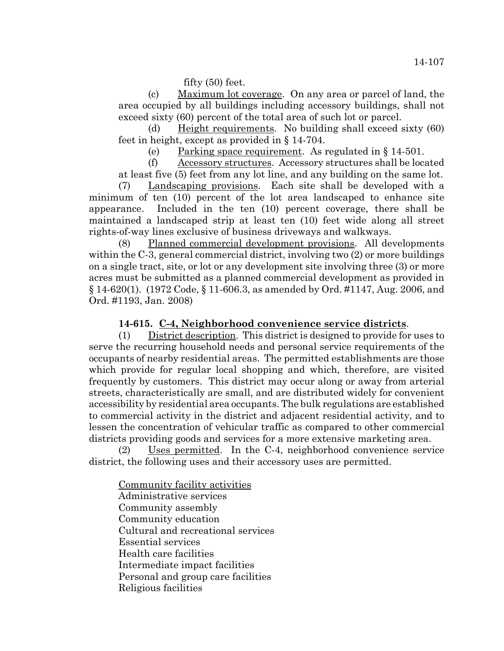fifty (50) feet.

(c) Maximum lot coverage. On any area or parcel of land, the area occupied by all buildings including accessory buildings, shall not exceed sixty (60) percent of the total area of such lot or parcel.

(d) Height requirements. No building shall exceed sixty (60) feet in height, except as provided in § 14-704.

(e) Parking space requirement. As regulated in § 14-501.

(f) Accessory structures. Accessory structures shall be located at least five (5) feet from any lot line, and any building on the same lot.

(7) Landscaping provisions. Each site shall be developed with a minimum of ten (10) percent of the lot area landscaped to enhance site appearance. Included in the ten (10) percent coverage, there shall be maintained a landscaped strip at least ten (10) feet wide along all street rights-of-way lines exclusive of business driveways and walkways.

(8) Planned commercial development provisions. All developments within the C-3, general commercial district, involving two (2) or more buildings on a single tract, site, or lot or any development site involving three (3) or more acres must be submitted as a planned commercial development as provided in § 14-620(1). (1972 Code, § 11-606.3, as amended by Ord. #1147, Aug. 2006, and Ord. #1193, Jan. 2008)

# **14-615. C-4, Neighborhood convenience service districts**.

(1) District description. This district is designed to provide for uses to serve the recurring household needs and personal service requirements of the occupants of nearby residential areas. The permitted establishments are those which provide for regular local shopping and which, therefore, are visited frequently by customers. This district may occur along or away from arterial streets, characteristically are small, and are distributed widely for convenient accessibility by residential area occupants. The bulk regulations are established to commercial activity in the district and adjacent residential activity, and to lessen the concentration of vehicular traffic as compared to other commercial districts providing goods and services for a more extensive marketing area.

(2) Uses permitted. In the C-4, neighborhood convenience service district, the following uses and their accessory uses are permitted.

Community facility activities Administrative services Community assembly Community education Cultural and recreational services Essential services Health care facilities Intermediate impact facilities Personal and group care facilities Religious facilities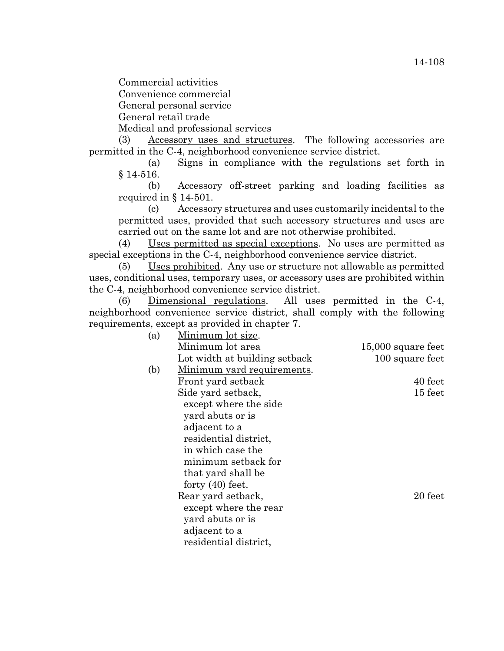Commercial activities

Convenience commercial

General personal service

General retail trade

Medical and professional services

(3) Accessory uses and structures. The following accessories are permitted in the C-4, neighborhood convenience service district.

(a) Signs in compliance with the regulations set forth in § 14-516.

(b) Accessory off-street parking and loading facilities as required in § 14-501.

(c) Accessory structures and uses customarily incidental to the permitted uses, provided that such accessory structures and uses are carried out on the same lot and are not otherwise prohibited.

(4) Uses permitted as special exceptions. No uses are permitted as special exceptions in the C-4, neighborhood convenience service district.

(5) Uses prohibited. Any use or structure not allowable as permitted uses, conditional uses, temporary uses, or accessory uses are prohibited within the C-4, neighborhood convenience service district.

(6) Dimensional regulations. All uses permitted in the C-4, neighborhood convenience service district, shall comply with the following requirements, except as provided in chapter 7.

| Minimum lot size.             |                    |
|-------------------------------|--------------------|
| Minimum lot area              | 15,000 square feet |
| Lot width at building setback | 100 square feet    |
| Minimum yard requirements.    |                    |
| Front yard setback            | 40 feet            |
| Side yard setback,            | 15 feet            |
| except where the side         |                    |
| yard abuts or is              |                    |
| adjacent to a                 |                    |
| residential district,         |                    |
| in which case the             |                    |
| minimum setback for           |                    |
| that yard shall be            |                    |
| forty $(40)$ feet.            |                    |
| Rear yard setback,            | 20 feet            |
| except where the rear         |                    |
| yard abuts or is              |                    |
| adjacent to a                 |                    |
| residential district,         |                    |
|                               |                    |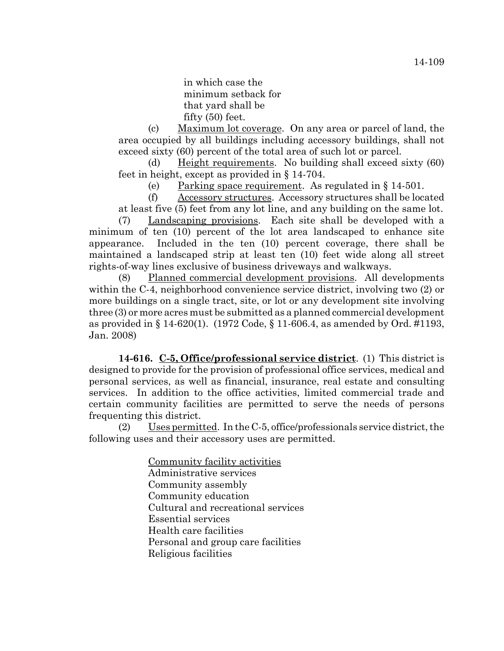(c) Maximum lot coverage. On any area or parcel of land, the area occupied by all buildings including accessory buildings, shall not exceed sixty (60) percent of the total area of such lot or parcel.

(d) Height requirements. No building shall exceed sixty (60) feet in height, except as provided in § 14-704.

(e) Parking space requirement. As regulated in § 14-501.

(f) Accessory structures. Accessory structures shall be located at least five (5) feet from any lot line, and any building on the same lot.

(7) Landscaping provisions. Each site shall be developed with a minimum of ten (10) percent of the lot area landscaped to enhance site appearance. Included in the ten (10) percent coverage, there shall be maintained a landscaped strip at least ten (10) feet wide along all street rights-of-way lines exclusive of business driveways and walkways.

(8) Planned commercial development provisions. All developments within the C-4, neighborhood convenience service district, involving two (2) or more buildings on a single tract, site, or lot or any development site involving three (3) or more acres must be submitted as a planned commercial development as provided in § 14-620(1). (1972 Code, § 11-606.4, as amended by Ord. #1193, Jan. 2008)

**14-616. C-5, Office/professional service district**. (1) This district is designed to provide for the provision of professional office services, medical and personal services, as well as financial, insurance, real estate and consulting services. In addition to the office activities, limited commercial trade and certain community facilities are permitted to serve the needs of persons frequenting this district.

(2) Uses permitted. In the C-5, office/professionals service district, the following uses and their accessory uses are permitted.

> Community facility activities Administrative services Community assembly Community education Cultural and recreational services Essential services Health care facilities Personal and group care facilities Religious facilities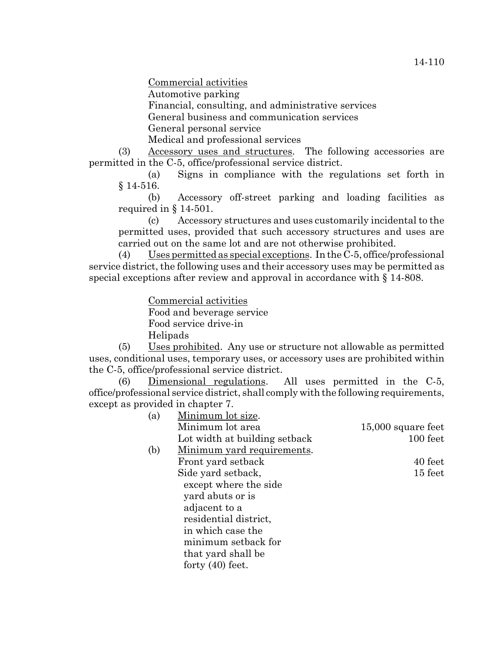Commercial activities

Automotive parking

Financial, consulting, and administrative services

General business and communication services

General personal service

Medical and professional services

(3) Accessory uses and structures. The following accessories are permitted in the C-5, office/professional service district.

(a) Signs in compliance with the regulations set forth in § 14-516.

(b) Accessory off-street parking and loading facilities as required in § 14-501.

(c) Accessory structures and uses customarily incidental to the permitted uses, provided that such accessory structures and uses are carried out on the same lot and are not otherwise prohibited.

(4) Uses permitted as special exceptions. In the C-5, office/professional service district, the following uses and their accessory uses may be permitted as special exceptions after review and approval in accordance with § 14-808.

Commercial activities

Food and beverage service Food service drive-in Helipads

(5) Uses prohibited. Any use or structure not allowable as permitted uses, conditional uses, temporary uses, or accessory uses are prohibited within the C-5, office/professional service district.

(6) Dimensional regulations. All uses permitted in the C-5, office/professional service district, shall comply with the following requirements, except as provided in chapter 7.

| Minimum lot size.                  |                      |
|------------------------------------|----------------------|
| Minimum lot area                   | $15,000$ square feet |
| Lot width at building setback      | 100 feet             |
| <u>Minimum yard requirements</u> . |                      |
| Front yard setback                 | 40 feet              |
| Side yard setback,                 | $15$ feet            |
| except where the side              |                      |
| yard abuts or is                   |                      |
| adjacent to a                      |                      |
| residential district,              |                      |
| in which case the                  |                      |
| minimum setback for                |                      |
| that yard shall be                 |                      |
| forty $(40)$ feet.                 |                      |
|                                    |                      |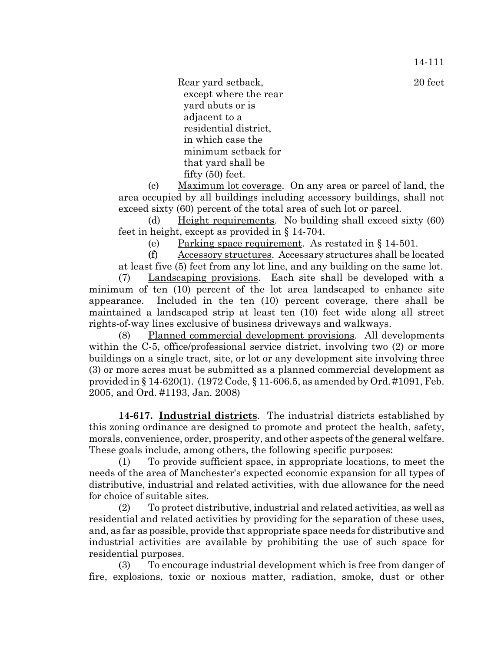14-111

Rear yard setback, 20 feet except where the rear yard abuts or is adjacent to a residential district, in which case the minimum setback for that yard shall be fifty (50) feet.

(c) Maximum lot coverage. On any area or parcel of land, the area occupied by all buildings including accessory buildings, shall not exceed sixty (60) percent of the total area of such lot or parcel.

(d) Height requirements. No building shall exceed sixty (60) feet in height, except as provided in § 14-704.

(e) Parking space requirement. As restated in § 14-501.

(f) Accessory structures. Accessary structures shall be located at least five (5) feet from any lot line, and any building on the same lot.

(7) Landscaping provisions. Each site shall be developed with a minimum of ten (10) percent of the lot area landscaped to enhance site appearance. Included in the ten (10) percent coverage, there shall be maintained a landscaped strip at least ten (10) feet wide along all street rights-of-way lines exclusive of business driveways and walkways.

(8) Planned commercial development provisions. All developments within the C-5, office/professional service district, involving two  $(2)$  or more buildings on a single tract, site, or lot or any development site involving three (3) or more acres must be submitted as a planned commercial development as provided in § 14-620(1). (1972 Code, § 11-606.5, as amended by Ord. #1091, Feb. 2005, and Ord. #1193, Jan. 2008)

**14-617. Industrial districts**. The industrial districts established by this zoning ordinance are designed to promote and protect the health, safety, morals, convenience, order, prosperity, and other aspects of the general welfare. These goals include, among others, the following specific purposes:

(1) To provide sufficient space, in appropriate locations, to meet the needs of the area of Manchester's expected economic expansion for all types of distributive, industrial and related activities, with due allowance for the need for choice of suitable sites.

(2) To protect distributive, industrial and related activities, as well as residential and related activities by providing for the separation of these uses, and, as far as possible, provide that appropriate space needs for distributive and industrial activities are available by prohibiting the use of such space for residential purposes.

(3) To encourage industrial development which is free from danger of fire, explosions, toxic or noxious matter, radiation, smoke, dust or other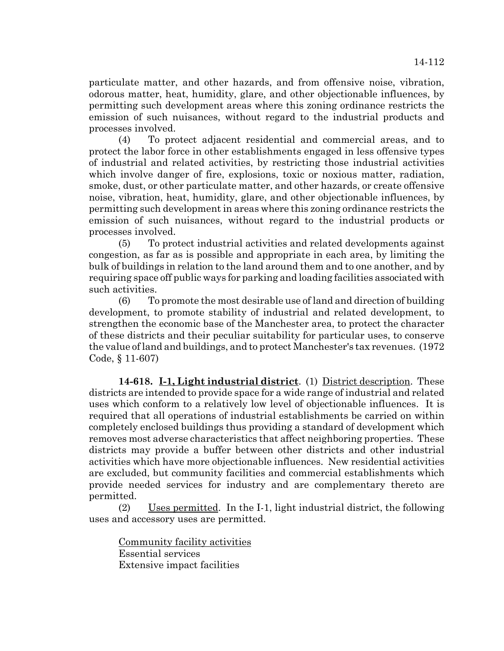particulate matter, and other hazards, and from offensive noise, vibration, odorous matter, heat, humidity, glare, and other objectionable influences, by permitting such development areas where this zoning ordinance restricts the emission of such nuisances, without regard to the industrial products and processes involved.

(4) To protect adjacent residential and commercial areas, and to protect the labor force in other establishments engaged in less offensive types of industrial and related activities, by restricting those industrial activities which involve danger of fire, explosions, toxic or noxious matter, radiation, smoke, dust, or other particulate matter, and other hazards, or create offensive noise, vibration, heat, humidity, glare, and other objectionable influences, by permitting such development in areas where this zoning ordinance restricts the emission of such nuisances, without regard to the industrial products or processes involved.

(5) To protect industrial activities and related developments against congestion, as far as is possible and appropriate in each area, by limiting the bulk of buildings in relation to the land around them and to one another, and by requiring space off public ways for parking and loading facilities associated with such activities.

(6) To promote the most desirable use of land and direction of building development, to promote stability of industrial and related development, to strengthen the economic base of the Manchester area, to protect the character of these districts and their peculiar suitability for particular uses, to conserve the value of land and buildings, and to protect Manchester's tax revenues. (1972 Code, § 11-607)

**14-618. I-1, Light industrial district**. (1) District description. These districts are intended to provide space for a wide range of industrial and related uses which conform to a relatively low level of objectionable influences. It is required that all operations of industrial establishments be carried on within completely enclosed buildings thus providing a standard of development which removes most adverse characteristics that affect neighboring properties. These districts may provide a buffer between other districts and other industrial activities which have more objectionable influences. New residential activities are excluded, but community facilities and commercial establishments which provide needed services for industry and are complementary thereto are permitted.

(2) Uses permitted. In the I-1, light industrial district, the following uses and accessory uses are permitted.

Community facility activities Essential services Extensive impact facilities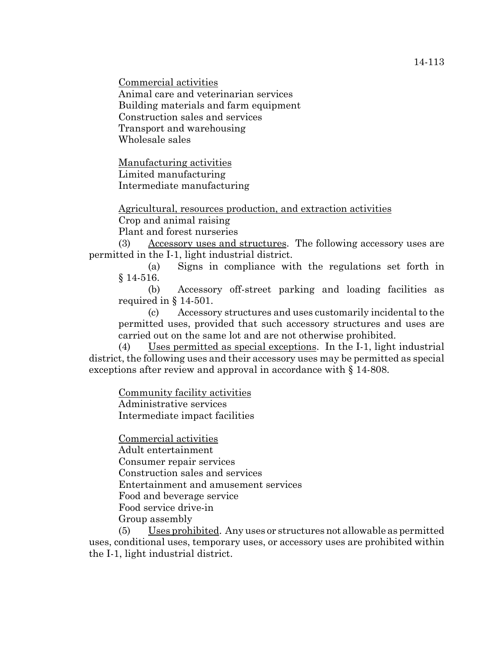Commercial activities Animal care and veterinarian services Building materials and farm equipment Construction sales and services Transport and warehousing Wholesale sales

Manufacturing activities Limited manufacturing Intermediate manufacturing

Agricultural, resources production, and extraction activities Crop and animal raising

Plant and forest nurseries

(3) Accessory uses and structures. The following accessory uses are permitted in the I-1, light industrial district.

(a) Signs in compliance with the regulations set forth in § 14-516.

(b) Accessory off-street parking and loading facilities as required in § 14-501.

(c) Accessory structures and uses customarily incidental to the permitted uses, provided that such accessory structures and uses are carried out on the same lot and are not otherwise prohibited.

(4) Uses permitted as special exceptions. In the I-1, light industrial district, the following uses and their accessory uses may be permitted as special exceptions after review and approval in accordance with § 14-808.

Community facility activities Administrative services Intermediate impact facilities

Commercial activities Adult entertainment Consumer repair services Construction sales and services Entertainment and amusement services Food and beverage service Food service drive-in Group assembly

(5) Uses prohibited. Any uses or structures not allowable as permitted uses, conditional uses, temporary uses, or accessory uses are prohibited within the I-1, light industrial district.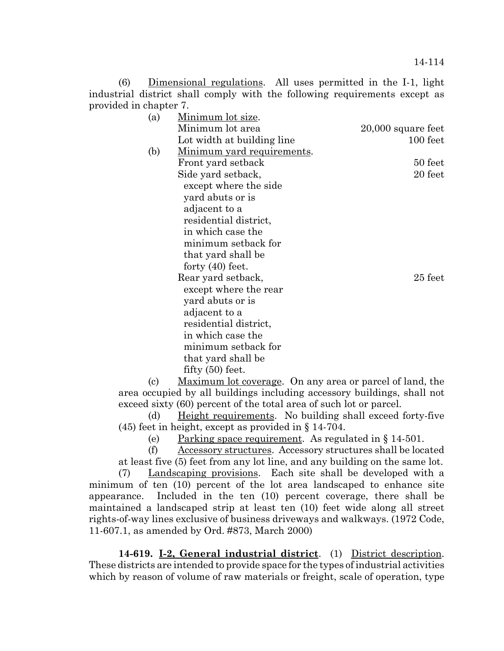(6) Dimensional regulations. All uses permitted in the I-1, light industrial district shall comply with the following requirements except as provided in chapter 7.

| <u>Minimum lot size</u> .          |                      |
|------------------------------------|----------------------|
| Minimum lot area                   | $20,000$ square feet |
| Lot width at building line         | 100 feet             |
| <u>Minimum yard requirements</u> . |                      |
| Front yard setback                 | 50 feet              |
| Side yard setback,                 | 20 feet              |
| except where the side              |                      |
| yard abuts or is                   |                      |
| adjacent to a                      |                      |
| residential district,              |                      |
| in which case the                  |                      |
| minimum setback for                |                      |
| that yard shall be                 |                      |
| forty $(40)$ feet.                 |                      |
| Rear yard setback,                 | $25$ feet            |
| except where the rear              |                      |
| yard abuts or is                   |                      |
| adjacent to a                      |                      |
| residential district,              |                      |
| in which case the                  |                      |
| minimum setback for                |                      |
| that yard shall be                 |                      |
| fifty $(50)$ feet.                 |                      |

(c) Maximum lot coverage. On any area or parcel of land, the area occupied by all buildings including accessory buildings, shall not exceed sixty (60) percent of the total area of such lot or parcel.

(d) Height requirements. No building shall exceed forty-five (45) feet in height, except as provided in § 14-704.

(e) Parking space requirement. As regulated in § 14-501.

(f) Accessory structures. Accessory structures shall be located at least five (5) feet from any lot line, and any building on the same lot.

(7) Landscaping provisions. Each site shall be developed with a minimum of ten (10) percent of the lot area landscaped to enhance site appearance. Included in the ten (10) percent coverage, there shall be maintained a landscaped strip at least ten (10) feet wide along all street rights-of-way lines exclusive of business driveways and walkways. (1972 Code, 11-607.1, as amended by Ord. #873, March 2000)

**14-619. I-2, General industrial district**. (1) District description. These districts are intended to provide space for the types of industrial activities which by reason of volume of raw materials or freight, scale of operation, type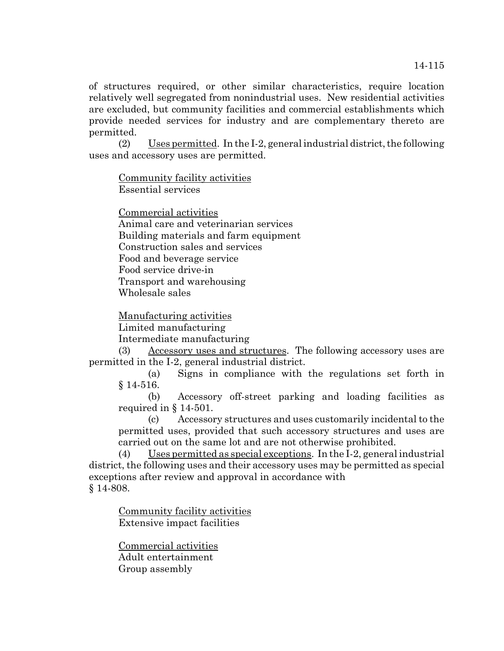of structures required, or other similar characteristics, require location relatively well segregated from nonindustrial uses. New residential activities are excluded, but community facilities and commercial establishments which provide needed services for industry and are complementary thereto are permitted.

(2) Uses permitted. In the I-2, general industrial district, the following uses and accessory uses are permitted.

Community facility activities Essential services

Commercial activities Animal care and veterinarian services Building materials and farm equipment Construction sales and services Food and beverage service Food service drive-in Transport and warehousing Wholesale sales

Manufacturing activities

Limited manufacturing

Intermediate manufacturing

(3) Accessory uses and structures. The following accessory uses are permitted in the I-2, general industrial district.

(a) Signs in compliance with the regulations set forth in § 14-516.

(b) Accessory off-street parking and loading facilities as required in § 14-501.

(c) Accessory structures and uses customarily incidental to the permitted uses, provided that such accessory structures and uses are carried out on the same lot and are not otherwise prohibited.

(4) Uses permitted as special exceptions. In the I-2, general industrial district, the following uses and their accessory uses may be permitted as special exceptions after review and approval in accordance with § 14-808.

Community facility activities Extensive impact facilities

Commercial activities Adult entertainment Group assembly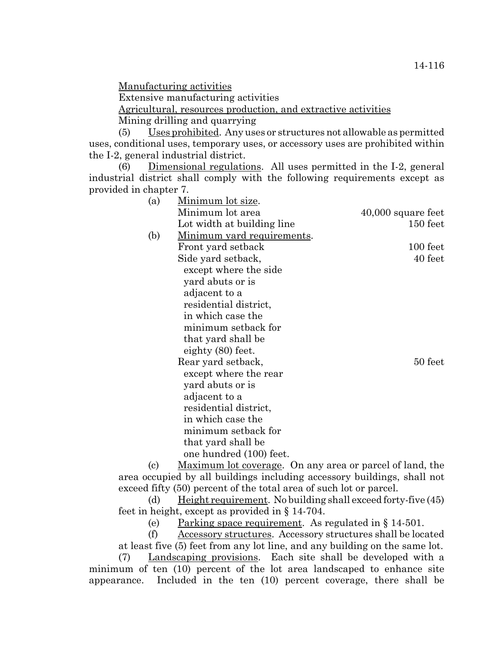Manufacturing activities

Extensive manufacturing activities

Agricultural, resources production, and extractive activities

Mining drilling and quarrying

(5) Uses prohibited. Any uses or structures not allowable as permitted uses, conditional uses, temporary uses, or accessory uses are prohibited within the I-2, general industrial district.

(6) Dimensional regulations. All uses permitted in the I-2, general industrial district shall comply with the following requirements except as provided in chapter 7.

| (a) | <u>Minimum lot size</u> .          |                      |
|-----|------------------------------------|----------------------|
|     | Minimum lot area                   | $40,000$ square feet |
|     | Lot width at building line         | 150 feet             |
| (b) | <u>Minimum yard requirements</u> . |                      |
|     | Front yard setback                 | 100 feet             |
|     | Side yard setback,                 | 40 feet              |
|     | except where the side              |                      |
|     | yard abuts or is                   |                      |
|     | adjacent to a                      |                      |
|     | residential district,              |                      |
|     | in which case the                  |                      |
|     | minimum setback for                |                      |
|     | that yard shall be                 |                      |
|     | eighty (80) feet.                  |                      |
|     | Rear yard setback,                 | 50 feet              |
|     | except where the rear              |                      |
|     | yard abuts or is                   |                      |
|     | adjacent to a                      |                      |
|     | residential district,              |                      |
|     | in which case the                  |                      |
|     | minimum setback for                |                      |
|     | that yard shall be                 |                      |
|     | one hundred (100) feet.            |                      |

(c) Maximum lot coverage. On any area or parcel of land, the area occupied by all buildings including accessory buildings, shall not exceed fifty (50) percent of the total area of such lot or parcel.

(d) Height requirement. No building shall exceed forty-five  $(45)$ feet in height, except as provided in § 14-704.

(e) Parking space requirement. As regulated in § 14-501.

(f) Accessory structures. Accessory structures shall be located at least five (5) feet from any lot line, and any building on the same lot.

(7) Landscaping provisions. Each site shall be developed with a minimum of ten (10) percent of the lot area landscaped to enhance site appearance. Included in the ten (10) percent coverage, there shall be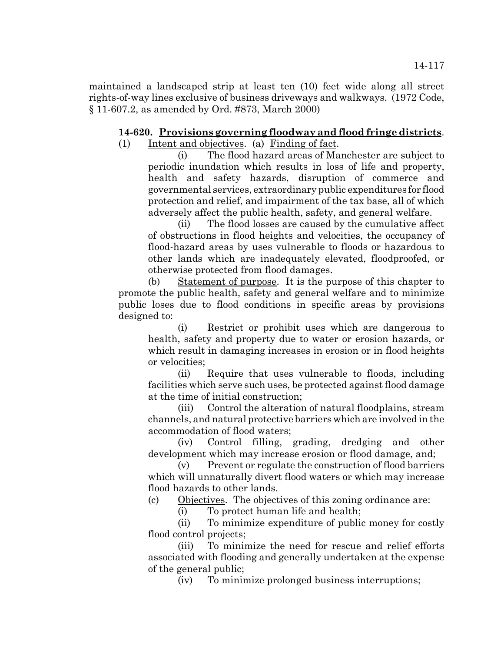maintained a landscaped strip at least ten (10) feet wide along all street rights-of-way lines exclusive of business driveways and walkways. (1972 Code, § 11-607.2, as amended by Ord. #873, March 2000)

## **14-620. Provisions governing floodway and flood fringe districts**.

(1) Intent and objectives. (a) Finding of fact.

(i) The flood hazard areas of Manchester are subject to periodic inundation which results in loss of life and property, health and safety hazards, disruption of commerce and governmental services, extraordinary public expenditures for flood protection and relief, and impairment of the tax base, all of which adversely affect the public health, safety, and general welfare.

(ii) The flood losses are caused by the cumulative affect of obstructions in flood heights and velocities, the occupancy of flood-hazard areas by uses vulnerable to floods or hazardous to other lands which are inadequately elevated, floodproofed, or otherwise protected from flood damages.

(b) Statement of purpose. It is the purpose of this chapter to promote the public health, safety and general welfare and to minimize public loses due to flood conditions in specific areas by provisions designed to:

(i) Restrict or prohibit uses which are dangerous to health, safety and property due to water or erosion hazards, or which result in damaging increases in erosion or in flood heights or velocities;

(ii) Require that uses vulnerable to floods, including facilities which serve such uses, be protected against flood damage at the time of initial construction;

(iii) Control the alteration of natural floodplains, stream channels, and natural protective barriers which are involved in the accommodation of flood waters;

(iv) Control filling, grading, dredging and other development which may increase erosion or flood damage, and;

(v) Prevent or regulate the construction of flood barriers which will unnaturally divert flood waters or which may increase flood hazards to other lands.

(c) Objectives. The objectives of this zoning ordinance are:

(i) To protect human life and health;

(ii) To minimize expenditure of public money for costly flood control projects:

(iii) To minimize the need for rescue and relief efforts associated with flooding and generally undertaken at the expense of the general public;

(iv) To minimize prolonged business interruptions;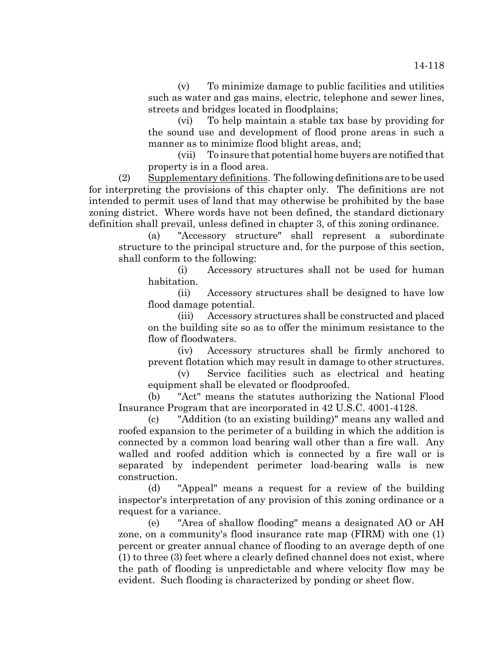(v) To minimize damage to public facilities and utilities such as water and gas mains, electric, telephone and sewer lines, streets and bridges located in floodplains;

(vi) To help maintain a stable tax base by providing for the sound use and development of flood prone areas in such a manner as to minimize flood blight areas, and;

(vii) To insure that potential home buyers are notified that property is in a flood area.

(2) Supplementary definitions. The following definitions are to be used for interpreting the provisions of this chapter only. The definitions are not intended to permit uses of land that may otherwise be prohibited by the base zoning district. Where words have not been defined, the standard dictionary definition shall prevail, unless defined in chapter 3, of this zoning ordinance.

(a) "Accessory structure" shall represent a subordinate structure to the principal structure and, for the purpose of this section, shall conform to the following:

(i) Accessory structures shall not be used for human habitation.

(ii) Accessory structures shall be designed to have low flood damage potential.

(iii) Accessory structures shall be constructed and placed on the building site so as to offer the minimum resistance to the flow of floodwaters.

(iv) Accessory structures shall be firmly anchored to prevent flotation which may result in damage to other structures.

(v) Service facilities such as electrical and heating equipment shall be elevated or floodproofed.

(b) "Act" means the statutes authorizing the National Flood Insurance Program that are incorporated in 42 U.S.C. 4001-4128.

(c) "Addition (to an existing building)" means any walled and roofed expansion to the perimeter of a building in which the addition is connected by a common load bearing wall other than a fire wall. Any walled and roofed addition which is connected by a fire wall or is separated by independent perimeter load-bearing walls is new construction.

(d) "Appeal" means a request for a review of the building inspector's interpretation of any provision of this zoning ordinance or a request for a variance.

(e) "Area of shallow flooding" means a designated AO or AH zone, on a community's flood insurance rate map (FIRM) with one (1) percent or greater annual chance of flooding to an average depth of one (1) to three (3) feet where a clearly defined channel does not exist, where the path of flooding is unpredictable and where velocity flow may be evident. Such flooding is characterized by ponding or sheet flow.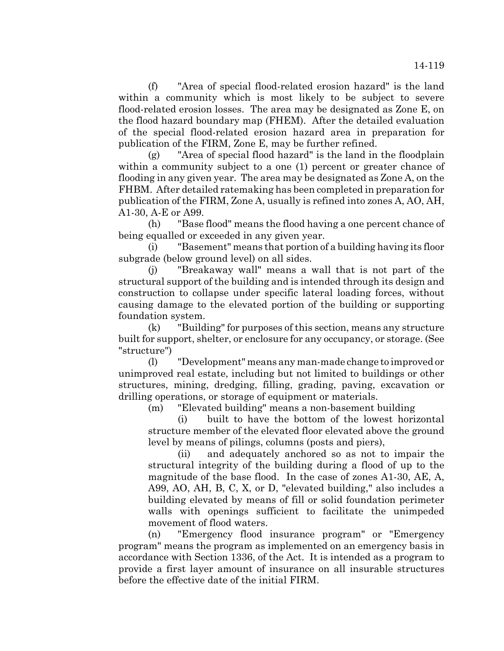(f) "Area of special flood-related erosion hazard" is the land within a community which is most likely to be subject to severe flood-related erosion losses. The area may be designated as Zone E, on the flood hazard boundary map (FHEM). After the detailed evaluation of the special flood-related erosion hazard area in preparation for publication of the FIRM, Zone E, may be further refined.

(g) "Area of special flood hazard" is the land in the floodplain within a community subject to a one (1) percent or greater chance of flooding in any given year. The area may be designated as Zone A, on the FHBM. After detailed ratemaking has been completed in preparation for publication of the FIRM, Zone A, usually is refined into zones A, AO, AH, A1-30, A-E or A99.

(h) "Base flood" means the flood having a one percent chance of being equalled or exceeded in any given year.

(i) "Basement" means that portion of a building having its floor subgrade (below ground level) on all sides.

(j) "Breakaway wall" means a wall that is not part of the structural support of the building and is intended through its design and construction to collapse under specific lateral loading forces, without causing damage to the elevated portion of the building or supporting foundation system.

(k) "Building" for purposes of this section, means any structure built for support, shelter, or enclosure for any occupancy, or storage. (See "structure")

(l) "Development" means any man-made change to improved or unimproved real estate, including but not limited to buildings or other structures, mining, dredging, filling, grading, paving, excavation or drilling operations, or storage of equipment or materials.

(m) "Elevated building" means a non-basement building

(i) built to have the bottom of the lowest horizontal structure member of the elevated floor elevated above the ground level by means of pilings, columns (posts and piers),

(ii) and adequately anchored so as not to impair the structural integrity of the building during a flood of up to the magnitude of the base flood. In the case of zones A1-30, AE, A, A99, AO, AH, B, C, X, or D, "elevated building," also includes a building elevated by means of fill or solid foundation perimeter walls with openings sufficient to facilitate the unimpeded movement of flood waters.

(n) "Emergency flood insurance program" or "Emergency program" means the program as implemented on an emergency basis in accordance with Section 1336, of the Act. It is intended as a program to provide a first layer amount of insurance on all insurable structures before the effective date of the initial FIRM.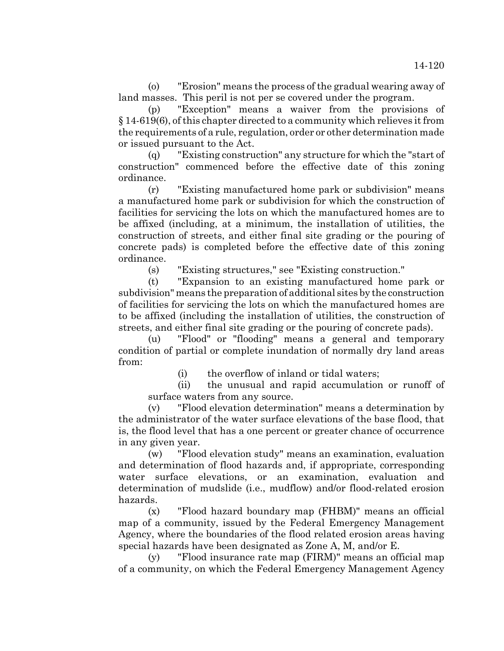(o) "Erosion" means the process of the gradual wearing away of land masses. This peril is not per se covered under the program.

(p) "Exception" means a waiver from the provisions of § 14-619(6), of this chapter directed to a community which relieves it from the requirements of a rule, regulation, order or other determination made or issued pursuant to the Act.

(q) "Existing construction" any structure for which the "start of construction" commenced before the effective date of this zoning ordinance.

(r) "Existing manufactured home park or subdivision" means a manufactured home park or subdivision for which the construction of facilities for servicing the lots on which the manufactured homes are to be affixed (including, at a minimum, the installation of utilities, the construction of streets, and either final site grading or the pouring of concrete pads) is completed before the effective date of this zoning ordinance.

(s) "Existing structures," see "Existing construction."

(t) "Expansion to an existing manufactured home park or subdivision" means the preparation of additional sites by the construction of facilities for servicing the lots on which the manufactured homes are to be affixed (including the installation of utilities, the construction of streets, and either final site grading or the pouring of concrete pads).

(u) "Flood" or "flooding" means a general and temporary condition of partial or complete inundation of normally dry land areas from:

(i) the overflow of inland or tidal waters;

(ii) the unusual and rapid accumulation or runoff of surface waters from any source.

(v) "Flood elevation determination" means a determination by the administrator of the water surface elevations of the base flood, that is, the flood level that has a one percent or greater chance of occurrence in any given year.

(w) "Flood elevation study" means an examination, evaluation and determination of flood hazards and, if appropriate, corresponding water surface elevations, or an examination, evaluation and determination of mudslide (i.e., mudflow) and/or flood-related erosion hazards.

(x) "Flood hazard boundary map (FHBM)" means an official map of a community, issued by the Federal Emergency Management Agency, where the boundaries of the flood related erosion areas having special hazards have been designated as Zone A, M, and/or E.

(y) "Flood insurance rate map (FIRM)" means an official map of a community, on which the Federal Emergency Management Agency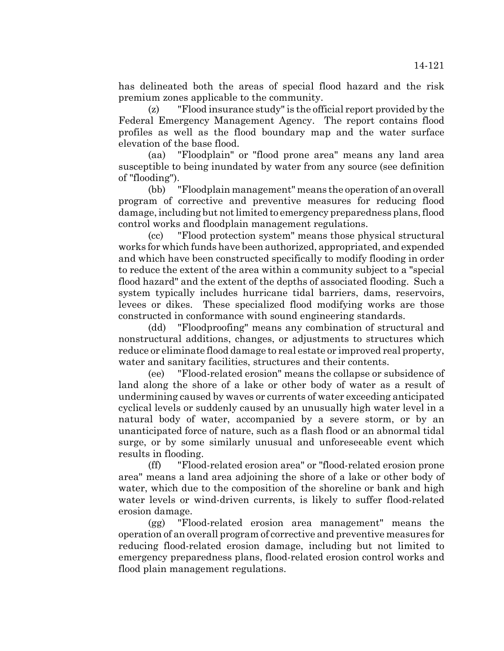has delineated both the areas of special flood hazard and the risk premium zones applicable to the community.

(z) "Flood insurance study" is the official report provided by the Federal Emergency Management Agency. The report contains flood profiles as well as the flood boundary map and the water surface elevation of the base flood.

(aa) "Floodplain" or "flood prone area" means any land area susceptible to being inundated by water from any source (see definition of "flooding").

(bb) "Floodplain management" means the operation of an overall program of corrective and preventive measures for reducing flood damage, including but not limited to emergency preparedness plans, flood control works and floodplain management regulations.

(cc) "Flood protection system" means those physical structural works for which funds have been authorized, appropriated, and expended and which have been constructed specifically to modify flooding in order to reduce the extent of the area within a community subject to a "special flood hazard" and the extent of the depths of associated flooding. Such a system typically includes hurricane tidal barriers, dams, reservoirs, levees or dikes. These specialized flood modifying works are those constructed in conformance with sound engineering standards.

(dd) "Floodproofing" means any combination of structural and nonstructural additions, changes, or adjustments to structures which reduce or eliminate flood damage to real estate or improved real property, water and sanitary facilities, structures and their contents.

(ee) "Flood-related erosion" means the collapse or subsidence of land along the shore of a lake or other body of water as a result of undermining caused by waves or currents of water exceeding anticipated cyclical levels or suddenly caused by an unusually high water level in a natural body of water, accompanied by a severe storm, or by an unanticipated force of nature, such as a flash flood or an abnormal tidal surge, or by some similarly unusual and unforeseeable event which results in flooding.

(ff) "Flood-related erosion area" or "flood-related erosion prone area" means a land area adjoining the shore of a lake or other body of water, which due to the composition of the shoreline or bank and high water levels or wind-driven currents, is likely to suffer flood-related erosion damage.

(gg) "Flood-related erosion area management" means the operation of an overall program of corrective and preventive measures for reducing flood-related erosion damage, including but not limited to emergency preparedness plans, flood-related erosion control works and flood plain management regulations.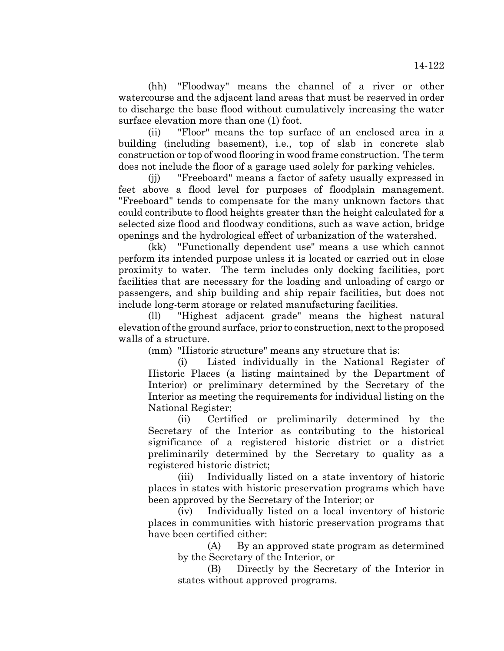(hh) "Floodway" means the channel of a river or other watercourse and the adjacent land areas that must be reserved in order to discharge the base flood without cumulatively increasing the water surface elevation more than one (1) foot.

(ii) "Floor" means the top surface of an enclosed area in a building (including basement), i.e., top of slab in concrete slab construction or top of wood flooring in wood frame construction. The term does not include the floor of a garage used solely for parking vehicles.

(jj) "Freeboard" means a factor of safety usually expressed in feet above a flood level for purposes of floodplain management. "Freeboard" tends to compensate for the many unknown factors that could contribute to flood heights greater than the height calculated for a selected size flood and floodway conditions, such as wave action, bridge openings and the hydrological effect of urbanization of the watershed.

(kk) "Functionally dependent use" means a use which cannot perform its intended purpose unless it is located or carried out in close proximity to water. The term includes only docking facilities, port facilities that are necessary for the loading and unloading of cargo or passengers, and ship building and ship repair facilities, but does not include long-term storage or related manufacturing facilities.

(ll) "Highest adjacent grade" means the highest natural elevation of the ground surface, prior to construction, next to the proposed walls of a structure.

(mm) "Historic structure" means any structure that is:

(i) Listed individually in the National Register of Historic Places (a listing maintained by the Department of Interior) or preliminary determined by the Secretary of the Interior as meeting the requirements for individual listing on the National Register;

(ii) Certified or preliminarily determined by the Secretary of the Interior as contributing to the historical significance of a registered historic district or a district preliminarily determined by the Secretary to quality as a registered historic district;

(iii) Individually listed on a state inventory of historic places in states with historic preservation programs which have been approved by the Secretary of the Interior; or

(iv) Individually listed on a local inventory of historic places in communities with historic preservation programs that have been certified either:

(A) By an approved state program as determined by the Secretary of the Interior, or

(B) Directly by the Secretary of the Interior in states without approved programs.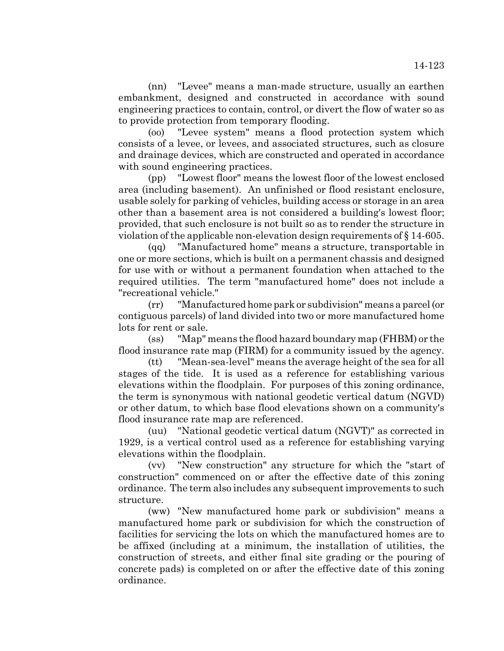(nn) "Levee" means a man-made structure, usually an earthen embankment, designed and constructed in accordance with sound engineering practices to contain, control, or divert the flow of water so as to provide protection from temporary flooding.

(oo) "Levee system" means a flood protection system which consists of a levee, or levees, and associated structures, such as closure and drainage devices, which are constructed and operated in accordance with sound engineering practices.

(pp) "Lowest floor" means the lowest floor of the lowest enclosed area (including basement). An unfinished or flood resistant enclosure, usable solely for parking of vehicles, building access or storage in an area other than a basement area is not considered a building's lowest floor; provided, that such enclosure is not built so as to render the structure in violation of the applicable non-elevation design requirements of § 14-605.

(qq) "Manufactured home" means a structure, transportable in one or more sections, which is built on a permanent chassis and designed for use with or without a permanent foundation when attached to the required utilities. The term "manufactured home" does not include a "recreational vehicle."

(rr) "Manufactured home park or subdivision" means a parcel (or contiguous parcels) of land divided into two or more manufactured home lots for rent or sale.

(ss) "Map" means the flood hazard boundary map (FHBM) or the flood insurance rate map (FIRM) for a community issued by the agency.

(tt) "Mean-sea-level" means the average height of the sea for all stages of the tide. It is used as a reference for establishing various elevations within the floodplain. For purposes of this zoning ordinance, the term is synonymous with national geodetic vertical datum (NGVD) or other datum, to which base flood elevations shown on a community's flood insurance rate map are referenced.

(uu) "National geodetic vertical datum (NGVT)" as corrected in 1929, is a vertical control used as a reference for establishing varying elevations within the floodplain.

(vv) "New construction" any structure for which the "start of construction" commenced on or after the effective date of this zoning ordinance. The term also includes any subsequent improvements to such structure.

(ww) "New manufactured home park or subdivision" means a manufactured home park or subdivision for which the construction of facilities for servicing the lots on which the manufactured homes are to be affixed (including at a minimum, the installation of utilities, the construction of streets, and either final site grading or the pouring of concrete pads) is completed on or after the effective date of this zoning ordinance.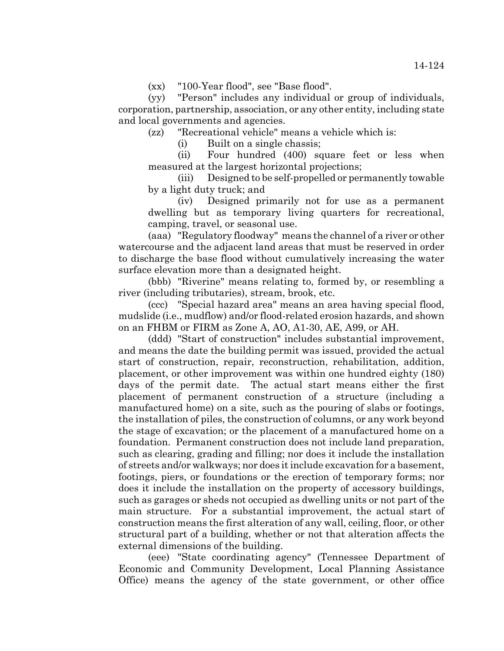(yy) "Person" includes any individual or group of individuals, corporation, partnership, association, or any other entity, including state and local governments and agencies.

(zz) "Recreational vehicle" means a vehicle which is:

(i) Built on a single chassis;

(ii) Four hundred (400) square feet or less when measured at the largest horizontal projections;

(iii) Designed to be self-propelled or permanently towable by a light duty truck; and

(iv) Designed primarily not for use as a permanent dwelling but as temporary living quarters for recreational, camping, travel, or seasonal use.

(aaa) "Regulatory floodway" means the channel of a river or other watercourse and the adjacent land areas that must be reserved in order to discharge the base flood without cumulatively increasing the water surface elevation more than a designated height.

(bbb) "Riverine" means relating to, formed by, or resembling a river (including tributaries), stream, brook, etc.

(ccc) "Special hazard area" means an area having special flood, mudslide (i.e., mudflow) and/or flood-related erosion hazards, and shown on an FHBM or FIRM as Zone A, AO, A1-30, AE, A99, or AH.

(ddd) "Start of construction" includes substantial improvement, and means the date the building permit was issued, provided the actual start of construction, repair, reconstruction, rehabilitation, addition, placement, or other improvement was within one hundred eighty (180) days of the permit date. The actual start means either the first placement of permanent construction of a structure (including a manufactured home) on a site, such as the pouring of slabs or footings, the installation of piles, the construction of columns, or any work beyond the stage of excavation; or the placement of a manufactured home on a foundation. Permanent construction does not include land preparation, such as clearing, grading and filling; nor does it include the installation of streets and/or walkways; nor does it include excavation for a basement, footings, piers, or foundations or the erection of temporary forms; nor does it include the installation on the property of accessory buildings, such as garages or sheds not occupied as dwelling units or not part of the main structure. For a substantial improvement, the actual start of construction means the first alteration of any wall, ceiling, floor, or other structural part of a building, whether or not that alteration affects the external dimensions of the building.

(eee) "State coordinating agency" (Tennessee Department of Economic and Community Development, Local Planning Assistance Office) means the agency of the state government, or other office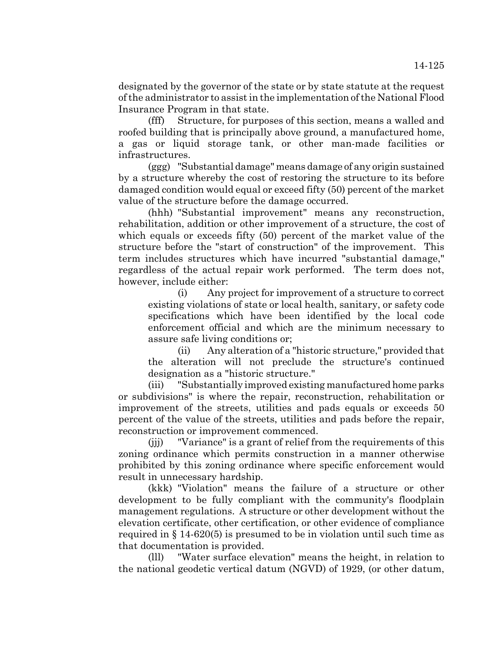designated by the governor of the state or by state statute at the request of the administrator to assist in the implementation of the National Flood Insurance Program in that state.

(fff) Structure, for purposes of this section, means a walled and roofed building that is principally above ground, a manufactured home, a gas or liquid storage tank, or other man-made facilities or infrastructures.

(ggg) "Substantial damage" means damage of any origin sustained by a structure whereby the cost of restoring the structure to its before damaged condition would equal or exceed fifty (50) percent of the market value of the structure before the damage occurred.

(hhh) "Substantial improvement" means any reconstruction, rehabilitation, addition or other improvement of a structure, the cost of which equals or exceeds fifty (50) percent of the market value of the structure before the "start of construction" of the improvement. This term includes structures which have incurred "substantial damage," regardless of the actual repair work performed. The term does not, however, include either:

(i) Any project for improvement of a structure to correct existing violations of state or local health, sanitary, or safety code specifications which have been identified by the local code enforcement official and which are the minimum necessary to assure safe living conditions or;

(ii) Any alteration of a "historic structure," provided that the alteration will not preclude the structure's continued designation as a "historic structure."

(iii) "Substantially improved existing manufactured home parks or subdivisions" is where the repair, reconstruction, rehabilitation or improvement of the streets, utilities and pads equals or exceeds 50 percent of the value of the streets, utilities and pads before the repair, reconstruction or improvement commenced.

(jjj) "Variance" is a grant of relief from the requirements of this zoning ordinance which permits construction in a manner otherwise prohibited by this zoning ordinance where specific enforcement would result in unnecessary hardship.

(kkk) "Violation" means the failure of a structure or other development to be fully compliant with the community's floodplain management regulations. A structure or other development without the elevation certificate, other certification, or other evidence of compliance required in § 14-620(5) is presumed to be in violation until such time as that documentation is provided.

(lll) "Water surface elevation" means the height, in relation to the national geodetic vertical datum (NGVD) of 1929, (or other datum,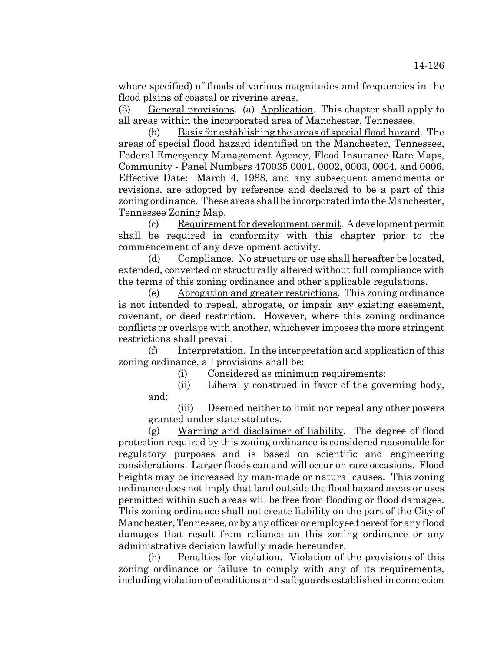where specified) of floods of various magnitudes and frequencies in the flood plains of coastal or riverine areas.

(3) General provisions. (a) Application. This chapter shall apply to all areas within the incorporated area of Manchester, Tennessee.

(b) Basis for establishing the areas of special flood hazard. The areas of special flood hazard identified on the Manchester, Tennessee, Federal Emergency Management Agency, Flood Insurance Rate Maps, Community - Panel Numbers 470035 0001, 0002, 0003, 0004, and 0006. Effective Date: March 4, 1988, and any subsequent amendments or revisions, are adopted by reference and declared to be a part of this zoning ordinance. These areas shall be incorporated into the Manchester, Tennessee Zoning Map.

(c) Requirement for development permit. A development permit shall be required in conformity with this chapter prior to the commencement of any development activity.

(d) Compliance. No structure or use shall hereafter be located, extended, converted or structurally altered without full compliance with the terms of this zoning ordinance and other applicable regulations.

(e) Abrogation and greater restrictions. This zoning ordinance is not intended to repeal, abrogate, or impair any existing easement, covenant, or deed restriction. However, where this zoning ordinance conflicts or overlaps with another, whichever imposes the more stringent restrictions shall prevail.

(f) Interpretation. In the interpretation and application of this zoning ordinance, all provisions shall be:

(i) Considered as minimum requirements;

(ii) Liberally construed in favor of the governing body, and;

(iii) Deemed neither to limit nor repeal any other powers granted under state statutes.

(g) Warning and disclaimer of liability. The degree of flood protection required by this zoning ordinance is considered reasonable for regulatory purposes and is based on scientific and engineering considerations. Larger floods can and will occur on rare occasions. Flood heights may be increased by man-made or natural causes. This zoning ordinance does not imply that land outside the flood hazard areas or uses permitted within such areas will be free from flooding or flood damages. This zoning ordinance shall not create liability on the part of the City of Manchester, Tennessee, or by any officer or employee thereof for any flood damages that result from reliance an this zoning ordinance or any administrative decision lawfully made hereunder.

(h) Penalties for violation. Violation of the provisions of this zoning ordinance or failure to comply with any of its requirements, including violation of conditions and safeguards established in connection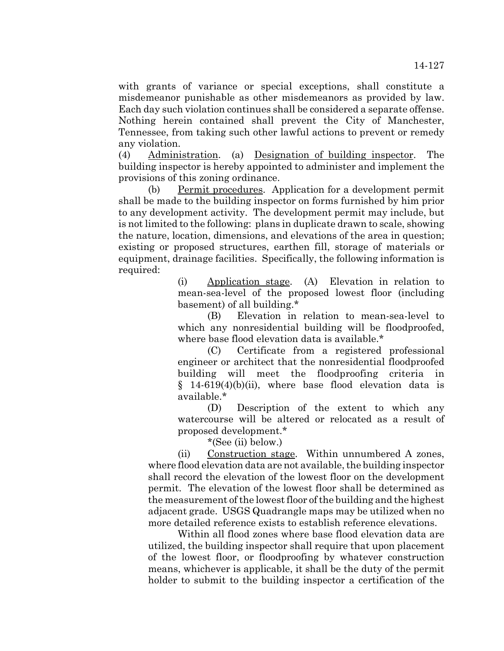with grants of variance or special exceptions, shall constitute a misdemeanor punishable as other misdemeanors as provided by law. Each day such violation continues shall be considered a separate offense. Nothing herein contained shall prevent the City of Manchester, Tennessee, from taking such other lawful actions to prevent or remedy any violation.

(4) Administration. (a) Designation of building inspector. The building inspector is hereby appointed to administer and implement the provisions of this zoning ordinance.

(b) Permit procedures. Application for a development permit shall be made to the building inspector on forms furnished by him prior to any development activity. The development permit may include, but is not limited to the following: plans in duplicate drawn to scale, showing the nature, location, dimensions, and elevations of the area in question; existing or proposed structures, earthen fill, storage of materials or equipment, drainage facilities. Specifically, the following information is required:

> (i) Application stage. (A) Elevation in relation to mean-sea-level of the proposed lowest floor (including basement) of all building.\*

> (B) Elevation in relation to mean-sea-level to which any nonresidential building will be floodproofed, where base flood elevation data is available.\*

> (C) Certificate from a registered professional engineer or architect that the nonresidential floodproofed building will meet the floodproofing criteria in § 14-619(4)(b)(ii), where base flood elevation data is available.\*

> (D) Description of the extent to which any watercourse will be altered or relocated as a result of proposed development.\*

\*(See (ii) below.)

(ii) Construction stage. Within unnumbered A zones, where flood elevation data are not available, the building inspector shall record the elevation of the lowest floor on the development permit. The elevation of the lowest floor shall be determined as the measurement of the lowest floor of the building and the highest adjacent grade. USGS Quadrangle maps may be utilized when no more detailed reference exists to establish reference elevations.

Within all flood zones where base flood elevation data are utilized, the building inspector shall require that upon placement of the lowest floor, or floodproofing by whatever construction means, whichever is applicable, it shall be the duty of the permit holder to submit to the building inspector a certification of the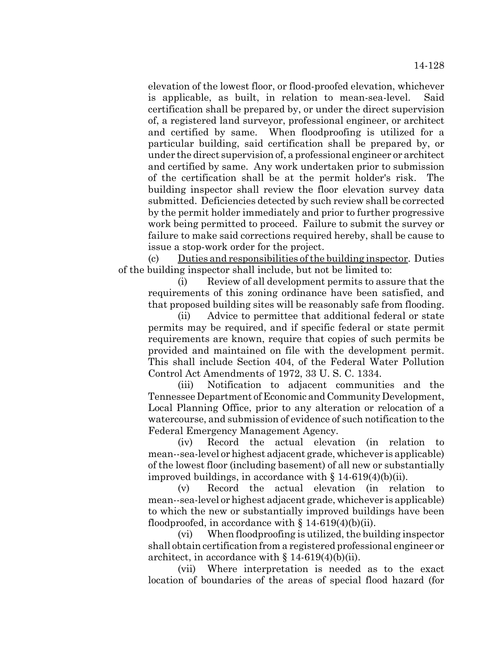elevation of the lowest floor, or flood-proofed elevation, whichever is applicable, as built, in relation to mean-sea-level. certification shall be prepared by, or under the direct supervision of, a registered land surveyor, professional engineer, or architect and certified by same. When floodproofing is utilized for a particular building, said certification shall be prepared by, or under the direct supervision of, a professional engineer or architect and certified by same. Any work undertaken prior to submission of the certification shall be at the permit holder's risk. The building inspector shall review the floor elevation survey data submitted. Deficiencies detected by such review shall be corrected by the permit holder immediately and prior to further progressive work being permitted to proceed. Failure to submit the survey or failure to make said corrections required hereby, shall be cause to issue a stop-work order for the project.

(c) Duties and responsibilities of the building inspector. Duties of the building inspector shall include, but not be limited to:

(i) Review of all development permits to assure that the requirements of this zoning ordinance have been satisfied, and that proposed building sites will be reasonably safe from flooding.

(ii) Advice to permittee that additional federal or state permits may be required, and if specific federal or state permit requirements are known, require that copies of such permits be provided and maintained on file with the development permit. This shall include Section 404, of the Federal Water Pollution Control Act Amendments of 1972, 33 U. S. C. 1334.

(iii) Notification to adjacent communities and the Tennessee Department of Economic and Community Development, Local Planning Office, prior to any alteration or relocation of a watercourse, and submission of evidence of such notification to the Federal Emergency Management Agency.

(iv) Record the actual elevation (in relation to mean--sea-level or highest adjacent grade, whichever is applicable) of the lowest floor (including basement) of all new or substantially improved buildings, in accordance with  $\S 14-619(4)(b)(ii)$ .

(v) Record the actual elevation (in relation to mean--sea-level or highest adjacent grade, whichever is applicable) to which the new or substantially improved buildings have been floodproofed, in accordance with  $\S 14-619(4)(b)(ii)$ .

(vi) When floodproofing is utilized, the building inspector shall obtain certification from a registered professional engineer or architect, in accordance with  $\S 14-619(4)(b)(ii)$ .

(vii) Where interpretation is needed as to the exact location of boundaries of the areas of special flood hazard (for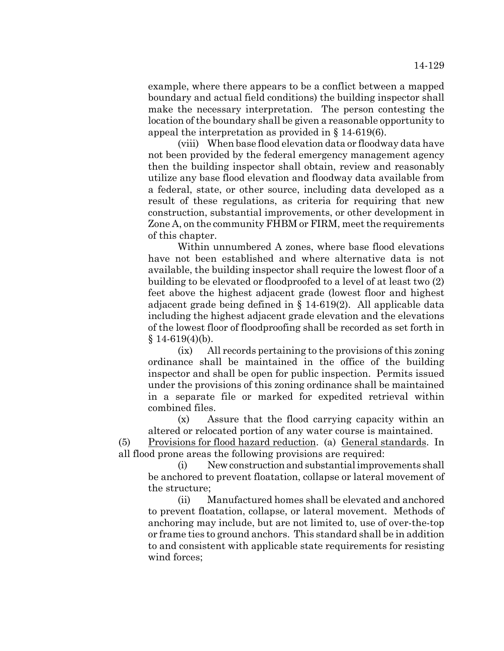example, where there appears to be a conflict between a mapped boundary and actual field conditions) the building inspector shall make the necessary interpretation. The person contesting the location of the boundary shall be given a reasonable opportunity to appeal the interpretation as provided in § 14-619(6).

(viii) When base flood elevation data or floodway data have not been provided by the federal emergency management agency then the building inspector shall obtain, review and reasonably utilize any base flood elevation and floodway data available from a federal, state, or other source, including data developed as a result of these regulations, as criteria for requiring that new construction, substantial improvements, or other development in Zone A, on the community FHBM or FIRM, meet the requirements of this chapter.

Within unnumbered A zones, where base flood elevations have not been established and where alternative data is not available, the building inspector shall require the lowest floor of a building to be elevated or floodproofed to a level of at least two (2) feet above the highest adjacent grade (lowest floor and highest adjacent grade being defined in § 14-619(2). All applicable data including the highest adjacent grade elevation and the elevations of the lowest floor of floodproofing shall be recorded as set forth in  $§ 14-619(4)(b).$ 

(ix) All records pertaining to the provisions of this zoning ordinance shall be maintained in the office of the building inspector and shall be open for public inspection. Permits issued under the provisions of this zoning ordinance shall be maintained in a separate file or marked for expedited retrieval within combined files.

(x) Assure that the flood carrying capacity within an altered or relocated portion of any water course is maintained.

(5) Provisions for flood hazard reduction. (a) General standards. In all flood prone areas the following provisions are required:

(i) New construction and substantial improvements shall be anchored to prevent floatation, collapse or lateral movement of the structure;

(ii) Manufactured homes shall be elevated and anchored to prevent floatation, collapse, or lateral movement. Methods of anchoring may include, but are not limited to, use of over-the-top or frame ties to ground anchors. This standard shall be in addition to and consistent with applicable state requirements for resisting wind forces;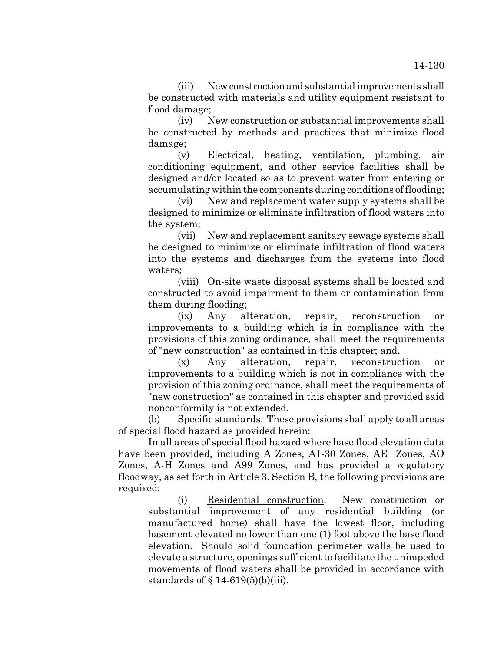(iii) New construction and substantial improvements shall be constructed with materials and utility equipment resistant to flood damage;

(iv) New construction or substantial improvements shall be constructed by methods and practices that minimize flood damage;

(v) Electrical, heating, ventilation, plumbing, air conditioning equipment, and other service facilities shall be designed and/or located so as to prevent water from entering or accumulating within the components during conditions of flooding;

(vi) New and replacement water supply systems shall be designed to minimize or eliminate infiltration of flood waters into the system;

(vii) New and replacement sanitary sewage systems shall be designed to minimize or eliminate infiltration of flood waters into the systems and discharges from the systems into flood waters;

(viii) On-site waste disposal systems shall be located and constructed to avoid impairment to them or contamination from them during flooding;

(ix) Any alteration, repair, reconstruction or improvements to a building which is in compliance with the provisions of this zoning ordinance, shall meet the requirements of "new construction" as contained in this chapter; and,

(x) Any alteration, repair, reconstruction or improvements to a building which is not in compliance with the provision of this zoning ordinance, shall meet the requirements of "new construction" as contained in this chapter and provided said nonconformity is not extended.

(b) Specific standards. These provisions shall apply to all areas of special flood hazard as provided herein:

In all areas of special flood hazard where base flood elevation data have been provided, including A Zones, A1-30 Zones, AE Zones, AO Zones, A-H Zones and A99 Zones, and has provided a regulatory floodway, as set forth in Article 3. Section B, the following provisions are required:

(i) Residential construction. New construction or substantial improvement of any residential building (or manufactured home) shall have the lowest floor, including basement elevated no lower than one (1) foot above the base flood elevation. Should solid foundation perimeter walls be used to elevate a structure, openings sufficient to facilitate the unimpeded movements of flood waters shall be provided in accordance with standards of  $\S$  14-619(5)(b)(iii).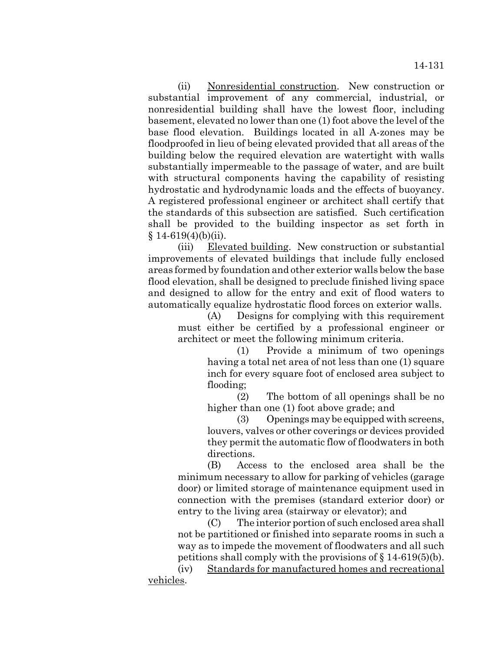(ii) Nonresidential construction. New construction or substantial improvement of any commercial, industrial, or nonresidential building shall have the lowest floor, including basement, elevated no lower than one (1) foot above the level of the base flood elevation. Buildings located in all A-zones may be floodproofed in lieu of being elevated provided that all areas of the building below the required elevation are watertight with walls substantially impermeable to the passage of water, and are built with structural components having the capability of resisting hydrostatic and hydrodynamic loads and the effects of buoyancy. A registered professional engineer or architect shall certify that the standards of this subsection are satisfied. Such certification shall be provided to the building inspector as set forth in  $$14-619(4)(b)(ii).$ 

(iii) Elevated building. New construction or substantial improvements of elevated buildings that include fully enclosed areas formed by foundation and other exterior walls below the base flood elevation, shall be designed to preclude finished living space and designed to allow for the entry and exit of flood waters to automatically equalize hydrostatic flood forces on exterior walls.

(A) Designs for complying with this requirement must either be certified by a professional engineer or architect or meet the following minimum criteria.

(1) Provide a minimum of two openings having a total net area of not less than one (1) square inch for every square foot of enclosed area subject to flooding;

(2) The bottom of all openings shall be no higher than one (1) foot above grade; and

(3) Openings may be equipped with screens, louvers, valves or other coverings or devices provided they permit the automatic flow of floodwaters in both directions.

(B) Access to the enclosed area shall be the minimum necessary to allow for parking of vehicles (garage door) or limited storage of maintenance equipment used in connection with the premises (standard exterior door) or entry to the living area (stairway or elevator); and

(C) The interior portion of such enclosed area shall not be partitioned or finished into separate rooms in such a way as to impede the movement of floodwaters and all such petitions shall comply with the provisions of § 14-619(5)(b).

(iv) Standards for manufactured homes and recreational vehicles.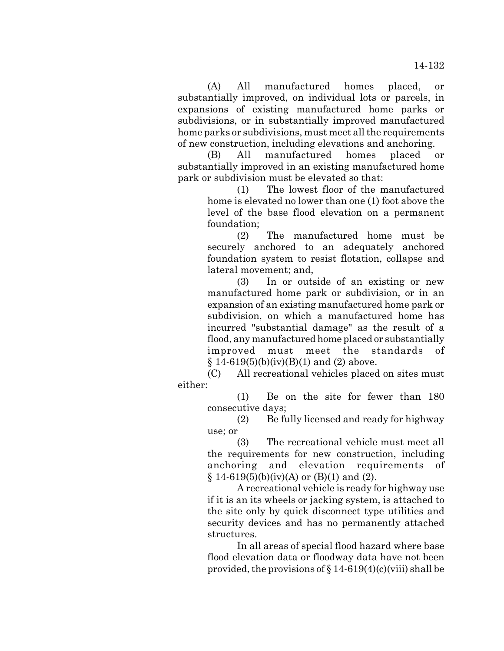(A) All manufactured homes placed, or substantially improved, on individual lots or parcels, in expansions of existing manufactured home parks or subdivisions, or in substantially improved manufactured home parks or subdivisions, must meet all the requirements of new construction, including elevations and anchoring.

(B) All manufactured homes placed or substantially improved in an existing manufactured home park or subdivision must be elevated so that:

> (1) The lowest floor of the manufactured home is elevated no lower than one (1) foot above the level of the base flood elevation on a permanent foundation;

> (2) The manufactured home must be securely anchored to an adequately anchored foundation system to resist flotation, collapse and lateral movement; and,

> (3) In or outside of an existing or new manufactured home park or subdivision, or in an expansion of an existing manufactured home park or subdivision, on which a manufactured home has incurred "substantial damage" as the result of a flood, any manufactured home placed or substantially improved must meet the standards of  $§ 14-619(5)(b)(iv)(B)(1)$  and (2) above.

(C) All recreational vehicles placed on sites must either:

(1) Be on the site for fewer than 180 consecutive days;

(2) Be fully licensed and ready for highway use; or

(3) The recreational vehicle must meet all the requirements for new construction, including anchoring and elevation requirements of  $§ 14-619(5)(b)(iv)(A)$  or  $(B)(1)$  and  $(2)$ .

A recreational vehicle is ready for highway use if it is an its wheels or jacking system, is attached to the site only by quick disconnect type utilities and security devices and has no permanently attached structures.

In all areas of special flood hazard where base flood elevation data or floodway data have not been provided, the provisions of  $\S 14-619(4)(c)(viii)$  shall be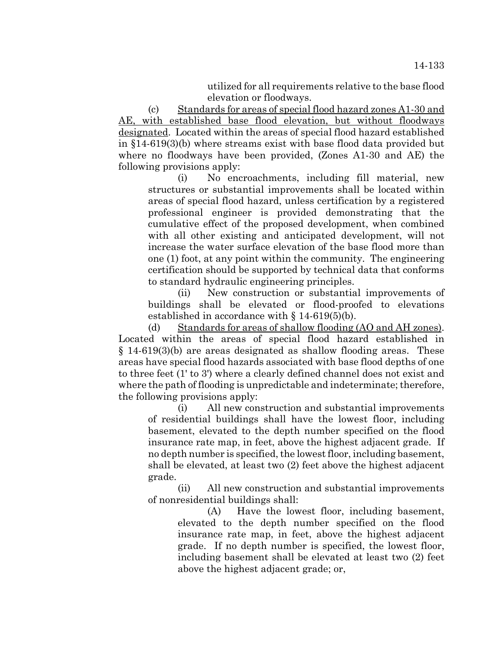utilized for all requirements relative to the base flood elevation or floodways.

(c) Standards for areas of special flood hazard zones A1-30 and AE, with established base flood elevation, but without floodways designated. Located within the areas of special flood hazard established in §14-619(3)(b) where streams exist with base flood data provided but where no floodways have been provided, (Zones A1-30 and AE) the following provisions apply:

(i) No encroachments, including fill material, new structures or substantial improvements shall be located within areas of special flood hazard, unless certification by a registered professional engineer is provided demonstrating that the cumulative effect of the proposed development, when combined with all other existing and anticipated development, will not increase the water surface elevation of the base flood more than one (1) foot, at any point within the community. The engineering certification should be supported by technical data that conforms to standard hydraulic engineering principles.

(ii) New construction or substantial improvements of buildings shall be elevated or flood-proofed to elevations established in accordance with § 14-619(5)(b).

(d) Standards for areas of shallow flooding (AO and AH zones). Located within the areas of special flood hazard established in § 14-619(3)(b) are areas designated as shallow flooding areas. These areas have special flood hazards associated with base flood depths of one to three feet (1' to 3') where a clearly defined channel does not exist and where the path of flooding is unpredictable and indeterminate; therefore, the following provisions apply:

(i) All new construction and substantial improvements of residential buildings shall have the lowest floor, including basement, elevated to the depth number specified on the flood insurance rate map, in feet, above the highest adjacent grade. If no depth number is specified, the lowest floor, including basement, shall be elevated, at least two (2) feet above the highest adjacent grade.

(ii) All new construction and substantial improvements of nonresidential buildings shall:

(A) Have the lowest floor, including basement, elevated to the depth number specified on the flood insurance rate map, in feet, above the highest adjacent grade. If no depth number is specified, the lowest floor, including basement shall be elevated at least two (2) feet above the highest adjacent grade; or,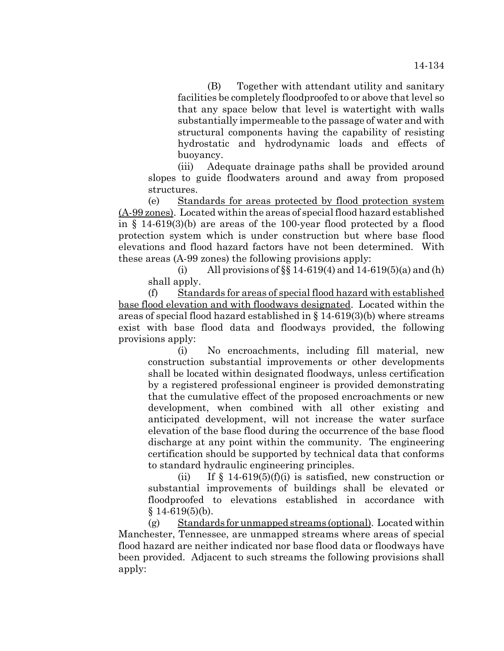(B) Together with attendant utility and sanitary facilities be completely floodproofed to or above that level so that any space below that level is watertight with walls substantially impermeable to the passage of water and with structural components having the capability of resisting hydrostatic and hydrodynamic loads and effects of buoyancy.

(iii) Adequate drainage paths shall be provided around slopes to guide floodwaters around and away from proposed structures.

(e) Standards for areas protected by flood protection system (A-99 zones). Located within the areas of special flood hazard established in § 14-619(3)(b) are areas of the 100-year flood protected by a flood protection system which is under construction but where base flood elevations and flood hazard factors have not been determined. With these areas (A-99 zones) the following provisions apply:

(i) All provisions of  $\S$  14-619(4) and 14-619(5)(a) and (h) shall apply.

(f) Standards for areas of special flood hazard with established base flood elevation and with floodways designated. Located within the areas of special flood hazard established in  $\S 14-619(3)(b)$  where streams exist with base flood data and floodways provided, the following provisions apply:

(i) No encroachments, including fill material, new construction substantial improvements or other developments shall be located within designated floodways, unless certification by a registered professional engineer is provided demonstrating that the cumulative effect of the proposed encroachments or new development, when combined with all other existing and anticipated development, will not increase the water surface elevation of the base flood during the occurrence of the base flood discharge at any point within the community. The engineering certification should be supported by technical data that conforms to standard hydraulic engineering principles.

(ii) If  $\S$  14-619(5)(f)(i) is satisfied, new construction or substantial improvements of buildings shall be elevated or floodproofed to elevations established in accordance with § 14-619(5)(b).

(g) Standards for unmapped streams (optional). Located within Manchester, Tennessee, are unmapped streams where areas of special flood hazard are neither indicated nor base flood data or floodways have been provided. Adjacent to such streams the following provisions shall apply: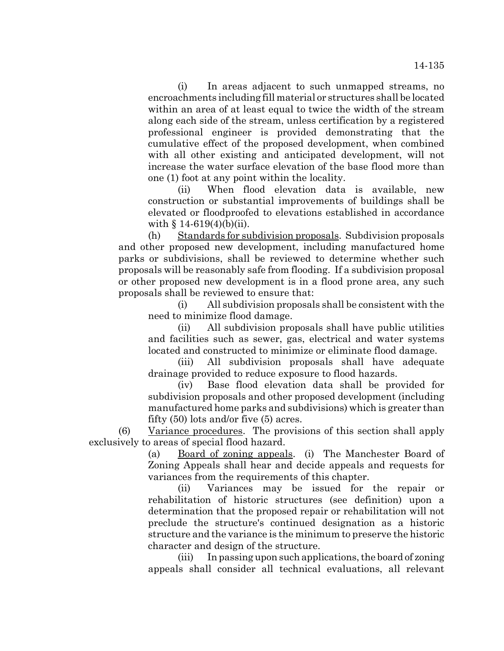(i) In areas adjacent to such unmapped streams, no encroachments including fill material or structures shall be located within an area of at least equal to twice the width of the stream along each side of the stream, unless certification by a registered professional engineer is provided demonstrating that the cumulative effect of the proposed development, when combined with all other existing and anticipated development, will not increase the water surface elevation of the base flood more than one (1) foot at any point within the locality.

(ii) When flood elevation data is available, new construction or substantial improvements of buildings shall be elevated or floodproofed to elevations established in accordance with  $§ 14-619(4)(b)(ii)$ .

(h) Standards for subdivision proposals. Subdivision proposals and other proposed new development, including manufactured home parks or subdivisions, shall be reviewed to determine whether such proposals will be reasonably safe from flooding. If a subdivision proposal or other proposed new development is in a flood prone area, any such proposals shall be reviewed to ensure that:

(i) All subdivision proposals shall be consistent with the need to minimize flood damage.

(ii) All subdivision proposals shall have public utilities and facilities such as sewer, gas, electrical and water systems located and constructed to minimize or eliminate flood damage.

(iii) All subdivision proposals shall have adequate drainage provided to reduce exposure to flood hazards.

(iv) Base flood elevation data shall be provided for subdivision proposals and other proposed development (including manufactured home parks and subdivisions) which is greater than fifty (50) lots and/or five (5) acres.

(6) Variance procedures. The provisions of this section shall apply exclusively to areas of special flood hazard.

> (a) Board of zoning appeals. (i) The Manchester Board of Zoning Appeals shall hear and decide appeals and requests for variances from the requirements of this chapter.

> (ii) Variances may be issued for the repair or rehabilitation of historic structures (see definition) upon a determination that the proposed repair or rehabilitation will not preclude the structure's continued designation as a historic structure and the variance is the minimum to preserve the historic character and design of the structure.

> (iii) In passing upon such applications, the board of zoning appeals shall consider all technical evaluations, all relevant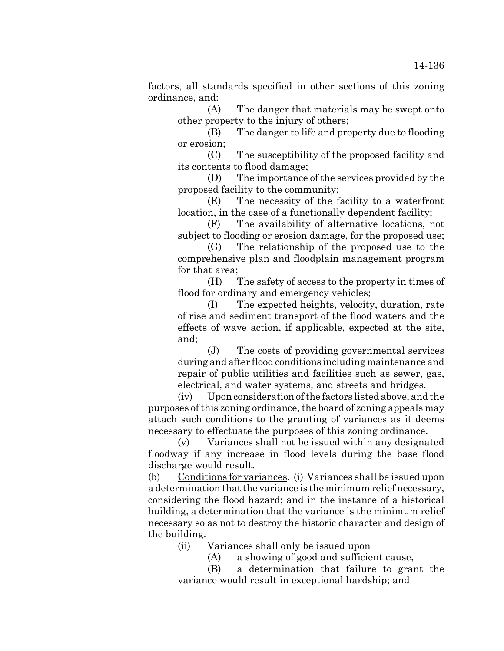factors, all standards specified in other sections of this zoning ordinance, and:

(A) The danger that materials may be swept onto other property to the injury of others;

(B) The danger to life and property due to flooding or erosion;

(C) The susceptibility of the proposed facility and its contents to flood damage;

(D) The importance of the services provided by the proposed facility to the community;

(E) The necessity of the facility to a waterfront location, in the case of a functionally dependent facility;

(F) The availability of alternative locations, not subject to flooding or erosion damage, for the proposed use;

(G) The relationship of the proposed use to the comprehensive plan and floodplain management program for that area;

(H) The safety of access to the property in times of flood for ordinary and emergency vehicles;

(I) The expected heights, velocity, duration, rate of rise and sediment transport of the flood waters and the effects of wave action, if applicable, expected at the site, and;

(J) The costs of providing governmental services during and after flood conditions including maintenance and repair of public utilities and facilities such as sewer, gas, electrical, and water systems, and streets and bridges.

(iv) Upon consideration of the factors listed above, and the purposes of this zoning ordinance, the board of zoning appeals may attach such conditions to the granting of variances as it deems necessary to effectuate the purposes of this zoning ordinance.

(v) Variances shall not be issued within any designated floodway if any increase in flood levels during the base flood discharge would result.

(b) Conditions for variances. (i) Variances shall be issued upon a determination that the variance is the minimum relief necessary, considering the flood hazard; and in the instance of a historical building, a determination that the variance is the minimum relief necessary so as not to destroy the historic character and design of the building.

(ii) Variances shall only be issued upon

(A) a showing of good and sufficient cause,

(B) a determination that failure to grant the variance would result in exceptional hardship; and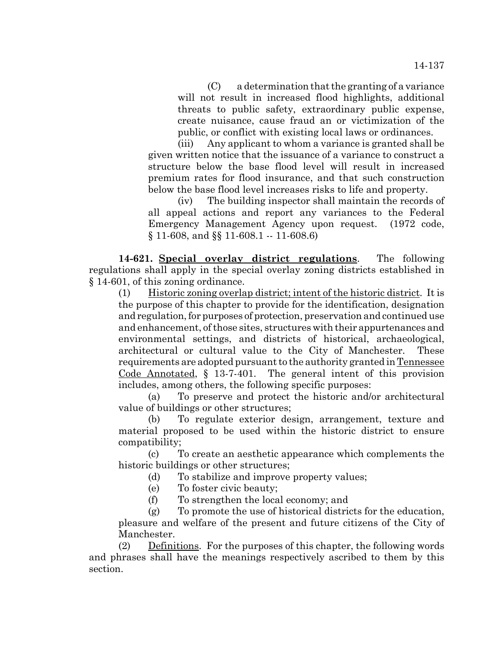(C) a determination that the granting of a variance will not result in increased flood highlights, additional threats to public safety, extraordinary public expense, create nuisance, cause fraud an or victimization of the public, or conflict with existing local laws or ordinances.

(iii) Any applicant to whom a variance is granted shall be given written notice that the issuance of a variance to construct a structure below the base flood level will result in increased premium rates for flood insurance, and that such construction below the base flood level increases risks to life and property.

(iv) The building inspector shall maintain the records of all appeal actions and report any variances to the Federal Emergency Management Agency upon request. (1972 code, § 11-608, and §§ 11-608.1 -- 11-608.6)

**14-621. Special overlay district regulations**. The following regulations shall apply in the special overlay zoning districts established in § 14-601, of this zoning ordinance.

(1) Historic zoning overlap district; intent of the historic district. It is the purpose of this chapter to provide for the identification, designation and regulation, for purposes of protection, preservation and continued use and enhancement, of those sites, structures with their appurtenances and environmental settings, and districts of historical, archaeological, architectural or cultural value to the City of Manchester. These requirements are adopted pursuant to the authority granted in Tennessee Code Annotated, § 13-7-401. The general intent of this provision includes, among others, the following specific purposes:

(a) To preserve and protect the historic and/or architectural value of buildings or other structures;

(b) To regulate exterior design, arrangement, texture and material proposed to be used within the historic district to ensure compatibility;

(c) To create an aesthetic appearance which complements the historic buildings or other structures;

(d) To stabilize and improve property values;

(e) To foster civic beauty;

(f) To strengthen the local economy; and

(g) To promote the use of historical districts for the education, pleasure and welfare of the present and future citizens of the City of Manchester.

(2) Definitions. For the purposes of this chapter, the following words and phrases shall have the meanings respectively ascribed to them by this section.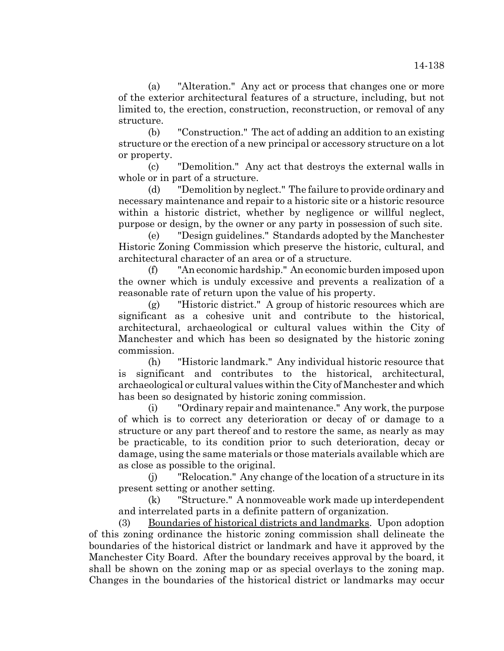(a) "Alteration." Any act or process that changes one or more of the exterior architectural features of a structure, including, but not limited to, the erection, construction, reconstruction, or removal of any structure.

(b) "Construction." The act of adding an addition to an existing structure or the erection of a new principal or accessory structure on a lot or property.

(c) "Demolition." Any act that destroys the external walls in whole or in part of a structure.

(d) "Demolition by neglect." The failure to provide ordinary and necessary maintenance and repair to a historic site or a historic resource within a historic district, whether by negligence or willful neglect, purpose or design, by the owner or any party in possession of such site.

(e) "Design guidelines." Standards adopted by the Manchester Historic Zoning Commission which preserve the historic, cultural, and architectural character of an area or of a structure.

(f) "An economic hardship." An economic burden imposed upon the owner which is unduly excessive and prevents a realization of a reasonable rate of return upon the value of his property.

(g) "Historic district." A group of historic resources which are significant as a cohesive unit and contribute to the historical, architectural, archaeological or cultural values within the City of Manchester and which has been so designated by the historic zoning commission.

(h) "Historic landmark." Any individual historic resource that is significant and contributes to the historical, architectural, archaeological or cultural values within the City of Manchester and which has been so designated by historic zoning commission.

(i) "Ordinary repair and maintenance." Any work, the purpose of which is to correct any deterioration or decay of or damage to a structure or any part thereof and to restore the same, as nearly as may be practicable, to its condition prior to such deterioration, decay or damage, using the same materials or those materials available which are as close as possible to the original.

(j) "Relocation." Any change of the location of a structure in its present setting or another setting.

(k) "Structure." A nonmoveable work made up interdependent and interrelated parts in a definite pattern of organization.

(3) Boundaries of historical districts and landmarks. Upon adoption of this zoning ordinance the historic zoning commission shall delineate the boundaries of the historical district or landmark and have it approved by the Manchester City Board. After the boundary receives approval by the board, it shall be shown on the zoning map or as special overlays to the zoning map. Changes in the boundaries of the historical district or landmarks may occur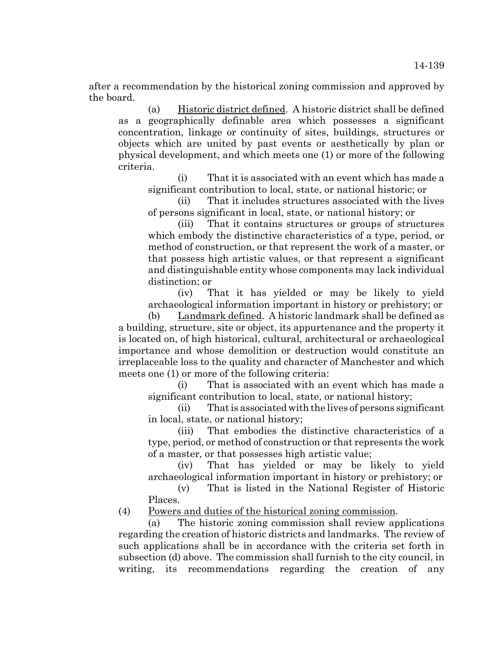after a recommendation by the historical zoning commission and approved by the board.

(a) Historic district defined. A historic district shall be defined as a geographically definable area which possesses a significant concentration, linkage or continuity of sites, buildings, structures or objects which are united by past events or aesthetically by plan or physical development, and which meets one (1) or more of the following criteria.

(i) That it is associated with an event which has made a significant contribution to local, state, or national historic; or

(ii) That it includes structures associated with the lives of persons significant in local, state, or national history; or

(iii) That it contains structures or groups of structures which embody the distinctive characteristics of a type, period, or method of construction, or that represent the work of a master, or that possess high artistic values, or that represent a significant and distinguishable entity whose components may lack individual distinction; or

(iv) That it has yielded or may be likely to yield archaeological information important in history or prehistory; or

(b) Landmark defined. A historic landmark shall be defined as a building, structure, site or object, its appurtenance and the property it is located on, of high historical, cultural, architectural or archaeological importance and whose demolition or destruction would constitute an irreplaceable loss to the quality and character of Manchester and which meets one (1) or more of the following criteria:

(i) That is associated with an event which has made a significant contribution to local, state, or national history;

(ii) That is associated with the lives of persons significant in local, state, or national history;

(iii) That embodies the distinctive characteristics of a type, period, or method of construction or that represents the work of a master, or that possesses high artistic value;

(iv) That has yielded or may be likely to yield archaeological information important in history or prehistory; or

(v) That is listed in the National Register of Historic Places.

(4) Powers and duties of the historical zoning commission.

(a) The historic zoning commission shall review applications regarding the creation of historic districts and landmarks. The review of such applications shall be in accordance with the criteria set forth in subsection (d) above. The commission shall furnish to the city council, in writing, its recommendations regarding the creation of any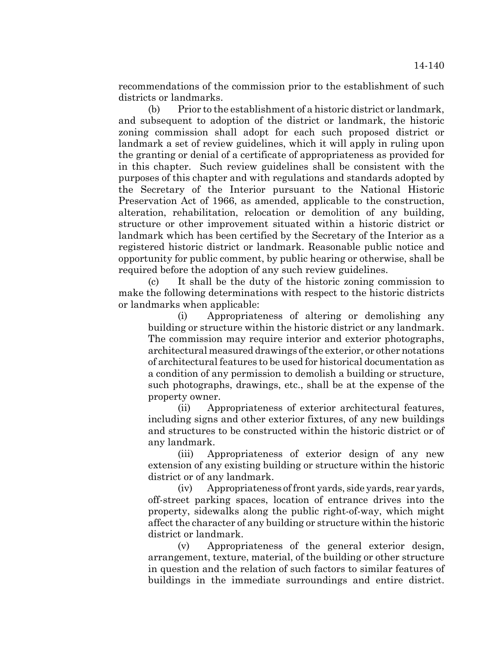recommendations of the commission prior to the establishment of such districts or landmarks.

(b) Prior to the establishment of a historic district or landmark, and subsequent to adoption of the district or landmark, the historic zoning commission shall adopt for each such proposed district or landmark a set of review guidelines, which it will apply in ruling upon the granting or denial of a certificate of appropriateness as provided for in this chapter. Such review guidelines shall be consistent with the purposes of this chapter and with regulations and standards adopted by the Secretary of the Interior pursuant to the National Historic Preservation Act of 1966, as amended, applicable to the construction, alteration, rehabilitation, relocation or demolition of any building, structure or other improvement situated within a historic district or landmark which has been certified by the Secretary of the Interior as a registered historic district or landmark. Reasonable public notice and opportunity for public comment, by public hearing or otherwise, shall be required before the adoption of any such review guidelines.

(c) It shall be the duty of the historic zoning commission to make the following determinations with respect to the historic districts or landmarks when applicable:

(i) Appropriateness of altering or demolishing any building or structure within the historic district or any landmark. The commission may require interior and exterior photographs, architectural measured drawings of the exterior, or other notations of architectural features to be used for historical documentation as a condition of any permission to demolish a building or structure, such photographs, drawings, etc., shall be at the expense of the property owner.

(ii) Appropriateness of exterior architectural features, including signs and other exterior fixtures, of any new buildings and structures to be constructed within the historic district or of any landmark.

(iii) Appropriateness of exterior design of any new extension of any existing building or structure within the historic district or of any landmark.

(iv) Appropriateness of front yards, side yards, rear yards, off-street parking spaces, location of entrance drives into the property, sidewalks along the public right-of-way, which might affect the character of any building or structure within the historic district or landmark.

(v) Appropriateness of the general exterior design, arrangement, texture, material, of the building or other structure in question and the relation of such factors to similar features of buildings in the immediate surroundings and entire district.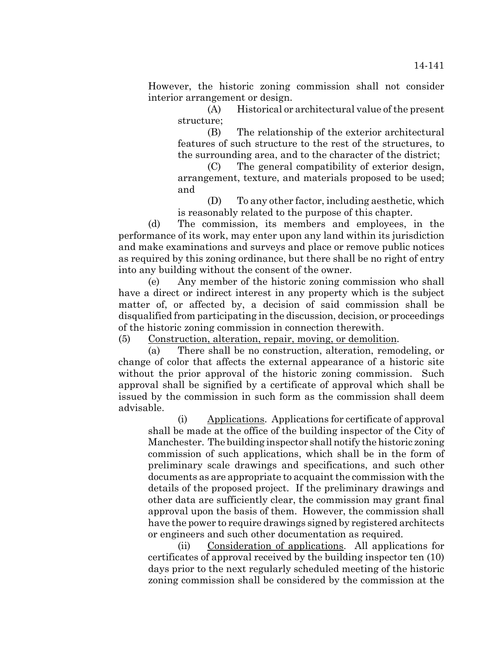However, the historic zoning commission shall not consider interior arrangement or design.

(A) Historical or architectural value of the present structure;

(B) The relationship of the exterior architectural features of such structure to the rest of the structures, to the surrounding area, and to the character of the district;

(C) The general compatibility of exterior design, arrangement, texture, and materials proposed to be used; and

(D) To any other factor, including aesthetic, which is reasonably related to the purpose of this chapter.

(d) The commission, its members and employees, in the performance of its work, may enter upon any land within its jurisdiction and make examinations and surveys and place or remove public notices as required by this zoning ordinance, but there shall be no right of entry into any building without the consent of the owner.

(e) Any member of the historic zoning commission who shall have a direct or indirect interest in any property which is the subject matter of, or affected by, a decision of said commission shall be disqualified from participating in the discussion, decision, or proceedings of the historic zoning commission in connection therewith.

(5) Construction, alteration, repair, moving, or demolition.

(a) There shall be no construction, alteration, remodeling, or change of color that affects the external appearance of a historic site without the prior approval of the historic zoning commission. Such approval shall be signified by a certificate of approval which shall be issued by the commission in such form as the commission shall deem advisable.

(i) Applications. Applications for certificate of approval shall be made at the office of the building inspector of the City of Manchester. The building inspector shall notify the historic zoning commission of such applications, which shall be in the form of preliminary scale drawings and specifications, and such other documents as are appropriate to acquaint the commission with the details of the proposed project. If the preliminary drawings and other data are sufficiently clear, the commission may grant final approval upon the basis of them. However, the commission shall have the power to require drawings signed by registered architects or engineers and such other documentation as required.

(ii) Consideration of applications. All applications for certificates of approval received by the building inspector ten (10) days prior to the next regularly scheduled meeting of the historic zoning commission shall be considered by the commission at the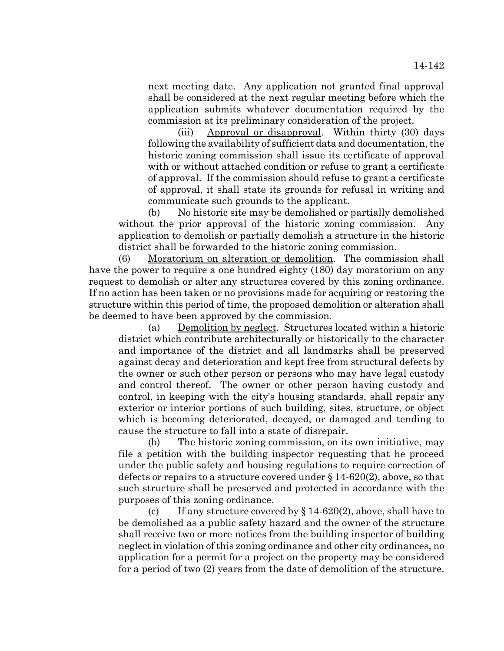next meeting date. Any application not granted final approval shall be considered at the next regular meeting before which the application submits whatever documentation required by the commission at its preliminary consideration of the project.

(iii) Approval or disapproval. Within thirty (30) days following the availability of sufficient data and documentation, the historic zoning commission shall issue its certificate of approval with or without attached condition or refuse to grant a certificate of approval. If the commission should refuse to grant a certificate of approval, it shall state its grounds for refusal in writing and communicate such grounds to the applicant.

(b) No historic site may be demolished or partially demolished without the prior approval of the historic zoning commission. Any application to demolish or partially demolish a structure in the historic district shall be forwarded to the historic zoning commission.

(6) Moratorium on alteration or demolition. The commission shall have the power to require a one hundred eighty (180) day moratorium on any request to demolish or alter any structures covered by this zoning ordinance. If no action has been taken or no provisions made for acquiring or restoring the structure within this period of time, the proposed demolition or alteration shall be deemed to have been approved by the commission.

(a) Demolition by neglect. Structures located within a historic district which contribute architecturally or historically to the character and importance of the district and all landmarks shall be preserved against decay and deterioration and kept free from structural defects by the owner or such other person or persons who may have legal custody and control thereof. The owner or other person having custody and control, in keeping with the city's housing standards, shall repair any exterior or interior portions of such building, sites, structure, or object which is becoming deteriorated, decayed, or damaged and tending to cause the structure to fall into a state of disrepair.

(b) The historic zoning commission, on its own initiative, may file a petition with the building inspector requesting that he proceed under the public safety and housing regulations to require correction of defects or repairs to a structure covered under § 14-620(2), above, so that such structure shall be preserved and protected in accordance with the purposes of this zoning ordinance.

(c) If any structure covered by  $\S 14-620(2)$ , above, shall have to be demolished as a public safety hazard and the owner of the structure shall receive two or more notices from the building inspector of building neglect in violation of this zoning ordinance and other city ordinances, no application for a permit for a project on the property may be considered for a period of two (2) years from the date of demolition of the structure.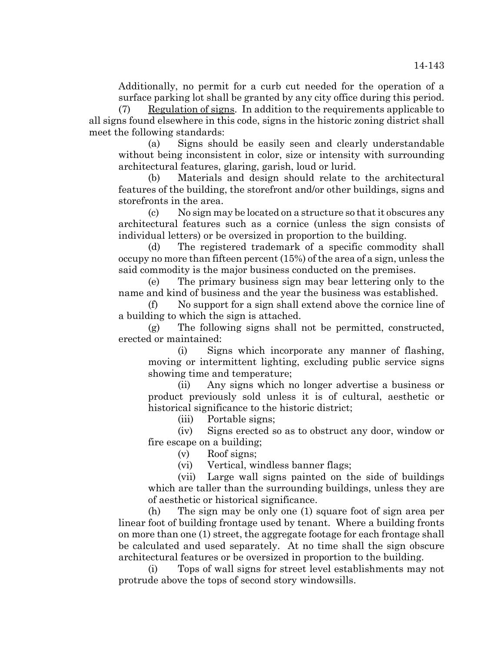Additionally, no permit for a curb cut needed for the operation of a surface parking lot shall be granted by any city office during this period.

(7) Regulation of signs. In addition to the requirements applicable to all signs found elsewhere in this code, signs in the historic zoning district shall meet the following standards:

(a) Signs should be easily seen and clearly understandable without being inconsistent in color, size or intensity with surrounding architectural features, glaring, garish, loud or lurid.

(b) Materials and design should relate to the architectural features of the building, the storefront and/or other buildings, signs and storefronts in the area.

(c) No sign may be located on a structure so that it obscures any architectural features such as a cornice (unless the sign consists of individual letters) or be oversized in proportion to the building.

(d) The registered trademark of a specific commodity shall occupy no more than fifteen percent (15%) of the area of a sign, unless the said commodity is the major business conducted on the premises.

(e) The primary business sign may bear lettering only to the name and kind of business and the year the business was established.

(f) No support for a sign shall extend above the cornice line of a building to which the sign is attached.

(g) The following signs shall not be permitted, constructed, erected or maintained:

(i) Signs which incorporate any manner of flashing, moving or intermittent lighting, excluding public service signs showing time and temperature;

(ii) Any signs which no longer advertise a business or product previously sold unless it is of cultural, aesthetic or historical significance to the historic district;

(iii) Portable signs;

(iv) Signs erected so as to obstruct any door, window or fire escape on a building;

- (v) Roof signs;
- (vi) Vertical, windless banner flags;

(vii) Large wall signs painted on the side of buildings which are taller than the surrounding buildings, unless they are of aesthetic or historical significance.

(h) The sign may be only one (1) square foot of sign area per linear foot of building frontage used by tenant. Where a building fronts on more than one (1) street, the aggregate footage for each frontage shall be calculated and used separately. At no time shall the sign obscure architectural features or be oversized in proportion to the building.

(i) Tops of wall signs for street level establishments may not protrude above the tops of second story windowsills.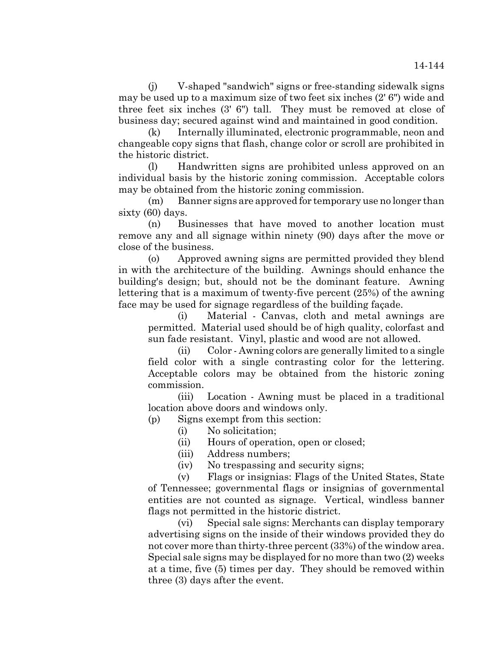(j) V-shaped "sandwich" signs or free-standing sidewalk signs may be used up to a maximum size of two feet six inches (2' 6") wide and three feet six inches (3' 6") tall. They must be removed at close of business day; secured against wind and maintained in good condition.

(k) Internally illuminated, electronic programmable, neon and changeable copy signs that flash, change color or scroll are prohibited in the historic district.

(l) Handwritten signs are prohibited unless approved on an individual basis by the historic zoning commission. Acceptable colors may be obtained from the historic zoning commission.

(m) Banner signs are approved for temporary use no longer than sixty (60) days.

(n) Businesses that have moved to another location must remove any and all signage within ninety (90) days after the move or close of the business.

(o) Approved awning signs are permitted provided they blend in with the architecture of the building. Awnings should enhance the building's design; but, should not be the dominant feature. Awning lettering that is a maximum of twenty-five percent (25%) of the awning face may be used for signage regardless of the building façade.

(i) Material - Canvas, cloth and metal awnings are permitted. Material used should be of high quality, colorfast and sun fade resistant. Vinyl, plastic and wood are not allowed.

(ii) Color - Awning colors are generally limited to a single field color with a single contrasting color for the lettering. Acceptable colors may be obtained from the historic zoning commission.

(iii) Location - Awning must be placed in a traditional location above doors and windows only.

(p) Signs exempt from this section:

(i) No solicitation;

(ii) Hours of operation, open or closed;

(iii) Address numbers;

(iv) No trespassing and security signs;

(v) Flags or insignias: Flags of the United States, State of Tennessee; governmental flags or insignias of governmental entities are not counted as signage. Vertical, windless banner flags not permitted in the historic district.

(vi) Special sale signs: Merchants can display temporary advertising signs on the inside of their windows provided they do not cover more than thirty-three percent (33%) of the window area. Special sale signs may be displayed for no more than two (2) weeks at a time, five (5) times per day. They should be removed within three (3) days after the event.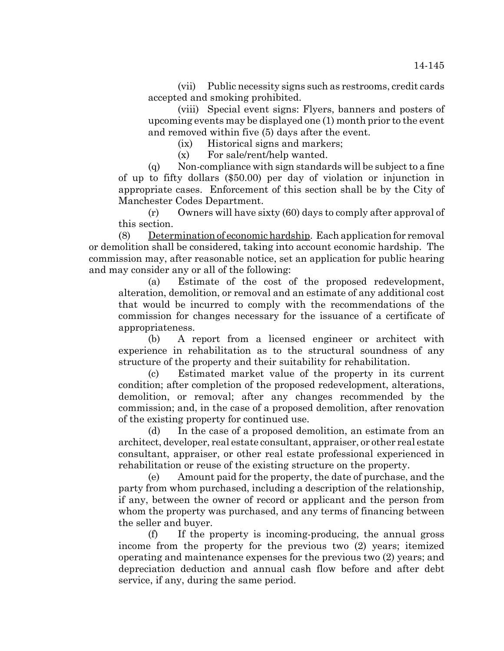(vii) Public necessity signs such as restrooms, credit cards accepted and smoking prohibited.

(viii) Special event signs: Flyers, banners and posters of upcoming events may be displayed one (1) month prior to the event and removed within five (5) days after the event.

(ix) Historical signs and markers;

(x) For sale/rent/help wanted.

(q) Non-compliance with sign standards will be subject to a fine of up to fifty dollars (\$50.00) per day of violation or injunction in appropriate cases. Enforcement of this section shall be by the City of Manchester Codes Department.

(r) Owners will have sixty (60) days to comply after approval of this section.

(8) Determination of economic hardship. Each application for removal or demolition shall be considered, taking into account economic hardship. The commission may, after reasonable notice, set an application for public hearing and may consider any or all of the following:

(a) Estimate of the cost of the proposed redevelopment, alteration, demolition, or removal and an estimate of any additional cost that would be incurred to comply with the recommendations of the commission for changes necessary for the issuance of a certificate of appropriateness.

(b) A report from a licensed engineer or architect with experience in rehabilitation as to the structural soundness of any structure of the property and their suitability for rehabilitation.

(c) Estimated market value of the property in its current condition; after completion of the proposed redevelopment, alterations, demolition, or removal; after any changes recommended by the commission; and, in the case of a proposed demolition, after renovation of the existing property for continued use.

(d) In the case of a proposed demolition, an estimate from an architect, developer, real estate consultant, appraiser, or other real estate consultant, appraiser, or other real estate professional experienced in rehabilitation or reuse of the existing structure on the property.

(e) Amount paid for the property, the date of purchase, and the party from whom purchased, including a description of the relationship, if any, between the owner of record or applicant and the person from whom the property was purchased, and any terms of financing between the seller and buyer.

(f) If the property is incoming-producing, the annual gross income from the property for the previous two (2) years; itemized operating and maintenance expenses for the previous two (2) years; and depreciation deduction and annual cash flow before and after debt service, if any, during the same period.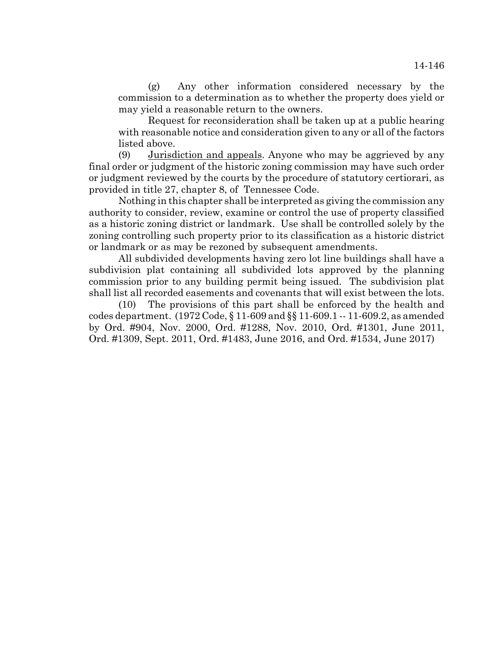(g) Any other information considered necessary by the commission to a determination as to whether the property does yield or may yield a reasonable return to the owners.

Request for reconsideration shall be taken up at a public hearing with reasonable notice and consideration given to any or all of the factors listed above.

(9) Jurisdiction and appeals. Anyone who may be aggrieved by any final order or judgment of the historic zoning commission may have such order or judgment reviewed by the courts by the procedure of statutory certiorari, as provided in title 27, chapter 8, of Tennessee Code.

Nothing in this chapter shall be interpreted as giving the commission any authority to consider, review, examine or control the use of property classified as a historic zoning district or landmark. Use shall be controlled solely by the zoning controlling such property prior to its classification as a historic district or landmark or as may be rezoned by subsequent amendments.

All subdivided developments having zero lot line buildings shall have a subdivision plat containing all subdivided lots approved by the planning commission prior to any building permit being issued. The subdivision plat shall list all recorded easements and covenants that will exist between the lots.

(10) The provisions of this part shall be enforced by the health and codes department. (1972 Code, § 11-609 and §§ 11-609.1 -- 11-609.2, as amended by Ord. #904, Nov. 2000, Ord. #1288, Nov. 2010, Ord. #1301, June 2011, Ord. #1309, Sept. 2011, Ord. #1483, June 2016, and Ord. #1534, June 2017)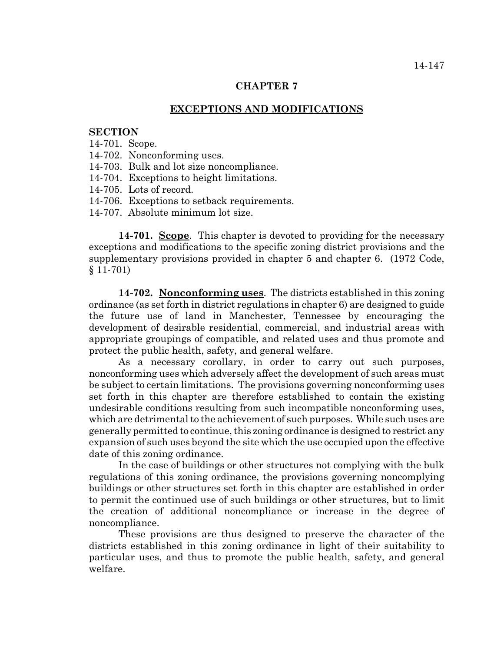# **CHAPTER 7**

## **EXCEPTIONS AND MODIFICATIONS**

## **SECTION**

#### 14-701. Scope.

- 14-702. Nonconforming uses.
- 14-703. Bulk and lot size noncompliance.
- 14-704. Exceptions to height limitations.
- 14-705. Lots of record.
- 14-706. Exceptions to setback requirements.
- 14-707. Absolute minimum lot size.

**14-701. Scope**. This chapter is devoted to providing for the necessary exceptions and modifications to the specific zoning district provisions and the supplementary provisions provided in chapter 5 and chapter 6. (1972 Code, § 11-701)

**14-702. Nonconforming uses**. The districts established in this zoning ordinance (as set forth in district regulations in chapter 6) are designed to guide the future use of land in Manchester, Tennessee by encouraging the development of desirable residential, commercial, and industrial areas with appropriate groupings of compatible, and related uses and thus promote and protect the public health, safety, and general welfare.

As a necessary corollary, in order to carry out such purposes, nonconforming uses which adversely affect the development of such areas must be subject to certain limitations. The provisions governing nonconforming uses set forth in this chapter are therefore established to contain the existing undesirable conditions resulting from such incompatible nonconforming uses, which are detrimental to the achievement of such purposes. While such uses are generally permitted to continue, this zoning ordinance is designed to restrict any expansion of such uses beyond the site which the use occupied upon the effective date of this zoning ordinance.

In the case of buildings or other structures not complying with the bulk regulations of this zoning ordinance, the provisions governing noncomplying buildings or other structures set forth in this chapter are established in order to permit the continued use of such buildings or other structures, but to limit the creation of additional noncompliance or increase in the degree of noncompliance.

These provisions are thus designed to preserve the character of the districts established in this zoning ordinance in light of their suitability to particular uses, and thus to promote the public health, safety, and general welfare.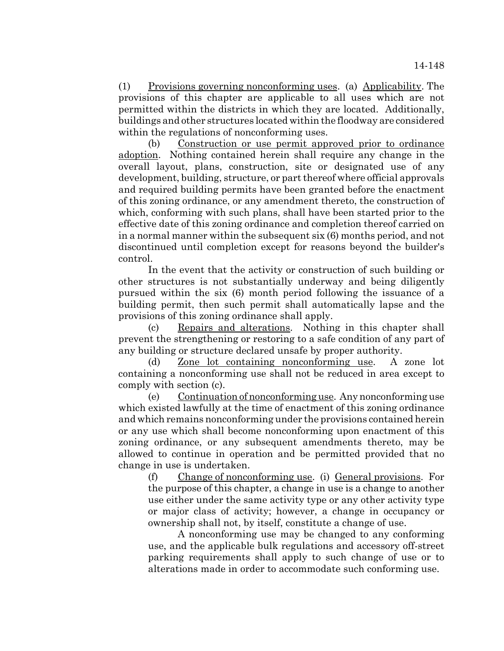(1) Provisions governing nonconforming uses. (a) Applicability. The provisions of this chapter are applicable to all uses which are not permitted within the districts in which they are located. Additionally, buildings and other structures located within the floodway are considered within the regulations of nonconforming uses.

(b) Construction or use permit approved prior to ordinance adoption. Nothing contained herein shall require any change in the overall layout, plans, construction, site or designated use of any development, building, structure, or part thereof where official approvals and required building permits have been granted before the enactment of this zoning ordinance, or any amendment thereto, the construction of which, conforming with such plans, shall have been started prior to the effective date of this zoning ordinance and completion thereof carried on in a normal manner within the subsequent six (6) months period, and not discontinued until completion except for reasons beyond the builder's control.

In the event that the activity or construction of such building or other structures is not substantially underway and being diligently pursued within the six (6) month period following the issuance of a building permit, then such permit shall automatically lapse and the provisions of this zoning ordinance shall apply.

(c) Repairs and alterations. Nothing in this chapter shall prevent the strengthening or restoring to a safe condition of any part of any building or structure declared unsafe by proper authority.

(d) Zone lot containing nonconforming use. A zone lot containing a nonconforming use shall not be reduced in area except to comply with section (c).

(e) Continuation of nonconforming use. Any nonconforming use which existed lawfully at the time of enactment of this zoning ordinance and which remains nonconforming under the provisions contained herein or any use which shall become nonconforming upon enactment of this zoning ordinance, or any subsequent amendments thereto, may be allowed to continue in operation and be permitted provided that no change in use is undertaken.

(f) Change of nonconforming use. (i) General provisions. For the purpose of this chapter, a change in use is a change to another use either under the same activity type or any other activity type or major class of activity; however, a change in occupancy or ownership shall not, by itself, constitute a change of use.

A nonconforming use may be changed to any conforming use, and the applicable bulk regulations and accessory off-street parking requirements shall apply to such change of use or to alterations made in order to accommodate such conforming use.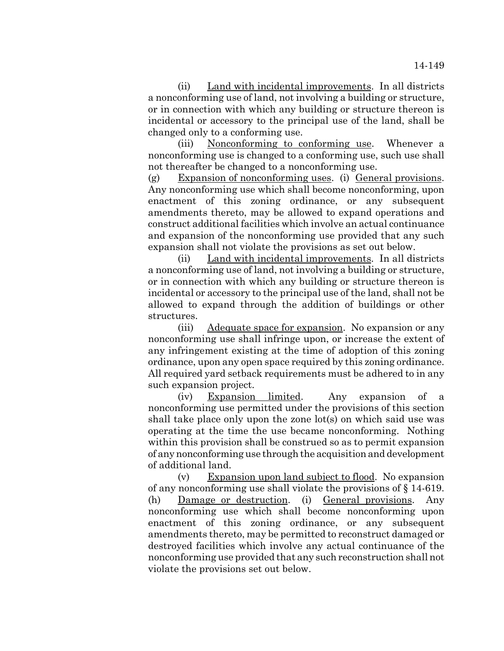(ii) Land with incidental improvements. In all districts a nonconforming use of land, not involving a building or structure, or in connection with which any building or structure thereon is incidental or accessory to the principal use of the land, shall be changed only to a conforming use.

(iii) Nonconforming to conforming use. Whenever a nonconforming use is changed to a conforming use, such use shall not thereafter be changed to a nonconforming use.

(g) Expansion of nonconforming uses. (i) General provisions. Any nonconforming use which shall become nonconforming, upon enactment of this zoning ordinance, or any subsequent amendments thereto, may be allowed to expand operations and construct additional facilities which involve an actual continuance and expansion of the nonconforming use provided that any such expansion shall not violate the provisions as set out below.

(ii) Land with incidental improvements. In all districts a nonconforming use of land, not involving a building or structure, or in connection with which any building or structure thereon is incidental or accessory to the principal use of the land, shall not be allowed to expand through the addition of buildings or other structures.

(iii) Adequate space for expansion. No expansion or any nonconforming use shall infringe upon, or increase the extent of any infringement existing at the time of adoption of this zoning ordinance, upon any open space required by this zoning ordinance. All required yard setback requirements must be adhered to in any such expansion project.

(iv) Expansion limited. Any expansion of a nonconforming use permitted under the provisions of this section shall take place only upon the zone lot(s) on which said use was operating at the time the use became nonconforming. Nothing within this provision shall be construed so as to permit expansion of any nonconforming use through the acquisition and development of additional land.

(v) Expansion upon land subject to flood. No expansion of any nonconforming use shall violate the provisions of § 14-619. (h) Damage or destruction. (i) General provisions. Any nonconforming use which shall become nonconforming upon enactment of this zoning ordinance, or any subsequent amendments thereto, may be permitted to reconstruct damaged or destroyed facilities which involve any actual continuance of the nonconforming use provided that any such reconstruction shall not violate the provisions set out below.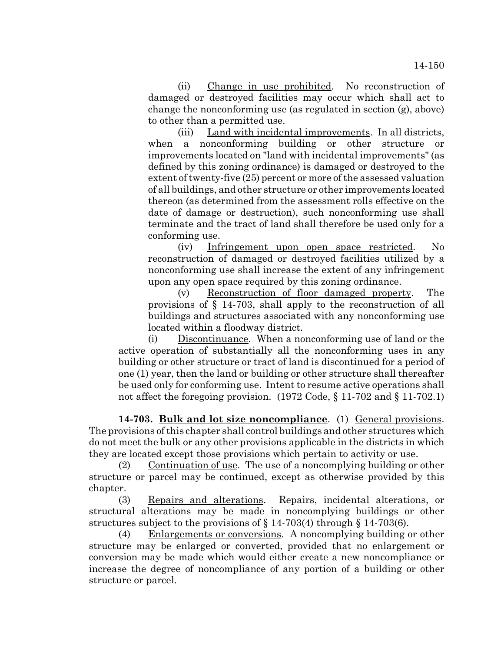(ii) Change in use prohibited. No reconstruction of damaged or destroyed facilities may occur which shall act to change the nonconforming use (as regulated in section (g), above) to other than a permitted use.

(iii) Land with incidental improvements. In all districts, when a nonconforming building or other structure or improvements located on "land with incidental improvements" (as defined by this zoning ordinance) is damaged or destroyed to the extent of twenty-five (25) percent or more of the assessed valuation of all buildings, and other structure or other improvements located thereon (as determined from the assessment rolls effective on the date of damage or destruction), such nonconforming use shall terminate and the tract of land shall therefore be used only for a conforming use.

(iv) Infringement upon open space restricted. No reconstruction of damaged or destroyed facilities utilized by a nonconforming use shall increase the extent of any infringement upon any open space required by this zoning ordinance.

(v) Reconstruction of floor damaged property. The provisions of § 14-703, shall apply to the reconstruction of all buildings and structures associated with any nonconforming use located within a floodway district.

(i) Discontinuance. When a nonconforming use of land or the active operation of substantially all the nonconforming uses in any building or other structure or tract of land is discontinued for a period of one (1) year, then the land or building or other structure shall thereafter be used only for conforming use. Intent to resume active operations shall not affect the foregoing provision. (1972 Code, § 11-702 and § 11-702.1)

**14-703. Bulk and lot size noncompliance**. (1) General provisions. The provisions of this chapter shall control buildings and other structures which do not meet the bulk or any other provisions applicable in the districts in which they are located except those provisions which pertain to activity or use.

(2) Continuation of use. The use of a noncomplying building or other structure or parcel may be continued, except as otherwise provided by this chapter.

(3) Repairs and alterations. Repairs, incidental alterations, or structural alterations may be made in noncomplying buildings or other structures subject to the provisions of § 14-703(4) through § 14-703(6).

(4) Enlargements or conversions. A noncomplying building or other structure may be enlarged or converted, provided that no enlargement or conversion may be made which would either create a new noncompliance or increase the degree of noncompliance of any portion of a building or other structure or parcel.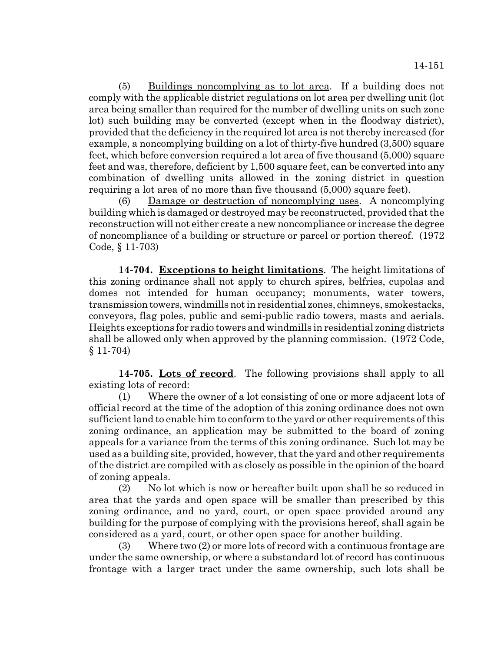(5) Buildings noncomplying as to lot area. If a building does not comply with the applicable district regulations on lot area per dwelling unit (lot area being smaller than required for the number of dwelling units on such zone lot) such building may be converted (except when in the floodway district), provided that the deficiency in the required lot area is not thereby increased (for example, a noncomplying building on a lot of thirty-five hundred (3,500) square feet, which before conversion required a lot area of five thousand (5,000) square feet and was, therefore, deficient by 1,500 square feet, can be converted into any combination of dwelling units allowed in the zoning district in question requiring a lot area of no more than five thousand (5,000) square feet).

(6) Damage or destruction of noncomplying uses. A noncomplying building which is damaged or destroyed may be reconstructed, provided that the reconstruction will not either create a new noncompliance or increase the degree of noncompliance of a building or structure or parcel or portion thereof. (1972 Code, § 11-703)

**14-704. Exceptions to height limitations**. The height limitations of this zoning ordinance shall not apply to church spires, belfries, cupolas and domes not intended for human occupancy; monuments, water towers, transmission towers, windmills not in residential zones, chimneys, smokestacks, conveyors, flag poles, public and semi-public radio towers, masts and aerials. Heights exceptions for radio towers and windmills in residential zoning districts shall be allowed only when approved by the planning commission. (1972 Code, § 11-704)

**14-705. Lots of record**. The following provisions shall apply to all existing lots of record:

(1) Where the owner of a lot consisting of one or more adjacent lots of official record at the time of the adoption of this zoning ordinance does not own sufficient land to enable him to conform to the yard or other requirements of this zoning ordinance, an application may be submitted to the board of zoning appeals for a variance from the terms of this zoning ordinance. Such lot may be used as a building site, provided, however, that the yard and other requirements of the district are compiled with as closely as possible in the opinion of the board of zoning appeals.

(2) No lot which is now or hereafter built upon shall be so reduced in area that the yards and open space will be smaller than prescribed by this zoning ordinance, and no yard, court, or open space provided around any building for the purpose of complying with the provisions hereof, shall again be considered as a yard, court, or other open space for another building.

(3) Where two (2) or more lots of record with a continuous frontage are under the same ownership, or where a substandard lot of record has continuous frontage with a larger tract under the same ownership, such lots shall be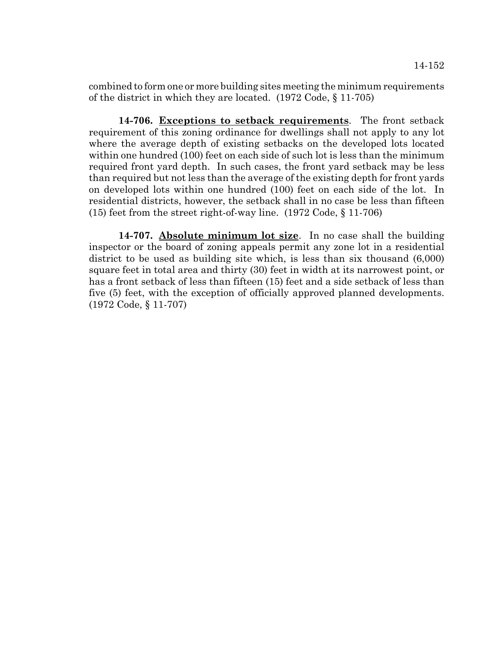combined to form one or more building sites meeting the minimum requirements of the district in which they are located. (1972 Code, § 11-705)

**14-706. Exceptions to setback requirements**. The front setback requirement of this zoning ordinance for dwellings shall not apply to any lot where the average depth of existing setbacks on the developed lots located within one hundred (100) feet on each side of such lot is less than the minimum required front yard depth. In such cases, the front yard setback may be less than required but not less than the average of the existing depth for front yards on developed lots within one hundred (100) feet on each side of the lot. In residential districts, however, the setback shall in no case be less than fifteen (15) feet from the street right-of-way line. (1972 Code, § 11-706)

**14-707. Absolute minimum lot size**. In no case shall the building inspector or the board of zoning appeals permit any zone lot in a residential district to be used as building site which, is less than six thousand (6,000) square feet in total area and thirty (30) feet in width at its narrowest point, or has a front setback of less than fifteen (15) feet and a side setback of less than five (5) feet, with the exception of officially approved planned developments. (1972 Code, § 11-707)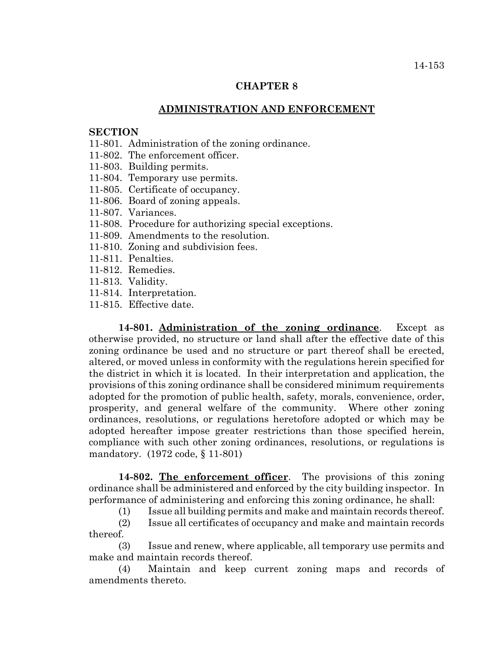# **ADMINISTRATION AND ENFORCEMENT**

# **SECTION**

- 11-801. Administration of the zoning ordinance.
- 11-802. The enforcement officer.
- 11-803. Building permits.
- 11-804. Temporary use permits.
- 11-805. Certificate of occupancy.
- 11-806. Board of zoning appeals.
- 11-807. Variances.
- 11-808. Procedure for authorizing special exceptions.
- 11-809. Amendments to the resolution.
- 11-810. Zoning and subdivision fees.
- 11-811. Penalties.
- 11-812. Remedies.
- 11-813. Validity.
- 11-814. Interpretation.
- 11-815. Effective date.

**14-801. Administration of the zoning ordinance**. Except as otherwise provided, no structure or land shall after the effective date of this zoning ordinance be used and no structure or part thereof shall be erected, altered, or moved unless in conformity with the regulations herein specified for the district in which it is located. In their interpretation and application, the provisions of this zoning ordinance shall be considered minimum requirements adopted for the promotion of public health, safety, morals, convenience, order, prosperity, and general welfare of the community. Where other zoning ordinances, resolutions, or regulations heretofore adopted or which may be adopted hereafter impose greater restrictions than those specified herein, compliance with such other zoning ordinances, resolutions, or regulations is mandatory. (1972 code, § 11-801)

**14-802. The enforcement officer**. The provisions of this zoning ordinance shall be administered and enforced by the city building inspector. In performance of administering and enforcing this zoning ordinance, he shall:

(1) Issue all building permits and make and maintain records thereof.

(2) Issue all certificates of occupancy and make and maintain records thereof.

(3) Issue and renew, where applicable, all temporary use permits and make and maintain records thereof.

(4) Maintain and keep current zoning maps and records of amendments thereto.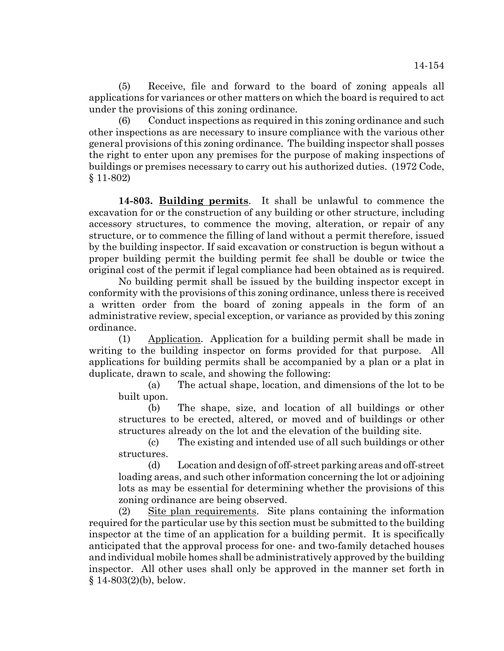(5) Receive, file and forward to the board of zoning appeals all applications for variances or other matters on which the board is required to act under the provisions of this zoning ordinance.

(6) Conduct inspections as required in this zoning ordinance and such other inspections as are necessary to insure compliance with the various other general provisions of this zoning ordinance. The building inspector shall posses the right to enter upon any premises for the purpose of making inspections of buildings or premises necessary to carry out his authorized duties. (1972 Code, § 11-802)

**14-803. Building permits**. It shall be unlawful to commence the excavation for or the construction of any building or other structure, including accessory structures, to commence the moving, alteration, or repair of any structure, or to commence the filling of land without a permit therefore, issued by the building inspector. If said excavation or construction is begun without a proper building permit the building permit fee shall be double or twice the original cost of the permit if legal compliance had been obtained as is required.

No building permit shall be issued by the building inspector except in conformity with the provisions of this zoning ordinance, unless there is received a written order from the board of zoning appeals in the form of an administrative review, special exception, or variance as provided by this zoning ordinance.

(1) Application. Application for a building permit shall be made in writing to the building inspector on forms provided for that purpose. All applications for building permits shall be accompanied by a plan or a plat in duplicate, drawn to scale, and showing the following:

(a) The actual shape, location, and dimensions of the lot to be built upon.

(b) The shape, size, and location of all buildings or other structures to be erected, altered, or moved and of buildings or other structures already on the lot and the elevation of the building site.

(c) The existing and intended use of all such buildings or other structures.

(d) Location and design of off-street parking areas and off-street loading areas, and such other information concerning the lot or adjoining lots as may be essential for determining whether the provisions of this zoning ordinance are being observed.

(2) Site plan requirements. Site plans containing the information required for the particular use by this section must be submitted to the building inspector at the time of an application for a building permit. It is specifically anticipated that the approval process for one- and two-family detached houses and individual mobile homes shall be administratively approved by the building inspector. All other uses shall only be approved in the manner set forth in  $§ 14-803(2)(b)$ , below.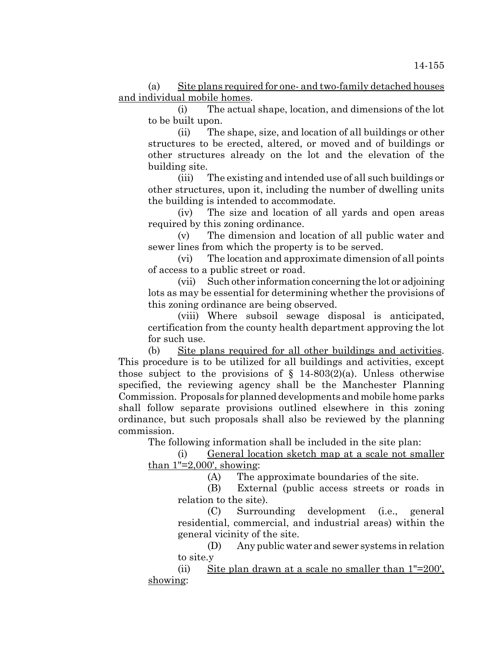(a) Site plans required for one- and two-family detached houses and individual mobile homes.

(i) The actual shape, location, and dimensions of the lot to be built upon.

(ii) The shape, size, and location of all buildings or other structures to be erected, altered, or moved and of buildings or other structures already on the lot and the elevation of the building site.

(iii) The existing and intended use of all such buildings or other structures, upon it, including the number of dwelling units the building is intended to accommodate.

(iv) The size and location of all yards and open areas required by this zoning ordinance.

(v) The dimension and location of all public water and sewer lines from which the property is to be served.

(vi) The location and approximate dimension of all points of access to a public street or road.

(vii) Such other information concerning the lot or adjoining lots as may be essential for determining whether the provisions of this zoning ordinance are being observed.

(viii) Where subsoil sewage disposal is anticipated, certification from the county health department approving the lot for such use.

(b) Site plans required for all other buildings and activities. This procedure is to be utilized for all buildings and activities, except those subject to the provisions of  $\S$  14-803(2)(a). Unless otherwise specified, the reviewing agency shall be the Manchester Planning Commission. Proposals for planned developments and mobile home parks shall follow separate provisions outlined elsewhere in this zoning ordinance, but such proposals shall also be reviewed by the planning commission.

The following information shall be included in the site plan:

(i) General location sketch map at a scale not smaller than  $1"=2,000'$ , showing:

(A) The approximate boundaries of the site.

(B) External (public access streets or roads in relation to the site).

(C) Surrounding development (i.e., general residential, commercial, and industrial areas) within the general vicinity of the site.

(D) Any public water and sewer systems in relation to site.y

(ii) Site plan drawn at a scale no smaller than 1"=200', showing: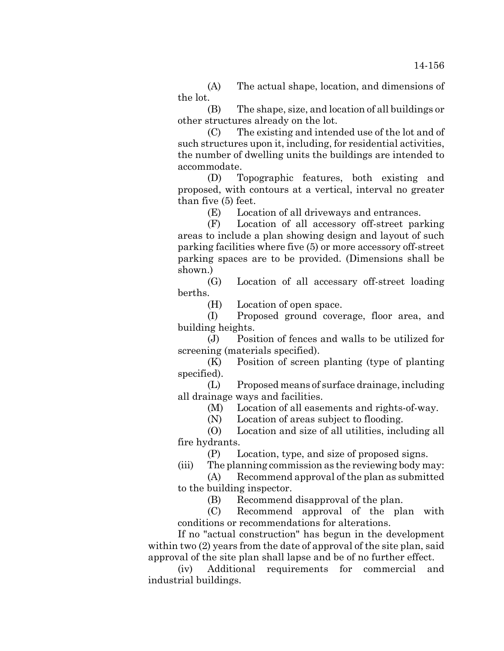(A) The actual shape, location, and dimensions of the lot.

(B) The shape, size, and location of all buildings or other structures already on the lot.

(C) The existing and intended use of the lot and of such structures upon it, including, for residential activities, the number of dwelling units the buildings are intended to accommodate.

(D) Topographic features, both existing and proposed, with contours at a vertical, interval no greater than five (5) feet.

(E) Location of all driveways and entrances.

(F) Location of all accessory off-street parking areas to include a plan showing design and layout of such parking facilities where five (5) or more accessory off-street parking spaces are to be provided. (Dimensions shall be shown.)

(G) Location of all accessary off-street loading berths.

(H) Location of open space.

(I) Proposed ground coverage, floor area, and building heights.

(J) Position of fences and walls to be utilized for screening (materials specified).

(K) Position of screen planting (type of planting specified).

(L) Proposed means of surface drainage, including all drainage ways and facilities.

(M) Location of all easements and rights-of-way.

(N) Location of areas subject to flooding.

(O) Location and size of all utilities, including all fire hydrants.

(P) Location, type, and size of proposed signs.

(iii) The planning commission as the reviewing body may:

(A) Recommend approval of the plan as submitted to the building inspector.

(B) Recommend disapproval of the plan.

(C) Recommend approval of the plan with conditions or recommendations for alterations.

If no "actual construction" has begun in the development within two (2) years from the date of approval of the site plan, said approval of the site plan shall lapse and be of no further effect.

(iv) Additional requirements for commercial and industrial buildings.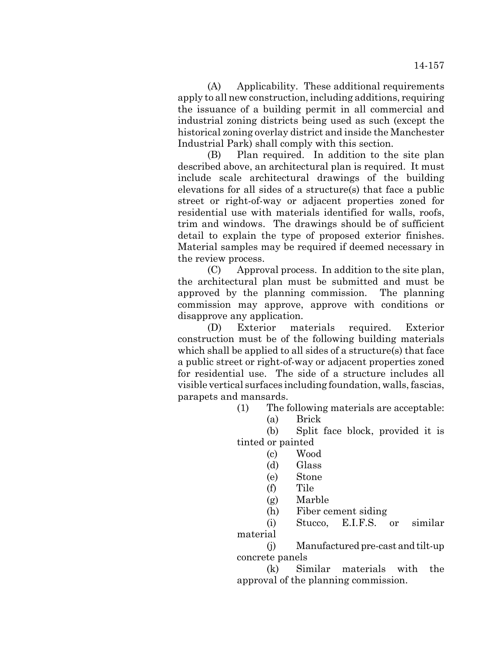(A) Applicability. These additional requirements apply to all new construction, including additions, requiring the issuance of a building permit in all commercial and industrial zoning districts being used as such (except the historical zoning overlay district and inside the Manchester Industrial Park) shall comply with this section.

(B) Plan required. In addition to the site plan described above, an architectural plan is required. It must include scale architectural drawings of the building elevations for all sides of a structure(s) that face a public street or right-of-way or adjacent properties zoned for residential use with materials identified for walls, roofs, trim and windows. The drawings should be of sufficient detail to explain the type of proposed exterior finishes. Material samples may be required if deemed necessary in the review process.

(C) Approval process. In addition to the site plan, the architectural plan must be submitted and must be approved by the planning commission. The planning commission may approve, approve with conditions or disapprove any application.

(D) Exterior materials required. Exterior construction must be of the following building materials which shall be applied to all sides of a structure(s) that face a public street or right-of-way or adjacent properties zoned for residential use. The side of a structure includes all visible vertical surfaces including foundation, walls, fascias, parapets and mansards.

(1) The following materials are acceptable:

(a) Brick

(b) Split face block, provided it is tinted or painted

- (c) Wood
- (d) Glass
- (e) Stone
- (f) Tile
- (g) Marble
- (h) Fiber cement siding

(i) Stucco, E.I.F.S. or similar material

(j) Manufactured pre-cast and tilt-up concrete panels

(k) Similar materials with the approval of the planning commission.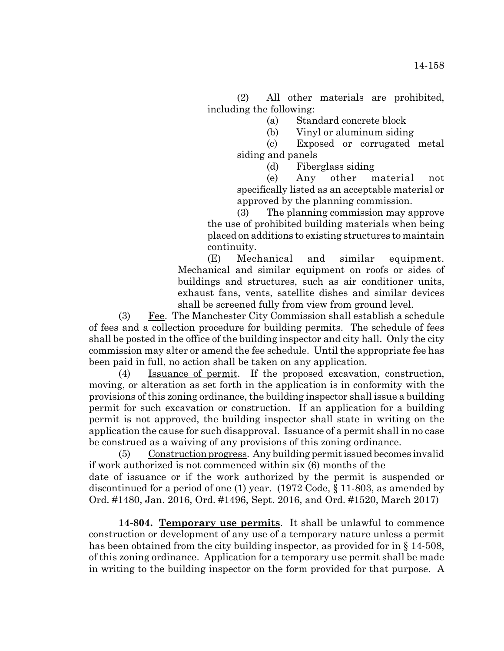(2) All other materials are prohibited, including the following:

(a) Standard concrete block

(b) Vinyl or aluminum siding

(c) Exposed or corrugated metal siding and panels

(d) Fiberglass siding

(e) Any other material not specifically listed as an acceptable material or approved by the planning commission.

(3) The planning commission may approve the use of prohibited building materials when being placed on additions to existing structures to maintain continuity.

(E) Mechanical and similar equipment. Mechanical and similar equipment on roofs or sides of buildings and structures, such as air conditioner units, exhaust fans, vents, satellite dishes and similar devices shall be screened fully from view from ground level.

(3) Fee. The Manchester City Commission shall establish a schedule of fees and a collection procedure for building permits. The schedule of fees shall be posted in the office of the building inspector and city hall. Only the city commission may alter or amend the fee schedule. Until the appropriate fee has been paid in full, no action shall be taken on any application.

(4) Issuance of permit. If the proposed excavation, construction, moving, or alteration as set forth in the application is in conformity with the provisions of this zoning ordinance, the building inspector shall issue a building permit for such excavation or construction. If an application for a building permit is not approved, the building inspector shall state in writing on the application the cause for such disapproval. Issuance of a permit shall in no case be construed as a waiving of any provisions of this zoning ordinance.

(5) Construction progress. Any building permit issued becomes invalid if work authorized is not commenced within six (6) months of the date of issuance or if the work authorized by the permit is suspended or discontinued for a period of one (1) year. (1972 Code, § 11-803, as amended by Ord. #1480, Jan. 2016, Ord. #1496, Sept. 2016, and Ord. #1520, March 2017)

**14-804. Temporary use permits**. It shall be unlawful to commence construction or development of any use of a temporary nature unless a permit has been obtained from the city building inspector, as provided for in § 14-508, of this zoning ordinance. Application for a temporary use permit shall be made in writing to the building inspector on the form provided for that purpose. A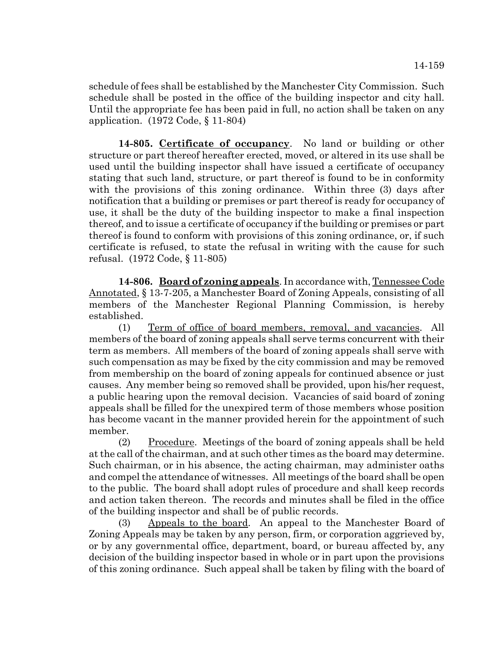schedule of fees shall be established by the Manchester City Commission. Such schedule shall be posted in the office of the building inspector and city hall. Until the appropriate fee has been paid in full, no action shall be taken on any application. (1972 Code, § 11-804)

**14-805. Certificate of occupancy**. No land or building or other structure or part thereof hereafter erected, moved, or altered in its use shall be used until the building inspector shall have issued a certificate of occupancy stating that such land, structure, or part thereof is found to be in conformity with the provisions of this zoning ordinance. Within three (3) days after notification that a building or premises or part thereof is ready for occupancy of use, it shall be the duty of the building inspector to make a final inspection thereof, and to issue a certificate of occupancy if the building or premises or part thereof is found to conform with provisions of this zoning ordinance, or, if such certificate is refused, to state the refusal in writing with the cause for such refusal. (1972 Code, § 11-805)

**14-806. Board of zoning appeals**. In accordance with, Tennessee Code Annotated, § 13-7-205, a Manchester Board of Zoning Appeals, consisting of all members of the Manchester Regional Planning Commission, is hereby established.

(1) Term of office of board members, removal, and vacancies. All members of the board of zoning appeals shall serve terms concurrent with their term as members. All members of the board of zoning appeals shall serve with such compensation as may be fixed by the city commission and may be removed from membership on the board of zoning appeals for continued absence or just causes. Any member being so removed shall be provided, upon his/her request, a public hearing upon the removal decision. Vacancies of said board of zoning appeals shall be filled for the unexpired term of those members whose position has become vacant in the manner provided herein for the appointment of such member.

(2) Procedure. Meetings of the board of zoning appeals shall be held at the call of the chairman, and at such other times as the board may determine. Such chairman, or in his absence, the acting chairman, may administer oaths and compel the attendance of witnesses. All meetings of the board shall be open to the public. The board shall adopt rules of procedure and shall keep records and action taken thereon. The records and minutes shall be filed in the office of the building inspector and shall be of public records.

(3) Appeals to the board. An appeal to the Manchester Board of Zoning Appeals may be taken by any person, firm, or corporation aggrieved by, or by any governmental office, department, board, or bureau affected by, any decision of the building inspector based in whole or in part upon the provisions of this zoning ordinance. Such appeal shall be taken by filing with the board of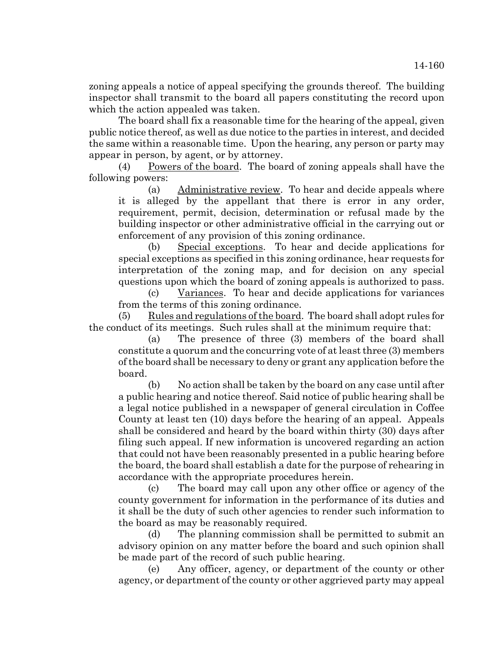zoning appeals a notice of appeal specifying the grounds thereof. The building inspector shall transmit to the board all papers constituting the record upon which the action appealed was taken.

The board shall fix a reasonable time for the hearing of the appeal, given public notice thereof, as well as due notice to the parties in interest, and decided the same within a reasonable time. Upon the hearing, any person or party may appear in person, by agent, or by attorney.

(4) Powers of the board. The board of zoning appeals shall have the following powers:

(a) Administrative review. To hear and decide appeals where it is alleged by the appellant that there is error in any order, requirement, permit, decision, determination or refusal made by the building inspector or other administrative official in the carrying out or enforcement of any provision of this zoning ordinance.

(b) Special exceptions. To hear and decide applications for special exceptions as specified in this zoning ordinance, hear requests for interpretation of the zoning map, and for decision on any special questions upon which the board of zoning appeals is authorized to pass.

(c) Variances. To hear and decide applications for variances from the terms of this zoning ordinance.

(5) Rules and regulations of the board. The board shall adopt rules for the conduct of its meetings. Such rules shall at the minimum require that:

(a) The presence of three (3) members of the board shall constitute a quorum and the concurring vote of at least three (3) members of the board shall be necessary to deny or grant any application before the board.

(b) No action shall be taken by the board on any case until after a public hearing and notice thereof. Said notice of public hearing shall be a legal notice published in a newspaper of general circulation in Coffee County at least ten (10) days before the hearing of an appeal. Appeals shall be considered and heard by the board within thirty (30) days after filing such appeal. If new information is uncovered regarding an action that could not have been reasonably presented in a public hearing before the board, the board shall establish a date for the purpose of rehearing in accordance with the appropriate procedures herein.

(c) The board may call upon any other office or agency of the county government for information in the performance of its duties and it shall be the duty of such other agencies to render such information to the board as may be reasonably required.

(d) The planning commission shall be permitted to submit an advisory opinion on any matter before the board and such opinion shall be made part of the record of such public hearing.

(e) Any officer, agency, or department of the county or other agency, or department of the county or other aggrieved party may appeal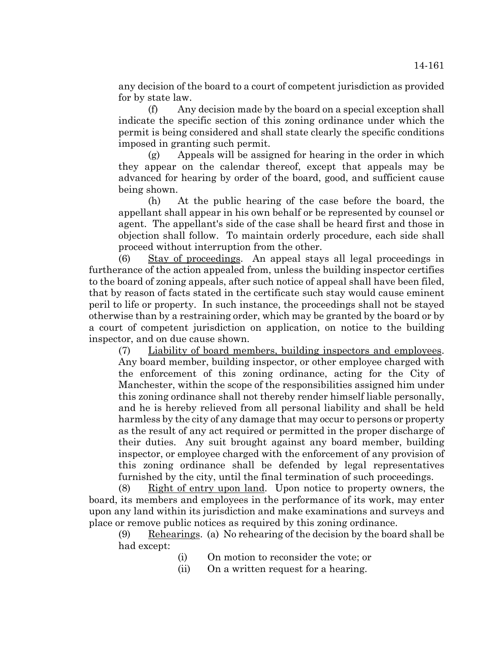any decision of the board to a court of competent jurisdiction as provided for by state law.

(f) Any decision made by the board on a special exception shall indicate the specific section of this zoning ordinance under which the permit is being considered and shall state clearly the specific conditions imposed in granting such permit.

(g) Appeals will be assigned for hearing in the order in which they appear on the calendar thereof, except that appeals may be advanced for hearing by order of the board, good, and sufficient cause being shown.

(h) At the public hearing of the case before the board, the appellant shall appear in his own behalf or be represented by counsel or agent. The appellant's side of the case shall be heard first and those in objection shall follow. To maintain orderly procedure, each side shall proceed without interruption from the other.

(6) Stay of proceedings. An appeal stays all legal proceedings in furtherance of the action appealed from, unless the building inspector certifies to the board of zoning appeals, after such notice of appeal shall have been filed, that by reason of facts stated in the certificate such stay would cause eminent peril to life or property. In such instance, the proceedings shall not be stayed otherwise than by a restraining order, which may be granted by the board or by a court of competent jurisdiction on application, on notice to the building inspector, and on due cause shown.

(7) Liability of board members, building inspectors and employees. Any board member, building inspector, or other employee charged with the enforcement of this zoning ordinance, acting for the City of Manchester, within the scope of the responsibilities assigned him under this zoning ordinance shall not thereby render himself liable personally, and he is hereby relieved from all personal liability and shall be held harmless by the city of any damage that may occur to persons or property as the result of any act required or permitted in the proper discharge of their duties. Any suit brought against any board member, building inspector, or employee charged with the enforcement of any provision of this zoning ordinance shall be defended by legal representatives furnished by the city, until the final termination of such proceedings.

(8) Right of entry upon land. Upon notice to property owners, the board, its members and employees in the performance of its work, may enter upon any land within its jurisdiction and make examinations and surveys and place or remove public notices as required by this zoning ordinance.

 $(9)$  Rehearings. (a) No rehearing of the decision by the board shall be had except:

- (i) On motion to reconsider the vote; or
- (ii) On a written request for a hearing.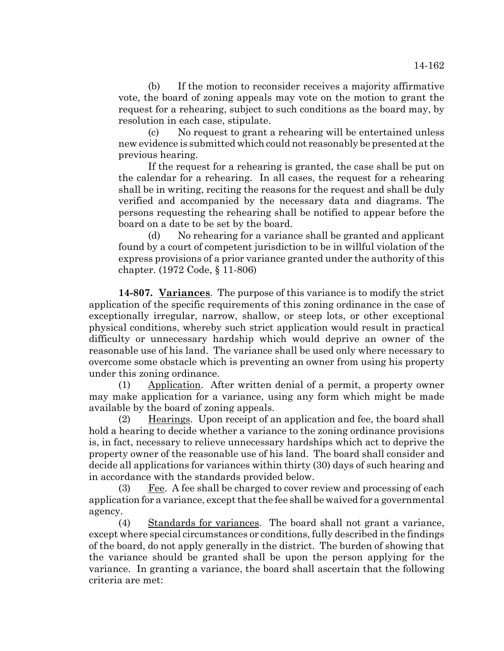(b) If the motion to reconsider receives a majority affirmative vote, the board of zoning appeals may vote on the motion to grant the request for a rehearing, subject to such conditions as the board may, by resolution in each case, stipulate.

(c) No request to grant a rehearing will be entertained unless new evidence is submitted which could not reasonably be presented at the previous hearing.

If the request for a rehearing is granted, the case shall be put on the calendar for a rehearing. In all cases, the request for a rehearing shall be in writing, reciting the reasons for the request and shall be duly verified and accompanied by the necessary data and diagrams. The persons requesting the rehearing shall be notified to appear before the board on a date to be set by the board.

(d) No rehearing for a variance shall be granted and applicant found by a court of competent jurisdiction to be in willful violation of the express provisions of a prior variance granted under the authority of this chapter. (1972 Code, § 11-806)

**14-807. Variances**. The purpose of this variance is to modify the strict application of the specific requirements of this zoning ordinance in the case of exceptionally irregular, narrow, shallow, or steep lots, or other exceptional physical conditions, whereby such strict application would result in practical difficulty or unnecessary hardship which would deprive an owner of the reasonable use of his land. The variance shall be used only where necessary to overcome some obstacle which is preventing an owner from using his property under this zoning ordinance.

(1) Application. After written denial of a permit, a property owner may make application for a variance, using any form which might be made available by the board of zoning appeals.

(2) Hearings. Upon receipt of an application and fee, the board shall hold a hearing to decide whether a variance to the zoning ordinance provisions is, in fact, necessary to relieve unnecessary hardships which act to deprive the property owner of the reasonable use of his land. The board shall consider and decide all applications for variances within thirty (30) days of such hearing and in accordance with the standards provided below.

(3) Fee. A fee shall be charged to cover review and processing of each application for a variance, except that the fee shall be waived for a governmental agency.

(4) Standards for variances. The board shall not grant a variance, except where special circumstances or conditions, fully described in the findings of the board, do not apply generally in the district. The burden of showing that the variance should be granted shall be upon the person applying for the variance. In granting a variance, the board shall ascertain that the following criteria are met: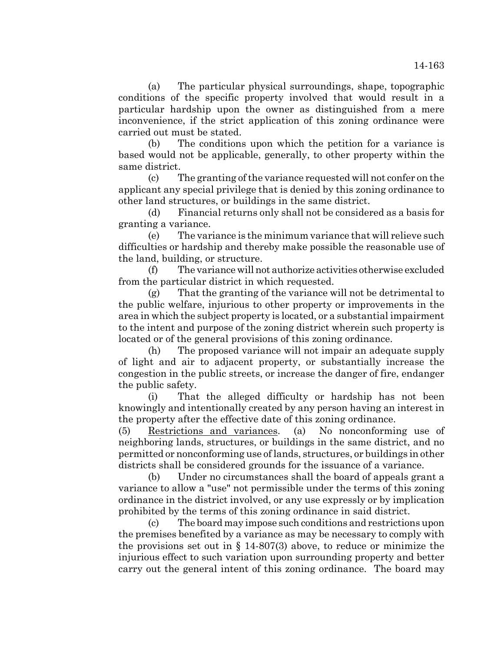(a) The particular physical surroundings, shape, topographic conditions of the specific property involved that would result in a particular hardship upon the owner as distinguished from a mere inconvenience, if the strict application of this zoning ordinance were carried out must be stated.

(b) The conditions upon which the petition for a variance is based would not be applicable, generally, to other property within the same district.

(c) The granting of the variance requested will not confer on the applicant any special privilege that is denied by this zoning ordinance to other land structures, or buildings in the same district.

(d) Financial returns only shall not be considered as a basis for granting a variance.

(e) The variance is the minimum variance that will relieve such difficulties or hardship and thereby make possible the reasonable use of the land, building, or structure.

(f) The variance will not authorize activities otherwise excluded from the particular district in which requested.

(g) That the granting of the variance will not be detrimental to the public welfare, injurious to other property or improvements in the area in which the subject property is located, or a substantial impairment to the intent and purpose of the zoning district wherein such property is located or of the general provisions of this zoning ordinance.

(h) The proposed variance will not impair an adequate supply of light and air to adjacent property, or substantially increase the congestion in the public streets, or increase the danger of fire, endanger the public safety.

(i) That the alleged difficulty or hardship has not been knowingly and intentionally created by any person having an interest in the property after the effective date of this zoning ordinance.

(5) Restrictions and variances. (a) No nonconforming use of neighboring lands, structures, or buildings in the same district, and no permitted or nonconforming use of lands, structures, or buildings in other districts shall be considered grounds for the issuance of a variance.

(b) Under no circumstances shall the board of appeals grant a variance to allow a "use" not permissible under the terms of this zoning ordinance in the district involved, or any use expressly or by implication prohibited by the terms of this zoning ordinance in said district.

(c) The board may impose such conditions and restrictions upon the premises benefited by a variance as may be necessary to comply with the provisions set out in  $\S$  14-807(3) above, to reduce or minimize the injurious effect to such variation upon surrounding property and better carry out the general intent of this zoning ordinance. The board may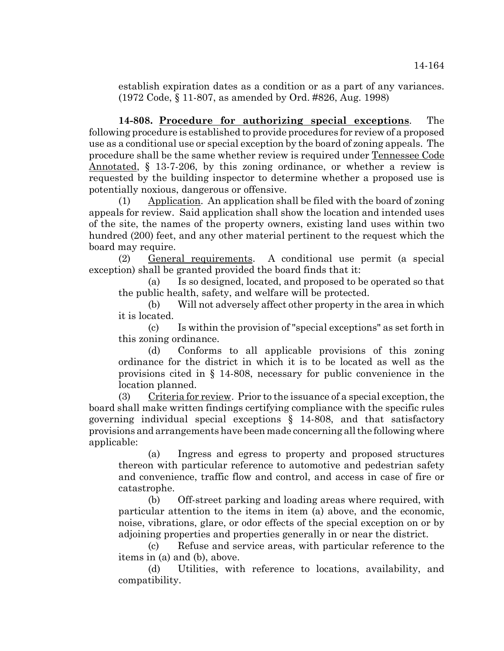establish expiration dates as a condition or as a part of any variances. (1972 Code, § 11-807, as amended by Ord. #826, Aug. 1998)

**14-808. Procedure for authorizing special exceptions**. The following procedure is established to provide procedures for review of a proposed use as a conditional use or special exception by the board of zoning appeals. The procedure shall be the same whether review is required under Tennessee Code Annotated, § 13-7-206, by this zoning ordinance, or whether a review is requested by the building inspector to determine whether a proposed use is potentially noxious, dangerous or offensive.

(1) Application. An application shall be filed with the board of zoning appeals for review. Said application shall show the location and intended uses of the site, the names of the property owners, existing land uses within two hundred (200) feet, and any other material pertinent to the request which the board may require.

(2) General requirements. A conditional use permit (a special exception) shall be granted provided the board finds that it:

(a) Is so designed, located, and proposed to be operated so that the public health, safety, and welfare will be protected.

(b) Will not adversely affect other property in the area in which it is located.

(c) Is within the provision of "special exceptions" as set forth in this zoning ordinance.

(d) Conforms to all applicable provisions of this zoning ordinance for the district in which it is to be located as well as the provisions cited in § 14-808, necessary for public convenience in the location planned.

(3) Criteria for review. Prior to the issuance of a special exception, the board shall make written findings certifying compliance with the specific rules governing individual special exceptions § 14-808, and that satisfactory provisions and arrangements have been made concerning all the following where applicable:

(a) Ingress and egress to property and proposed structures thereon with particular reference to automotive and pedestrian safety and convenience, traffic flow and control, and access in case of fire or catastrophe.

(b) Off-street parking and loading areas where required, with particular attention to the items in item (a) above, and the economic, noise, vibrations, glare, or odor effects of the special exception on or by adjoining properties and properties generally in or near the district.

(c) Refuse and service areas, with particular reference to the items in (a) and (b), above.

(d) Utilities, with reference to locations, availability, and compatibility.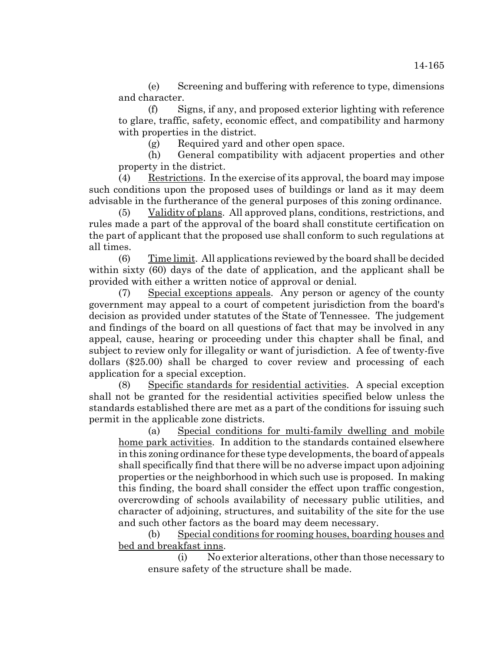(e) Screening and buffering with reference to type, dimensions and character.

(f) Signs, if any, and proposed exterior lighting with reference to glare, traffic, safety, economic effect, and compatibility and harmony with properties in the district.

(g) Required yard and other open space.

(h) General compatibility with adjacent properties and other property in the district.

(4) Restrictions. In the exercise of its approval, the board may impose such conditions upon the proposed uses of buildings or land as it may deem advisable in the furtherance of the general purposes of this zoning ordinance.

(5) Validity of plans. All approved plans, conditions, restrictions, and rules made a part of the approval of the board shall constitute certification on the part of applicant that the proposed use shall conform to such regulations at all times.

(6) Time limit. All applications reviewed by the board shall be decided within sixty (60) days of the date of application, and the applicant shall be provided with either a written notice of approval or denial.

(7) Special exceptions appeals. Any person or agency of the county government may appeal to a court of competent jurisdiction from the board's decision as provided under statutes of the State of Tennessee. The judgement and findings of the board on all questions of fact that may be involved in any appeal, cause, hearing or proceeding under this chapter shall be final, and subject to review only for illegality or want of jurisdiction. A fee of twenty-five dollars (\$25.00) shall be charged to cover review and processing of each application for a special exception.

(8) Specific standards for residential activities. A special exception shall not be granted for the residential activities specified below unless the standards established there are met as a part of the conditions for issuing such permit in the applicable zone districts.

(a) Special conditions for multi-family dwelling and mobile home park activities. In addition to the standards contained elsewhere in this zoning ordinance for these type developments, the board of appeals shall specifically find that there will be no adverse impact upon adjoining properties or the neighborhood in which such use is proposed. In making this finding, the board shall consider the effect upon traffic congestion, overcrowding of schools availability of necessary public utilities, and character of adjoining, structures, and suitability of the site for the use and such other factors as the board may deem necessary.

(b) Special conditions for rooming houses, boarding houses and bed and breakfast inns.

(i) No exterior alterations, other than those necessary to ensure safety of the structure shall be made.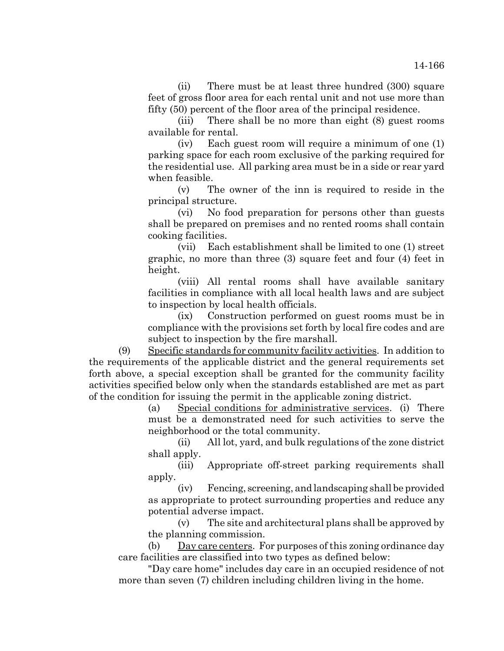(ii) There must be at least three hundred (300) square feet of gross floor area for each rental unit and not use more than fifty (50) percent of the floor area of the principal residence.

(iii) There shall be no more than eight (8) guest rooms available for rental.

(iv) Each guest room will require a minimum of one (1) parking space for each room exclusive of the parking required for the residential use. All parking area must be in a side or rear yard when feasible.

(v) The owner of the inn is required to reside in the principal structure.

(vi) No food preparation for persons other than guests shall be prepared on premises and no rented rooms shall contain cooking facilities.

(vii) Each establishment shall be limited to one (1) street graphic, no more than three (3) square feet and four (4) feet in height.

(viii) All rental rooms shall have available sanitary facilities in compliance with all local health laws and are subject to inspection by local health officials.

(ix) Construction performed on guest rooms must be in compliance with the provisions set forth by local fire codes and are subject to inspection by the fire marshall.

(9) Specific standards for community facility activities. In addition to the requirements of the applicable district and the general requirements set forth above, a special exception shall be granted for the community facility activities specified below only when the standards established are met as part of the condition for issuing the permit in the applicable zoning district.

> (a) Special conditions for administrative services. (i) There must be a demonstrated need for such activities to serve the neighborhood or the total community.

> (ii) All lot, yard, and bulk regulations of the zone district shall apply.

> (iii) Appropriate off-street parking requirements shall apply.

> (iv) Fencing, screening, and landscaping shall be provided as appropriate to protect surrounding properties and reduce any potential adverse impact.

> (v) The site and architectural plans shall be approved by the planning commission.

(b) Day care centers. For purposes of this zoning ordinance day care facilities are classified into two types as defined below:

"Day care home" includes day care in an occupied residence of not more than seven (7) children including children living in the home.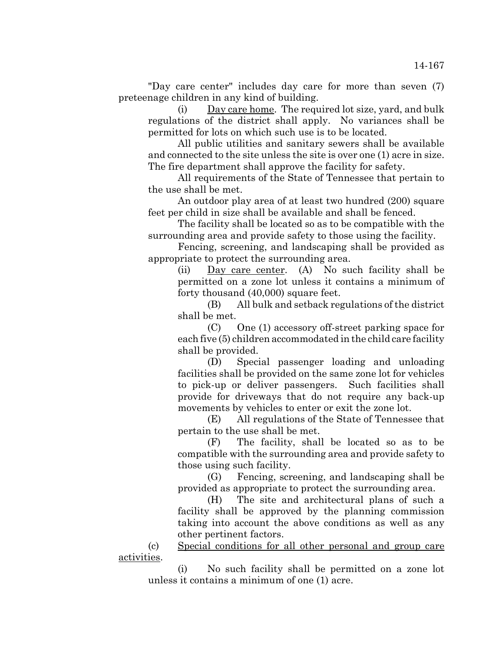"Day care center" includes day care for more than seven (7) preteenage children in any kind of building.

(i) Day care home. The required lot size, yard, and bulk regulations of the district shall apply. No variances shall be permitted for lots on which such use is to be located.

All public utilities and sanitary sewers shall be available and connected to the site unless the site is over one (1) acre in size. The fire department shall approve the facility for safety.

All requirements of the State of Tennessee that pertain to the use shall be met.

An outdoor play area of at least two hundred (200) square feet per child in size shall be available and shall be fenced.

The facility shall be located so as to be compatible with the surrounding area and provide safety to those using the facility.

Fencing, screening, and landscaping shall be provided as appropriate to protect the surrounding area.

(ii) Day care center. (A) No such facility shall be permitted on a zone lot unless it contains a minimum of forty thousand (40,000) square feet.

(B) All bulk and setback regulations of the district shall be met.

(C) One (1) accessory off-street parking space for each five (5) children accommodated in the child care facility shall be provided.

(D) Special passenger loading and unloading facilities shall be provided on the same zone lot for vehicles to pick-up or deliver passengers. Such facilities shall provide for driveways that do not require any back-up movements by vehicles to enter or exit the zone lot.

(E) All regulations of the State of Tennessee that pertain to the use shall be met.

(F) The facility, shall be located so as to be compatible with the surrounding area and provide safety to those using such facility.

(G) Fencing, screening, and landscaping shall be provided as appropriate to protect the surrounding area.

(H) The site and architectural plans of such a facility shall be approved by the planning commission taking into account the above conditions as well as any other pertinent factors.

(c) Special conditions for all other personal and group care activities.

(i) No such facility shall be permitted on a zone lot unless it contains a minimum of one (1) acre.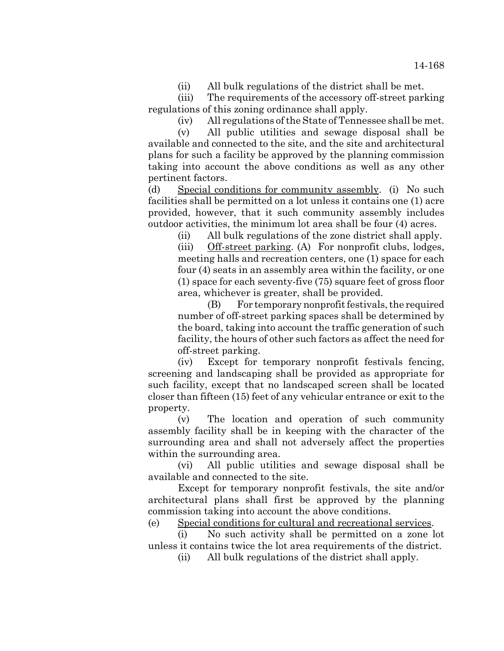(ii) All bulk regulations of the district shall be met.

(iii) The requirements of the accessory off-street parking regulations of this zoning ordinance shall apply.

(iv) All regulations of the State of Tennessee shall be met.

(v) All public utilities and sewage disposal shall be available and connected to the site, and the site and architectural plans for such a facility be approved by the planning commission taking into account the above conditions as well as any other pertinent factors.

(d) Special conditions for community assembly. (i) No such facilities shall be permitted on a lot unless it contains one (1) acre provided, however, that it such community assembly includes outdoor activities, the minimum lot area shall be four (4) acres.

(ii) All bulk regulations of the zone district shall apply.

(iii) Off-street parking. (A) For nonprofit clubs, lodges, meeting halls and recreation centers, one (1) space for each four (4) seats in an assembly area within the facility, or one (1) space for each seventy-five (75) square feet of gross floor area, whichever is greater, shall be provided.

(B) For temporary nonprofit festivals, the required number of off-street parking spaces shall be determined by the board, taking into account the traffic generation of such facility, the hours of other such factors as affect the need for off-street parking.

(iv) Except for temporary nonprofit festivals fencing, screening and landscaping shall be provided as appropriate for such facility, except that no landscaped screen shall be located closer than fifteen (15) feet of any vehicular entrance or exit to the property.

(v) The location and operation of such community assembly facility shall be in keeping with the character of the surrounding area and shall not adversely affect the properties within the surrounding area.

(vi) All public utilities and sewage disposal shall be available and connected to the site.

Except for temporary nonprofit festivals, the site and/or architectural plans shall first be approved by the planning commission taking into account the above conditions.

(e) Special conditions for cultural and recreational services.

(i) No such activity shall be permitted on a zone lot unless it contains twice the lot area requirements of the district.

(ii) All bulk regulations of the district shall apply.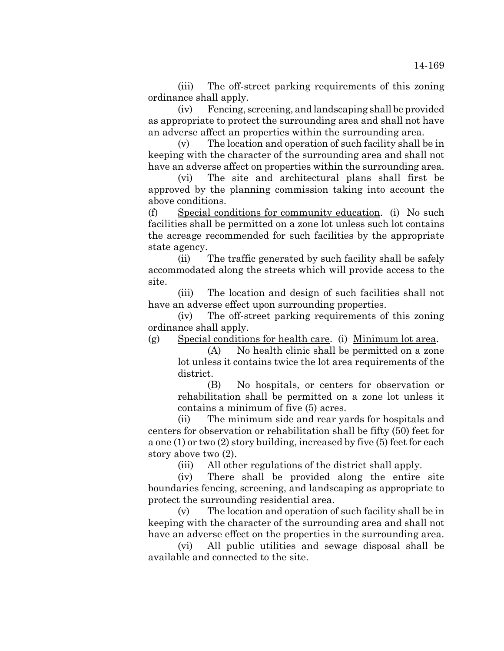(iii) The off-street parking requirements of this zoning ordinance shall apply.

(iv) Fencing, screening, and landscaping shall be provided as appropriate to protect the surrounding area and shall not have an adverse affect an properties within the surrounding area.

(v) The location and operation of such facility shall be in keeping with the character of the surrounding area and shall not have an adverse affect on properties within the surrounding area.

(vi) The site and architectural plans shall first be approved by the planning commission taking into account the above conditions.

(f) Special conditions for community education. (i) No such facilities shall be permitted on a zone lot unless such lot contains the acreage recommended for such facilities by the appropriate state agency.

(ii) The traffic generated by such facility shall be safely accommodated along the streets which will provide access to the site.

(iii) The location and design of such facilities shall not have an adverse effect upon surrounding properties.

(iv) The off-street parking requirements of this zoning ordinance shall apply.

(g) Special conditions for health care. (i) Minimum lot area.

(A) No health clinic shall be permitted on a zone lot unless it contains twice the lot area requirements of the district.

(B) No hospitals, or centers for observation or rehabilitation shall be permitted on a zone lot unless it contains a minimum of five (5) acres.

(ii) The minimum side and rear yards for hospitals and centers for observation or rehabilitation shall be fifty (50) feet for a one (1) or two (2) story building, increased by five (5) feet for each story above two (2).

(iii) All other regulations of the district shall apply.

(iv) There shall be provided along the entire site boundaries fencing, screening, and landscaping as appropriate to protect the surrounding residential area.

(v) The location and operation of such facility shall be in keeping with the character of the surrounding area and shall not have an adverse effect on the properties in the surrounding area.

(vi) All public utilities and sewage disposal shall be available and connected to the site.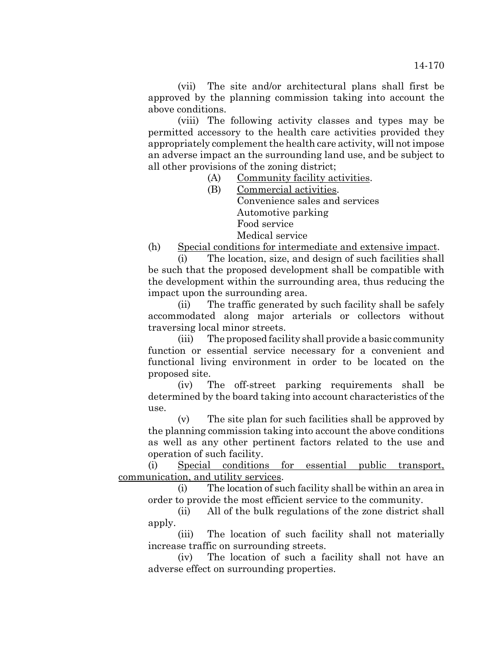(vii) The site and/or architectural plans shall first be approved by the planning commission taking into account the above conditions.

(viii) The following activity classes and types may be permitted accessory to the health care activities provided they appropriately complement the health care activity, will not impose an adverse impact an the surrounding land use, and be subject to all other provisions of the zoning district;

- (A) Community facility activities.
- (B) Commercial activities. Convenience sales and services Automotive parking Food service Medical service

(h) Special conditions for intermediate and extensive impact.

(i) The location, size, and design of such facilities shall be such that the proposed development shall be compatible with the development within the surrounding area, thus reducing the impact upon the surrounding area.

(ii) The traffic generated by such facility shall be safely accommodated along major arterials or collectors without traversing local minor streets.

(iii) The proposed facility shall provide a basic community function or essential service necessary for a convenient and functional living environment in order to be located on the proposed site.

(iv) The off-street parking requirements shall be determined by the board taking into account characteristics of the use.

(v) The site plan for such facilities shall be approved by the planning commission taking into account the above conditions as well as any other pertinent factors related to the use and operation of such facility.

(i) Special conditions for essential public transport, communication, and utility services.

(i) The location of such facility shall be within an area in order to provide the most efficient service to the community.

(ii) All of the bulk regulations of the zone district shall apply.

(iii) The location of such facility shall not materially increase traffic on surrounding streets.

(iv) The location of such a facility shall not have an adverse effect on surrounding properties.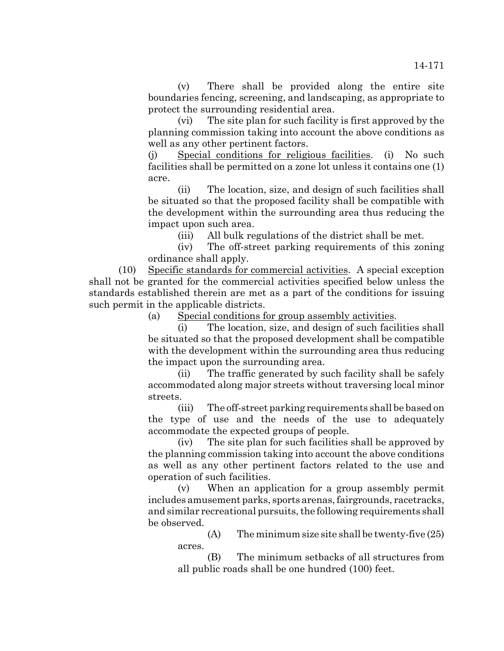(v) There shall be provided along the entire site boundaries fencing, screening, and landscaping, as appropriate to protect the surrounding residential area.

(vi) The site plan for such facility is first approved by the planning commission taking into account the above conditions as well as any other pertinent factors.

(j) Special conditions for religious facilities. (i) No such facilities shall be permitted on a zone lot unless it contains one (1) acre.

(ii) The location, size, and design of such facilities shall be situated so that the proposed facility shall be compatible with the development within the surrounding area thus reducing the impact upon such area.

(iii) All bulk regulations of the district shall be met.

(iv) The off-street parking requirements of this zoning ordinance shall apply.

(10) Specific standards for commercial activities. A special exception shall not be granted for the commercial activities specified below unless the standards established therein are met as a part of the conditions for issuing such permit in the applicable districts.

(a) Special conditions for group assembly activities.

(i) The location, size, and design of such facilities shall be situated so that the proposed development shall be compatible with the development within the surrounding area thus reducing the impact upon the surrounding area.

(ii) The traffic generated by such facility shall be safely accommodated along major streets without traversing local minor streets.

(iii) The off-street parking requirements shall be based on the type of use and the needs of the use to adequately accommodate the expected groups of people.

(iv) The site plan for such facilities shall be approved by the planning commission taking into account the above conditions as well as any other pertinent factors related to the use and operation of such facilities.

(v) When an application for a group assembly permit includes amusement parks, sports arenas, fairgrounds, racetracks, and similar recreational pursuits, the following requirements shall be observed.

> $(A)$  The minimum size site shall be twenty-five  $(25)$ acres.

> (B) The minimum setbacks of all structures from all public roads shall be one hundred (100) feet.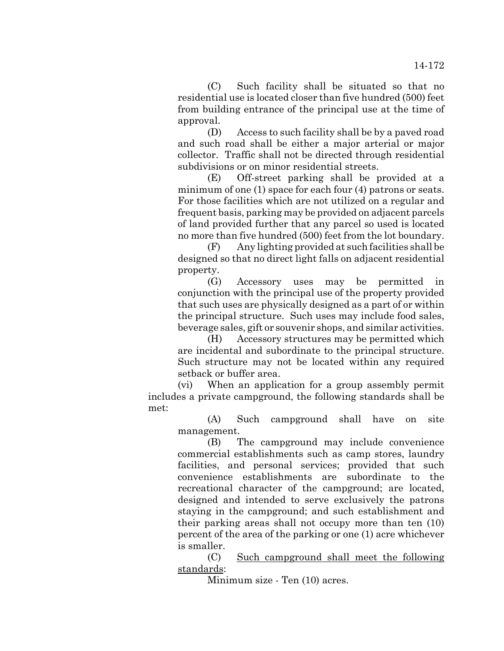(C) Such facility shall be situated so that no residential use is located closer than five hundred (500) feet from building entrance of the principal use at the time of approval.

(D) Access to such facility shall be by a paved road and such road shall be either a major arterial or major collector. Traffic shall not be directed through residential subdivisions or on minor residential streets.

(E) Off-street parking shall be provided at a minimum of one (1) space for each four (4) patrons or seats. For those facilities which are not utilized on a regular and frequent basis, parking may be provided on adjacent parcels of land provided further that any parcel so used is located no more than five hundred (500) feet from the lot boundary.

(F) Any lighting provided at such facilities shall be designed so that no direct light falls on adjacent residential property.

(G) Accessory uses may be permitted in conjunction with the principal use of the property provided that such uses are physically designed as a part of or within the principal structure. Such uses may include food sales, beverage sales, gift or souvenir shops, and similar activities.

(H) Accessory structures may be permitted which are incidental and subordinate to the principal structure. Such structure may not be located within any required setback or buffer area.

(vi) When an application for a group assembly permit includes a private campground, the following standards shall be met:

(A) Such campground shall have on site management.

(B) The campground may include convenience commercial establishments such as camp stores, laundry facilities, and personal services; provided that such convenience establishments are subordinate to the recreational character of the campground; are located, designed and intended to serve exclusively the patrons staying in the campground; and such establishment and their parking areas shall not occupy more than ten (10) percent of the area of the parking or one (1) acre whichever is smaller.

(C) Such campground shall meet the following standards:

Minimum size - Ten (10) acres.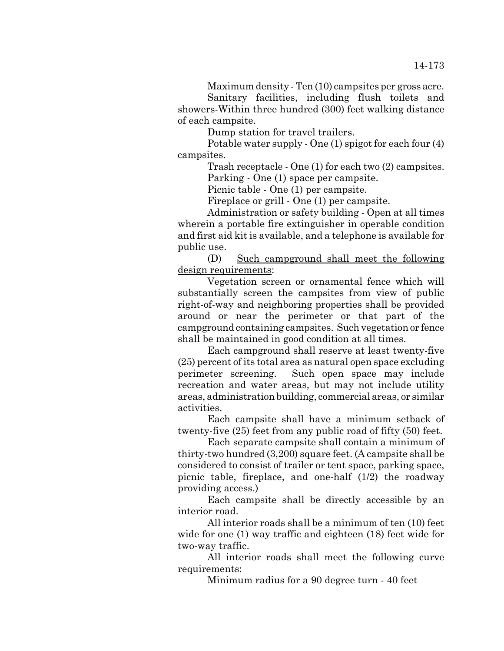Maximum density - Ten (10) campsites per gross acre. Sanitary facilities, including flush toilets and showers-Within three hundred (300) feet walking distance of each campsite.

Dump station for travel trailers.

Potable water supply - One (1) spigot for each four (4) campsites.

> Trash receptacle - One (1) for each two (2) campsites. Parking - One (1) space per campsite.

Picnic table - One (1) per campsite.

Fireplace or grill - One (1) per campsite.

Administration or safety building - Open at all times wherein a portable fire extinguisher in operable condition and first aid kit is available, and a telephone is available for public use.

(D) Such campground shall meet the following design requirements:

Vegetation screen or ornamental fence which will substantially screen the campsites from view of public right-of-way and neighboring properties shall be provided around or near the perimeter or that part of the campground containing campsites. Such vegetation or fence shall be maintained in good condition at all times.

Each campground shall reserve at least twenty-five (25) percent of its total area as natural open space excluding perimeter screening. Such open space may include recreation and water areas, but may not include utility areas, administration building, commercial areas, or similar activities.

Each campsite shall have a minimum setback of twenty-five (25) feet from any public road of fifty (50) feet.

Each separate campsite shall contain a minimum of thirty-two hundred (3,200) square feet. (A campsite shall be considered to consist of trailer or tent space, parking space, picnic table, fireplace, and one-half (1/2) the roadway providing access.)

Each campsite shall be directly accessible by an interior road.

All interior roads shall be a minimum of ten (10) feet wide for one (1) way traffic and eighteen (18) feet wide for two-way traffic.

All interior roads shall meet the following curve requirements:

Minimum radius for a 90 degree turn - 40 feet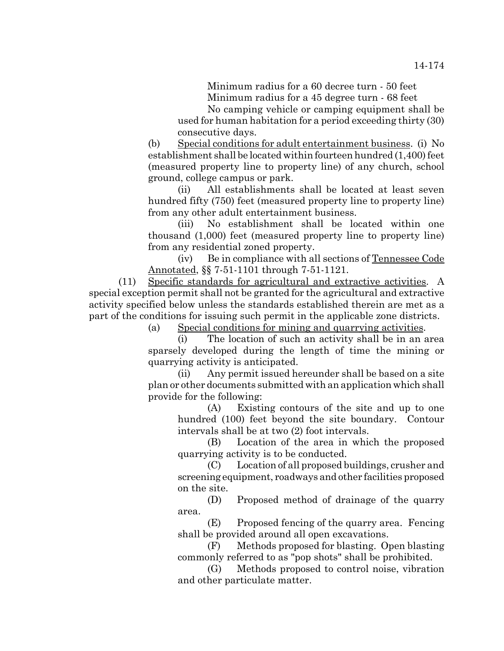Minimum radius for a 60 decree turn - 50 feet

Minimum radius for a 45 degree turn - 68 feet

No camping vehicle or camping equipment shall be used for human habitation for a period exceeding thirty (30) consecutive days.

(b) Special conditions for adult entertainment business. (i) No establishment shall be located within fourteen hundred (1,400) feet (measured property line to property line) of any church, school ground, college campus or park.

(ii) All establishments shall be located at least seven hundred fifty (750) feet (measured property line to property line) from any other adult entertainment business.

(iii) No establishment shall be located within one thousand (1,000) feet (measured property line to property line) from any residential zoned property.

(iv) Be in compliance with all sections of Tennessee Code Annotated, §§ 7-51-1101 through 7-51-1121.

(11) Specific standards for agricultural and extractive activities. A special exception permit shall not be granted for the agricultural and extractive activity specified below unless the standards established therein are met as a part of the conditions for issuing such permit in the applicable zone districts.

(a) Special conditions for mining and quarrying activities.

(i) The location of such an activity shall be in an area sparsely developed during the length of time the mining or quarrying activity is anticipated.

(ii) Any permit issued hereunder shall be based on a site plan or other documents submitted with an application which shall provide for the following:

(A) Existing contours of the site and up to one hundred (100) feet beyond the site boundary. Contour intervals shall be at two (2) foot intervals.

(B) Location of the area in which the proposed quarrying activity is to be conducted.

(C) Location of all proposed buildings, crusher and screening equipment, roadways and other facilities proposed on the site.

(D) Proposed method of drainage of the quarry area.

(E) Proposed fencing of the quarry area. Fencing shall be provided around all open excavations.

(F) Methods proposed for blasting. Open blasting commonly referred to as "pop shots" shall be prohibited.

(G) Methods proposed to control noise, vibration and other particulate matter.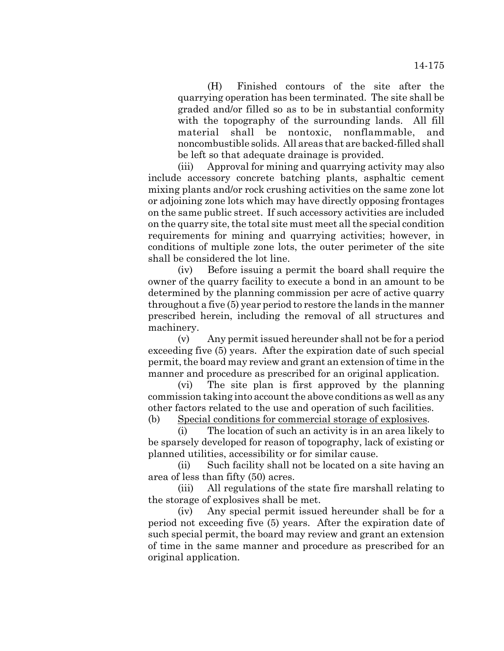(H) Finished contours of the site after the quarrying operation has been terminated. The site shall be graded and/or filled so as to be in substantial conformity with the topography of the surrounding lands. All fill material shall be nontoxic, nonflammable, and noncombustible solids. All areas that are backed-filled shall be left so that adequate drainage is provided.

(iii) Approval for mining and quarrying activity may also include accessory concrete batching plants, asphaltic cement mixing plants and/or rock crushing activities on the same zone lot or adjoining zone lots which may have directly opposing frontages on the same public street. If such accessory activities are included on the quarry site, the total site must meet all the special condition requirements for mining and quarrying activities; however, in conditions of multiple zone lots, the outer perimeter of the site shall be considered the lot line.

(iv) Before issuing a permit the board shall require the owner of the quarry facility to execute a bond in an amount to be determined by the planning commission per acre of active quarry throughout a five (5) year period to restore the lands in the manner prescribed herein, including the removal of all structures and machinery.

(v) Any permit issued hereunder shall not be for a period exceeding five (5) years. After the expiration date of such special permit, the board may review and grant an extension of time in the manner and procedure as prescribed for an original application.

(vi) The site plan is first approved by the planning commission taking into account the above conditions as well as any other factors related to the use and operation of such facilities.

(b) Special conditions for commercial storage of explosives.

(i) The location of such an activity is in an area likely to be sparsely developed for reason of topography, lack of existing or planned utilities, accessibility or for similar cause.

(ii) Such facility shall not be located on a site having an area of less than fifty (50) acres.

(iii) All regulations of the state fire marshall relating to the storage of explosives shall be met.

(iv) Any special permit issued hereunder shall be for a period not exceeding five (5) years. After the expiration date of such special permit, the board may review and grant an extension of time in the same manner and procedure as prescribed for an original application.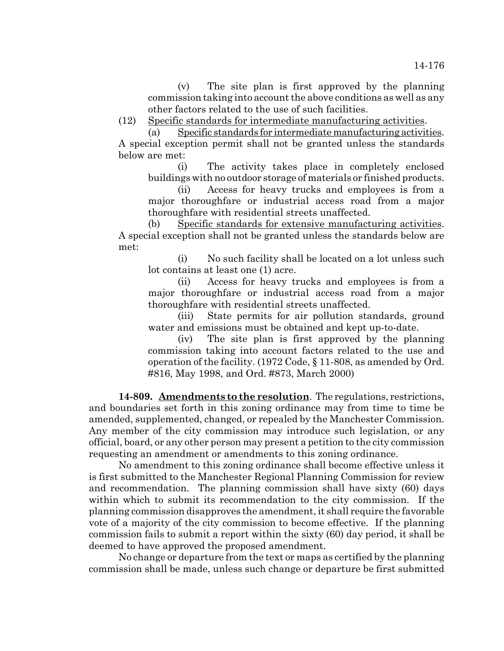(v) The site plan is first approved by the planning commission taking into account the above conditions as well as any other factors related to the use of such facilities.

(12) Specific standards for intermediate manufacturing activities.

(a) Specific standards for intermediate manufacturing activities. A special exception permit shall not be granted unless the standards below are met:

(i) The activity takes place in completely enclosed buildings with no outdoor storage of materials or finished products.

(ii) Access for heavy trucks and employees is from a major thoroughfare or industrial access road from a major thoroughfare with residential streets unaffected.

(b) Specific standards for extensive manufacturing activities. A special exception shall not be granted unless the standards below are met:

(i) No such facility shall be located on a lot unless such lot contains at least one (1) acre.

(ii) Access for heavy trucks and employees is from a major thoroughfare or industrial access road from a major thoroughfare with residential streets unaffected.

(iii) State permits for air pollution standards, ground water and emissions must be obtained and kept up-to-date.

(iv) The site plan is first approved by the planning commission taking into account factors related to the use and operation of the facility. (1972 Code, § 11-808, as amended by Ord. #816, May 1998, and Ord. #873, March 2000)

**14-809. Amendments to the resolution**. The regulations, restrictions, and boundaries set forth in this zoning ordinance may from time to time be amended, supplemented, changed, or repealed by the Manchester Commission. Any member of the city commission may introduce such legislation, or any official, board, or any other person may present a petition to the city commission requesting an amendment or amendments to this zoning ordinance.

No amendment to this zoning ordinance shall become effective unless it is first submitted to the Manchester Regional Planning Commission for review and recommendation. The planning commission shall have sixty (60) days within which to submit its recommendation to the city commission. If the planning commission disapproves the amendment, it shall require the favorable vote of a majority of the city commission to become effective. If the planning commission fails to submit a report within the sixty (60) day period, it shall be deemed to have approved the proposed amendment.

No change or departure from the text or maps as certified by the planning commission shall be made, unless such change or departure be first submitted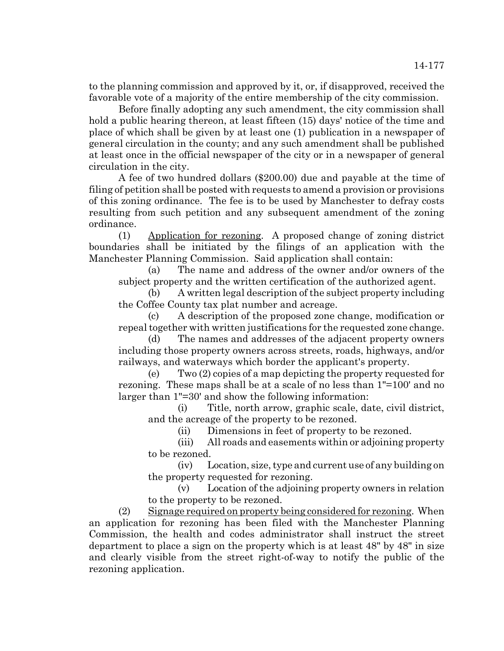to the planning commission and approved by it, or, if disapproved, received the favorable vote of a majority of the entire membership of the city commission.

Before finally adopting any such amendment, the city commission shall hold a public hearing thereon, at least fifteen (15) days' notice of the time and place of which shall be given by at least one (1) publication in a newspaper of general circulation in the county; and any such amendment shall be published at least once in the official newspaper of the city or in a newspaper of general circulation in the city.

A fee of two hundred dollars (\$200.00) due and payable at the time of filing of petition shall be posted with requests to amend a provision or provisions of this zoning ordinance. The fee is to be used by Manchester to defray costs resulting from such petition and any subsequent amendment of the zoning ordinance.

(1) Application for rezoning. A proposed change of zoning district boundaries shall be initiated by the filings of an application with the Manchester Planning Commission. Said application shall contain:

(a) The name and address of the owner and/or owners of the subject property and the written certification of the authorized agent.

(b) A written legal description of the subject property including the Coffee County tax plat number and acreage.

(c) A description of the proposed zone change, modification or repeal together with written justifications for the requested zone change.

(d) The names and addresses of the adjacent property owners including those property owners across streets, roads, highways, and/or railways, and waterways which border the applicant's property.

(e) Two (2) copies of a map depicting the property requested for rezoning. These maps shall be at a scale of no less than 1"=100' and no larger than 1"=30' and show the following information:

(i) Title, north arrow, graphic scale, date, civil district, and the acreage of the property to be rezoned.

(ii) Dimensions in feet of property to be rezoned.

(iii) All roads and easements within or adjoining property to be rezoned.

(iv) Location, size, type and current use of any building on the property requested for rezoning.

(v) Location of the adjoining property owners in relation to the property to be rezoned.

(2) Signage required on property being considered for rezoning. When an application for rezoning has been filed with the Manchester Planning Commission, the health and codes administrator shall instruct the street department to place a sign on the property which is at least 48" by 48" in size and clearly visible from the street right-of-way to notify the public of the rezoning application.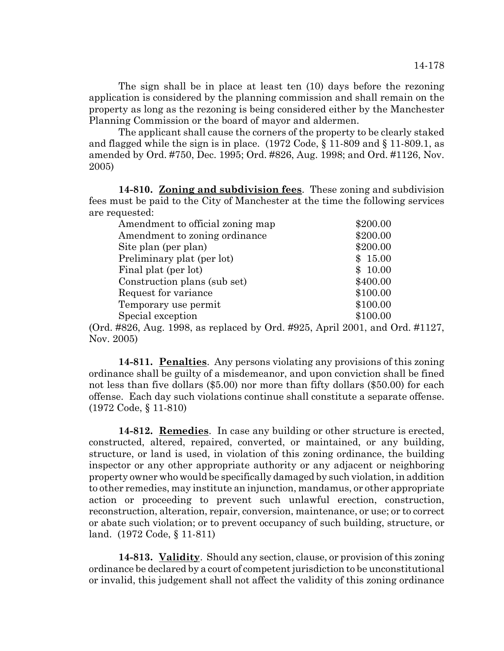The sign shall be in place at least ten (10) days before the rezoning application is considered by the planning commission and shall remain on the property as long as the rezoning is being considered either by the Manchester Planning Commission or the board of mayor and aldermen.

The applicant shall cause the corners of the property to be clearly staked and flagged while the sign is in place. (1972 Code, § 11-809 and § 11-809.1, as amended by Ord. #750, Dec. 1995; Ord. #826, Aug. 1998; and Ord. #1126, Nov. 2005)

**14-810. Zoning and subdivision fees**. These zoning and subdivision fees must be paid to the City of Manchester at the time the following services are requested:

| \$200.00 |
|----------|
| \$200.00 |
| \$200.00 |
| \$15.00  |
| \$10.00  |
| \$400.00 |
| \$100.00 |
| \$100.00 |
| \$100.00 |
|          |

(Ord. #826, Aug. 1998, as replaced by Ord. #925, April 2001, and Ord. #1127, Nov. 2005)

**14-811. Penalties**. Any persons violating any provisions of this zoning ordinance shall be guilty of a misdemeanor, and upon conviction shall be fined not less than five dollars (\$5.00) nor more than fifty dollars (\$50.00) for each offense. Each day such violations continue shall constitute a separate offense. (1972 Code, § 11-810)

**14-812. Remedies**. In case any building or other structure is erected, constructed, altered, repaired, converted, or maintained, or any building, structure, or land is used, in violation of this zoning ordinance, the building inspector or any other appropriate authority or any adjacent or neighboring property owner who would be specifically damaged by such violation, in addition to other remedies, may institute an injunction, mandamus, or other appropriate action or proceeding to prevent such unlawful erection, construction, reconstruction, alteration, repair, conversion, maintenance, or use; or to correct or abate such violation; or to prevent occupancy of such building, structure, or land. (1972 Code, § 11-811)

**14-813. Validity**. Should any section, clause, or provision of this zoning ordinance be declared by a court of competent jurisdiction to be unconstitutional or invalid, this judgement shall not affect the validity of this zoning ordinance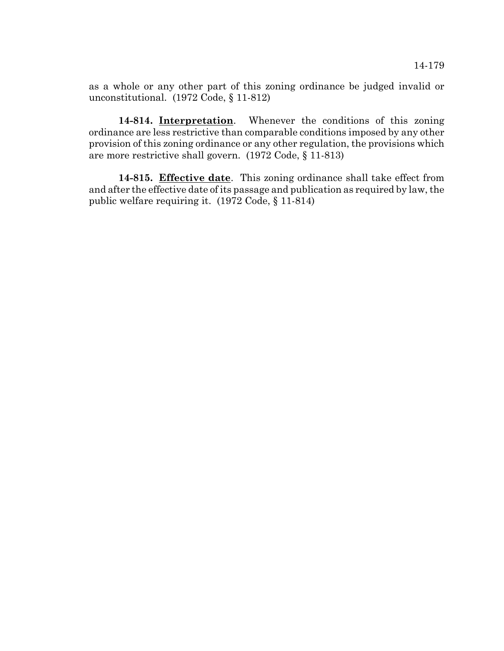as a whole or any other part of this zoning ordinance be judged invalid or unconstitutional. (1972 Code, § 11-812)

**14-814. Interpretation**. Whenever the conditions of this zoning ordinance are less restrictive than comparable conditions imposed by any other provision of this zoning ordinance or any other regulation, the provisions which are more restrictive shall govern. (1972 Code, § 11-813)

**14-815. Effective date**. This zoning ordinance shall take effect from and after the effective date of its passage and publication as required by law, the public welfare requiring it. (1972 Code, § 11-814)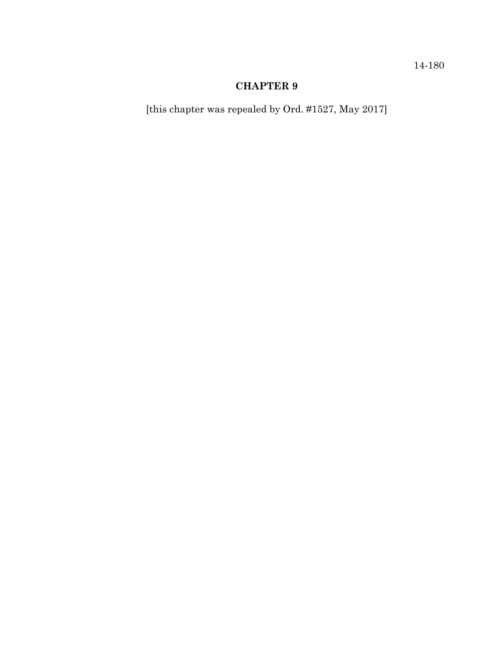14-180

# **CHAPTER 9**

[this chapter was repealed by Ord. #1527, May 2017]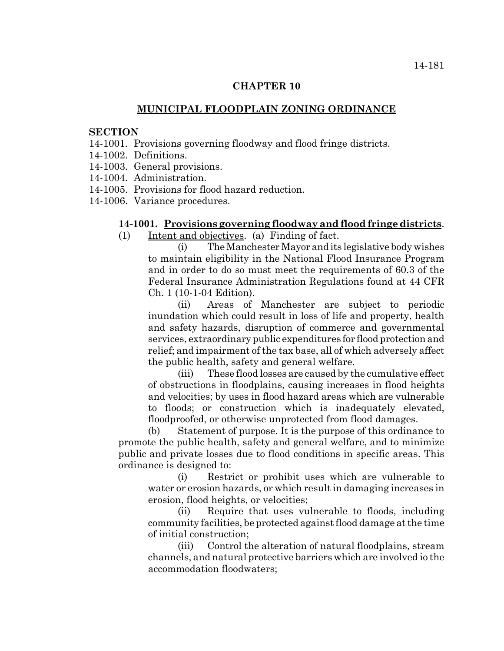### **CHAPTER 10**

## **MUNICIPAL FLOODPLAIN ZONING ORDINANCE**

#### **SECTION**

- 14-1001. Provisions governing floodway and flood fringe districts.
- 14-1002. Definitions.
- 14-1003. General provisions.
- 14-1004. Administration.
- 14-1005. Provisions for flood hazard reduction.
- 14-1006. Variance procedures.

#### **14-1001. Provisions governing floodway and flood fringe districts**.

(1) Intent and objectives. (a) Finding of fact.

(i) The Manchester Mayor and its legislative body wishes to maintain eligibility in the National Flood Insurance Program and in order to do so must meet the requirements of 60.3 of the Federal Insurance Administration Regulations found at 44 CFR Ch. 1 (10-1-04 Edition).

(ii) Areas of Manchester are subject to periodic inundation which could result in loss of life and property, health and safety hazards, disruption of commerce and governmental services, extraordinary public expenditures for flood protection and relief; and impairment of the tax base, all of which adversely affect the public health, safety and general welfare.

(iii) These flood losses are caused by the cumulative effect of obstructions in floodplains, causing increases in flood heights and velocities; by uses in flood hazard areas which are vulnerable to floods; or construction which is inadequately elevated, floodproofed, or otherwise unprotected from flood damages.

(b) Statement of purpose. It is the purpose of this ordinance to promote the public health, safety and general welfare, and to minimize public and private losses due to flood conditions in specific areas. This ordinance is designed to:

(i) Restrict or prohibit uses which are vulnerable to water or erosion hazards, or which result in damaging increases in erosion, flood heights, or velocities;

(ii) Require that uses vulnerable to floods, including community facilities, be protected against flood damage at the time of initial construction;

(iii) Control the alteration of natural floodplains, stream channels, and natural protective barriers which are involved io the accommodation floodwaters;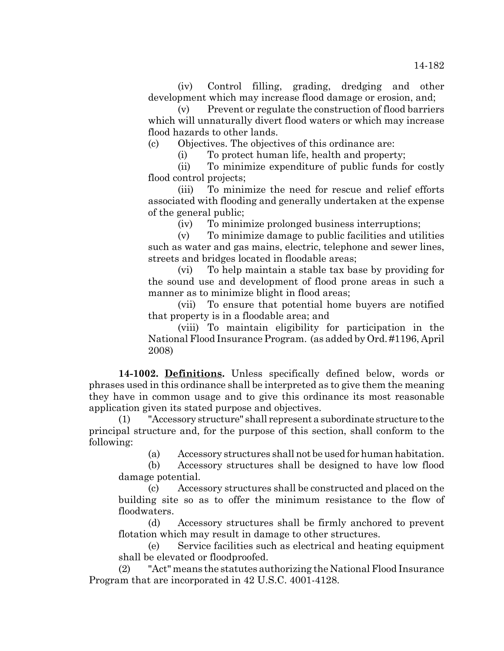(iv) Control filling, grading, dredging and other development which may increase flood damage or erosion, and;

(v) Prevent or regulate the construction of flood barriers which will unnaturally divert flood waters or which may increase flood hazards to other lands.

(c) Objectives. The objectives of this ordinance are:

(i) To protect human life, health and property;

(ii) To minimize expenditure of public funds for costly flood control projects;

(iii) To minimize the need for rescue and relief efforts associated with flooding and generally undertaken at the expense of the general public;

(iv) To minimize prolonged business interruptions;

(v) To minimize damage to public facilities and utilities such as water and gas mains, electric, telephone and sewer lines, streets and bridges located in floodable areas;

(vi) To help maintain a stable tax base by providing for the sound use and development of flood prone areas in such a manner as to minimize blight in flood areas;

(vii) To ensure that potential home buyers are notified that property is in a floodable area; and

(viii) To maintain eligibility for participation in the National Flood Insurance Program. (as added by Ord. #1196, April 2008)

**14-1002. Definitions.** Unless specifically defined below, words or phrases used in this ordinance shall be interpreted as to give them the meaning they have in common usage and to give this ordinance its most reasonable application given its stated purpose and objectives.

(1) "Accessory structure" shall represent a subordinate structure to the principal structure and, for the purpose of this section, shall conform to the following:

(a) Accessory structures shall not be used for human habitation.

(b) Accessory structures shall be designed to have low flood damage potential.

(c) Accessory structures shall be constructed and placed on the building site so as to offer the minimum resistance to the flow of floodwaters.

(d) Accessory structures shall be firmly anchored to prevent flotation which may result in damage to other structures.

(e) Service facilities such as electrical and heating equipment shall be elevated or floodproofed.

(2) "Act" means the statutes authorizing the National Flood Insurance Program that are incorporated in 42 U.S.C. 4001-4128.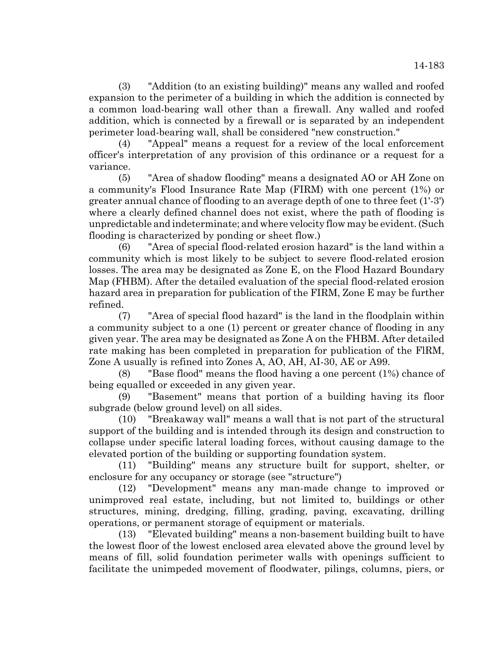(3) "Addition (to an existing building)" means any walled and roofed expansion to the perimeter of a building in which the addition is connected by a common load-bearing wall other than a firewall. Any walled and roofed addition, which is connected by a firewall or is separated by an independent perimeter load-bearing wall, shall be considered "new construction."

(4) "Appeal" means a request for a review of the local enforcement officer's interpretation of any provision of this ordinance or a request for a variance.

(5) "Area of shadow flooding" means a designated AO or AH Zone on a community's Flood Insurance Rate Map (FIRM) with one percent (1%) or greater annual chance of flooding to an average depth of one to three feet (1'-3') where a clearly defined channel does not exist, where the path of flooding is unpredictable and indeterminate; and where velocity flow may be evident. (Such flooding is characterized by ponding or sheet flow.)

(6) "Area of special flood-related erosion hazard" is the land within a community which is most likely to be subject to severe flood-related erosion losses. The area may be designated as Zone E, on the Flood Hazard Boundary Map (FHBM). After the detailed evaluation of the special flood-related erosion hazard area in preparation for publication of the FIRM, Zone E may be further refined.

(7) "Area of special flood hazard" is the land in the floodplain within a community subject to a one (1) percent or greater chance of flooding in any given year. The area may be designated as Zone A on the FHBM. After detailed rate making has been completed in preparation for publication of the FlRM, Zone A usually is refined into Zones A, AO, AH, AI-30, AE or A99.

(8) "Base flood" means the flood having a one percent (1%) chance of being equalled or exceeded in any given year.

(9) "Basement" means that portion of a building having its floor subgrade (below ground level) on all sides.

(10) "Breakaway wall" means a wall that is not part of the structural support of the building and is intended through its design and construction to collapse under specific lateral loading forces, without causing damage to the elevated portion of the building or supporting foundation system.

(11) "Building" means any structure built for support, shelter, or enclosure for any occupancy or storage (see "structure")

(12) "Development" means any man-made change to improved or unimproved real estate, including, but not limited to, buildings or other structures, mining, dredging, filling, grading, paving, excavating, drilling operations, or permanent storage of equipment or materials.

(13) "Elevated building" means a non-basement building built to have the lowest floor of the lowest enclosed area elevated above the ground level by means of fill, solid foundation perimeter walls with openings sufficient to facilitate the unimpeded movement of floodwater, pilings, columns, piers, or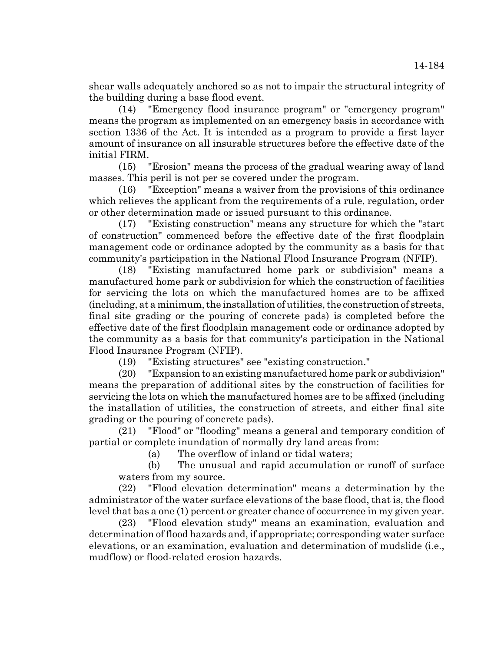shear walls adequately anchored so as not to impair the structural integrity of the building during a base flood event.

(14) "Emergency flood insurance program" or "emergency program" means the program as implemented on an emergency basis in accordance with section 1336 of the Act. It is intended as a program to provide a first layer amount of insurance on all insurable structures before the effective date of the initial FIRM.

(15) "Erosion" means the process of the gradual wearing away of land masses. This peril is not per se covered under the program.

(16) "Exception" means a waiver from the provisions of this ordinance which relieves the applicant from the requirements of a rule, regulation, order or other determination made or issued pursuant to this ordinance.

(17) "Existing construction" means any structure for which the "start of construction" commenced before the effective date of the first floodplain management code or ordinance adopted by the community as a basis for that community's participation in the National Flood Insurance Program (NFIP).

(18) "Existing manufactured home park or subdivision" means a manufactured home park or subdivision for which the construction of facilities for servicing the lots on which the manufactured homes are to be affixed (including, at a minimum, the installation of utilities, the construction of streets, final site grading or the pouring of concrete pads) is completed before the effective date of the first floodplain management code or ordinance adopted by the community as a basis for that community's participation in the National Flood Insurance Program (NFIP).

(19) "Existing structures" see "existing construction."

(20) "Expansion to an existing manufactured home park or subdivision" means the preparation of additional sites by the construction of facilities for servicing the lots on which the manufactured homes are to be affixed (including the installation of utilities, the construction of streets, and either final site grading or the pouring of concrete pads).

(21) "Flood" or "flooding" means a general and temporary condition of partial or complete inundation of normally dry land areas from:

(a) The overflow of inland or tidal waters;

(b) The unusual and rapid accumulation or runoff of surface waters from my source.

(22) "Flood elevation determination" means a determination by the administrator of the water surface elevations of the base flood, that is, the flood level that bas a one (1) percent or greater chance of occurrence in my given year.

(23) "Flood elevation study" means an examination, evaluation and determination of flood hazards and, if appropriate; corresponding water surface elevations, or an examination, evaluation and determination of mudslide (i.e., mudflow) or flood-related erosion hazards.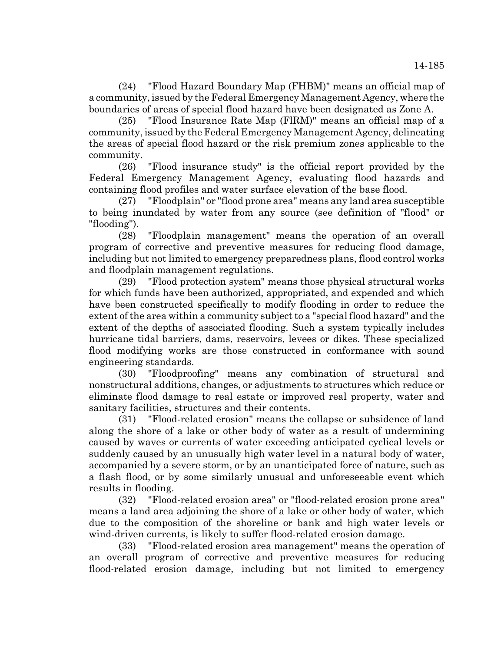(24) "Flood Hazard Boundary Map (FHBM)" means an official map of a community, issued by the Federal Emergency Management Agency, where the boundaries of areas of special flood hazard have been designated as Zone A.

(25) "Flood Insurance Rate Map (FlRM)" means an official map of a community, issued by the Federal Emergency Management Agency, delineating the areas of special flood hazard or the risk premium zones applicable to the community.

(26) "Flood insurance study" is the official report provided by the Federal Emergency Management Agency, evaluating flood hazards and containing flood profiles and water surface elevation of the base flood.

(27) "Floodplain" or "flood prone area" means any land area susceptible to being inundated by water from any source (see definition of "flood" or "flooding").

(28) "Floodplain management" means the operation of an overall program of corrective and preventive measures for reducing flood damage, including but not limited to emergency preparedness plans, flood control works and floodplain management regulations.

(29) "Flood protection system" means those physical structural works for which funds have been authorized, appropriated, and expended and which have been constructed specifically to modify flooding in order to reduce the extent of the area within a community subject to a "special flood hazard" and the extent of the depths of associated flooding. Such a system typically includes hurricane tidal barriers, dams, reservoirs, levees or dikes. These specialized flood modifying works are those constructed in conformance with sound engineering standards.

(30) "Floodproofing" means any combination of structural and nonstructural additions, changes, or adjustments to structures which reduce or eliminate flood damage to real estate or improved real property, water and sanitary facilities, structures and their contents.

(31) "Flood-related erosion" means the collapse or subsidence of land along the shore of a lake or other body of water as a result of undermining caused by waves or currents of water exceeding anticipated cyclical levels or suddenly caused by an unusually high water level in a natural body of water, accompanied by a severe storm, or by an unanticipated force of nature, such as a flash flood, or by some similarly unusual and unforeseeable event which results in flooding.

(32) "Flood-related erosion area" or "flood-related erosion prone area" means a land area adjoining the shore of a lake or other body of water, which due to the composition of the shoreline or bank and high water levels or wind-driven currents, is likely to suffer flood-related erosion damage.

(33) "Flood-related erosion area management" means the operation of an overall program of corrective and preventive measures for reducing flood-related erosion damage, including but not limited to emergency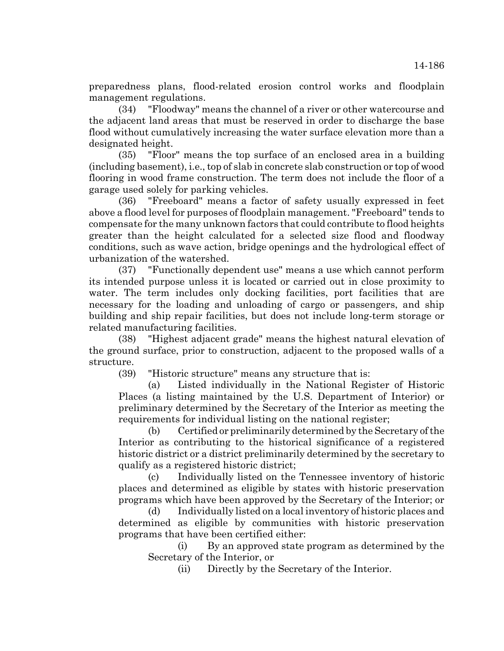preparedness plans, flood-related erosion control works and floodplain management regulations.

(34) "Floodway" means the channel of a river or other watercourse and the adjacent land areas that must be reserved in order to discharge the base flood without cumulatively increasing the water surface elevation more than a designated height.

(35) "Floor" means the top surface of an enclosed area in a building (including basement), i.e., top of slab in concrete slab construction or top of wood flooring in wood frame construction. The term does not include the floor of a garage used solely for parking vehicles.

(36) "Freeboard" means a factor of safety usually expressed in feet above a flood level for purposes of floodplain management. "Freeboard" tends to compensate for the many unknown factors that could contribute to flood heights greater than the height calculated for a selected size flood and floodway conditions, such as wave action, bridge openings and the hydrological effect of urbanization of the watershed.

(37) "Functionally dependent use" means a use which cannot perform its intended purpose unless it is located or carried out in close proximity to water. The term includes only docking facilities, port facilities that are necessary for the loading and unloading of cargo or passengers, and ship building and ship repair facilities, but does not include long-term storage or related manufacturing facilities.

(38) "Highest adjacent grade" means the highest natural elevation of the ground surface, prior to construction, adjacent to the proposed walls of a structure.

(39) "Historic structure" means any structure that is:

(a) Listed individually in the National Register of Historic Places (a listing maintained by the U.S. Department of Interior) or preliminary determined by the Secretary of the Interior as meeting the requirements for individual listing on the national register;

(b) Certified or preliminarily determined by the Secretary of the Interior as contributing to the historical significance of a registered historic district or a district preliminarily determined by the secretary to qualify as a registered historic district;

(c) Individually listed on the Tennessee inventory of historic places and determined as eligible by states with historic preservation programs which have been approved by the Secretary of the Interior; or

(d) Individually listed on a local inventory of historic places and determined as eligible by communities with historic preservation programs that have been certified either:

(i) By an approved state program as determined by the Secretary of the Interior, or

(ii) Directly by the Secretary of the Interior.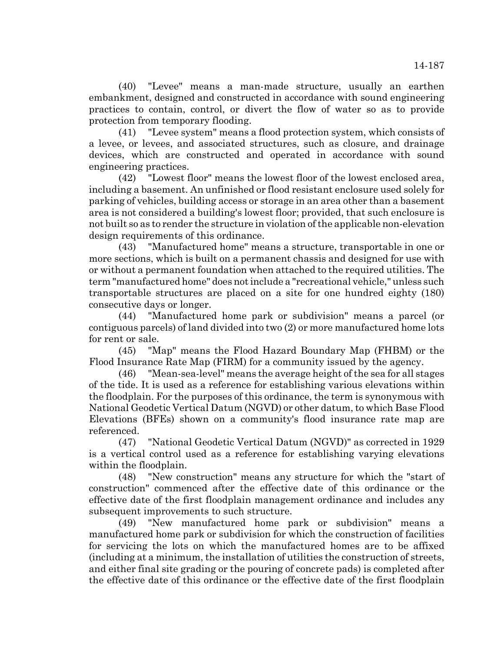(40) "Levee" means a man-made structure, usually an earthen embankment, designed and constructed in accordance with sound engineering practices to contain, control, or divert the flow of water so as to provide protection from temporary flooding.

(41) "Levee system" means a flood protection system, which consists of a levee, or levees, and associated structures, such as closure, and drainage devices, which are constructed and operated in accordance with sound engineering practices.

(42) "Lowest floor" means the lowest floor of the lowest enclosed area, including a basement. An unfinished or flood resistant enclosure used solely for parking of vehicles, building access or storage in an area other than a basement area is not considered a building's lowest floor; provided, that such enclosure is not built so as to render the structure in violation of the applicable non-elevation design requirements of this ordinance.

(43) "Manufactured home" means a structure, transportable in one or more sections, which is built on a permanent chassis and designed for use with or without a permanent foundation when attached to the required utilities. The term "manufactured home" does not include a "recreational vehicle," unless such transportable structures are placed on a site for one hundred eighty (180) consecutive days or longer.

(44) "Manufactured home park or subdivision" means a parcel (or contiguous parcels) of land divided into two (2) or more manufactured home lots for rent or sale.

(45) "Map" means the Flood Hazard Boundary Map (FHBM) or the Flood Insurance Rate Map (FIRM) for a community issued by the agency.

(46) "Mean-sea-level" means the average height of the sea for all stages of the tide. It is used as a reference for establishing various elevations within the floodplain. For the purposes of this ordinance, the term is synonymous with National Geodetic Vertical Datum (NGVD) or other datum, to which Base Flood Elevations (BFEs) shown on a community's flood insurance rate map are referenced.

(47) "National Geodetic Vertical Datum (NGVD)" as corrected in 1929 is a vertical control used as a reference for establishing varying elevations within the floodplain.

(48) "New construction" means any structure for which the "start of construction" commenced after the effective date of this ordinance or the effective date of the first floodplain management ordinance and includes any subsequent improvements to such structure.

(49) "New manufactured home park or subdivision" means a manufactured home park or subdivision for which the construction of facilities for servicing the lots on which the manufactured homes are to be affixed (including at a minimum, the installation of utilities the construction of streets, and either final site grading or the pouring of concrete pads) is completed after the effective date of this ordinance or the effective date of the first floodplain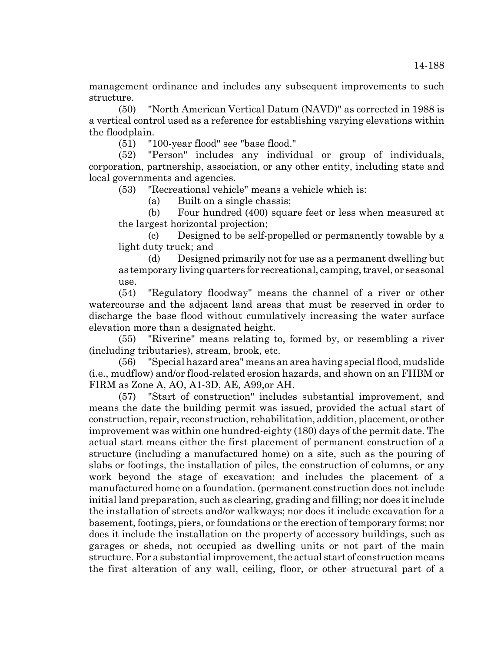management ordinance and includes any subsequent improvements to such structure.

(50) "North American Vertical Datum (NAVD)" as corrected in 1988 is a vertical control used as a reference for establishing varying elevations within the floodplain.

(51) "100-year flood" see "base flood."

(52) "Person" includes any individual or group of individuals, corporation, partnership, association, or any other entity, including state and local governments and agencies.

(53) "Recreational vehicle" means a vehicle which is:

(a) Built on a single chassis;

(b) Four hundred (400) square feet or less when measured at the largest horizontal projection;

(c) Designed to be self-propelled or permanently towable by a light duty truck; and

(d) Designed primarily not for use as a permanent dwelling but as temporary living quarters for recreational, camping, travel, or seasonal use.

(54) "Regulatory floodway" means the channel of a river or other watercourse and the adjacent land areas that must be reserved in order to discharge the base flood without cumulatively increasing the water surface elevation more than a designated height.

(55) "Riverine" means relating to, formed by, or resembling a river (including tributaries), stream, brook, etc.

(56) "Special hazard area" means an area having special flood, mudslide (i.e., mudflow) and/or flood-related erosion hazards, and shown on an FHBM or FIRM as Zone A, AO, A1-3D, AE, A99,or AH.

(57) "Start of construction" includes substantial improvement, and means the date the building permit was issued, provided the actual start of construction, repair, reconstruction, rehabilitation, addition, placement, or other improvement was within one hundred-eighty (180) days of the permit date. The actual start means either the first placement of permanent construction of a structure (including a manufactured home) on a site, such as the pouring of slabs or footings, the installation of piles, the construction of columns, or any work beyond the stage of excavation; and includes the placement of a manufactured home on a foundation. (permanent construction does not include initial land preparation, such as clearing, grading and filling; nor does it include the installation of streets and/or walkways; nor does it include excavation for a basement, footings, piers, or foundations or the erection of temporary forms; nor does it include the installation on the property of accessory buildings, such as garages or sheds, not occupied as dwelling units or not part of the main structure. For a substantial improvement, the actual start of construction means the first alteration of any wall, ceiling, floor, or other structural part of a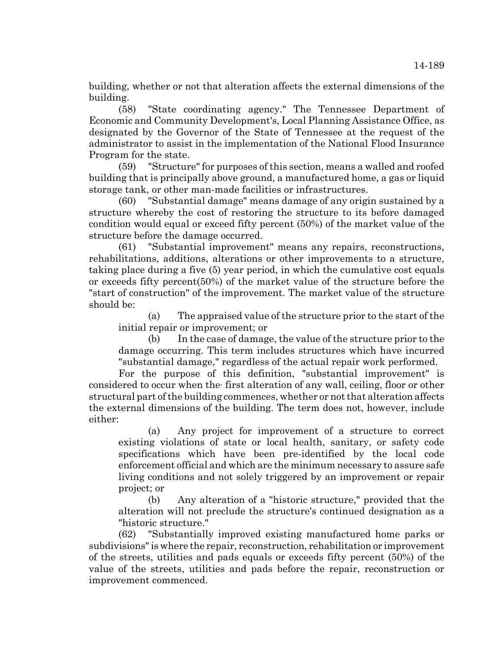building, whether or not that alteration affects the external dimensions of the building.

(58) "State coordinating agency." The Tennessee Department of Economic and Community Development's, Local Planning Assistance Office, as designated by the Governor of the State of Tennessee at the request of the administrator to assist in the implementation of the National Flood Insurance Program for the state.

(59) "Structure" for purposes of this section, means a walled and roofed building that is principally above ground, a manufactured home, a gas or liquid storage tank, or other man-made facilities or infrastructures.

(60) "Substantial damage" means damage of any origin sustained by a structure whereby the cost of restoring the structure to its before damaged condition would equal or exceed fifty percent (50%) of the market value of the structure before the damage occurred.

(61) "Substantial improvement" means any repairs, reconstructions, rehabilitations, additions, alterations or other improvements to a structure, taking place during a five (5) year period, in which the cumulative cost equals or exceeds fifty percent(50%) of the market value of the structure before the "start of construction" of the improvement. The market value of the structure should be:

(a) The appraised value of the structure prior to the start of the initial repair or improvement; or

(b) In the case of damage, the value of the structure prior to the damage occurring. This term includes structures which have incurred "substantial damage," regardless of the actual repair work performed.

For the purpose of this definition, "substantial improvement" is considered to occur when the first alteration of any wall, ceiling, floor or other structural part of the building commences, whether or not that alteration affects the external dimensions of the building. The term does not, however, include either:

(a) Any project for improvement of a structure to correct existing violations of state or local health, sanitary, or safety code specifications which have been pre-identified by the local code enforcement official and which are the minimum necessary to assure safe living conditions and not solely triggered by an improvement or repair project; or

(b) Any alteration of a "historic structure," provided that the alteration will not preclude the structure's continued designation as a "historic structure."

(62) "Substantially improved existing manufactured home parks or subdivisions" is where the repair, reconstruction, rehabilitation or improvement of the streets, utilities and pads equals or exceeds fifty percent (50%) of the value of the streets, utilities and pads before the repair, reconstruction or improvement commenced.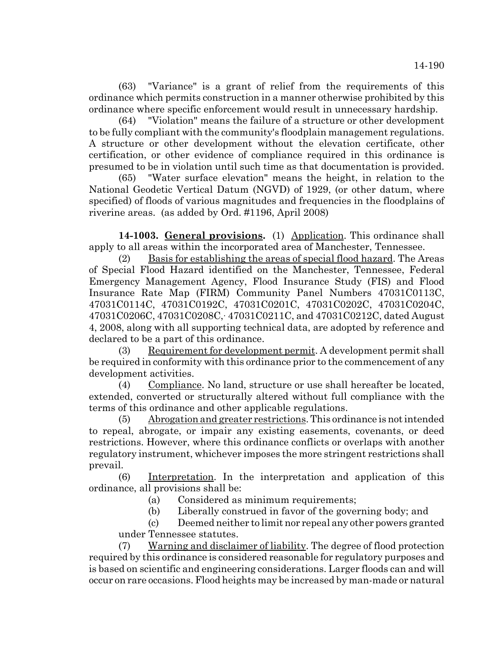(63) "Variance" is a grant of relief from the requirements of this ordinance which permits construction in a manner otherwise prohibited by this ordinance where specific enforcement would result in unnecessary hardship.

(64) "Violation" means the failure of a structure or other development to be fully compliant with the community's floodplain management regulations. A structure or other development without the elevation certificate, other certification, or other evidence of compliance required in this ordinance is presumed to be in violation until such time as that documentation is provided.

(65) "Water surface elevation" means the height, in relation to the National Geodetic Vertical Datum (NGVD) of 1929, (or other datum, where specified) of floods of various magnitudes and frequencies in the floodplains of riverine areas. (as added by Ord. #1196, April 2008)

**14-1003. General provisions.** (1) Application. This ordinance shall apply to all areas within the incorporated area of Manchester, Tennessee.

(2) Basis for establishing the areas of special flood hazard. The Areas of Special Flood Hazard identified on the Manchester, Tennessee, Federal Emergency Management Agency, Flood Insurance Study (FIS) and Flood Insurance Rate Map (FIRM) Community Panel Numbers 47031C0113C, 47031C0114C, 47031C0192C, 47031C0201C, 47031C0202C, 47031C0204C, 47031C0206C, 47031C0208C, 47031C0211C, and 47031C0212C, dated August 4, 2008, along with all supporting technical data, are adopted by reference and declared to be a part of this ordinance.

(3) Requirement for development permit. A development permit shall be required in conformity with this ordinance prior to the commencement of any development activities.

(4) Compliance. No land, structure or use shall hereafter be located, extended, converted or structurally altered without full compliance with the terms of this ordinance and other applicable regulations.

(5) Abrogation and greater restrictions. This ordinance is not intended to repeal, abrogate, or impair any existing easements, covenants, or deed restrictions. However, where this ordinance conflicts or overlaps with another regulatory instrument, whichever imposes the more stringent restrictions shall prevail.

(6) Interpretation. In the interpretation and application of this ordinance, all provisions shall be:

(a) Considered as minimum requirements;

(b) Liberally construed in favor of the governing body; and

(c) Deemed neither to limit nor repeal any other powers granted under Tennessee statutes.

(7) Warning and disclaimer of liability. The degree of flood protection required by this ordinance is considered reasonable for regulatory purposes and is based on scientific and engineering considerations. Larger floods can and will occur on rare occasions. Flood heights may be increased by man-made or natural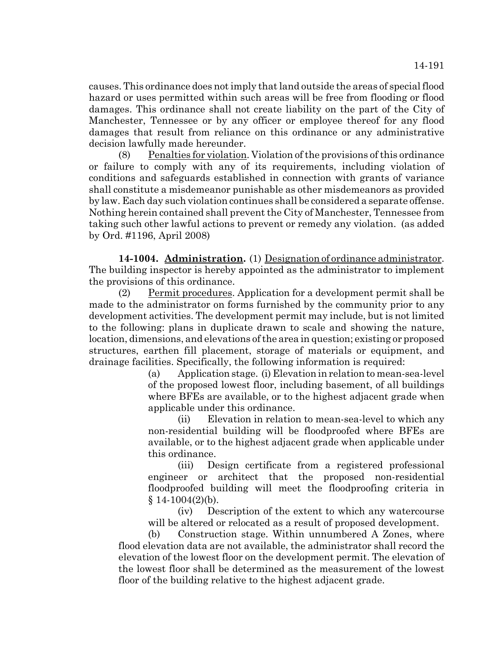causes. This ordinance does not imply that land outside the areas of special flood hazard or uses permitted within such areas will be free from flooding or flood damages. This ordinance shall not create liability on the part of the City of Manchester, Tennessee or by any officer or employee thereof for any flood damages that result from reliance on this ordinance or any administrative decision lawfully made hereunder.

(8) Penalties for violation. Violation of the provisions of this ordinance or failure to comply with any of its requirements, including violation of conditions and safeguards established in connection with grants of variance shall constitute a misdemeanor punishable as other misdemeanors as provided by law. Each day such violation continues shall be considered a separate offense. Nothing herein contained shall prevent the City of Manchester, Tennessee from taking such other lawful actions to prevent or remedy any violation. (as added by Ord. #1196, April 2008)

**14-1004. Administration.** (1) Designation of ordinance administrator. The building inspector is hereby appointed as the administrator to implement the provisions of this ordinance.

(2) Permit procedures. Application for a development permit shall be made to the administrator on forms furnished by the community prior to any development activities. The development permit may include, but is not limited to the following: plans in duplicate drawn to scale and showing the nature, location, dimensions, and elevations of the area in question; existing or proposed structures, earthen fill placement, storage of materials or equipment, and drainage facilities. Specifically, the following information is required:

> (a) Application stage. (i) Elevation in relation to mean-sea-level of the proposed lowest floor, including basement, of all buildings where BFEs are available, or to the highest adjacent grade when applicable under this ordinance.

> (ii) Elevation in relation to mean-sea-level to which any non-residential building will be floodproofed where BFEs are available, or to the highest adjacent grade when applicable under this ordinance.

> (iii) Design certificate from a registered professional engineer or architect that the proposed non-residential floodproofed building will meet the floodproofing criteria in  $§ 14-1004(2)(b).$

> (iv) Description of the extent to which any watercourse will be altered or relocated as a result of proposed development.

(b) Construction stage. Within unnumbered A Zones, where flood elevation data are not available, the administrator shall record the elevation of the lowest floor on the development permit. The elevation of the lowest floor shall be determined as the measurement of the lowest floor of the building relative to the highest adjacent grade.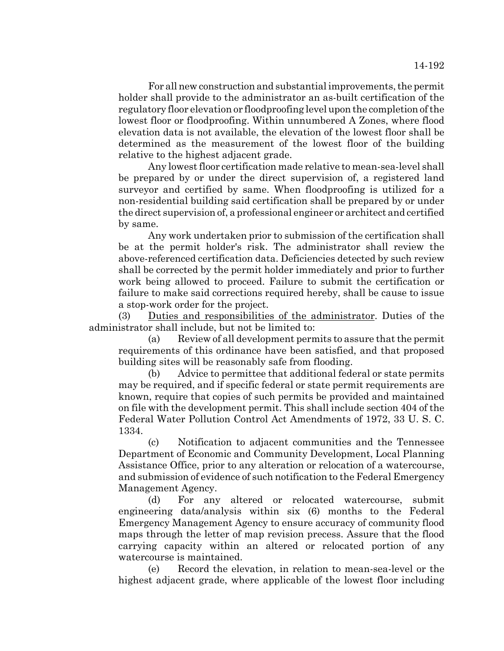For all new construction and substantial improvements, the permit holder shall provide to the administrator an as-built certification of the regulatory floor elevation or floodproofing level upon the completion of the lowest floor or floodproofing. Within unnumbered A Zones, where flood elevation data is not available, the elevation of the lowest floor shall be determined as the measurement of the lowest floor of the building relative to the highest adjacent grade.

Any lowest floor certification made relative to mean-sea-level shall be prepared by or under the direct supervision of, a registered land surveyor and certified by same. When floodproofing is utilized for a non-residential building said certification shall be prepared by or under the direct supervision of, a professional engineer or architect and certified by same.

Any work undertaken prior to submission of the certification shall be at the permit holder's risk. The administrator shall review the above-referenced certification data. Deficiencies detected by such review shall be corrected by the permit holder immediately and prior to further work being allowed to proceed. Failure to submit the certification or failure to make said corrections required hereby, shall be cause to issue a stop-work order for the project.

(3) Duties and responsibilities of the administrator. Duties of the administrator shall include, but not be limited to:

(a) Review of all development permits to assure that the permit requirements of this ordinance have been satisfied, and that proposed building sites will be reasonably safe from flooding.

(b) Advice to permittee that additional federal or state permits may be required, and if specific federal or state permit requirements are known, require that copies of such permits be provided and maintained on file with the development permit. This shall include section 404 of the Federal Water Pollution Control Act Amendments of 1972, 33 U. S. C. 1334.

(c) Notification to adjacent communities and the Tennessee Department of Economic and Community Development, Local Planning Assistance Office, prior to any alteration or relocation of a watercourse, and submission of evidence of such notification to the Federal Emergency Management Agency.

(d) For any altered or relocated watercourse, submit engineering data/analysis within six (6) months to the Federal Emergency Management Agency to ensure accuracy of community flood maps through the letter of map revision precess. Assure that the flood carrying capacity within an altered or relocated portion of any watercourse is maintained.

(e) Record the elevation, in relation to mean-sea-level or the highest adjacent grade, where applicable of the lowest floor including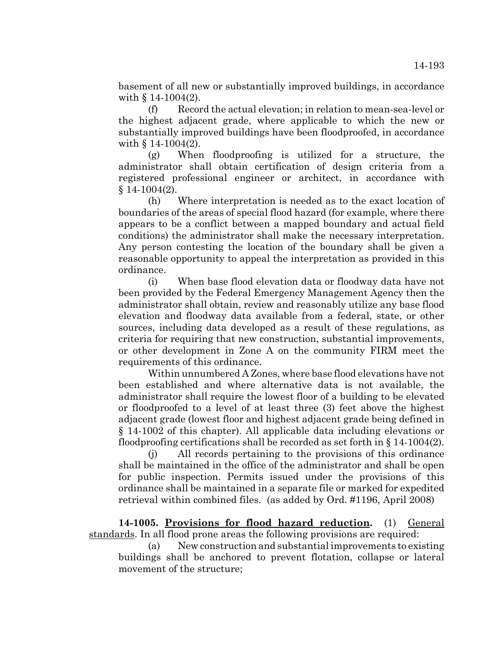basement of all new or substantially improved buildings, in accordance with § 14-1004(2).

(f) Record the actual elevation; in relation to mean-sea-level or the highest adjacent grade, where applicable to which the new or substantially improved buildings have been floodproofed, in accordance with  $§ 14-1004(2)$ .

(g) When floodproofing is utilized for a structure, the administrator shall obtain certification of design criteria from a registered professional engineer or architect, in accordance with  $§ 14-1004(2).$ 

(h) Where interpretation is needed as to the exact location of boundaries of the areas of special flood hazard (for example, where there appears to be a conflict between a mapped boundary and actual field conditions) the administrator shall make the necessary interpretation. Any person contesting the location of the boundary shall be given a reasonable opportunity to appeal the interpretation as provided in this ordinance.

(i) When base flood elevation data or floodway data have not been provided by the Federal Emergency Management Agency then the administrator shall obtain, review and reasonably utilize any base flood elevation and floodway data available from a federal, state, or other sources, including data developed as a result of these regulations, as criteria for requiring that new construction, substantial improvements, or other development in Zone A on the community FIRM meet the requirements of this ordinance.

Within unnumbered A Zones, where base flood elevations have not been established and where alternative data is not available, the administrator shall require the lowest floor of a building to be elevated or floodproofed to a level of at least three (3) feet above the highest adjacent grade (lowest floor and highest adjacent grade being defined in § 14-1002 of this chapter). All applicable data including elevations or floodproofing certifications shall be recorded as set forth in § 14-1004(2).

(j) All records pertaining to the provisions of this ordinance shall be maintained in the office of the administrator and shall be open for public inspection. Permits issued under the provisions of this ordinance shall be maintained in a separate file or marked for expedited retrieval within combined files. (as added by Ord. #1196, April 2008)

**14-1005. Provisions for flood hazard reduction.** (1) General standards. In all flood prone areas the following provisions are required:

(a) New construction and substantial improvements to existing buildings shall be anchored to prevent flotation, collapse or lateral movement of the structure;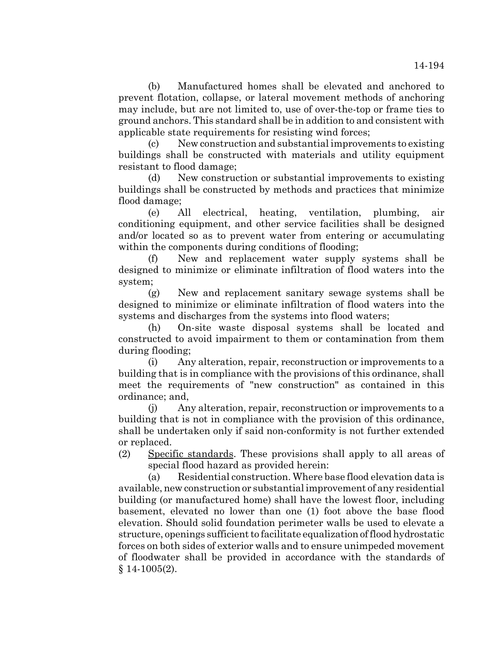(b) Manufactured homes shall be elevated and anchored to prevent flotation, collapse, or lateral movement methods of anchoring may include, but are not limited to, use of over-the-top or frame ties to ground anchors. This standard shall be in addition to and consistent with applicable state requirements for resisting wind forces;

(c) New construction and substantial improvements to existing buildings shall be constructed with materials and utility equipment resistant to flood damage;

(d) New construction or substantial improvements to existing buildings shall be constructed by methods and practices that minimize flood damage;

(e) All electrical, heating, ventilation, plumbing, air conditioning equipment, and other service facilities shall be designed and/or located so as to prevent water from entering or accumulating within the components during conditions of flooding;

(f) New and replacement water supply systems shall be designed to minimize or eliminate infiltration of flood waters into the system;

(g) New and replacement sanitary sewage systems shall be designed to minimize or eliminate infiltration of flood waters into the systems and discharges from the systems into flood waters;

(h) On-site waste disposal systems shall be located and constructed to avoid impairment to them or contamination from them during flooding;

(i) Any alteration, repair, reconstruction or improvements to a building that is in compliance with the provisions of this ordinance, shall meet the requirements of "new construction" as contained in this ordinance; and,

(j) Any alteration, repair, reconstruction or improvements to a building that is not in compliance with the provision of this ordinance, shall be undertaken only if said non-conformity is not further extended or replaced.

(2) Specific standards. These provisions shall apply to all areas of special flood hazard as provided herein:

(a) Residential construction. Where base flood elevation data is available, new construction or substantial improvement of any residential building (or manufactured home) shall have the lowest floor, including basement, elevated no lower than one (1) foot above the base flood elevation. Should solid foundation perimeter walls be used to elevate a structure, openings sufficient to facilitate equalization of flood hydrostatic forces on both sides of exterior walls and to ensure unimpeded movement of floodwater shall be provided in accordance with the standards of § 14-1005(2).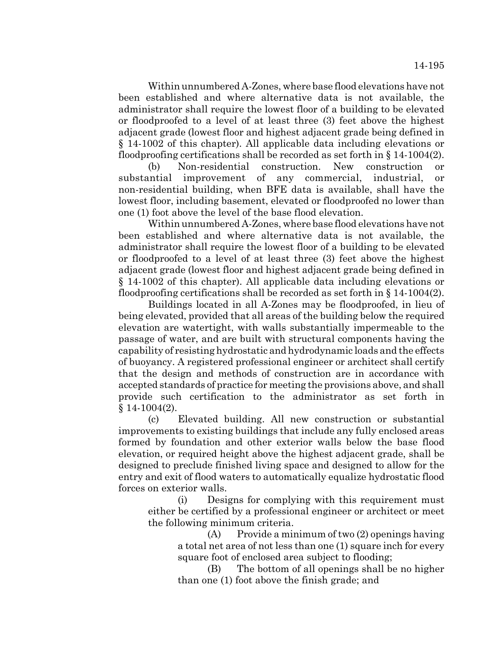Within unnumbered A-Zones, where base flood elevations have not been established and where alternative data is not available, the administrator shall require the lowest floor of a building to be elevated or floodproofed to a level of at least three (3) feet above the highest adjacent grade (lowest floor and highest adjacent grade being defined in § 14-1002 of this chapter). All applicable data including elevations or floodproofing certifications shall be recorded as set forth in  $\S 14$ -1004(2).

(b) Non-residential construction. New construction or substantial improvement of any commercial, industrial, or non-residential building, when BFE data is available, shall have the lowest floor, including basement, elevated or floodproofed no lower than one (1) foot above the level of the base flood elevation.

Within unnumbered A-Zones, where base flood elevations have not been established and where alternative data is not available, the administrator shall require the lowest floor of a building to be elevated or floodproofed to a level of at least three (3) feet above the highest adjacent grade (lowest floor and highest adjacent grade being defined in § 14-1002 of this chapter). All applicable data including elevations or floodproofing certifications shall be recorded as set forth in § 14-1004(2).

Buildings located in all A-Zones may be floodproofed, in lieu of being elevated, provided that all areas of the building below the required elevation are watertight, with walls substantially impermeable to the passage of water, and are built with structural components having the capability of resisting hydrostatic and hydrodynamic loads and the effects of buoyancy. A registered professional engineer or architect shall certify that the design and methods of construction are in accordance with accepted standards of practice for meeting the provisions above, and shall provide such certification to the administrator as set forth in  $§ 14-1004(2).$ 

(c) Elevated building. All new construction or substantial improvements to existing buildings that include any fully enclosed areas formed by foundation and other exterior walls below the base flood elevation, or required height above the highest adjacent grade, shall be designed to preclude finished living space and designed to allow for the entry and exit of flood waters to automatically equalize hydrostatic flood forces on exterior walls.

(i) Designs for complying with this requirement must either be certified by a professional engineer or architect or meet the following minimum criteria.

> (A) Provide a minimum of two (2) openings having a total net area of not less than one (1) square inch for every square foot of enclosed area subject to flooding;

> (B) The bottom of all openings shall be no higher than one (1) foot above the finish grade; and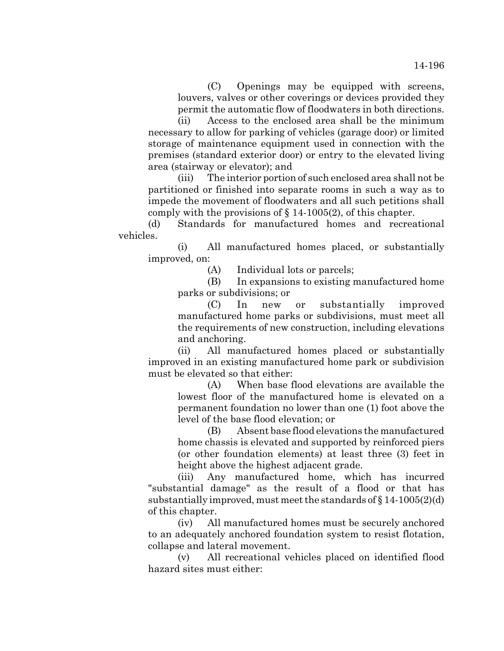(C) Openings may be equipped with screens, louvers, valves or other coverings or devices provided they permit the automatic flow of floodwaters in both directions.

(ii) Access to the enclosed area shall be the minimum necessary to allow for parking of vehicles (garage door) or limited storage of maintenance equipment used in connection with the premises (standard exterior door) or entry to the elevated living area (stairway or elevator); and

(iii) The interior portion of such enclosed area shall not be partitioned or finished into separate rooms in such a way as to impede the movement of floodwaters and all such petitions shall comply with the provisions of  $\S$  14-1005(2), of this chapter.

(d) Standards for manufactured homes and recreational vehicles.

(i) All manufactured homes placed, or substantially improved, on:

(A) Individual lots or parcels;

(B) In expansions to existing manufactured home parks or subdivisions; or

(C) In new or substantially improved manufactured home parks or subdivisions, must meet all the requirements of new construction, including elevations and anchoring.

(ii) All manufactured homes placed or substantially improved in an existing manufactured home park or subdivision must be elevated so that either:

> (A) When base flood elevations are available the lowest floor of the manufactured home is elevated on a permanent foundation no lower than one (1) foot above the level of the base flood elevation; or

> (B) Absent base flood elevations the manufactured home chassis is elevated and supported by reinforced piers (or other foundation elements) at least three (3) feet in height above the highest adjacent grade.

(iii) Any manufactured home, which has incurred "substantial damage" as the result of a flood or that has substantially improved, must meet the standards of § 14-1005(2)(d) of this chapter.

(iv) All manufactured homes must be securely anchored to an adequately anchored foundation system to resist flotation, collapse and lateral movement.

(v) All recreational vehicles placed on identified flood hazard sites must either: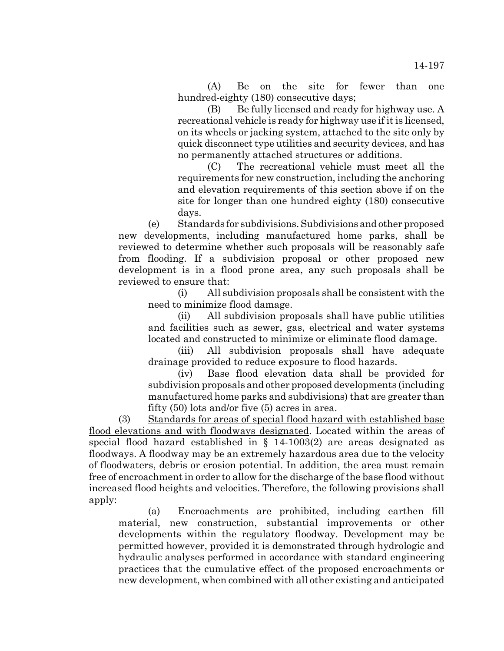(A) Be on the site for fewer than one hundred-eighty (180) consecutive days;

(B) Be fully licensed and ready for highway use. A recreational vehicle is ready for highway use if it is licensed, on its wheels or jacking system, attached to the site only by quick disconnect type utilities and security devices, and has no permanently attached structures or additions.

(C) The recreational vehicle must meet all the requirements for new construction, including the anchoring and elevation requirements of this section above if on the site for longer than one hundred eighty (180) consecutive days.

(e) Standards for subdivisions. Subdivisions and other proposed new developments, including manufactured home parks, shall be reviewed to determine whether such proposals will be reasonably safe from flooding. If a subdivision proposal or other proposed new development is in a flood prone area, any such proposals shall be reviewed to ensure that:

(i) All subdivision proposals shall be consistent with the need to minimize flood damage.

(ii) All subdivision proposals shall have public utilities and facilities such as sewer, gas, electrical and water systems located and constructed to minimize or eliminate flood damage.

(iii) All subdivision proposals shall have adequate drainage provided to reduce exposure to flood hazards.

(iv) Base flood elevation data shall be provided for subdivision proposals and other proposed developments (including manufactured home parks and subdivisions) that are greater than fifty (50) lots and/or five (5) acres in area.

(3) Standards for areas of special flood hazard with established base flood elevations and with floodways designated. Located within the areas of special flood hazard established in § 14-1003(2) are areas designated as floodways. A floodway may be an extremely hazardous area due to the velocity of floodwaters, debris or erosion potential. In addition, the area must remain free of encroachment in order to allow for the discharge of the base flood without increased flood heights and velocities. Therefore, the following provisions shall apply:

(a) Encroachments are prohibited, including earthen fill material, new construction, substantial improvements or other developments within the regulatory floodway. Development may be permitted however, provided it is demonstrated through hydrologic and hydraulic analyses performed in accordance with standard engineering practices that the cumulative effect of the proposed encroachments or new development, when combined with all other existing and anticipated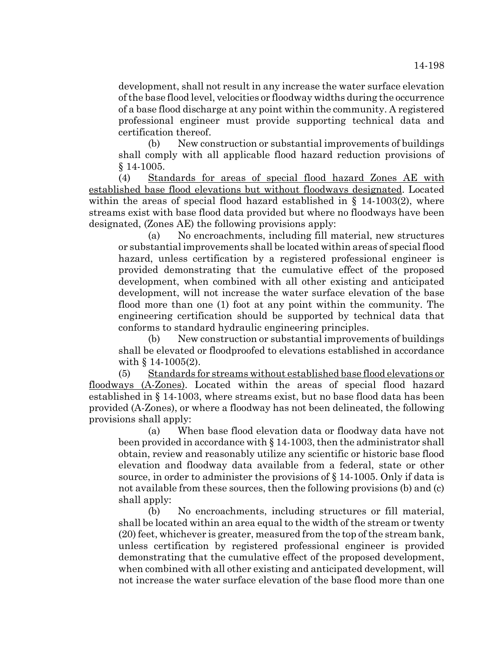development, shall not result in any increase the water surface elevation of the base flood level, velocities or floodway widths during the occurrence of a base flood discharge at any point within the community. A registered professional engineer must provide supporting technical data and certification thereof.

(b) New construction or substantial improvements of buildings shall comply with all applicable flood hazard reduction provisions of § 14-1005.

(4) Standards for areas of special flood hazard Zones AE with established base flood elevations but without floodways designated. Located within the areas of special flood hazard established in  $\S$  14-1003(2), where streams exist with base flood data provided but where no floodways have been designated, (Zones AE) the following provisions apply:

(a) No encroachments, including fill material, new structures or substantial improvements shall be located within areas of special flood hazard, unless certification by a registered professional engineer is provided demonstrating that the cumulative effect of the proposed development, when combined with all other existing and anticipated development, will not increase the water surface elevation of the base flood more than one (1) foot at any point within the community. The engineering certification should be supported by technical data that conforms to standard hydraulic engineering principles.

(b) New construction or substantial improvements of buildings shall be elevated or floodproofed to elevations established in accordance with § 14-1005(2).

(5) Standards for streams without established base flood elevations or floodways (A-Zones). Located within the areas of special flood hazard established in § 14-1003, where streams exist, but no base flood data has been provided (A-Zones), or where a floodway has not been delineated, the following provisions shall apply:

(a) When base flood elevation data or floodway data have not been provided in accordance with § 14-1003, then the administrator shall obtain, review and reasonably utilize any scientific or historic base flood elevation and floodway data available from a federal, state or other source, in order to administer the provisions of  $\S 14$ -1005. Only if data is not available from these sources, then the following provisions (b) and (c) shall apply:

(b) No encroachments, including structures or fill material, shall be located within an area equal to the width of the stream or twenty (20) feet, whichever is greater, measured from the top of the stream bank, unless certification by registered professional engineer is provided demonstrating that the cumulative effect of the proposed development, when combined with all other existing and anticipated development, will not increase the water surface elevation of the base flood more than one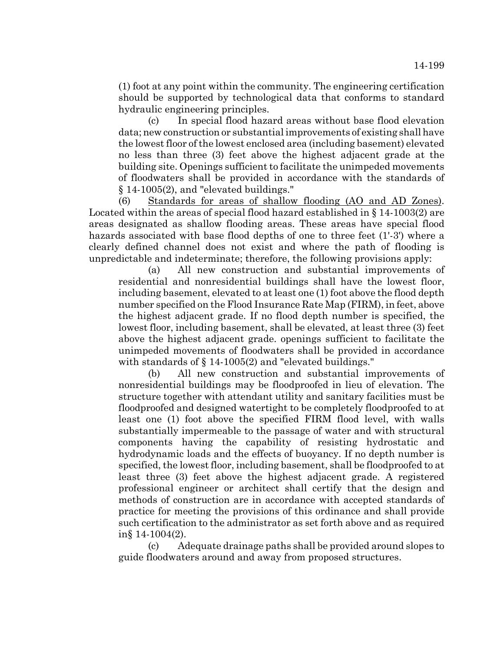(1) foot at any point within the community. The engineering certification should be supported by technological data that conforms to standard hydraulic engineering principles.

(c) In special flood hazard areas without base flood elevation data; new construction or substantial improvements of existing shall have the lowest floor of the lowest enclosed area (including basement) elevated no less than three (3) feet above the highest adjacent grade at the building site. Openings sufficient to facilitate the unimpeded movements of floodwaters shall be provided in accordance with the standards of § 14-1005(2), and "elevated buildings."

(6) Standards for areas of shallow flooding (AO and AD Zones). Located within the areas of special flood hazard established in § 14-1003(2) are areas designated as shallow flooding areas. These areas have special flood hazards associated with base flood depths of one to three feet (1'-3') where a clearly defined channel does not exist and where the path of flooding is unpredictable and indeterminate; therefore, the following provisions apply:

(a) All new construction and substantial improvements of residential and nonresidential buildings shall have the lowest floor, including basement, elevated to at least one (1) foot above the flood depth number specified on the Flood Insurance Rate Map (FIRM), in feet, above the highest adjacent grade. If no flood depth number is specified, the lowest floor, including basement, shall be elevated, at least three (3) feet above the highest adjacent grade. openings sufficient to facilitate the unimpeded movements of floodwaters shall be provided in accordance with standards of § 14-1005(2) and "elevated buildings."

(b) All new construction and substantial improvements of nonresidential buildings may be floodproofed in lieu of elevation. The structure together with attendant utility and sanitary facilities must be floodproofed and designed watertight to be completely floodproofed to at least one (1) foot above the specified FIRM flood level, with walls substantially impermeable to the passage of water and with structural components having the capability of resisting hydrostatic and hydrodynamic loads and the effects of buoyancy. If no depth number is specified, the lowest floor, including basement, shall be floodproofed to at least three (3) feet above the highest adjacent grade. A registered professional engineer or architect shall certify that the design and methods of construction are in accordance with accepted standards of practice for meeting the provisions of this ordinance and shall provide such certification to the administrator as set forth above and as required in§ 14-1004(2).

(c) Adequate drainage paths shall be provided around slopes to guide floodwaters around and away from proposed structures.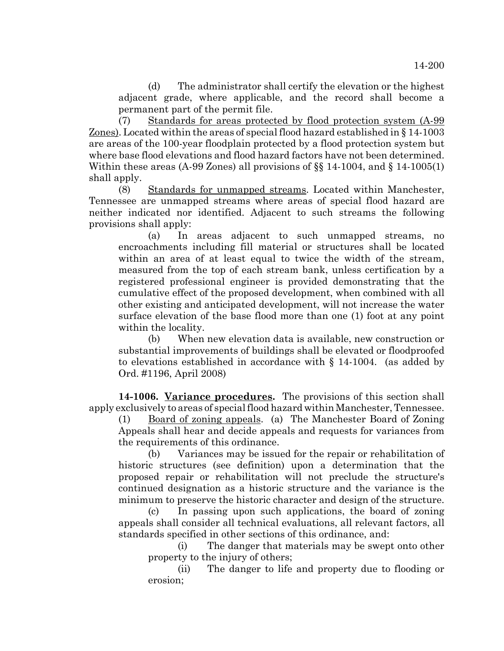(d) The administrator shall certify the elevation or the highest adjacent grade, where applicable, and the record shall become a permanent part of the permit file.

(7) Standards for areas protected by flood protection system (A-99 Zones). Located within the areas of special flood hazard established in § 14-1003 are areas of the 100-year floodplain protected by a flood protection system but where base flood elevations and flood hazard factors have not been determined. Within these areas (A-99 Zones) all provisions of  $\S$  14-1004, and  $\S$  14-1005(1) shall apply.

(8) Standards for unmapped streams. Located within Manchester, Tennessee are unmapped streams where areas of special flood hazard are neither indicated nor identified. Adjacent to such streams the following provisions shall apply:

(a) In areas adjacent to such unmapped streams, no encroachments including fill material or structures shall be located within an area of at least equal to twice the width of the stream, measured from the top of each stream bank, unless certification by a registered professional engineer is provided demonstrating that the cumulative effect of the proposed development, when combined with all other existing and anticipated development, will not increase the water surface elevation of the base flood more than one (1) foot at any point within the locality.

(b) When new elevation data is available, new construction or substantial improvements of buildings shall be elevated or floodproofed to elevations established in accordance with § 14-1004. (as added by Ord. #1196, April 2008)

**14-1006. Variance procedures.** The provisions of this section shall apply exclusively to areas of special flood hazard within Manchester, Tennessee.

(1) Board of zoning appeals. (a) The Manchester Board of Zoning Appeals shall hear and decide appeals and requests for variances from the requirements of this ordinance.

(b) Variances may be issued for the repair or rehabilitation of historic structures (see definition) upon a determination that the proposed repair or rehabilitation will not preclude the structure's continued designation as a historic structure and the variance is the minimum to preserve the historic character and design of the structure.

(c) In passing upon such applications, the board of zoning appeals shall consider all technical evaluations, all relevant factors, all standards specified in other sections of this ordinance, and:

(i) The danger that materials may be swept onto other property to the injury of others;

(ii) The danger to life and property due to flooding or erosion;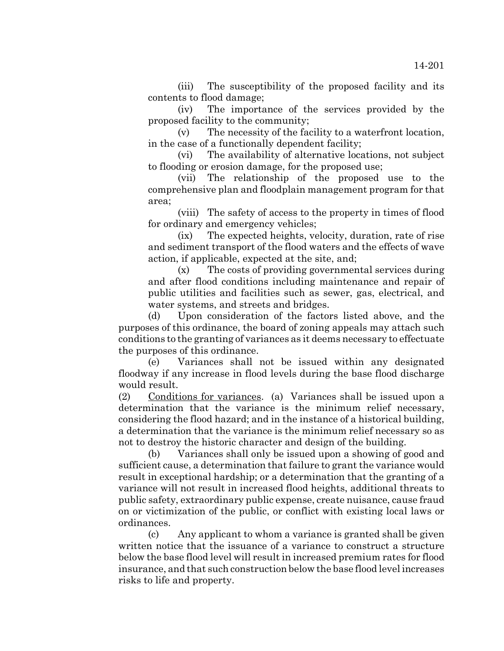(iii) The susceptibility of the proposed facility and its contents to flood damage;

(iv) The importance of the services provided by the proposed facility to the community;

(v) The necessity of the facility to a waterfront location, in the case of a functionally dependent facility;

(vi) The availability of alternative locations, not subject to flooding or erosion damage, for the proposed use;

(vii) The relationship of the proposed use to the comprehensive plan and floodplain management program for that area;

(viii) The safety of access to the property in times of flood for ordinary and emergency vehicles;

(ix) The expected heights, velocity, duration, rate of rise and sediment transport of the flood waters and the effects of wave action, if applicable, expected at the site, and;

(x) The costs of providing governmental services during and after flood conditions including maintenance and repair of public utilities and facilities such as sewer, gas, electrical, and water systems, and streets and bridges.

(d) Upon consideration of the factors listed above, and the purposes of this ordinance, the board of zoning appeals may attach such conditions to the granting of variances as it deems necessary to effectuate the purposes of this ordinance.

(e) Variances shall not be issued within any designated floodway if any increase in flood levels during the base flood discharge would result.

(2) Conditions for variances. (a) Variances shall be issued upon a determination that the variance is the minimum relief necessary, considering the flood hazard; and in the instance of a historical building, a determination that the variance is the minimum relief necessary so as not to destroy the historic character and design of the building.

(b) Variances shall only be issued upon a showing of good and sufficient cause, a determination that failure to grant the variance would result in exceptional hardship; or a determination that the granting of a variance will not result in increased flood heights, additional threats to public safety, extraordinary public expense, create nuisance, cause fraud on or victimization of the public, or conflict with existing local laws or ordinances.

(c) Any applicant to whom a variance is granted shall be given written notice that the issuance of a variance to construct a structure below the base flood level will result in increased premium rates for flood insurance, and that such construction below the base flood level increases risks to life and property.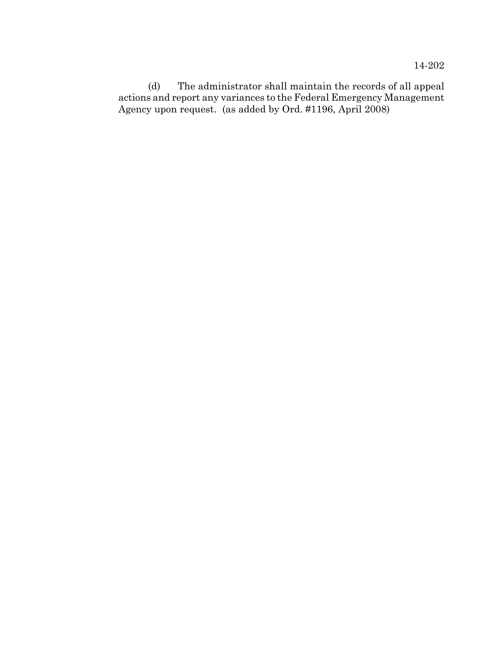(d) The administrator shall maintain the records of all appeal actions and report any variances to the Federal Emergency Management Agency upon request. (as added by Ord. #1196, April 2008)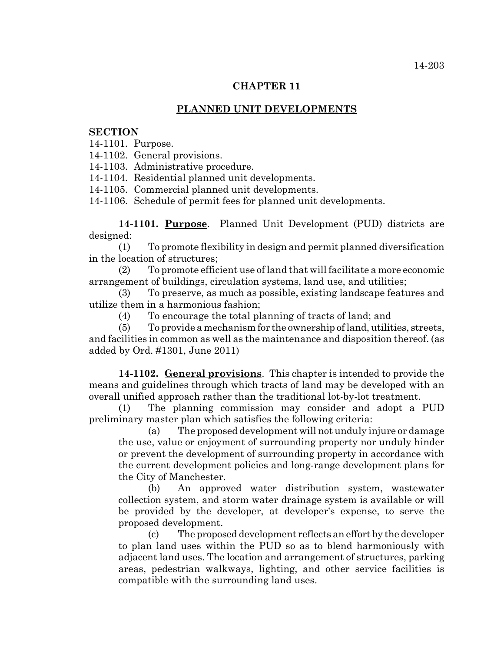## **CHAPTER 11**

# **PLANNED UNIT DEVELOPMENTS**

#### **SECTION**

14-1101. Purpose.

14-1102. General provisions.

14-1103. Administrative procedure.

14-1104. Residential planned unit developments.

14-1105. Commercial planned unit developments.

14-1106. Schedule of permit fees for planned unit developments.

**14-1101. Purpose**. Planned Unit Development (PUD) districts are designed:

(1) To promote flexibility in design and permit planned diversification in the location of structures;

(2) To promote efficient use of land that will facilitate a more economic arrangement of buildings, circulation systems, land use, and utilities;

(3) To preserve, as much as possible, existing landscape features and utilize them in a harmonious fashion;

(4) To encourage the total planning of tracts of land; and

(5) To provide a mechanism for the ownership of land, utilities, streets, and facilities in common as well as the maintenance and disposition thereof. (as added by Ord. #1301, June 2011)

**14-1102. General provisions**. This chapter is intended to provide the means and guidelines through which tracts of land may be developed with an overall unified approach rather than the traditional lot-by-lot treatment.

(1) The planning commission may consider and adopt a PUD preliminary master plan which satisfies the following criteria:

(a) The proposed development will not unduly injure or damage the use, value or enjoyment of surrounding property nor unduly hinder or prevent the development of surrounding property in accordance with the current development policies and long-range development plans for the City of Manchester.

(b) An approved water distribution system, wastewater collection system, and storm water drainage system is available or will be provided by the developer, at developer's expense, to serve the proposed development.

(c) The proposed development reflects an effort by the developer to plan land uses within the PUD so as to blend harmoniously with adjacent land uses. The location and arrangement of structures, parking areas, pedestrian walkways, lighting, and other service facilities is compatible with the surrounding land uses.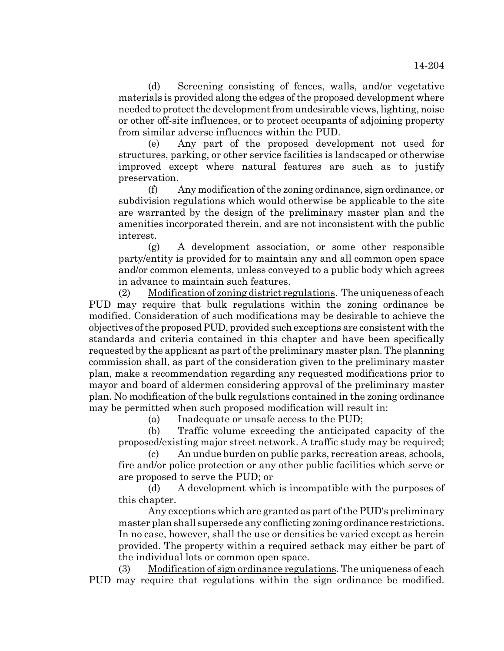(d) Screening consisting of fences, walls, and/or vegetative materials is provided along the edges of the proposed development where needed to protect the development from undesirable views, lighting, noise or other off-site influences, or to protect occupants of adjoining property from similar adverse influences within the PUD.

(e) Any part of the proposed development not used for structures, parking, or other service facilities is landscaped or otherwise improved except where natural features are such as to justify preservation.

(f) Any modification of the zoning ordinance, sign ordinance, or subdivision regulations which would otherwise be applicable to the site are warranted by the design of the preliminary master plan and the amenities incorporated therein, and are not inconsistent with the public interest.

(g) A development association, or some other responsible party/entity is provided for to maintain any and all common open space and/or common elements, unless conveyed to a public body which agrees in advance to maintain such features.

(2) Modification of zoning district regulations. The uniqueness of each PUD may require that bulk regulations within the zoning ordinance be modified. Consideration of such modifications may be desirable to achieve the objectives of the proposed PUD, provided such exceptions are consistent with the standards and criteria contained in this chapter and have been specifically requested by the applicant as part of the preliminary master plan. The planning commission shall, as part of the consideration given to the preliminary master plan, make a recommendation regarding any requested modifications prior to mayor and board of aldermen considering approval of the preliminary master plan. No modification of the bulk regulations contained in the zoning ordinance may be permitted when such proposed modification will result in:

(a) Inadequate or unsafe access to the PUD;

(b) Traffic volume exceeding the anticipated capacity of the proposed/existing major street network. A traffic study may be required;

(c) An undue burden on public parks, recreation areas, schools, fire and/or police protection or any other public facilities which serve or are proposed to serve the PUD; or

(d) A development which is incompatible with the purposes of this chapter.

Any exceptions which are granted as part of the PUD's preliminary master plan shall supersede any conflicting zoning ordinance restrictions. In no case, however, shall the use or densities be varied except as herein provided. The property within a required setback may either be part of the individual lots or common open space.

(3) Modification of sign ordinance regulations. The uniqueness of each PUD may require that regulations within the sign ordinance be modified.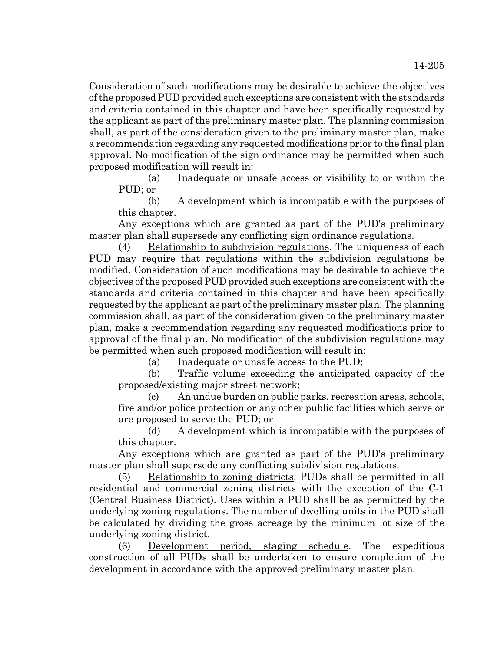Consideration of such modifications may be desirable to achieve the objectives of the proposed PUD provided such exceptions are consistent with the standards and criteria contained in this chapter and have been specifically requested by the applicant as part of the preliminary master plan. The planning commission shall, as part of the consideration given to the preliminary master plan, make a recommendation regarding any requested modifications prior to the final plan approval. No modification of the sign ordinance may be permitted when such proposed modification will result in:

(a) Inadequate or unsafe access or visibility to or within the PUD; or

(b) A development which is incompatible with the purposes of this chapter.

Any exceptions which are granted as part of the PUD's preliminary master plan shall supersede any conflicting sign ordinance regulations.

(4) Relationship to subdivision regulations. The uniqueness of each PUD may require that regulations within the subdivision regulations be modified. Consideration of such modifications may be desirable to achieve the objectives of the proposed PUD provided such exceptions are consistent with the standards and criteria contained in this chapter and have been specifically requested by the applicant as part of the preliminary master plan. The planning commission shall, as part of the consideration given to the preliminary master plan, make a recommendation regarding any requested modifications prior to approval of the final plan. No modification of the subdivision regulations may be permitted when such proposed modification will result in:

(a) Inadequate or unsafe access to the PUD;

(b) Traffic volume exceeding the anticipated capacity of the proposed/existing major street network;

(c) An undue burden on public parks, recreation areas, schools, fire and/or police protection or any other public facilities which serve or are proposed to serve the PUD; or

(d) A development which is incompatible with the purposes of this chapter.

Any exceptions which are granted as part of the PUD's preliminary master plan shall supersede any conflicting subdivision regulations.

(5) Relationship to zoning districts. PUDs shall be permitted in all residential and commercial zoning districts with the exception of the C-1 (Central Business District). Uses within a PUD shall be as permitted by the underlying zoning regulations. The number of dwelling units in the PUD shall be calculated by dividing the gross acreage by the minimum lot size of the underlying zoning district.

(6) Development period, staging schedule. The expeditious construction of all PUDs shall be undertaken to ensure completion of the development in accordance with the approved preliminary master plan.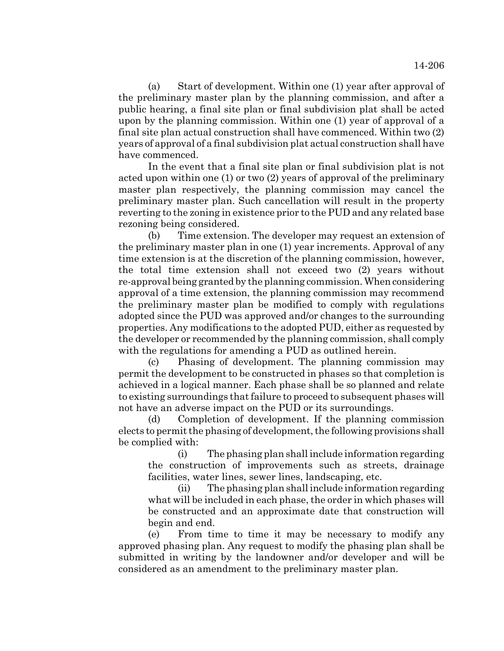(a) Start of development. Within one (1) year after approval of the preliminary master plan by the planning commission, and after a public hearing, a final site plan or final subdivision plat shall be acted upon by the planning commission. Within one (1) year of approval of a final site plan actual construction shall have commenced. Within two (2) years of approval of a final subdivision plat actual construction shall have have commenced.

In the event that a final site plan or final subdivision plat is not acted upon within one (1) or two (2) years of approval of the preliminary master plan respectively, the planning commission may cancel the preliminary master plan. Such cancellation will result in the property reverting to the zoning in existence prior to the PUD and any related base rezoning being considered.

(b) Time extension. The developer may request an extension of the preliminary master plan in one (1) year increments. Approval of any time extension is at the discretion of the planning commission, however, the total time extension shall not exceed two (2) years without re-approval being granted by the planning commission. When considering approval of a time extension, the planning commission may recommend the preliminary master plan be modified to comply with regulations adopted since the PUD was approved and/or changes to the surrounding properties. Any modifications to the adopted PUD, either as requested by the developer or recommended by the planning commission, shall comply with the regulations for amending a PUD as outlined herein.

(c) Phasing of development. The planning commission may permit the development to be constructed in phases so that completion is achieved in a logical manner. Each phase shall be so planned and relate to existing surroundings that failure to proceed to subsequent phases will not have an adverse impact on the PUD or its surroundings.

(d) Completion of development. If the planning commission elects to permit the phasing of development, the following provisions shall be complied with:

(i) The phasing plan shall include information regarding the construction of improvements such as streets, drainage facilities, water lines, sewer lines, landscaping, etc.

(ii) The phasing plan shall include information regarding what will be included in each phase, the order in which phases will be constructed and an approximate date that construction will begin and end.

(e) From time to time it may be necessary to modify any approved phasing plan. Any request to modify the phasing plan shall be submitted in writing by the landowner and/or developer and will be considered as an amendment to the preliminary master plan.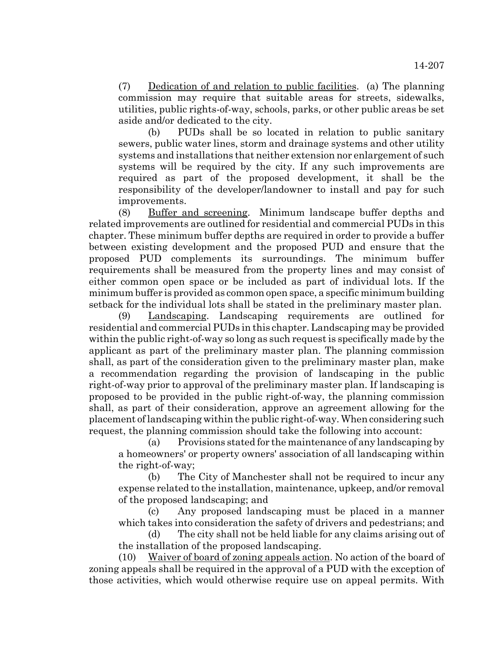(7) Dedication of and relation to public facilities. (a) The planning commission may require that suitable areas for streets, sidewalks, utilities, public rights-of-way, schools, parks, or other public areas be set aside and/or dedicated to the city.

(b) PUDs shall be so located in relation to public sanitary sewers, public water lines, storm and drainage systems and other utility systems and installations that neither extension nor enlargement of such systems will be required by the city. If any such improvements are required as part of the proposed development, it shall be the responsibility of the developer/landowner to install and pay for such improvements.

(8) Buffer and screening. Minimum landscape buffer depths and related improvements are outlined for residential and commercial PUDs in this chapter. These minimum buffer depths are required in order to provide a buffer between existing development and the proposed PUD and ensure that the proposed PUD complements its surroundings. The minimum buffer requirements shall be measured from the property lines and may consist of either common open space or be included as part of individual lots. If the minimum buffer is provided as common open space, a specific minimum building setback for the individual lots shall be stated in the preliminary master plan.

(9) Landscaping. Landscaping requirements are outlined for residential and commercial PUDs in this chapter. Landscaping may be provided within the public right-of-way so long as such request is specifically made by the applicant as part of the preliminary master plan. The planning commission shall, as part of the consideration given to the preliminary master plan, make a recommendation regarding the provision of landscaping in the public right-of-way prior to approval of the preliminary master plan. If landscaping is proposed to be provided in the public right-of-way, the planning commission shall, as part of their consideration, approve an agreement allowing for the placement of landscaping within the public right-of-way. When considering such request, the planning commission should take the following into account:

(a) Provisions stated for the maintenance of any landscaping by a homeowners' or property owners' association of all landscaping within the right-of-way;

(b) The City of Manchester shall not be required to incur any expense related to the installation, maintenance, upkeep, and/or removal of the proposed landscaping; and

(c) Any proposed landscaping must be placed in a manner which takes into consideration the safety of drivers and pedestrians; and

(d) The city shall not be held liable for any claims arising out of the installation of the proposed landscaping.

(10) Waiver of board of zoning appeals action. No action of the board of zoning appeals shall be required in the approval of a PUD with the exception of those activities, which would otherwise require use on appeal permits. With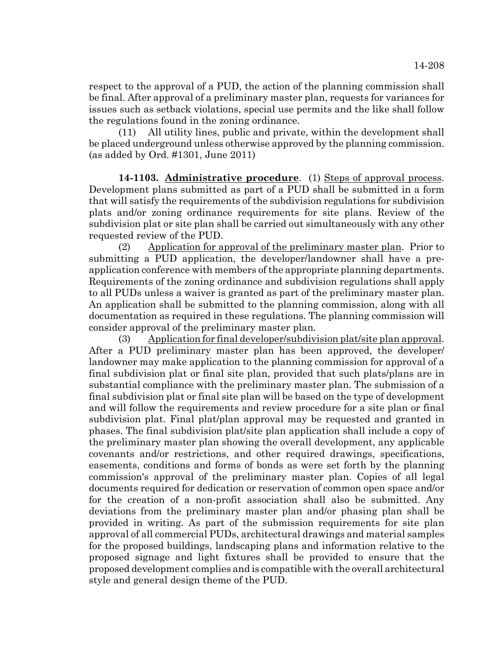respect to the approval of a PUD, the action of the planning commission shall be final. After approval of a preliminary master plan, requests for variances for issues such as setback violations, special use permits and the like shall follow the regulations found in the zoning ordinance.

(11) All utility lines, public and private, within the development shall be placed underground unless otherwise approved by the planning commission. (as added by Ord. #1301, June 2011)

**14-1103. Administrative procedure**. (1) Steps of approval process. Development plans submitted as part of a PUD shall be submitted in a form that will satisfy the requirements of the subdivision regulations for subdivision plats and/or zoning ordinance requirements for site plans. Review of the subdivision plat or site plan shall be carried out simultaneously with any other requested review of the PUD.

(2) Application for approval of the preliminary master plan. Prior to submitting a PUD application, the developer/landowner shall have a preapplication conference with members of the appropriate planning departments. Requirements of the zoning ordinance and subdivision regulations shall apply to all PUDs unless a waiver is granted as part of the preliminary master plan. An application shall be submitted to the planning commission, along with all documentation as required in these regulations. The planning commission will consider approval of the preliminary master plan.

(3) Application for final developer/subdivision plat/site plan approval. After a PUD preliminary master plan has been approved, the developer/ landowner may make application to the planning commission for approval of a final subdivision plat or final site plan, provided that such plats/plans are in substantial compliance with the preliminary master plan. The submission of a final subdivision plat or final site plan will be based on the type of development and will follow the requirements and review procedure for a site plan or final subdivision plat. Final plat/plan approval may be requested and granted in phases. The final subdivision plat/site plan application shall include a copy of the preliminary master plan showing the overall development, any applicable covenants and/or restrictions, and other required drawings, specifications, easements, conditions and forms of bonds as were set forth by the planning commission's approval of the preliminary master plan. Copies of all legal documents required for dedication or reservation of common open space and/or for the creation of a non-profit association shall also be submitted. Any deviations from the preliminary master plan and/or phasing plan shall be provided in writing. As part of the submission requirements for site plan approval of all commercial PUDs, architectural drawings and material samples for the proposed buildings, landscaping plans and information relative to the proposed signage and light fixtures shall be provided to ensure that the proposed development complies and is compatible with the overall architectural style and general design theme of the PUD.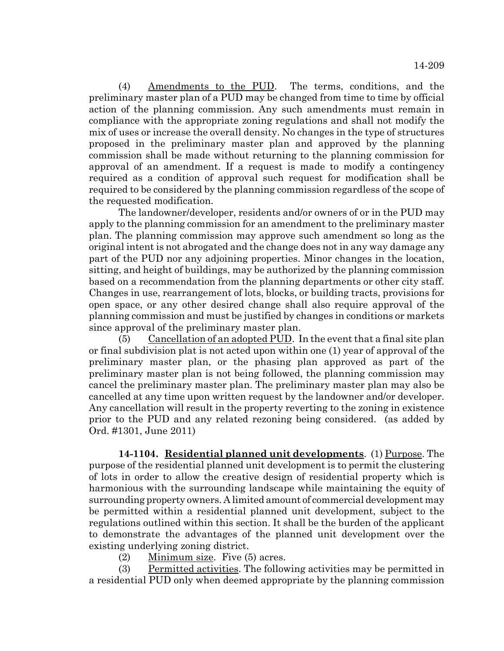(4) Amendments to the PUD. The terms, conditions, and the preliminary master plan of a PUD may be changed from time to time by official action of the planning commission. Any such amendments must remain in compliance with the appropriate zoning regulations and shall not modify the mix of uses or increase the overall density. No changes in the type of structures proposed in the preliminary master plan and approved by the planning commission shall be made without returning to the planning commission for approval of an amendment. If a request is made to modify a contingency required as a condition of approval such request for modification shall be required to be considered by the planning commission regardless of the scope of the requested modification.

The landowner/developer, residents and/or owners of or in the PUD may apply to the planning commission for an amendment to the preliminary master plan. The planning commission may approve such amendment so long as the original intent is not abrogated and the change does not in any way damage any part of the PUD nor any adjoining properties. Minor changes in the location, sitting, and height of buildings, may be authorized by the planning commission based on a recommendation from the planning departments or other city staff. Changes in use, rearrangement of lots, blocks, or building tracts, provisions for open space, or any other desired change shall also require approval of the planning commission and must be justified by changes in conditions or markets since approval of the preliminary master plan.

(5) Cancellation of an adopted PUD. In the event that a final site plan or final subdivision plat is not acted upon within one (1) year of approval of the preliminary master plan, or the phasing plan approved as part of the preliminary master plan is not being followed, the planning commission may cancel the preliminary master plan. The preliminary master plan may also be cancelled at any time upon written request by the landowner and/or developer. Any cancellation will result in the property reverting to the zoning in existence prior to the PUD and any related rezoning being considered. (as added by Ord. #1301, June 2011)

**14-1104. Residential planned unit developments**. (1) Purpose. The purpose of the residential planned unit development is to permit the clustering of lots in order to allow the creative design of residential property which is harmonious with the surrounding landscape while maintaining the equity of surrounding property owners. A limited amount of commercial development may be permitted within a residential planned unit development, subject to the regulations outlined within this section. It shall be the burden of the applicant to demonstrate the advantages of the planned unit development over the existing underlying zoning district.

(2) Minimum size. Five (5) acres.

(3) Permitted activities. The following activities may be permitted in a residential PUD only when deemed appropriate by the planning commission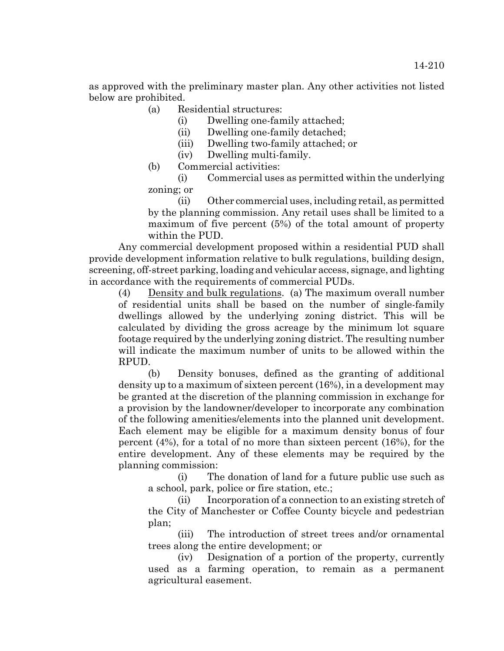as approved with the preliminary master plan. Any other activities not listed below are prohibited.

- (a) Residential structures:
	- (i) Dwelling one-family attached;
	- (ii) Dwelling one-family detached;
	- (iii) Dwelling two-family attached; or
	- (iv) Dwelling multi-family.
- (b) Commercial activities:

(i) Commercial uses as permitted within the underlying zoning; or

(ii) Other commercial uses, including retail, as permitted by the planning commission. Any retail uses shall be limited to a maximum of five percent (5%) of the total amount of property within the PUD.

Any commercial development proposed within a residential PUD shall provide development information relative to bulk regulations, building design, screening, off-street parking, loading and vehicular access, signage, and lighting in accordance with the requirements of commercial PUDs.

(4) Density and bulk regulations. (a) The maximum overall number of residential units shall be based on the number of single-family dwellings allowed by the underlying zoning district. This will be calculated by dividing the gross acreage by the minimum lot square footage required by the underlying zoning district. The resulting number will indicate the maximum number of units to be allowed within the RPUD.

(b) Density bonuses, defined as the granting of additional density up to a maximum of sixteen percent (16%), in a development may be granted at the discretion of the planning commission in exchange for a provision by the landowner/developer to incorporate any combination of the following amenities/elements into the planned unit development. Each element may be eligible for a maximum density bonus of four percent (4%), for a total of no more than sixteen percent (16%), for the entire development. Any of these elements may be required by the planning commission:

(i) The donation of land for a future public use such as a school, park, police or fire station, etc.;

(ii) Incorporation of a connection to an existing stretch of the City of Manchester or Coffee County bicycle and pedestrian plan;

(iii) The introduction of street trees and/or ornamental trees along the entire development; or

(iv) Designation of a portion of the property, currently used as a farming operation, to remain as a permanent agricultural easement.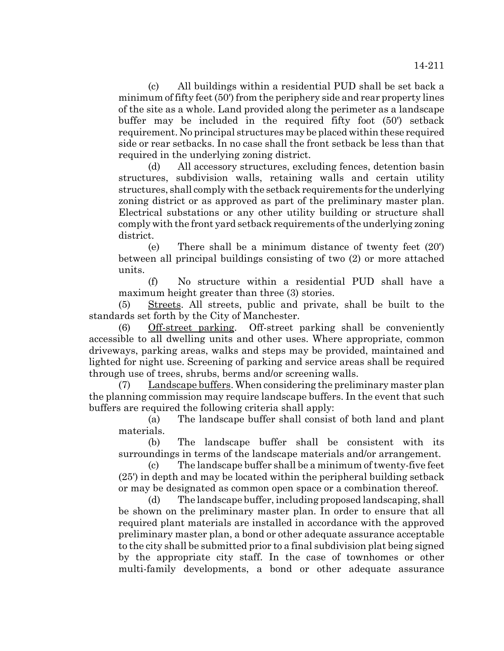(c) All buildings within a residential PUD shall be set back a minimum of fifty feet (50') from the periphery side and rear property lines of the site as a whole. Land provided along the perimeter as a landscape buffer may be included in the required fifty foot (50') setback requirement. No principal structures may be placed within these required side or rear setbacks. In no case shall the front setback be less than that required in the underlying zoning district.

(d) All accessory structures, excluding fences, detention basin structures, subdivision walls, retaining walls and certain utility structures, shall comply with the setback requirements for the underlying zoning district or as approved as part of the preliminary master plan. Electrical substations or any other utility building or structure shall comply with the front yard setback requirements of the underlying zoning district.

(e) There shall be a minimum distance of twenty feet (20') between all principal buildings consisting of two (2) or more attached units.

(f) No structure within a residential PUD shall have a maximum height greater than three (3) stories.

(5) Streets. All streets, public and private, shall be built to the standards set forth by the City of Manchester.

(6) Off-street parking. Off-street parking shall be conveniently accessible to all dwelling units and other uses. Where appropriate, common driveways, parking areas, walks and steps may be provided, maintained and lighted for night use. Screening of parking and service areas shall be required through use of trees, shrubs, berms and/or screening walls.

(7) Landscape buffers. When considering the preliminary master plan the planning commission may require landscape buffers. In the event that such buffers are required the following criteria shall apply:

(a) The landscape buffer shall consist of both land and plant materials.

(b) The landscape buffer shall be consistent with its surroundings in terms of the landscape materials and/or arrangement.

(c) The landscape buffer shall be a minimum of twenty-five feet (25') in depth and may be located within the peripheral building setback or may be designated as common open space or a combination thereof.

(d) The landscape buffer, including proposed landscaping, shall be shown on the preliminary master plan. In order to ensure that all required plant materials are installed in accordance with the approved preliminary master plan, a bond or other adequate assurance acceptable to the city shall be submitted prior to a final subdivision plat being signed by the appropriate city staff. In the case of townhomes or other multi-family developments, a bond or other adequate assurance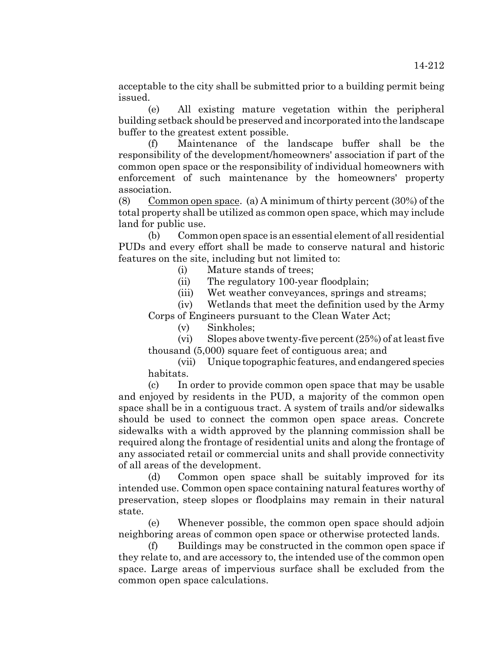acceptable to the city shall be submitted prior to a building permit being issued.

(e) All existing mature vegetation within the peripheral building setback should be preserved and incorporated into the landscape buffer to the greatest extent possible.

(f) Maintenance of the landscape buffer shall be the responsibility of the development/homeowners' association if part of the common open space or the responsibility of individual homeowners with enforcement of such maintenance by the homeowners' property association.

(8) Common open space. (a) A minimum of thirty percent (30%) of the total property shall be utilized as common open space, which may include land for public use.

(b) Common open space is an essential element of all residential PUDs and every effort shall be made to conserve natural and historic features on the site, including but not limited to:

- (i) Mature stands of trees;
- (ii) The regulatory 100-year floodplain;
- (iii) Wet weather conveyances, springs and streams;

(iv) Wetlands that meet the definition used by the Army Corps of Engineers pursuant to the Clean Water Act;

(v) Sinkholes;

(vi) Slopes above twenty-five percent (25%) of at least five thousand (5,000) square feet of contiguous area; and

(vii) Unique topographic features, and endangered species habitats.

(c) In order to provide common open space that may be usable and enjoyed by residents in the PUD, a majority of the common open space shall be in a contiguous tract. A system of trails and/or sidewalks should be used to connect the common open space areas. Concrete sidewalks with a width approved by the planning commission shall be required along the frontage of residential units and along the frontage of any associated retail or commercial units and shall provide connectivity of all areas of the development.

(d) Common open space shall be suitably improved for its intended use. Common open space containing natural features worthy of preservation, steep slopes or floodplains may remain in their natural state.

(e) Whenever possible, the common open space should adjoin neighboring areas of common open space or otherwise protected lands.

(f) Buildings may be constructed in the common open space if they relate to, and are accessory to, the intended use of the common open space. Large areas of impervious surface shall be excluded from the common open space calculations.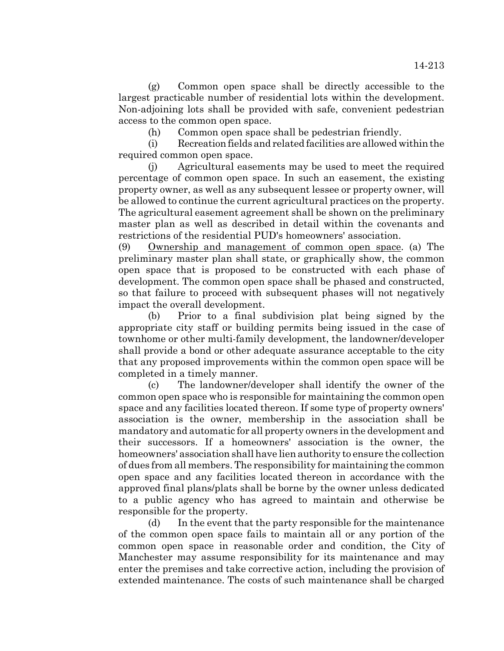(g) Common open space shall be directly accessible to the largest practicable number of residential lots within the development. Non-adjoining lots shall be provided with safe, convenient pedestrian access to the common open space.

(h) Common open space shall be pedestrian friendly.

(i) Recreation fields and related facilities are allowed within the required common open space.

(j) Agricultural easements may be used to meet the required percentage of common open space. In such an easement, the existing property owner, as well as any subsequent lessee or property owner, will be allowed to continue the current agricultural practices on the property. The agricultural easement agreement shall be shown on the preliminary master plan as well as described in detail within the covenants and restrictions of the residential PUD's homeowners' association.

(9) Ownership and management of common open space. (a) The preliminary master plan shall state, or graphically show, the common open space that is proposed to be constructed with each phase of development. The common open space shall be phased and constructed, so that failure to proceed with subsequent phases will not negatively impact the overall development.

(b) Prior to a final subdivision plat being signed by the appropriate city staff or building permits being issued in the case of townhome or other multi-family development, the landowner/developer shall provide a bond or other adequate assurance acceptable to the city that any proposed improvements within the common open space will be completed in a timely manner.

(c) The landowner/developer shall identify the owner of the common open space who is responsible for maintaining the common open space and any facilities located thereon. If some type of property owners' association is the owner, membership in the association shall be mandatory and automatic for all property owners in the development and their successors. If a homeowners' association is the owner, the homeowners' association shall have lien authority to ensure the collection of dues from all members. The responsibility for maintaining the common open space and any facilities located thereon in accordance with the approved final plans/plats shall be borne by the owner unless dedicated to a public agency who has agreed to maintain and otherwise be responsible for the property.

(d) In the event that the party responsible for the maintenance of the common open space fails to maintain all or any portion of the common open space in reasonable order and condition, the City of Manchester may assume responsibility for its maintenance and may enter the premises and take corrective action, including the provision of extended maintenance. The costs of such maintenance shall be charged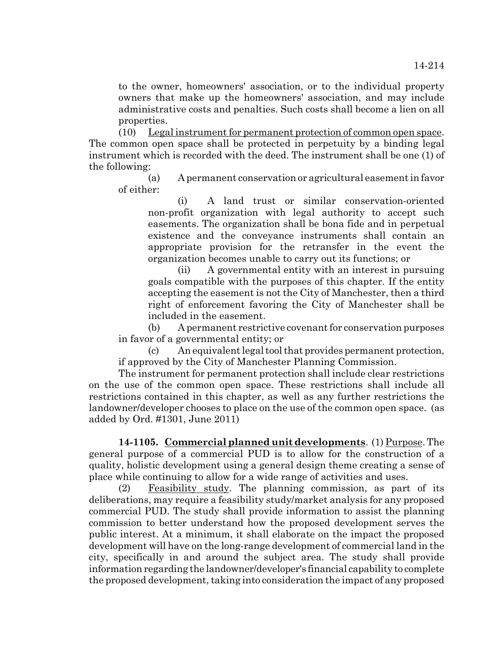to the owner, homeowners' association, or to the individual property owners that make up the homeowners' association, and may include administrative costs and penalties. Such costs shall become a lien on all properties.

(10) Legal instrument for permanent protection of common open space. The common open space shall be protected in perpetuity by a binding legal instrument which is recorded with the deed. The instrument shall be one (1) of the following:

(a) A permanent conservation or agricultural easement in favor of either:

(i) A land trust or similar conservation-oriented non-profit organization with legal authority to accept such easements. The organization shall be bona fide and in perpetual existence and the conveyance instruments shall contain an appropriate provision for the retransfer in the event the organization becomes unable to carry out its functions; or

(ii) A governmental entity with an interest in pursuing goals compatible with the purposes of this chapter. If the entity accepting the easement is not the City of Manchester, then a third right of enforcement favoring the City of Manchester shall be included in the easement.

(b) A permanent restrictive covenant for conservation purposes in favor of a governmental entity; or

(c) An equivalent legal tool that provides permanent protection, if approved by the City of Manchester Planning Commission.

The instrument for permanent protection shall include clear restrictions on the use of the common open space. These restrictions shall include all restrictions contained in this chapter, as well as any further restrictions the landowner/developer chooses to place on the use of the common open space. (as added by Ord. #1301, June 2011)

**14-1105. Commercial planned unit developments**. (1) Purpose. The general purpose of a commercial PUD is to allow for the construction of a quality, holistic development using a general design theme creating a sense of place while continuing to allow for a wide range of activities and uses.

(2) Feasibility study. The planning commission, as part of its deliberations, may require a feasibility study/market analysis for any proposed commercial PUD. The study shall provide information to assist the planning commission to better understand how the proposed development serves the public interest. At a minimum, it shall elaborate on the impact the proposed development will have on the long-range development of commercial land in the city, specifically in and around the subject area. The study shall provide information regarding the landowner/developer's financial capability to complete the proposed development, taking into consideration the impact of any proposed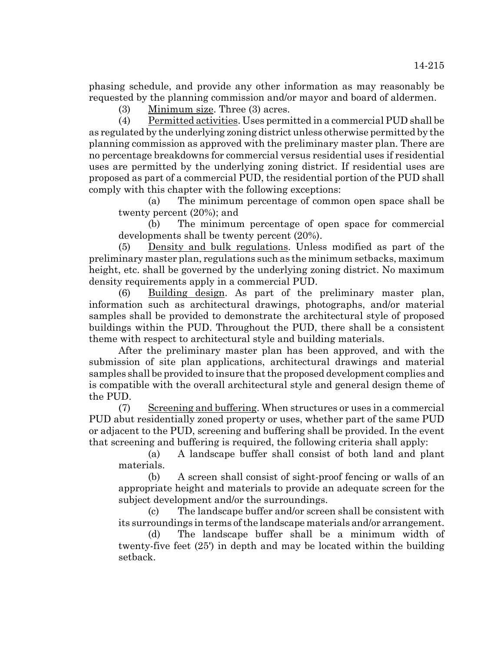phasing schedule, and provide any other information as may reasonably be requested by the planning commission and/or mayor and board of aldermen.

(3) Minimum size. Three (3) acres.

(4) Permitted activities. Uses permitted in a commercial PUD shall be as regulated by the underlying zoning district unless otherwise permitted by the planning commission as approved with the preliminary master plan. There are no percentage breakdowns for commercial versus residential uses if residential uses are permitted by the underlying zoning district. If residential uses are proposed as part of a commercial PUD, the residential portion of the PUD shall comply with this chapter with the following exceptions:

(a) The minimum percentage of common open space shall be twenty percent (20%); and

(b) The minimum percentage of open space for commercial developments shall be twenty percent (20%).

(5) Density and bulk regulations. Unless modified as part of the preliminary master plan, regulations such as the minimum setbacks, maximum height, etc. shall be governed by the underlying zoning district. No maximum density requirements apply in a commercial PUD.

(6) Building design. As part of the preliminary master plan, information such as architectural drawings, photographs, and/or material samples shall be provided to demonstrate the architectural style of proposed buildings within the PUD. Throughout the PUD, there shall be a consistent theme with respect to architectural style and building materials.

After the preliminary master plan has been approved, and with the submission of site plan applications, architectural drawings and material samples shall be provided to insure that the proposed development complies and is compatible with the overall architectural style and general design theme of the PUD.

(7) Screening and buffering. When structures or uses in a commercial PUD abut residentially zoned property or uses, whether part of the same PUD or adjacent to the PUD, screening and buffering shall be provided. In the event that screening and buffering is required, the following criteria shall apply:

(a) A landscape buffer shall consist of both land and plant materials.

(b) A screen shall consist of sight-proof fencing or walls of an appropriate height and materials to provide an adequate screen for the subject development and/or the surroundings.

(c) The landscape buffer and/or screen shall be consistent with its surroundings in terms of the landscape materials and/or arrangement.

(d) The landscape buffer shall be a minimum width of twenty-five feet (25') in depth and may be located within the building setback.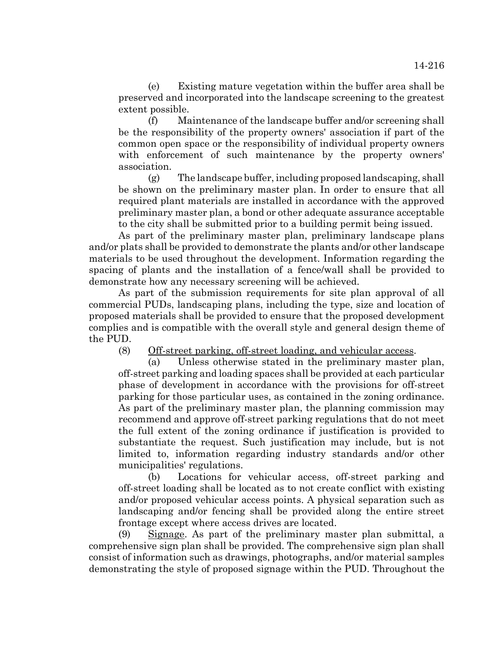(e) Existing mature vegetation within the buffer area shall be preserved and incorporated into the landscape screening to the greatest extent possible.

(f) Maintenance of the landscape buffer and/or screening shall be the responsibility of the property owners' association if part of the common open space or the responsibility of individual property owners with enforcement of such maintenance by the property owners' association.

(g) The landscape buffer, including proposed landscaping, shall be shown on the preliminary master plan. In order to ensure that all required plant materials are installed in accordance with the approved preliminary master plan, a bond or other adequate assurance acceptable to the city shall be submitted prior to a building permit being issued.

As part of the preliminary master plan, preliminary landscape plans and/or plats shall be provided to demonstrate the plants and/or other landscape materials to be used throughout the development. Information regarding the spacing of plants and the installation of a fence/wall shall be provided to demonstrate how any necessary screening will be achieved.

As part of the submission requirements for site plan approval of all commercial PUDs, landscaping plans, including the type, size and location of proposed materials shall be provided to ensure that the proposed development complies and is compatible with the overall style and general design theme of the PUD.

(8) Off-street parking, off-street loading, and vehicular access.

(a) Unless otherwise stated in the preliminary master plan, off-street parking and loading spaces shall be provided at each particular phase of development in accordance with the provisions for off-street parking for those particular uses, as contained in the zoning ordinance. As part of the preliminary master plan, the planning commission may recommend and approve off-street parking regulations that do not meet the full extent of the zoning ordinance if justification is provided to substantiate the request. Such justification may include, but is not limited to, information regarding industry standards and/or other municipalities' regulations.

(b) Locations for vehicular access, off-street parking and off-street loading shall be located as to not create conflict with existing and/or proposed vehicular access points. A physical separation such as landscaping and/or fencing shall be provided along the entire street frontage except where access drives are located.

(9) Signage. As part of the preliminary master plan submittal, a comprehensive sign plan shall be provided. The comprehensive sign plan shall consist of information such as drawings, photographs, and/or material samples demonstrating the style of proposed signage within the PUD. Throughout the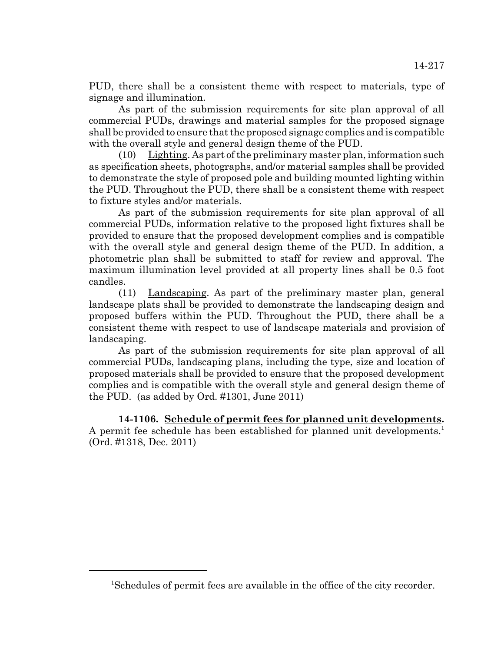PUD, there shall be a consistent theme with respect to materials, type of signage and illumination.

As part of the submission requirements for site plan approval of all commercial PUDs, drawings and material samples for the proposed signage shall be provided to ensure that the proposed signage complies and is compatible with the overall style and general design theme of the PUD.

(10) Lighting. As part of the preliminary master plan, information such as specification sheets, photographs, and/or material samples shall be provided to demonstrate the style of proposed pole and building mounted lighting within the PUD. Throughout the PUD, there shall be a consistent theme with respect to fixture styles and/or materials.

As part of the submission requirements for site plan approval of all commercial PUDs, information relative to the proposed light fixtures shall be provided to ensure that the proposed development complies and is compatible with the overall style and general design theme of the PUD. In addition, a photometric plan shall be submitted to staff for review and approval. The maximum illumination level provided at all property lines shall be 0.5 foot candles.

(11) Landscaping. As part of the preliminary master plan, general landscape plats shall be provided to demonstrate the landscaping design and proposed buffers within the PUD. Throughout the PUD, there shall be a consistent theme with respect to use of landscape materials and provision of landscaping.

As part of the submission requirements for site plan approval of all commercial PUDs, landscaping plans, including the type, size and location of proposed materials shall be provided to ensure that the proposed development complies and is compatible with the overall style and general design theme of the PUD. (as added by Ord. #1301, June 2011)

**14-1106. Schedule of permit fees for planned unit developments.** A permit fee schedule has been established for planned unit developments.<sup>1</sup> (Ord. #1318, Dec. 2011)

<sup>1</sup> Schedules of permit fees are available in the office of the city recorder.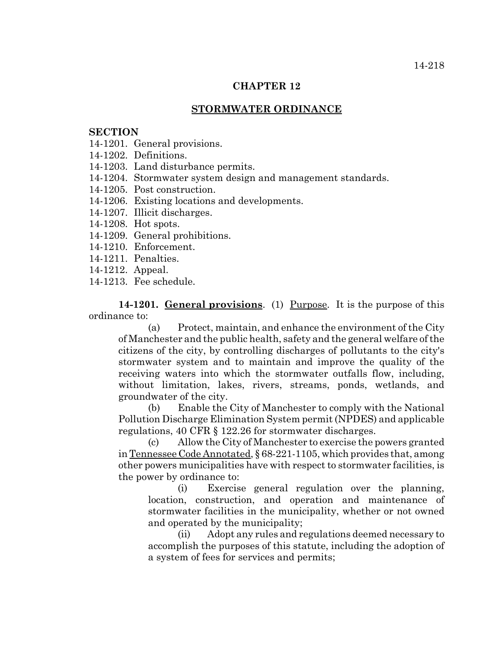## **STORMWATER ORDINANCE**

## **SECTION**

- 14-1201. General provisions.
- 14-1202. Definitions.
- 14-1203. Land disturbance permits.
- 14-1204. Stormwater system design and management standards.
- 14-1205. Post construction.
- 14-1206. Existing locations and developments.
- 14-1207. Illicit discharges.
- 14-1208. Hot spots.
- 14-1209. General prohibitions.
- 14-1210. Enforcement.
- 14-1211. Penalties.
- 14-1212. Appeal.
- 14-1213. Fee schedule.

**14-1201. General provisions**. (1) Purpose. It is the purpose of this ordinance to:

(a) Protect, maintain, and enhance the environment of the City of Manchester and the public health, safety and the general welfare of the citizens of the city, by controlling discharges of pollutants to the city's stormwater system and to maintain and improve the quality of the receiving waters into which the stormwater outfalls flow, including, without limitation, lakes, rivers, streams, ponds, wetlands, and groundwater of the city.

(b) Enable the City of Manchester to comply with the National Pollution Discharge Elimination System permit (NPDES) and applicable regulations, 40 CFR § 122.26 for stormwater discharges.

(c) Allow the City of Manchester to exercise the powers granted in Tennessee Code Annotated, § 68-221-1105, which provides that, among other powers municipalities have with respect to stormwater facilities, is the power by ordinance to:

(i) Exercise general regulation over the planning, location, construction, and operation and maintenance of stormwater facilities in the municipality, whether or not owned and operated by the municipality;

(ii) Adopt any rules and regulations deemed necessary to accomplish the purposes of this statute, including the adoption of a system of fees for services and permits;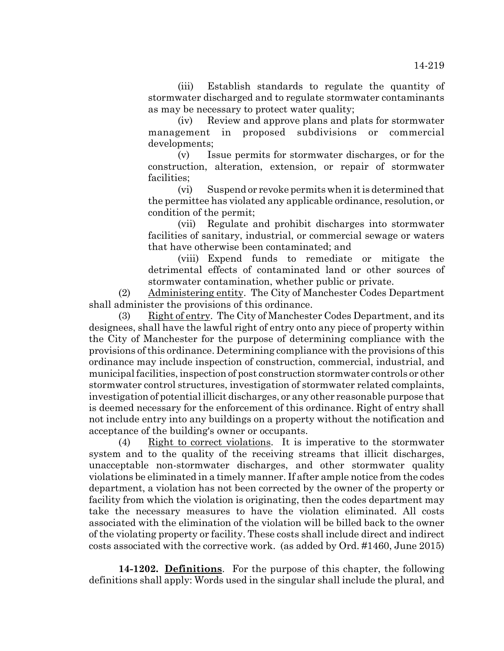(iii) Establish standards to regulate the quantity of stormwater discharged and to regulate stormwater contaminants as may be necessary to protect water quality;

(iv) Review and approve plans and plats for stormwater management in proposed subdivisions or commercial developments;

(v) Issue permits for stormwater discharges, or for the construction, alteration, extension, or repair of stormwater facilities;

(vi) Suspend or revoke permits when it is determined that the permittee has violated any applicable ordinance, resolution, or condition of the permit;

(vii) Regulate and prohibit discharges into stormwater facilities of sanitary, industrial, or commercial sewage or waters that have otherwise been contaminated; and

(viii) Expend funds to remediate or mitigate the detrimental effects of contaminated land or other sources of stormwater contamination, whether public or private.

(2) Administering entity. The City of Manchester Codes Department shall administer the provisions of this ordinance.

(3) Right of entry. The City of Manchester Codes Department, and its designees, shall have the lawful right of entry onto any piece of property within the City of Manchester for the purpose of determining compliance with the provisions of this ordinance. Determining compliance with the provisions of this ordinance may include inspection of construction, commercial, industrial, and municipal facilities, inspection of post construction stormwater controls or other stormwater control structures, investigation of stormwater related complaints, investigation of potential illicit discharges, or any other reasonable purpose that is deemed necessary for the enforcement of this ordinance. Right of entry shall not include entry into any buildings on a property without the notification and acceptance of the building's owner or occupants.

(4) Right to correct violations. It is imperative to the stormwater system and to the quality of the receiving streams that illicit discharges, unacceptable non-stormwater discharges, and other stormwater quality violations be eliminated in a timely manner. If after ample notice from the codes department, a violation has not been corrected by the owner of the property or facility from which the violation is originating, then the codes department may take the necessary measures to have the violation eliminated. All costs associated with the elimination of the violation will be billed back to the owner of the violating property or facility. These costs shall include direct and indirect costs associated with the corrective work. (as added by Ord. #1460, June 2015)

**14-1202. Definitions**. For the purpose of this chapter, the following definitions shall apply: Words used in the singular shall include the plural, and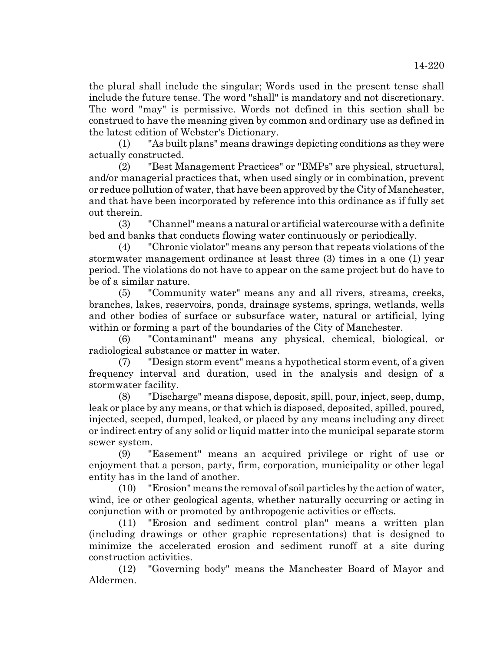the plural shall include the singular; Words used in the present tense shall include the future tense. The word "shall" is mandatory and not discretionary. The word "may" is permissive. Words not defined in this section shall be construed to have the meaning given by common and ordinary use as defined in the latest edition of Webster's Dictionary.

(1) "As built plans" means drawings depicting conditions as they were actually constructed.

(2) "Best Management Practices" or "BMPs" are physical, structural, and/or managerial practices that, when used singly or in combination, prevent or reduce pollution of water, that have been approved by the City of Manchester, and that have been incorporated by reference into this ordinance as if fully set out therein.

(3) "Channel" means a natural or artificial watercourse with a definite bed and banks that conducts flowing water continuously or periodically.

(4) "Chronic violator" means any person that repeats violations of the stormwater management ordinance at least three (3) times in a one (1) year period. The violations do not have to appear on the same project but do have to be of a similar nature.

(5) "Community water" means any and all rivers, streams, creeks, branches, lakes, reservoirs, ponds, drainage systems, springs, wetlands, wells and other bodies of surface or subsurface water, natural or artificial, lying within or forming a part of the boundaries of the City of Manchester.

(6) "Contaminant" means any physical, chemical, biological, or radiological substance or matter in water.

(7) "Design storm event" means a hypothetical storm event, of a given frequency interval and duration, used in the analysis and design of a stormwater facility.

(8) "Discharge" means dispose, deposit, spill, pour, inject, seep, dump, leak or place by any means, or that which is disposed, deposited, spilled, poured, injected, seeped, dumped, leaked, or placed by any means including any direct or indirect entry of any solid or liquid matter into the municipal separate storm sewer system.

(9) "Easement" means an acquired privilege or right of use or enjoyment that a person, party, firm, corporation, municipality or other legal entity has in the land of another.

(10) "Erosion" means the removal of soil particles by the action of water, wind, ice or other geological agents, whether naturally occurring or acting in conjunction with or promoted by anthropogenic activities or effects.

(11) "Erosion and sediment control plan" means a written plan (including drawings or other graphic representations) that is designed to minimize the accelerated erosion and sediment runoff at a site during construction activities.

(12) "Governing body" means the Manchester Board of Mayor and Aldermen.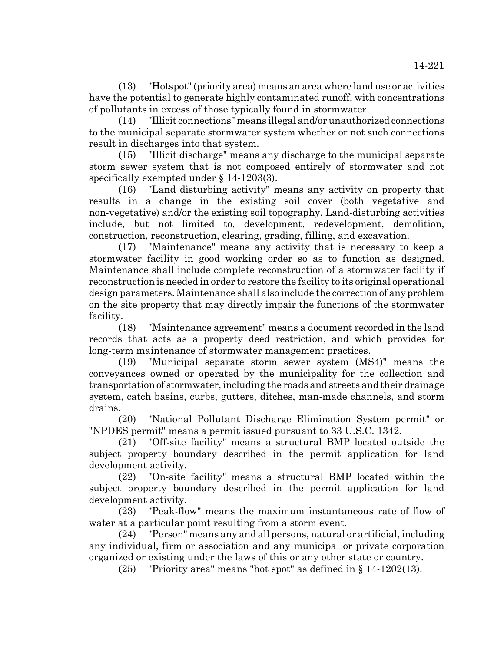(13) "Hotspot" (priority area) means an area where land use or activities have the potential to generate highly contaminated runoff, with concentrations of pollutants in excess of those typically found in stormwater.

(14) "Illicit connections" means illegal and/or unauthorized connections to the municipal separate stormwater system whether or not such connections result in discharges into that system.

(15) "Illicit discharge" means any discharge to the municipal separate storm sewer system that is not composed entirely of stormwater and not specifically exempted under § 14-1203(3).

(16) "Land disturbing activity" means any activity on property that results in a change in the existing soil cover (both vegetative and non-vegetative) and/or the existing soil topography. Land-disturbing activities include, but not limited to, development, redevelopment, demolition, construction, reconstruction, clearing, grading, filling, and excavation.

(17) "Maintenance" means any activity that is necessary to keep a stormwater facility in good working order so as to function as designed. Maintenance shall include complete reconstruction of a stormwater facility if reconstruction is needed in order to restore the facility to its original operational design parameters. Maintenance shall also include the correction of any problem on the site property that may directly impair the functions of the stormwater facility.

(18) "Maintenance agreement" means a document recorded in the land records that acts as a property deed restriction, and which provides for long-term maintenance of stormwater management practices.

(19) "Municipal separate storm sewer system (MS4)" means the conveyances owned or operated by the municipality for the collection and transportation of stormwater, including the roads and streets and their drainage system, catch basins, curbs, gutters, ditches, man-made channels, and storm drains.

(20) "National Pollutant Discharge Elimination System permit" or "NPDES permit" means a permit issued pursuant to 33 U.S.C. 1342.

(21) "Off-site facility" means a structural BMP located outside the subject property boundary described in the permit application for land development activity.

(22) "On-site facility" means a structural BMP located within the subject property boundary described in the permit application for land development activity.

(23) "Peak-flow" means the maximum instantaneous rate of flow of water at a particular point resulting from a storm event.

(24) "Person" means any and all persons, natural or artificial, including any individual, firm or association and any municipal or private corporation organized or existing under the laws of this or any other state or country.

(25) "Priority area" means "hot spot" as defined in § 14-1202(13).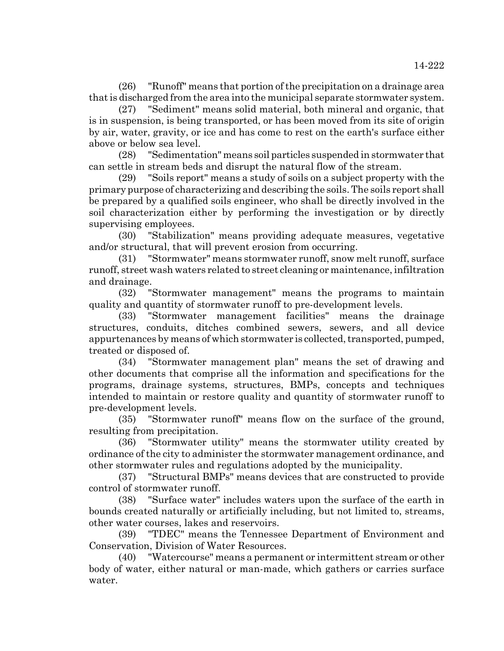(26) "Runoff" means that portion of the precipitation on a drainage area that is discharged from the area into the municipal separate stormwater system.

(27) "Sediment" means solid material, both mineral and organic, that is in suspension, is being transported, or has been moved from its site of origin by air, water, gravity, or ice and has come to rest on the earth's surface either above or below sea level.

(28) "Sedimentation" means soil particles suspended in stormwater that can settle in stream beds and disrupt the natural flow of the stream.

(29) "Soils report" means a study of soils on a subject property with the primary purpose of characterizing and describing the soils. The soils report shall be prepared by a qualified soils engineer, who shall be directly involved in the soil characterization either by performing the investigation or by directly supervising employees.

(30) "Stabilization" means providing adequate measures, vegetative and/or structural, that will prevent erosion from occurring.

(31) "Stormwater" means stormwater runoff, snow melt runoff, surface runoff, street wash waters related to street cleaning or maintenance, infiltration and drainage.

(32) "Stormwater management" means the programs to maintain quality and quantity of stormwater runoff to pre-development levels.

(33) "Stormwater management facilities" means the drainage structures, conduits, ditches combined sewers, sewers, and all device appurtenances by means of which stormwater is collected, transported, pumped, treated or disposed of.

(34) "Stormwater management plan" means the set of drawing and other documents that comprise all the information and specifications for the programs, drainage systems, structures, BMPs, concepts and techniques intended to maintain or restore quality and quantity of stormwater runoff to pre-development levels.

(35) "Stormwater runoff" means flow on the surface of the ground, resulting from precipitation.

(36) "Stormwater utility" means the stormwater utility created by ordinance of the city to administer the stormwater management ordinance, and other stormwater rules and regulations adopted by the municipality.

(37) "Structural BMPs" means devices that are constructed to provide control of stormwater runoff.

(38) "Surface water" includes waters upon the surface of the earth in bounds created naturally or artificially including, but not limited to, streams, other water courses, lakes and reservoirs.

(39) "TDEC" means the Tennessee Department of Environment and Conservation, Division of Water Resources.

(40) "Watercourse" means a permanent or intermittent stream or other body of water, either natural or man-made, which gathers or carries surface water.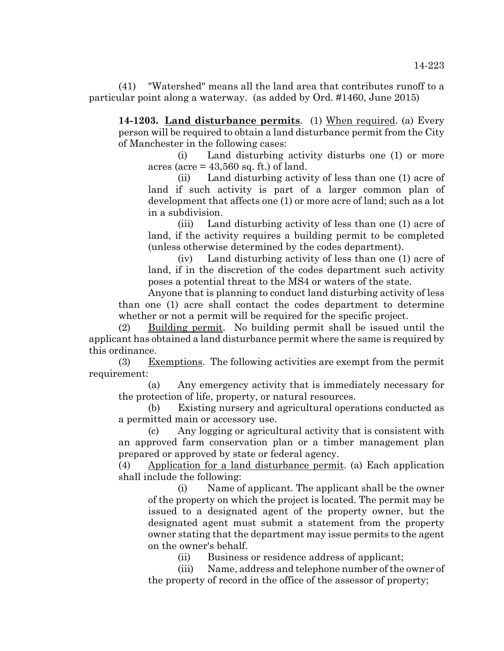(41) "Watershed" means all the land area that contributes runoff to a particular point along a waterway. (as added by Ord. #1460, June 2015)

**14-1203. Land disturbance permits**. (1) When required. (a) Every person will be required to obtain a land disturbance permit from the City of Manchester in the following cases:

(i) Land disturbing activity disturbs one (1) or more acres (acre  $= 43,560$  sq. ft.) of land.

(ii) Land disturbing activity of less than one (1) acre of land if such activity is part of a larger common plan of development that affects one (1) or more acre of land; such as a lot in a subdivision.

(iii) Land disturbing activity of less than one (1) acre of land, if the activity requires a building permit to be completed (unless otherwise determined by the codes department).

(iv) Land disturbing activity of less than one (1) acre of land, if in the discretion of the codes department such activity poses a potential threat to the MS4 or waters of the state.

Anyone that is planning to conduct land disturbing activity of less than one (1) acre shall contact the codes department to determine whether or not a permit will be required for the specific project.

(2) Building permit. No building permit shall be issued until the applicant has obtained a land disturbance permit where the same is required by this ordinance.

(3) Exemptions. The following activities are exempt from the permit requirement:

(a) Any emergency activity that is immediately necessary for the protection of life, property, or natural resources.

(b) Existing nursery and agricultural operations conducted as a permitted main or accessory use.

(c) Any logging or agricultural activity that is consistent with an approved farm conservation plan or a timber management plan prepared or approved by state or federal agency.

(4) Application for a land disturbance permit. (a) Each application shall include the following:

(i) Name of applicant. The applicant shall be the owner of the property on which the project is located. The permit may be issued to a designated agent of the property owner, but the designated agent must submit a statement from the property owner stating that the department may issue permits to the agent on the owner's behalf.

(ii) Business or residence address of applicant;

(iii) Name, address and telephone number of the owner of the property of record in the office of the assessor of property;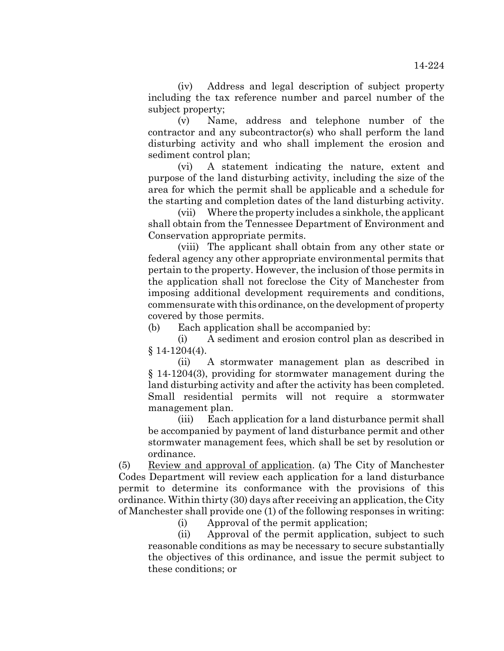(iv) Address and legal description of subject property including the tax reference number and parcel number of the subject property;

(v) Name, address and telephone number of the contractor and any subcontractor(s) who shall perform the land disturbing activity and who shall implement the erosion and sediment control plan;

(vi) A statement indicating the nature, extent and purpose of the land disturbing activity, including the size of the area for which the permit shall be applicable and a schedule for the starting and completion dates of the land disturbing activity.

(vii) Where the property includes a sinkhole, the applicant shall obtain from the Tennessee Department of Environment and Conservation appropriate permits.

(viii) The applicant shall obtain from any other state or federal agency any other appropriate environmental permits that pertain to the property. However, the inclusion of those permits in the application shall not foreclose the City of Manchester from imposing additional development requirements and conditions, commensurate with this ordinance, on the development of property covered by those permits.

(b) Each application shall be accompanied by:

(i) A sediment and erosion control plan as described in  $§ 14-1204(4).$ 

(ii) A stormwater management plan as described in § 14-1204(3), providing for stormwater management during the land disturbing activity and after the activity has been completed. Small residential permits will not require a stormwater management plan.

(iii) Each application for a land disturbance permit shall be accompanied by payment of land disturbance permit and other stormwater management fees, which shall be set by resolution or ordinance.

(5) Review and approval of application. (a) The City of Manchester Codes Department will review each application for a land disturbance permit to determine its conformance with the provisions of this ordinance. Within thirty (30) days after receiving an application, the City of Manchester shall provide one (1) of the following responses in writing:

(i) Approval of the permit application;

(ii) Approval of the permit application, subject to such reasonable conditions as may be necessary to secure substantially the objectives of this ordinance, and issue the permit subject to these conditions; or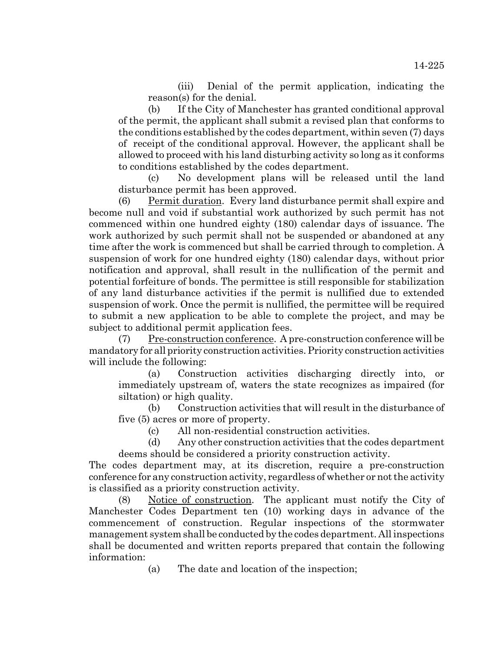(iii) Denial of the permit application, indicating the reason(s) for the denial.

(b) If the City of Manchester has granted conditional approval of the permit, the applicant shall submit a revised plan that conforms to the conditions established by the codes department, within seven (7) days of receipt of the conditional approval. However, the applicant shall be allowed to proceed with his land disturbing activity so long as it conforms to conditions established by the codes department.

(c) No development plans will be released until the land disturbance permit has been approved.

(6) Permit duration. Every land disturbance permit shall expire and become null and void if substantial work authorized by such permit has not commenced within one hundred eighty (180) calendar days of issuance. The work authorized by such permit shall not be suspended or abandoned at any time after the work is commenced but shall be carried through to completion. A suspension of work for one hundred eighty (180) calendar days, without prior notification and approval, shall result in the nullification of the permit and potential forfeiture of bonds. The permittee is still responsible for stabilization of any land disturbance activities if the permit is nullified due to extended suspension of work. Once the permit is nullified, the permittee will be required to submit a new application to be able to complete the project, and may be subject to additional permit application fees.

 $(7)$  Pre-construction conference. A pre-construction conference will be mandatory for all priority construction activities. Priority construction activities will include the following:

(a) Construction activities discharging directly into, or immediately upstream of, waters the state recognizes as impaired (for siltation) or high quality.

(b) Construction activities that will result in the disturbance of five (5) acres or more of property.

(c) All non-residential construction activities.

(d) Any other construction activities that the codes department deems should be considered a priority construction activity.

The codes department may, at its discretion, require a pre-construction conference for any construction activity, regardless of whether or not the activity is classified as a priority construction activity.

(8) Notice of construction. The applicant must notify the City of Manchester Codes Department ten (10) working days in advance of the commencement of construction. Regular inspections of the stormwater management system shall be conducted by the codes department. All inspections shall be documented and written reports prepared that contain the following information:

(a) The date and location of the inspection;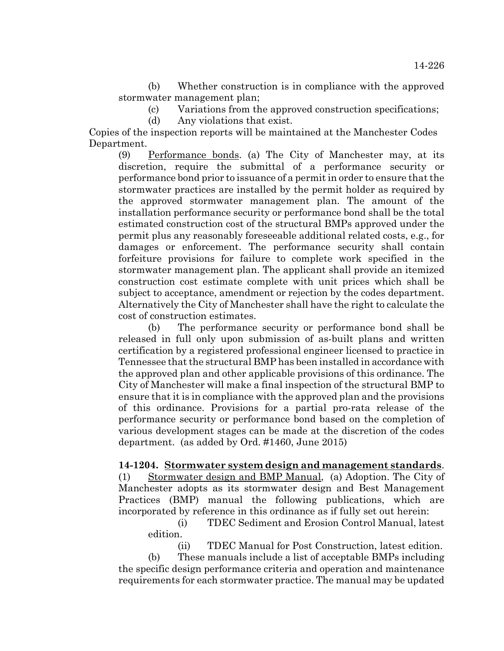(b) Whether construction is in compliance with the approved stormwater management plan;

(c) Variations from the approved construction specifications;

(d) Any violations that exist.

Copies of the inspection reports will be maintained at the Manchester Codes Department.

(9) Performance bonds. (a) The City of Manchester may, at its discretion, require the submittal of a performance security or performance bond prior to issuance of a permit in order to ensure that the stormwater practices are installed by the permit holder as required by the approved stormwater management plan. The amount of the installation performance security or performance bond shall be the total estimated construction cost of the structural BMPs approved under the permit plus any reasonably foreseeable additional related costs, e.g., for damages or enforcement. The performance security shall contain forfeiture provisions for failure to complete work specified in the stormwater management plan. The applicant shall provide an itemized construction cost estimate complete with unit prices which shall be subject to acceptance, amendment or rejection by the codes department. Alternatively the City of Manchester shall have the right to calculate the cost of construction estimates.

(b) The performance security or performance bond shall be released in full only upon submission of as-built plans and written certification by a registered professional engineer licensed to practice in Tennessee that the structural BMP has been installed in accordance with the approved plan and other applicable provisions of this ordinance. The City of Manchester will make a final inspection of the structural BMP to ensure that it is in compliance with the approved plan and the provisions of this ordinance. Provisions for a partial pro-rata release of the performance security or performance bond based on the completion of various development stages can be made at the discretion of the codes department. (as added by Ord. #1460, June 2015)

## **14-1204. Stormwater system design and management standards**.

(1) Stormwater design and BMP Manual, (a) Adoption. The City of Manchester adopts as its stormwater design and Best Management Practices (BMP) manual the following publications, which are incorporated by reference in this ordinance as if fully set out herein:

(i) TDEC Sediment and Erosion Control Manual, latest edition.

(ii) TDEC Manual for Post Construction, latest edition. (b) These manuals include a list of acceptable BMPs including the specific design performance criteria and operation and maintenance requirements for each stormwater practice. The manual may be updated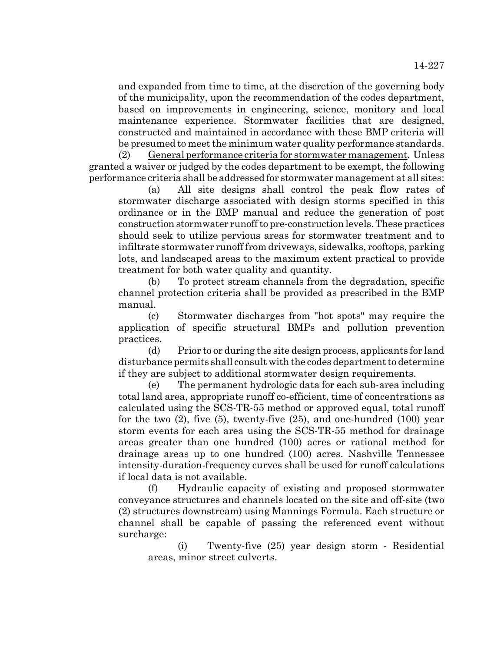and expanded from time to time, at the discretion of the governing body of the municipality, upon the recommendation of the codes department, based on improvements in engineering, science, monitory and local maintenance experience. Stormwater facilities that are designed, constructed and maintained in accordance with these BMP criteria will be presumed to meet the minimum water quality performance standards.

(2) General performance criteria for stormwater management. Unless granted a waiver or judged by the codes department to be exempt, the following performance criteria shall be addressed for stormwater management at all sites:

(a) All site designs shall control the peak flow rates of stormwater discharge associated with design storms specified in this ordinance or in the BMP manual and reduce the generation of post construction stormwater runoff to pre-construction levels. These practices should seek to utilize pervious areas for stormwater treatment and to infiltrate stormwater runoff from driveways, sidewalks, rooftops, parking lots, and landscaped areas to the maximum extent practical to provide treatment for both water quality and quantity.

(b) To protect stream channels from the degradation, specific channel protection criteria shall be provided as prescribed in the BMP manual.

(c) Stormwater discharges from "hot spots" may require the application of specific structural BMPs and pollution prevention practices.

(d) Prior to or during the site design process, applicants for land disturbance permits shall consult with the codes department to determine if they are subject to additional stormwater design requirements.

(e) The permanent hydrologic data for each sub-area including total land area, appropriate runoff co-efficient, time of concentrations as calculated using the SCS-TR-55 method or approved equal, total runoff for the two  $(2)$ , five  $(5)$ , twenty-five  $(25)$ , and one-hundred  $(100)$  year storm events for each area using the SCS-TR-55 method for drainage areas greater than one hundred (100) acres or rational method for drainage areas up to one hundred (100) acres. Nashville Tennessee intensity-duration-frequency curves shall be used for runoff calculations if local data is not available.

(f) Hydraulic capacity of existing and proposed stormwater conveyance structures and channels located on the site and off-site (two (2) structures downstream) using Mannings Formula. Each structure or channel shall be capable of passing the referenced event without surcharge:

(i) Twenty-five (25) year design storm - Residential areas, minor street culverts.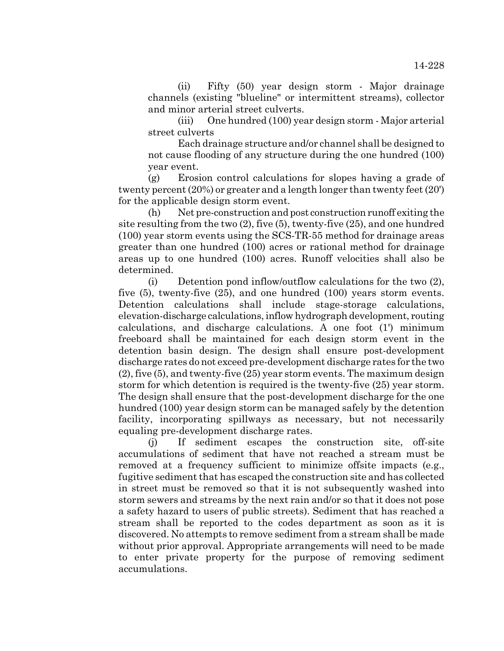(ii) Fifty (50) year design storm - Major drainage channels (existing "blueline" or intermittent streams), collector and minor arterial street culverts.

(iii) One hundred (100) year design storm - Major arterial street culverts

Each drainage structure and/or channel shall be designed to not cause flooding of any structure during the one hundred (100) year event.

(g) Erosion control calculations for slopes having a grade of twenty percent (20%) or greater and a length longer than twenty feet (20') for the applicable design storm event.

(h) Net pre-construction and post construction runoff exiting the site resulting from the two (2), five (5), twenty-five (25), and one hundred (100) year storm events using the SCS-TR-55 method for drainage areas greater than one hundred (100) acres or rational method for drainage areas up to one hundred (100) acres. Runoff velocities shall also be determined.

(i) Detention pond inflow/outflow calculations for the two (2), five (5), twenty-five (25), and one hundred (100) years storm events. Detention calculations shall include stage-storage calculations, elevation-discharge calculations, inflow hydrograph development, routing calculations, and discharge calculations. A one foot (1') minimum freeboard shall be maintained for each design storm event in the detention basin design. The design shall ensure post-development discharge rates do not exceed pre-development discharge rates for the two (2), five (5), and twenty-five (25) year storm events. The maximum design storm for which detention is required is the twenty-five (25) year storm. The design shall ensure that the post-development discharge for the one hundred (100) year design storm can be managed safely by the detention facility, incorporating spillways as necessary, but not necessarily equaling pre-development discharge rates.

(j) If sediment escapes the construction site, off-site accumulations of sediment that have not reached a stream must be removed at a frequency sufficient to minimize offsite impacts (e.g., fugitive sediment that has escaped the construction site and has collected in street must be removed so that it is not subsequently washed into storm sewers and streams by the next rain and/or so that it does not pose a safety hazard to users of public streets). Sediment that has reached a stream shall be reported to the codes department as soon as it is discovered. No attempts to remove sediment from a stream shall be made without prior approval. Appropriate arrangements will need to be made to enter private property for the purpose of removing sediment accumulations.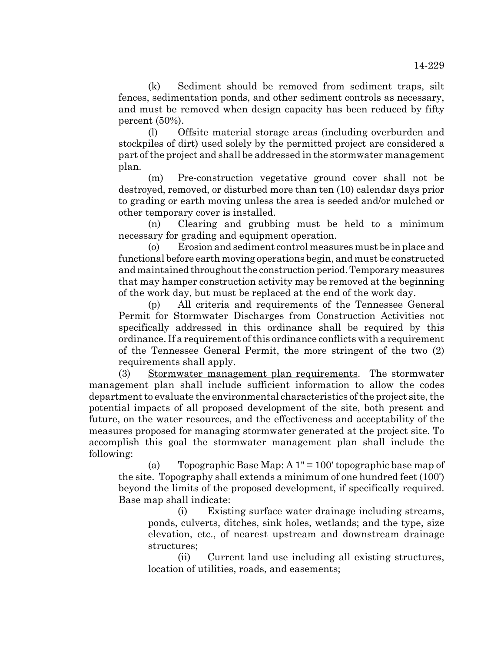(k) Sediment should be removed from sediment traps, silt fences, sedimentation ponds, and other sediment controls as necessary, and must be removed when design capacity has been reduced by fifty percent (50%).

(l) Offsite material storage areas (including overburden and stockpiles of dirt) used solely by the permitted project are considered a part of the project and shall be addressed in the stormwater management plan.

(m) Pre-construction vegetative ground cover shall not be destroyed, removed, or disturbed more than ten (10) calendar days prior to grading or earth moving unless the area is seeded and/or mulched or other temporary cover is installed.

(n) Clearing and grubbing must be held to a minimum necessary for grading and equipment operation.

(o) Erosion and sediment control measures must be in place and functional before earth moving operations begin, and must be constructed and maintained throughout the construction period. Temporary measures that may hamper construction activity may be removed at the beginning of the work day, but must be replaced at the end of the work day.

(p) All criteria and requirements of the Tennessee General Permit for Stormwater Discharges from Construction Activities not specifically addressed in this ordinance shall be required by this ordinance. If a requirement of this ordinance conflicts with a requirement of the Tennessee General Permit, the more stringent of the two (2) requirements shall apply.

(3) Stormwater management plan requirements. The stormwater management plan shall include sufficient information to allow the codes department to evaluate the environmental characteristics of the project site, the potential impacts of all proposed development of the site, both present and future, on the water resources, and the effectiveness and acceptability of the measures proposed for managing stormwater generated at the project site. To accomplish this goal the stormwater management plan shall include the following:

(a) Topographic Base Map: A 1" = 100' topographic base map of the site. Topography shall extends a minimum of one hundred feet (100') beyond the limits of the proposed development, if specifically required. Base map shall indicate:

(i) Existing surface water drainage including streams, ponds, culverts, ditches, sink holes, wetlands; and the type, size elevation, etc., of nearest upstream and downstream drainage structures;

(ii) Current land use including all existing structures, location of utilities, roads, and easements;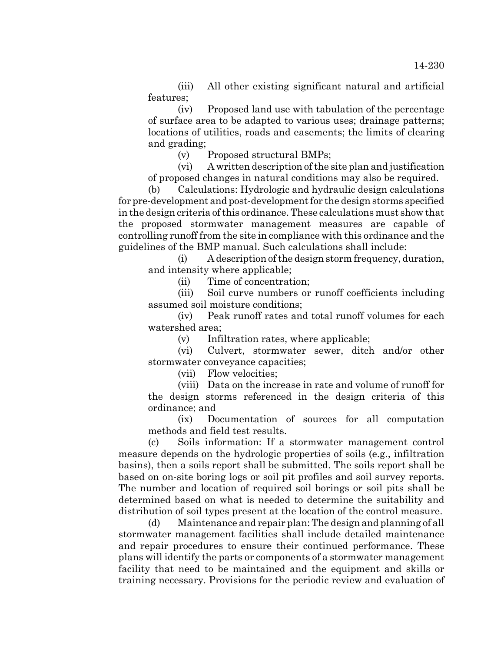(iii) All other existing significant natural and artificial features;

(iv) Proposed land use with tabulation of the percentage of surface area to be adapted to various uses; drainage patterns; locations of utilities, roads and easements; the limits of clearing and grading;

(v) Proposed structural BMPs;

(vi) A written description of the site plan and justification of proposed changes in natural conditions may also be required.

(b) Calculations: Hydrologic and hydraulic design calculations for pre-development and post-development for the design storms specified in the design criteria of this ordinance. These calculations must show that the proposed stormwater management measures are capable of controlling runoff from the site in compliance with this ordinance and the guidelines of the BMP manual. Such calculations shall include:

(i) A description of the design storm frequency, duration, and intensity where applicable;

(ii) Time of concentration;

(iii) Soil curve numbers or runoff coefficients including assumed soil moisture conditions;

(iv) Peak runoff rates and total runoff volumes for each watershed area;

(v) Infiltration rates, where applicable;

(vi) Culvert, stormwater sewer, ditch and/or other stormwater conveyance capacities;

(vii) Flow velocities;

(viii) Data on the increase in rate and volume of runoff for the design storms referenced in the design criteria of this ordinance; and

(ix) Documentation of sources for all computation methods and field test results.

(c) Soils information: If a stormwater management control measure depends on the hydrologic properties of soils (e.g., infiltration basins), then a soils report shall be submitted. The soils report shall be based on on-site boring logs or soil pit profiles and soil survey reports. The number and location of required soil borings or soil pits shall be determined based on what is needed to determine the suitability and distribution of soil types present at the location of the control measure.

(d) Maintenance and repair plan: The design and planning of all stormwater management facilities shall include detailed maintenance and repair procedures to ensure their continued performance. These plans will identify the parts or components of a stormwater management facility that need to be maintained and the equipment and skills or training necessary. Provisions for the periodic review and evaluation of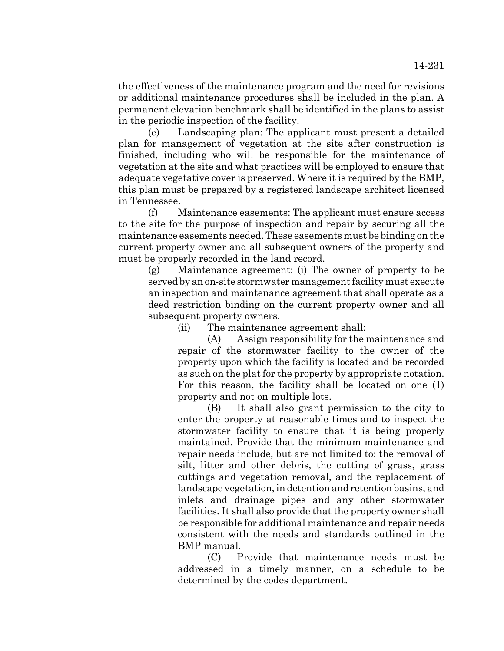the effectiveness of the maintenance program and the need for revisions or additional maintenance procedures shall be included in the plan. A permanent elevation benchmark shall be identified in the plans to assist in the periodic inspection of the facility.

(e) Landscaping plan: The applicant must present a detailed plan for management of vegetation at the site after construction is finished, including who will be responsible for the maintenance of vegetation at the site and what practices will be employed to ensure that adequate vegetative cover is preserved. Where it is required by the BMP, this plan must be prepared by a registered landscape architect licensed in Tennessee.

(f) Maintenance easements: The applicant must ensure access to the site for the purpose of inspection and repair by securing all the maintenance easements needed. These easements must be binding on the current property owner and all subsequent owners of the property and must be properly recorded in the land record.

(g) Maintenance agreement: (i) The owner of property to be served by an on-site stormwater management facility must execute an inspection and maintenance agreement that shall operate as a deed restriction binding on the current property owner and all subsequent property owners.

(ii) The maintenance agreement shall:

(A) Assign responsibility for the maintenance and repair of the stormwater facility to the owner of the property upon which the facility is located and be recorded as such on the plat for the property by appropriate notation. For this reason, the facility shall be located on one (1) property and not on multiple lots.

(B) It shall also grant permission to the city to enter the property at reasonable times and to inspect the stormwater facility to ensure that it is being properly maintained. Provide that the minimum maintenance and repair needs include, but are not limited to: the removal of silt, litter and other debris, the cutting of grass, grass cuttings and vegetation removal, and the replacement of landscape vegetation, in detention and retention basins, and inlets and drainage pipes and any other stormwater facilities. It shall also provide that the property owner shall be responsible for additional maintenance and repair needs consistent with the needs and standards outlined in the BMP manual.

(C) Provide that maintenance needs must be addressed in a timely manner, on a schedule to be determined by the codes department.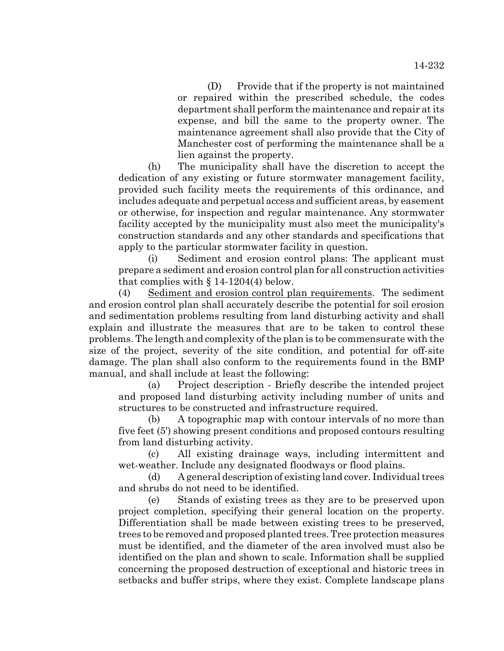(D) Provide that if the property is not maintained or repaired within the prescribed schedule, the codes department shall perform the maintenance and repair at its expense, and bill the same to the property owner. The maintenance agreement shall also provide that the City of Manchester cost of performing the maintenance shall be a lien against the property.

(h) The municipality shall have the discretion to accept the dedication of any existing or future stormwater management facility, provided such facility meets the requirements of this ordinance, and includes adequate and perpetual access and sufficient areas, by easement or otherwise, for inspection and regular maintenance. Any stormwater facility accepted by the municipality must also meet the municipality's construction standards and any other standards and specifications that apply to the particular stormwater facility in question.

(i) Sediment and erosion control plans: The applicant must prepare a sediment and erosion control plan for all construction activities that complies with  $\S 14-1204(4)$  below.

(4) Sediment and erosion control plan requirements. The sediment and erosion control plan shall accurately describe the potential for soil erosion and sedimentation problems resulting from land disturbing activity and shall explain and illustrate the measures that are to be taken to control these problems. The length and complexity of the plan is to be commensurate with the size of the project, severity of the site condition, and potential for off-site damage. The plan shall also conform to the requirements found in the BMP manual, and shall include at least the following:

(a) Project description - Briefly describe the intended project and proposed land disturbing activity including number of units and structures to be constructed and infrastructure required.

(b) A topographic map with contour intervals of no more than five feet (5') showing present conditions and proposed contours resulting from land disturbing activity.

(c) All existing drainage ways, including intermittent and wet-weather. Include any designated floodways or flood plains.

(d) A general description of existing land cover. Individual trees and shrubs do not need to be identified.

(e) Stands of existing trees as they are to be preserved upon project completion, specifying their general location on the property. Differentiation shall be made between existing trees to be preserved, trees to be removed and proposed planted trees. Tree protection measures must be identified, and the diameter of the area involved must also be identified on the plan and shown to scale. Information shall be supplied concerning the proposed destruction of exceptional and historic trees in setbacks and buffer strips, where they exist. Complete landscape plans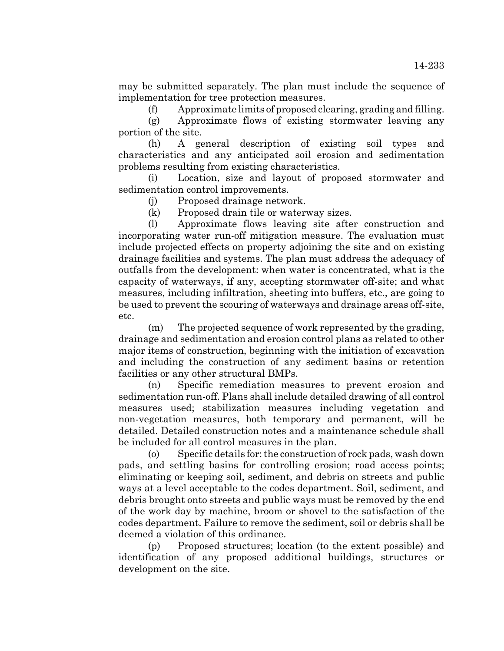may be submitted separately. The plan must include the sequence of implementation for tree protection measures.

(f) Approximate limits of proposed clearing, grading and filling.

(g) Approximate flows of existing stormwater leaving any portion of the site.

(h) A general description of existing soil types and characteristics and any anticipated soil erosion and sedimentation problems resulting from existing characteristics.

(i) Location, size and layout of proposed stormwater and sedimentation control improvements.

(j) Proposed drainage network.

(k) Proposed drain tile or waterway sizes.

(l) Approximate flows leaving site after construction and incorporating water run-off mitigation measure. The evaluation must include projected effects on property adjoining the site and on existing drainage facilities and systems. The plan must address the adequacy of outfalls from the development: when water is concentrated, what is the capacity of waterways, if any, accepting stormwater off-site; and what measures, including infiltration, sheeting into buffers, etc., are going to be used to prevent the scouring of waterways and drainage areas off-site, etc.

(m) The projected sequence of work represented by the grading, drainage and sedimentation and erosion control plans as related to other major items of construction, beginning with the initiation of excavation and including the construction of any sediment basins or retention facilities or any other structural BMPs.

(n) Specific remediation measures to prevent erosion and sedimentation run-off. Plans shall include detailed drawing of all control measures used; stabilization measures including vegetation and non-vegetation measures, both temporary and permanent, will be detailed. Detailed construction notes and a maintenance schedule shall be included for all control measures in the plan.

(o) Specific details for: the construction of rock pads, wash down pads, and settling basins for controlling erosion; road access points; eliminating or keeping soil, sediment, and debris on streets and public ways at a level acceptable to the codes department. Soil, sediment, and debris brought onto streets and public ways must be removed by the end of the work day by machine, broom or shovel to the satisfaction of the codes department. Failure to remove the sediment, soil or debris shall be deemed a violation of this ordinance.

(p) Proposed structures; location (to the extent possible) and identification of any proposed additional buildings, structures or development on the site.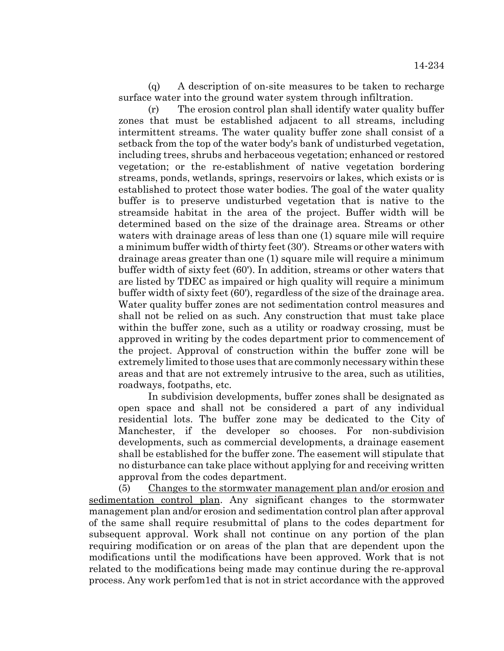(q) A description of on-site measures to be taken to recharge surface water into the ground water system through infiltration.

(r) The erosion control plan shall identify water quality buffer zones that must be established adjacent to all streams, including intermittent streams. The water quality buffer zone shall consist of a setback from the top of the water body's bank of undisturbed vegetation, including trees, shrubs and herbaceous vegetation; enhanced or restored vegetation; or the re-establishment of native vegetation bordering streams, ponds, wetlands, springs, reservoirs or lakes, which exists or is established to protect those water bodies. The goal of the water quality buffer is to preserve undisturbed vegetation that is native to the streamside habitat in the area of the project. Buffer width will be determined based on the size of the drainage area. Streams or other waters with drainage areas of less than one (1) square mile will require a minimum buffer width of thirty feet (30'). Streams or other waters with drainage areas greater than one (1) square mile will require a minimum buffer width of sixty feet (60'). In addition, streams or other waters that are listed by TDEC as impaired or high quality will require a minimum buffer width of sixty feet (60'), regardless of the size of the drainage area. Water quality buffer zones are not sedimentation control measures and shall not be relied on as such. Any construction that must take place within the buffer zone, such as a utility or roadway crossing, must be approved in writing by the codes department prior to commencement of the project. Approval of construction within the buffer zone will be extremely limited to those uses that are commonly necessary within these areas and that are not extremely intrusive to the area, such as utilities, roadways, footpaths, etc.

In subdivision developments, buffer zones shall be designated as open space and shall not be considered a part of any individual residential lots. The buffer zone may be dedicated to the City of Manchester, if the developer so chooses. For non-subdivision developments, such as commercial developments, a drainage easement shall be established for the buffer zone. The easement will stipulate that no disturbance can take place without applying for and receiving written approval from the codes department.

(5) Changes to the stormwater management plan and/or erosion and sedimentation control plan. Any significant changes to the stormwater management plan and/or erosion and sedimentation control plan after approval of the same shall require resubmittal of plans to the codes department for subsequent approval. Work shall not continue on any portion of the plan requiring modification or on areas of the plan that are dependent upon the modifications until the modifications have been approved. Work that is not related to the modifications being made may continue during the re-approval process. Any work perfom1ed that is not in strict accordance with the approved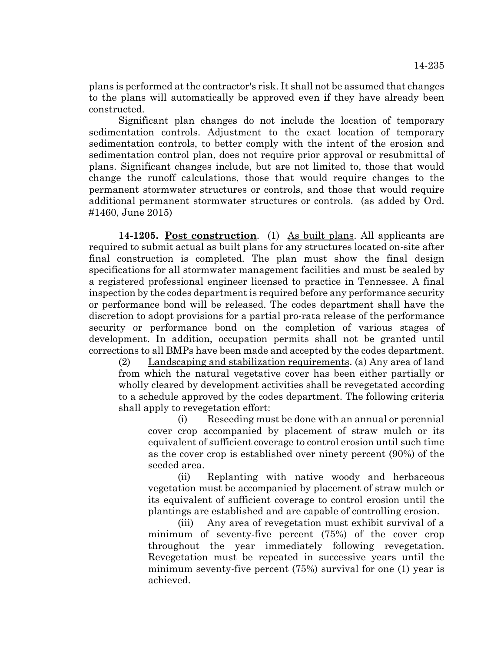plans is performed at the contractor's risk. It shall not be assumed that changes to the plans will automatically be approved even if they have already been constructed.

Significant plan changes do not include the location of temporary sedimentation controls. Adjustment to the exact location of temporary sedimentation controls, to better comply with the intent of the erosion and sedimentation control plan, does not require prior approval or resubmittal of plans. Significant changes include, but are not limited to, those that would change the runoff calculations, those that would require changes to the permanent stormwater structures or controls, and those that would require additional permanent stormwater structures or controls. (as added by Ord. #1460, June 2015)

**14-1205. Post construction**. (1) As built plans. All applicants are required to submit actual as built plans for any structures located on-site after final construction is completed. The plan must show the final design specifications for all stormwater management facilities and must be sealed by a registered professional engineer licensed to practice in Tennessee. A final inspection by the codes department is required before any performance security or performance bond will be released. The codes department shall have the discretion to adopt provisions for a partial pro-rata release of the performance security or performance bond on the completion of various stages of development. In addition, occupation permits shall not be granted until corrections to all BMPs have been made and accepted by the codes department.

(2) Landscaping and stabilization requirements. (a) Any area of land from which the natural vegetative cover has been either partially or wholly cleared by development activities shall be revegetated according to a schedule approved by the codes department. The following criteria shall apply to revegetation effort:

(i) Reseeding must be done with an annual or perennial cover crop accompanied by placement of straw mulch or its equivalent of sufficient coverage to control erosion until such time as the cover crop is established over ninety percent (90%) of the seeded area.

(ii) Replanting with native woody and herbaceous vegetation must be accompanied by placement of straw mulch or its equivalent of sufficient coverage to control erosion until the plantings are established and are capable of controlling erosion.

(iii) Any area of revegetation must exhibit survival of a minimum of seventy-five percent (75%) of the cover crop throughout the year immediately following revegetation. Revegetation must be repeated in successive years until the minimum seventy-five percent (75%) survival for one (1) year is achieved.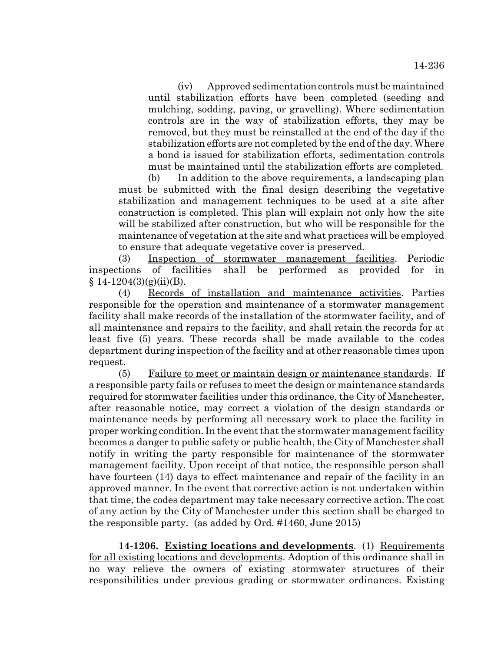(iv) Approved sedimentation controls must be maintained until stabilization efforts have been completed (seeding and mulching, sodding, paving, or gravelling). Where sedimentation controls are in the way of stabilization efforts, they may be removed, but they must be reinstalled at the end of the day if the stabilization efforts are not completed by the end of the day. Where a bond is issued for stabilization efforts, sedimentation controls must be maintained until the stabilization efforts are completed.

(b) In addition to the above requirements, a landscaping plan must be submitted with the final design describing the vegetative stabilization and management techniques to be used at a site after construction is completed. This plan will explain not only how the site will be stabilized after construction, but who will be responsible for the maintenance of vegetation at the site and what practices will be employed to ensure that adequate vegetative cover is preserved.

(3) Inspection of stormwater management facilities. Periodic inspections of facilities shall be performed as provided for in  $§ 14-1204(3)(g)(ii)(B).$ 

(4) Records of installation and maintenance activities. Parties responsible for the operation and maintenance of a stormwater management facility shall make records of the installation of the stormwater facility, and of all maintenance and repairs to the facility, and shall retain the records for at least five (5) years. These records shall be made available to the codes department during inspection of the facility and at other reasonable times upon request.

(5) Failure to meet or maintain design or maintenance standards. If a responsible party fails or refuses to meet the design or maintenance standards required for stormwater facilities under this ordinance, the City of Manchester, after reasonable notice, may correct a violation of the design standards or maintenance needs by performing all necessary work to place the facility in proper working condition. In the event that the stormwater management facility becomes a danger to public safety or public health, the City of Manchester shall notify in writing the party responsible for maintenance of the stormwater management facility. Upon receipt of that notice, the responsible person shall have fourteen (14) days to effect maintenance and repair of the facility in an approved manner. In the event that corrective action is not undertaken within that time, the codes department may take necessary corrective action. The cost of any action by the City of Manchester under this section shall be charged to the responsible party. (as added by Ord. #1460, June 2015)

**14-1206. Existing locations and developments**. (1) Requirements for all existing locations and developments. Adoption of this ordinance shall in no way relieve the owners of existing stormwater structures of their responsibilities under previous grading or stormwater ordinances. Existing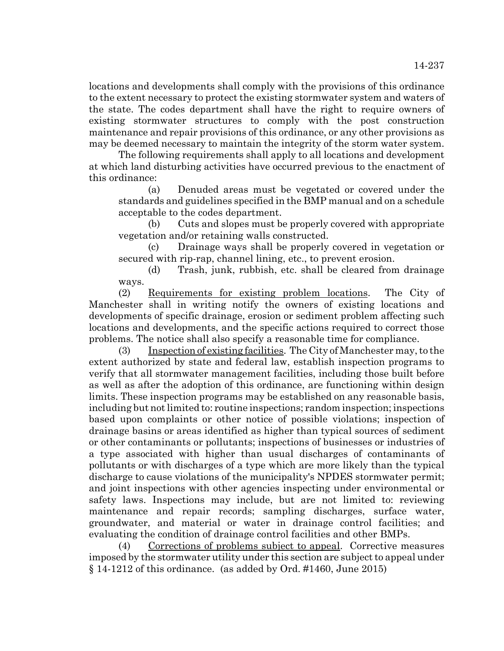locations and developments shall comply with the provisions of this ordinance to the extent necessary to protect the existing stormwater system and waters of the state. The codes department shall have the right to require owners of existing stormwater structures to comply with the post construction maintenance and repair provisions of this ordinance, or any other provisions as may be deemed necessary to maintain the integrity of the storm water system.

The following requirements shall apply to all locations and development at which land disturbing activities have occurred previous to the enactment of this ordinance:

(a) Denuded areas must be vegetated or covered under the standards and guidelines specified in the BMP manual and on a schedule acceptable to the codes department.

(b) Cuts and slopes must be properly covered with appropriate vegetation and/or retaining walls constructed.

(c) Drainage ways shall be properly covered in vegetation or secured with rip-rap, channel lining, etc., to prevent erosion.

(d) Trash, junk, rubbish, etc. shall be cleared from drainage ways.

(2) Requirements for existing problem locations. The City of Manchester shall in writing notify the owners of existing locations and developments of specific drainage, erosion or sediment problem affecting such locations and developments, and the specific actions required to correct those problems. The notice shall also specify a reasonable time for compliance.

(3) Inspection of existing facilities. The City of Manchester may, to the extent authorized by state and federal law, establish inspection programs to verify that all stormwater management facilities, including those built before as well as after the adoption of this ordinance, are functioning within design limits. These inspection programs may be established on any reasonable basis, including but not limited to: routine inspections; random inspection; inspections based upon complaints or other notice of possible violations; inspection of drainage basins or areas identified as higher than typical sources of sediment or other contaminants or pollutants; inspections of businesses or industries of a type associated with higher than usual discharges of contaminants of pollutants or with discharges of a type which are more likely than the typical discharge to cause violations of the municipality's NPDES stormwater permit; and joint inspections with other agencies inspecting under environmental or safety laws. Inspections may include, but are not limited to: reviewing maintenance and repair records; sampling discharges, surface water, groundwater, and material or water in drainage control facilities; and evaluating the condition of drainage control facilities and other BMPs.

(4) Corrections of problems subject to appeal. Corrective measures imposed by the stormwater utility under this section are subject to appeal under  $\S 14-1212$  of this ordinance. (as added by Ord. #1460, June 2015)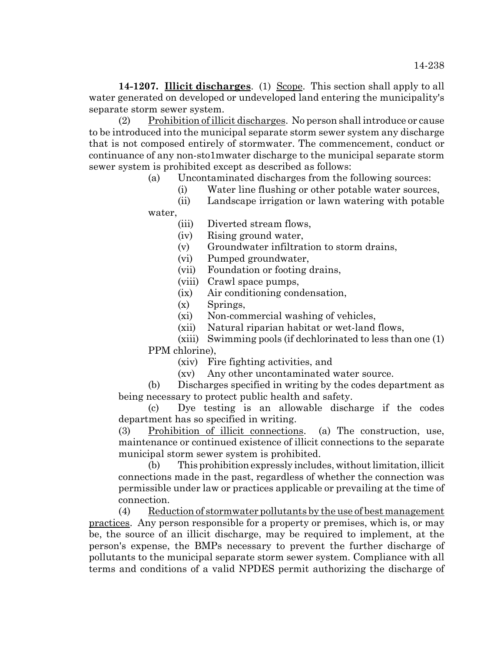14-1207. **Illicit discharges**. (1) Scope. This section shall apply to all water generated on developed or undeveloped land entering the municipality's separate storm sewer system.

(2) Prohibition of illicit discharges. No person shall introduce or cause to be introduced into the municipal separate storm sewer system any discharge that is not composed entirely of stormwater. The commencement, conduct or continuance of any non-sto1mwater discharge to the municipal separate storm sewer system is prohibited except as described as follows:

(a) Uncontaminated discharges from the following sources:

(i) Water line flushing or other potable water sources,

(ii) Landscape irrigation or lawn watering with potable water,

(iii) Diverted stream flows,

(iv) Rising ground water,

(v) Groundwater infiltration to storm drains,

(vi) Pumped groundwater,

(vii) Foundation or footing drains,

(viii) Crawl space pumps,

(ix) Air conditioning condensation,

(x) Springs,

(xi) Non-commercial washing of vehicles,

(xii) Natural riparian habitat or wet-land flows,

(xiii) Swimming pools (if dechlorinated to less than one (1) PPM chlorine),

(xiv) Fire fighting activities, and

(xv) Any other uncontaminated water source.

(b) Discharges specified in writing by the codes department as being necessary to protect public health and safety.

(c) Dye testing is an allowable discharge if the codes department has so specified in writing.

(3) Prohibition of illicit connections. (a) The construction, use, maintenance or continued existence of illicit connections to the separate municipal storm sewer system is prohibited.

(b) This prohibition expressly includes, without limitation, illicit connections made in the past, regardless of whether the connection was permissible under law or practices applicable or prevailing at the time of connection.

(4) Reduction of stormwater pollutants by the use of best management practices. Any person responsible for a property or premises, which is, or may be, the source of an illicit discharge, may be required to implement, at the person's expense, the BMPs necessary to prevent the further discharge of pollutants to the municipal separate storm sewer system. Compliance with all terms and conditions of a valid NPDES permit authorizing the discharge of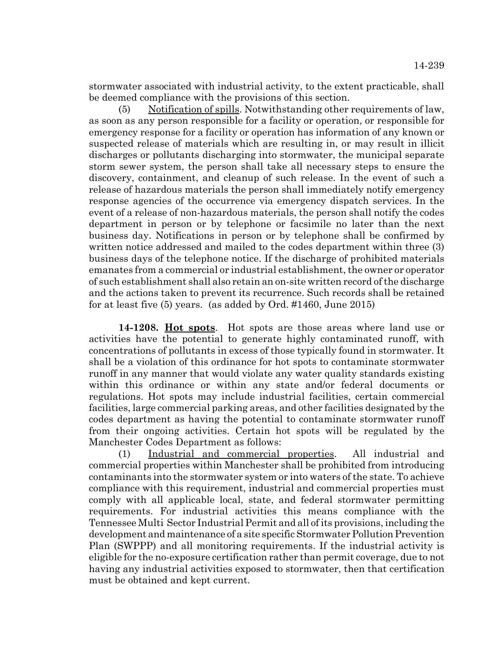stormwater associated with industrial activity, to the extent practicable, shall be deemed compliance with the provisions of this section.

(5) Notification of spills. Notwithstanding other requirements of law, as soon as any person responsible for a facility or operation, or responsible for emergency response for a facility or operation has information of any known or suspected release of materials which are resulting in, or may result in illicit discharges or pollutants discharging into stormwater, the municipal separate storm sewer system, the person shall take all necessary steps to ensure the discovery, containment, and cleanup of such release. In the event of such a release of hazardous materials the person shall immediately notify emergency response agencies of the occurrence via emergency dispatch services. In the event of a release of non-hazardous materials, the person shall notify the codes department in person or by telephone or facsimile no later than the next business day. Notifications in person or by telephone shall be confirmed by written notice addressed and mailed to the codes department within three (3) business days of the telephone notice. If the discharge of prohibited materials emanates from a commercial or industrial establishment, the owner or operator of such establishment shall also retain an on-site written record of the discharge and the actions taken to prevent its recurrence. Such records shall be retained for at least five (5) years. (as added by Ord. #1460, June 2015)

**14-1208. Hot spots**. Hot spots are those areas where land use or activities have the potential to generate highly contaminated runoff, with concentrations of pollutants in excess of those typically found in stormwater. It shall be a violation of this ordinance for hot spots to contaminate stormwater runoff in any manner that would violate any water quality standards existing within this ordinance or within any state and/or federal documents or regulations. Hot spots may include industrial facilities, certain commercial facilities, large commercial parking areas, and other facilities designated by the codes department as having the potential to contaminate stormwater runoff from their ongoing activities. Certain hot spots will be regulated by the Manchester Codes Department as follows:

(1) Industrial and commercial properties. All industrial and commercial properties within Manchester shall be prohibited from introducing contaminants into the stormwater system or into waters of the state. To achieve compliance with this requirement, industrial and commercial properties must comply with all applicable local, state, and federal stormwater permitting requirements. For industrial activities this means compliance with the Tennessee Multi Sector Industrial Permit and all of its provisions, including the development and maintenance of a site specific Stormwater Pollution Prevention Plan (SWPPP) and all monitoring requirements. If the industrial activity is eligible for the no-exposure certification rather than permit coverage, due to not having any industrial activities exposed to stormwater, then that certification must be obtained and kept current.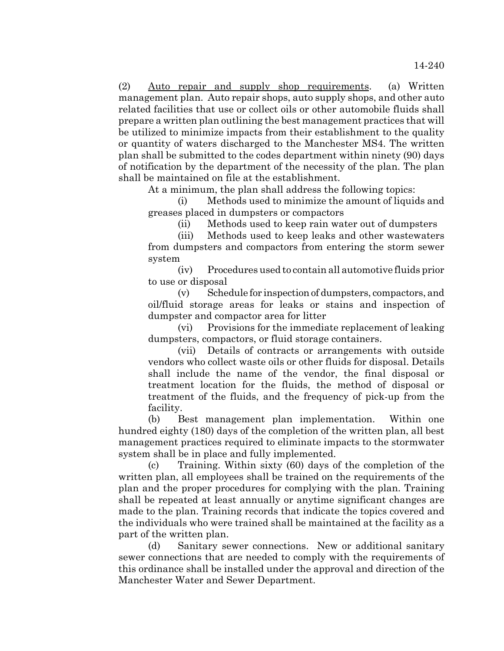(2) Auto repair and supply shop requirements. (a) Written management plan. Auto repair shops, auto supply shops, and other auto related facilities that use or collect oils or other automobile fluids shall prepare a written plan outlining the best management practices that will be utilized to minimize impacts from their establishment to the quality or quantity of waters discharged to the Manchester MS4. The written plan shall be submitted to the codes department within ninety (90) days of notification by the department of the necessity of the plan. The plan shall be maintained on file at the establishment.

At a minimum, the plan shall address the following topics:

(i) Methods used to minimize the amount of liquids and greases placed in dumpsters or compactors

(ii) Methods used to keep rain water out of dumpsters

(iii) Methods used to keep leaks and other wastewaters from dumpsters and compactors from entering the storm sewer system

(iv) Procedures used to contain all automotive fluids prior to use or disposal

(v) Schedule for inspection of dumpsters, compactors, and oil/fluid storage areas for leaks or stains and inspection of dumpster and compactor area for litter

(vi) Provisions for the immediate replacement of leaking dumpsters, compactors, or fluid storage containers.

(vii) Details of contracts or arrangements with outside vendors who collect waste oils or other fluids for disposal. Details shall include the name of the vendor, the final disposal or treatment location for the fluids, the method of disposal or treatment of the fluids, and the frequency of pick-up from the facility.

(b) Best management plan implementation. Within one hundred eighty (180) days of the completion of the written plan, all best management practices required to eliminate impacts to the stormwater system shall be in place and fully implemented.

(c) Training. Within sixty (60) days of the completion of the written plan, all employees shall be trained on the requirements of the plan and the proper procedures for complying with the plan. Training shall be repeated at least annually or anytime significant changes are made to the plan. Training records that indicate the topics covered and the individuals who were trained shall be maintained at the facility as a part of the written plan.

(d) Sanitary sewer connections. New or additional sanitary sewer connections that are needed to comply with the requirements of this ordinance shall be installed under the approval and direction of the Manchester Water and Sewer Department.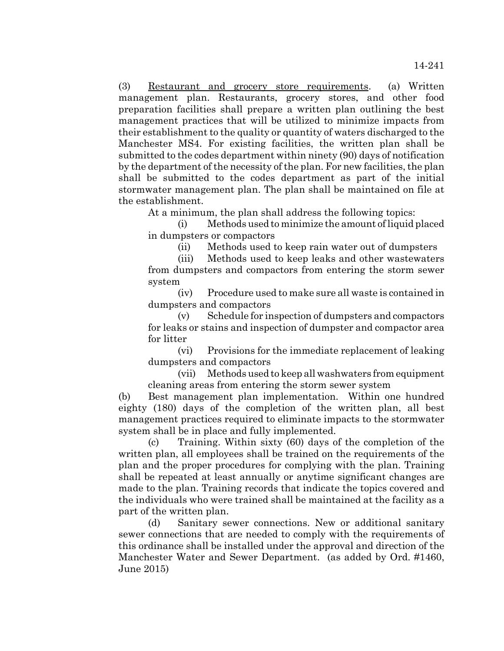(3) Restaurant and grocery store requirements. (a) Written management plan. Restaurants, grocery stores, and other food preparation facilities shall prepare a written plan outlining the best management practices that will be utilized to minimize impacts from their establishment to the quality or quantity of waters discharged to the Manchester MS4. For existing facilities, the written plan shall be submitted to the codes department within ninety (90) days of notification by the department of the necessity of the plan. For new facilities, the plan shall be submitted to the codes department as part of the initial stormwater management plan. The plan shall be maintained on file at the establishment.

At a minimum, the plan shall address the following topics:

(i) Methods used to minimize the amount of liquid placed in dumpsters or compactors

(ii) Methods used to keep rain water out of dumpsters

(iii) Methods used to keep leaks and other wastewaters from dumpsters and compactors from entering the storm sewer system

(iv) Procedure used to make sure all waste is contained in dumpsters and compactors

(v) Schedule for inspection of dumpsters and compactors for leaks or stains and inspection of dumpster and compactor area for litter

(vi) Provisions for the immediate replacement of leaking dumpsters and compactors

(vii) Methods used to keep all washwaters from equipment cleaning areas from entering the storm sewer system

(b) Best management plan implementation. Within one hundred eighty (180) days of the completion of the written plan, all best management practices required to eliminate impacts to the stormwater system shall be in place and fully implemented.

(c) Training. Within sixty (60) days of the completion of the written plan, all employees shall be trained on the requirements of the plan and the proper procedures for complying with the plan. Training shall be repeated at least annually or anytime significant changes are made to the plan. Training records that indicate the topics covered and the individuals who were trained shall be maintained at the facility as a part of the written plan.

(d) Sanitary sewer connections. New or additional sanitary sewer connections that are needed to comply with the requirements of this ordinance shall be installed under the approval and direction of the Manchester Water and Sewer Department. (as added by Ord. #1460, June 2015)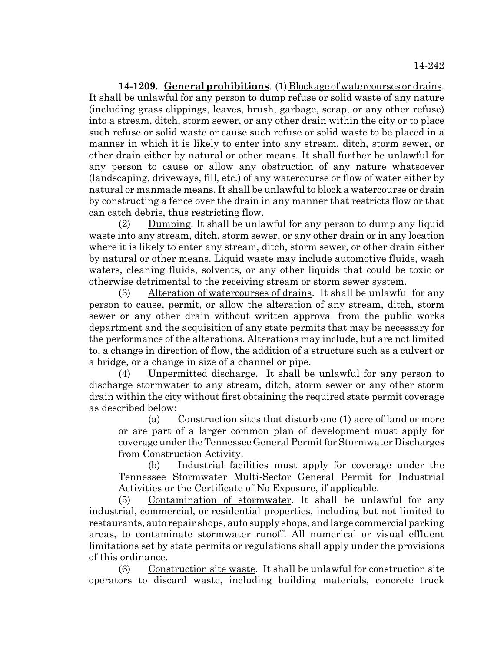**14-1209. General prohibitions**. (1) Blockage of watercourses or drains. It shall be unlawful for any person to dump refuse or solid waste of any nature (including grass clippings, leaves, brush, garbage, scrap, or any other refuse) into a stream, ditch, storm sewer, or any other drain within the city or to place such refuse or solid waste or cause such refuse or solid waste to be placed in a manner in which it is likely to enter into any stream, ditch, storm sewer, or other drain either by natural or other means. It shall further be unlawful for any person to cause or allow any obstruction of any nature whatsoever (landscaping, driveways, fill, etc.) of any watercourse or flow of water either by natural or manmade means. It shall be unlawful to block a watercourse or drain by constructing a fence over the drain in any manner that restricts flow or that can catch debris, thus restricting flow.

(2) Dumping. It shall be unlawful for any person to dump any liquid waste into any stream, ditch, storm sewer, or any other drain or in any location where it is likely to enter any stream, ditch, storm sewer, or other drain either by natural or other means. Liquid waste may include automotive fluids, wash waters, cleaning fluids, solvents, or any other liquids that could be toxic or otherwise detrimental to the receiving stream or storm sewer system.

(3) Alteration of watercourses of drains. It shall be unlawful for any person to cause, permit, or allow the alteration of any stream, ditch, storm sewer or any other drain without written approval from the public works department and the acquisition of any state permits that may be necessary for the performance of the alterations. Alterations may include, but are not limited to, a change in direction of flow, the addition of a structure such as a culvert or a bridge, or a change in size of a channel or pipe.

(4) Unpermitted discharge. It shall be unlawful for any person to discharge stormwater to any stream, ditch, storm sewer or any other storm drain within the city without first obtaining the required state permit coverage as described below:

(a) Construction sites that disturb one (1) acre of land or more or are part of a larger common plan of development must apply for coverage under the Tennessee General Permit for Stormwater Discharges from Construction Activity.

(b) Industrial facilities must apply for coverage under the Tennessee Stormwater Multi-Sector General Permit for Industrial Activities or the Certificate of No Exposure, if applicable.

(5) Contamination of stormwater. It shall be unlawful for any industrial, commercial, or residential properties, including but not limited to restaurants, auto repair shops, auto supply shops, and large commercial parking areas, to contaminate stormwater runoff. All numerical or visual effluent limitations set by state permits or regulations shall apply under the provisions of this ordinance.

(6) Construction site waste. It shall be unlawful for construction site operators to discard waste, including building materials, concrete truck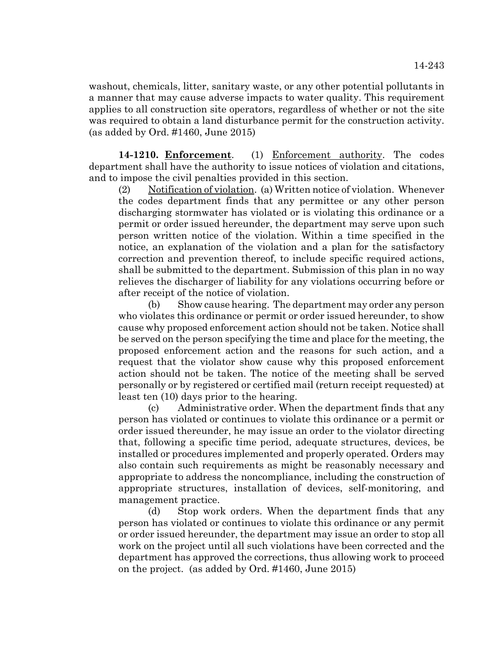washout, chemicals, litter, sanitary waste, or any other potential pollutants in a manner that may cause adverse impacts to water quality. This requirement applies to all construction site operators, regardless of whether or not the site was required to obtain a land disturbance permit for the construction activity. (as added by Ord. #1460, June 2015)

**14-1210. Enforcement**. (1) Enforcement authority. The codes department shall have the authority to issue notices of violation and citations, and to impose the civil penalties provided in this section.

(2) Notification of violation. (a) Written notice of violation. Whenever the codes department finds that any permittee or any other person discharging stormwater has violated or is violating this ordinance or a permit or order issued hereunder, the department may serve upon such person written notice of the violation. Within a time specified in the notice, an explanation of the violation and a plan for the satisfactory correction and prevention thereof, to include specific required actions, shall be submitted to the department. Submission of this plan in no way relieves the discharger of liability for any violations occurring before or after receipt of the notice of violation.

(b) Show cause hearing. The department may order any person who violates this ordinance or permit or order issued hereunder, to show cause why proposed enforcement action should not be taken. Notice shall be served on the person specifying the time and place for the meeting, the proposed enforcement action and the reasons for such action, and a request that the violator show cause why this proposed enforcement action should not be taken. The notice of the meeting shall be served personally or by registered or certified mail (return receipt requested) at least ten (10) days prior to the hearing.

(c) Administrative order. When the department finds that any person has violated or continues to violate this ordinance or a permit or order issued thereunder, he may issue an order to the violator directing that, following a specific time period, adequate structures, devices, be installed or procedures implemented and properly operated. Orders may also contain such requirements as might be reasonably necessary and appropriate to address the noncompliance, including the construction of appropriate structures, installation of devices, self-monitoring, and management practice.

(d) Stop work orders. When the department finds that any person has violated or continues to violate this ordinance or any permit or order issued hereunder, the department may issue an order to stop all work on the project until all such violations have been corrected and the department has approved the corrections, thus allowing work to proceed on the project. (as added by Ord. #1460, June 2015)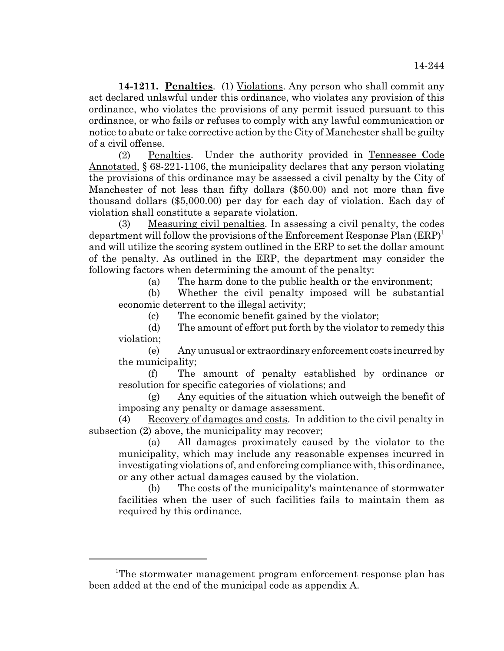**14-1211. Penalties**. (1) Violations. Any person who shall commit any act declared unlawful under this ordinance, who violates any provision of this ordinance, who violates the provisions of any permit issued pursuant to this ordinance, or who fails or refuses to comply with any lawful communication or notice to abate or take corrective action by the City of Manchester shall be guilty of a civil offense.

(2) Penalties. Under the authority provided in Tennessee Code Annotated, § 68-221-1106, the municipality declares that any person violating the provisions of this ordinance may be assessed a civil penalty by the City of Manchester of not less than fifty dollars (\$50.00) and not more than five thousand dollars (\$5,000.00) per day for each day of violation. Each day of violation shall constitute a separate violation.

(3) Measuring civil penalties. In assessing a civil penalty, the codes department will follow the provisions of the Enforcement Response Plan  $(ERP)^1$ and will utilize the scoring system outlined in the ERP to set the dollar amount of the penalty. As outlined in the ERP, the department may consider the following factors when determining the amount of the penalty:

(a) The harm done to the public health or the environment;

(b) Whether the civil penalty imposed will be substantial economic deterrent to the illegal activity;

(c) The economic benefit gained by the violator;

(d) The amount of effort put forth by the violator to remedy this violation;

(e) Any unusual or extraordinary enforcement costs incurred by the municipality;

(f) The amount of penalty established by ordinance or resolution for specific categories of violations; and

(g) Any equities of the situation which outweigh the benefit of imposing any penalty or damage assessment.

(4) Recovery of damages and costs. In addition to the civil penalty in subsection (2) above, the municipality may recover;

(a) All damages proximately caused by the violator to the municipality, which may include any reasonable expenses incurred in investigating violations of, and enforcing compliance with, this ordinance, or any other actual damages caused by the violation.

(b) The costs of the municipality's maintenance of stormwater facilities when the user of such facilities fails to maintain them as required by this ordinance.

<sup>&</sup>lt;sup>1</sup>The stormwater management program enforcement response plan has been added at the end of the municipal code as appendix A.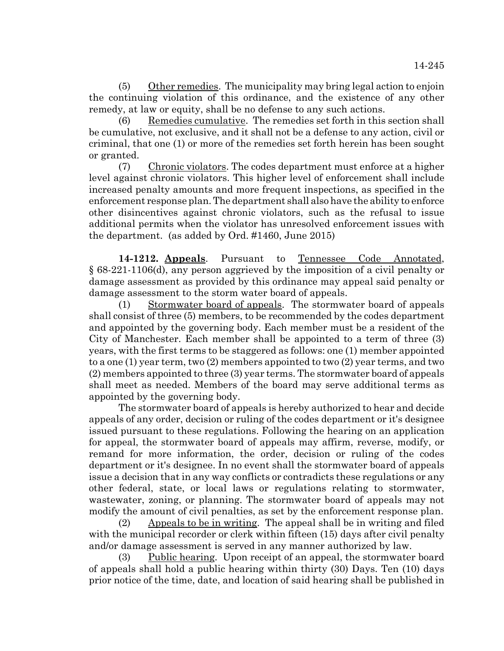(5) Other remedies. The municipality may bring legal action to enjoin the continuing violation of this ordinance, and the existence of any other remedy, at law or equity, shall be no defense to any such actions.

(6) Remedies cumulative. The remedies set forth in this section shall be cumulative, not exclusive, and it shall not be a defense to any action, civil or criminal, that one (1) or more of the remedies set forth herein has been sought or granted.

(7) Chronic violators. The codes department must enforce at a higher level against chronic violators. This higher level of enforcement shall include increased penalty amounts and more frequent inspections, as specified in the enforcement response plan. The department shall also have the ability to enforce other disincentives against chronic violators, such as the refusal to issue additional permits when the violator has unresolved enforcement issues with the department. (as added by Ord. #1460, June 2015)

**14-1212. Appeals**. Pursuant to Tennessee Code Annotated, § 68-221-1106(d), any person aggrieved by the imposition of a civil penalty or damage assessment as provided by this ordinance may appeal said penalty or damage assessment to the storm water board of appeals.

(1) Stormwater board of appeals. The stormwater board of appeals shall consist of three (5) members, to be recommended by the codes department and appointed by the governing body. Each member must be a resident of the City of Manchester. Each member shall be appointed to a term of three (3) years, with the first terms to be staggered as follows: one (1) member appointed to a one (1) year term, two (2) members appointed to two (2) year terms, and two (2) members appointed to three (3) year terms. The stormwater board of appeals shall meet as needed. Members of the board may serve additional terms as appointed by the governing body.

The stormwater board of appeals is hereby authorized to hear and decide appeals of any order, decision or ruling of the codes department or it's designee issued pursuant to these regulations. Following the hearing on an application for appeal, the stormwater board of appeals may affirm, reverse, modify, or remand for more information, the order, decision or ruling of the codes department or it's designee. In no event shall the stormwater board of appeals issue a decision that in any way conflicts or contradicts these regulations or any other federal, state, or local laws or regulations relating to stormwater, wastewater, zoning, or planning. The stormwater board of appeals may not modify the amount of civil penalties, as set by the enforcement response plan.

(2) Appeals to be in writing. The appeal shall be in writing and filed with the municipal recorder or clerk within fifteen (15) days after civil penalty and/or damage assessment is served in any manner authorized by law.

(3) Public hearing. Upon receipt of an appeal, the stormwater board of appeals shall hold a public hearing within thirty (30) Days. Ten (10) days prior notice of the time, date, and location of said hearing shall be published in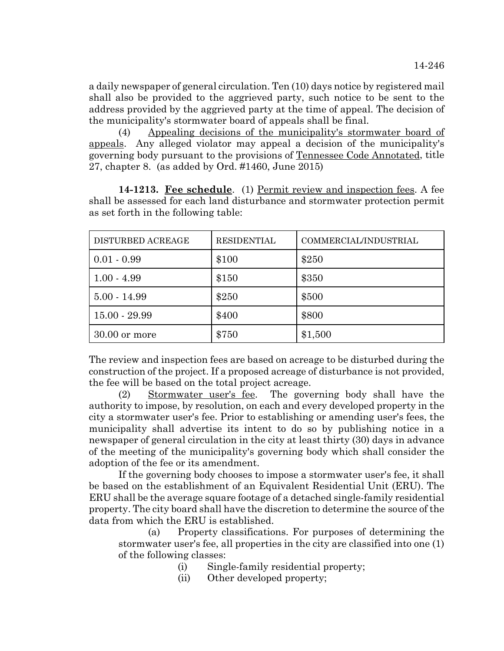a daily newspaper of general circulation. Ten (10) days notice by registered mail shall also be provided to the aggrieved party, such notice to be sent to the address provided by the aggrieved party at the time of appeal. The decision of the municipality's stormwater board of appeals shall be final.

(4) Appealing decisions of the municipality's stormwater board of appeals. Any alleged violator may appeal a decision of the municipality's governing body pursuant to the provisions of Tennessee Code Annotated, title 27, chapter 8. (as added by Ord. #1460, June 2015)

**14-1213. Fee schedule**. (1) Permit review and inspection fees. A fee shall be assessed for each land disturbance and stormwater protection permit as set forth in the following table:

| DISTURBED ACREAGE | <b>RESIDENTIAL</b> | COMMERCIAL/INDUSTRIAL |
|-------------------|--------------------|-----------------------|
| $0.01 - 0.99$     | \$100              | \$250                 |
| $1.00 - 4.99$     | \$150              | \$350                 |
| $5.00 - 14.99$    | \$250              | \$500                 |
| $15.00 - 29.99$   | \$400              | \$800                 |
| $30.00$ or more   | \$750              | \$1,500               |

The review and inspection fees are based on acreage to be disturbed during the construction of the project. If a proposed acreage of disturbance is not provided, the fee will be based on the total project acreage.

(2) Stormwater user's fee. The governing body shall have the authority to impose, by resolution, on each and every developed property in the city a stormwater user's fee. Prior to establishing or amending user's fees, the municipality shall advertise its intent to do so by publishing notice in a newspaper of general circulation in the city at least thirty (30) days in advance of the meeting of the municipality's governing body which shall consider the adoption of the fee or its amendment.

If the governing body chooses to impose a stormwater user's fee, it shall be based on the establishment of an Equivalent Residential Unit (ERU). The ERU shall be the average square footage of a detached single-family residential property. The city board shall have the discretion to determine the source of the data from which the ERU is established.

(a) Property classifications. For purposes of determining the stormwater user's fee, all properties in the city are classified into one (1) of the following classes:

(i) Single-family residential property;

(ii) Other developed property;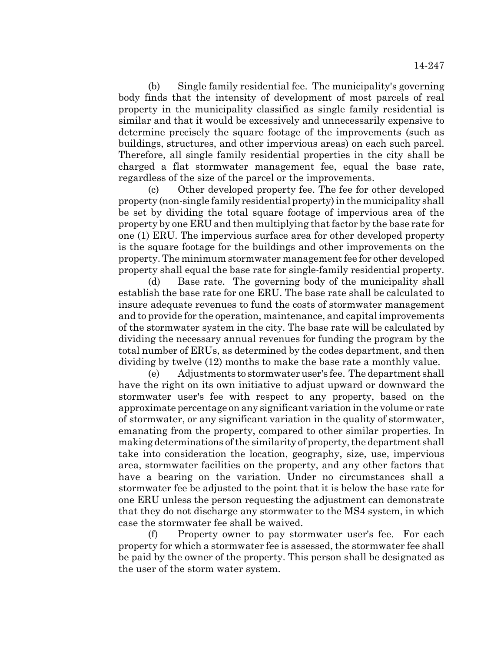(b) Single family residential fee. The municipality's governing body finds that the intensity of development of most parcels of real property in the municipality classified as single family residential is similar and that it would be excessively and unnecessarily expensive to determine precisely the square footage of the improvements (such as buildings, structures, and other impervious areas) on each such parcel. Therefore, all single family residential properties in the city shall be charged a flat stormwater management fee, equal the base rate, regardless of the size of the parcel or the improvements.

(c) Other developed property fee. The fee for other developed property (non-single family residential property) in the municipality shall be set by dividing the total square footage of impervious area of the property by one ERU and then multiplying that factor by the base rate for one (1) ERU. The impervious surface area for other developed property is the square footage for the buildings and other improvements on the property. The minimum stormwater management fee for other developed property shall equal the base rate for single-family residential property.

(d) Base rate. The governing body of the municipality shall establish the base rate for one ERU. The base rate shall be calculated to insure adequate revenues to fund the costs of stormwater management and to provide for the operation, maintenance, and capital improvements of the stormwater system in the city. The base rate will be calculated by dividing the necessary annual revenues for funding the program by the total number of ERUs, as determined by the codes department, and then dividing by twelve (12) months to make the base rate a monthly value.

(e) Adjustments to stormwater user's fee. The department shall have the right on its own initiative to adjust upward or downward the stormwater user's fee with respect to any property, based on the approximate percentage on any significant variation in the volume or rate of stormwater, or any significant variation in the quality of stormwater, emanating from the property, compared to other similar properties. In making determinations of the similarity of property, the department shall take into consideration the location, geography, size, use, impervious area, stormwater facilities on the property, and any other factors that have a bearing on the variation. Under no circumstances shall a stormwater fee be adjusted to the point that it is below the base rate for one ERU unless the person requesting the adjustment can demonstrate that they do not discharge any stormwater to the MS4 system, in which case the stormwater fee shall be waived.

(f) Property owner to pay stormwater user's fee. For each property for which a stormwater fee is assessed, the stormwater fee shall be paid by the owner of the property. This person shall be designated as the user of the storm water system.